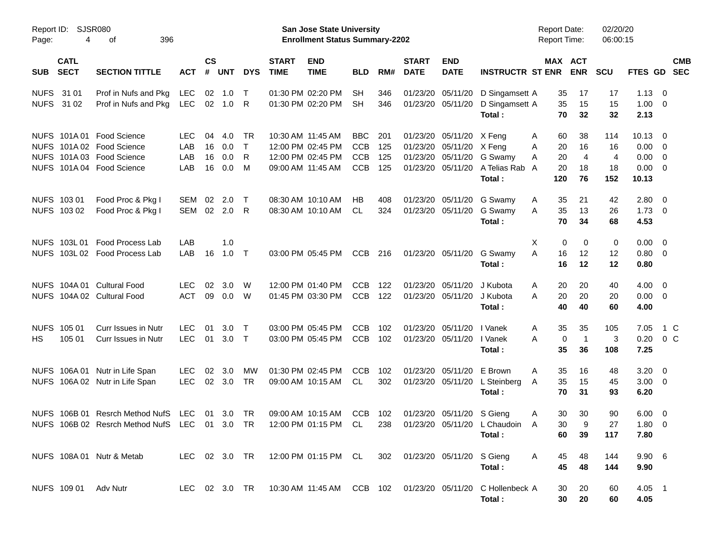|                     |                            |                                                                                                                  |                                 |                      |                          |                        |                             | <b>Preliminary Census</b>                                                        |                                                      |                          |                                  |                                                                     |                                            |                                            |                                        |                                          |                                        |                                                                                |
|---------------------|----------------------------|------------------------------------------------------------------------------------------------------------------|---------------------------------|----------------------|--------------------------|------------------------|-----------------------------|----------------------------------------------------------------------------------|------------------------------------------------------|--------------------------|----------------------------------|---------------------------------------------------------------------|--------------------------------------------|--------------------------------------------|----------------------------------------|------------------------------------------|----------------------------------------|--------------------------------------------------------------------------------|
| Report ID:<br>Page: | 4                          | <b>SJSR080</b><br>οf<br>396                                                                                      |                                 |                      |                          |                        |                             | <b>San Jose State University</b><br><b>Enrollment Status Summary-2202</b>        |                                                      |                          |                                  |                                                                     |                                            | <b>Report Date:</b><br>Report Time:        |                                        | 02/20/20<br>06:00:15                     |                                        |                                                                                |
| <b>SUB</b>          | <b>CATL</b><br><b>SECT</b> | <b>SECTION TITTLE</b>                                                                                            | <b>ACT</b>                      | <b>CS</b><br>#       | <b>UNT</b>               | <b>DYS</b>             | <b>START</b><br><b>TIME</b> | <b>END</b><br><b>TIME</b>                                                        | <b>BLD</b>                                           | RM#                      | <b>START</b><br><b>DATE</b>      | <b>END</b><br><b>DATE</b>                                           | <b>INSTRUCTR ST ENR</b>                    | MAX ACT                                    | <b>ENR</b>                             | <b>SCU</b>                               |                                        | <b>CMB</b><br>FTES GD SEC                                                      |
| <b>NUFS</b>         | 31 01<br>NUFS 31 02        | Prof in Nufs and Pkg<br>Prof in Nufs and Pkg                                                                     | <b>LEC</b><br><b>LEC</b>        |                      | $02 \quad 1.0$<br>02 1.0 | $\top$<br>R            |                             | 01:30 PM 02:20 PM<br>01:30 PM 02:20 PM                                           | <b>SH</b><br><b>SH</b>                               | 346<br>346               | 01/23/20<br>01/23/20 05/11/20    | 05/11/20                                                            | D Singamsett A<br>D Singamsett A<br>Total: | 35<br>35<br>70                             | 17<br>15<br>32                         | 17<br>15<br>32                           | 1.13<br>1.00<br>2.13                   | - 0<br>$\overline{0}$                                                          |
|                     |                            | NUFS 101A 01 Food Science<br>NUFS 101A 02 Food Science<br>NUFS 101A 03 Food Science<br>NUFS 101A 04 Food Science | <b>LEC</b><br>LAB<br>LAB<br>LAB | 04<br>16<br>16<br>16 | 4.0<br>0.0<br>0.0<br>0.0 | TR<br>$\top$<br>R<br>M |                             | 10:30 AM 11:45 AM<br>12:00 PM 02:45 PM<br>12:00 PM 02:45 PM<br>09:00 AM 11:45 AM | <b>BBC</b><br><b>CCB</b><br><b>CCB</b><br><b>CCB</b> | 201<br>125<br>125<br>125 | 01/23/20<br>01/23/20<br>01/23/20 | 05/11/20 X Feng<br>05/11/20 X Feng<br>05/11/20<br>01/23/20 05/11/20 | G Swamy<br>A Telias Rab A<br>Total:        | 60<br>A<br>20<br>A<br>20<br>A<br>20<br>120 | 38<br>16<br>$\overline{4}$<br>18<br>76 | 114<br>16<br>$\overline{4}$<br>18<br>152 | 10.13<br>0.00<br>0.00<br>0.00<br>10.13 | $\overline{0}$<br>$\overline{0}$<br>$\overline{0}$<br>$\overline{\phantom{0}}$ |
|                     | NUFS 103 01<br>NUFS 103 02 | Food Proc & Pkg I<br>Food Proc & Pkg I                                                                           | SEM<br>SEM                      | 02<br>02             | 2.0<br>2.0               | $\top$<br>R            |                             | 08:30 AM 10:10 AM<br>08:30 AM 10:10 AM                                           | НB<br><b>CL</b>                                      | 408<br>324               | 01/23/20 05/11/20                | 01/23/20 05/11/20                                                   | G Swamy<br>G Swamy<br>Total:               | 35<br>A<br>35<br>A<br>70                   | 21<br>13<br>34                         | 42<br>26<br>68                           | 2.80<br>$1.73 \t 0$<br>4.53            | $\overline{\phantom{0}}$                                                       |
|                     | NUFS 103L01                | Food Process Lab<br>NUFS 103L 02 Food Process Lab                                                                | LAB<br>LAB                      | 16                   | 1.0<br>$1.0$ T           |                        |                             | 03:00 PM 05:45 PM                                                                | <b>CCB</b>                                           | 216                      | 01/23/20 05/11/20                |                                                                     | G Swamy<br>Total:                          | $\mathbf 0$<br>Χ<br>A<br>16<br>16          | $\Omega$<br>12<br>12                   | 0<br>12<br>12                            | $0.00 \t 0$<br>$0.80 \ 0$<br>0.80      |                                                                                |
|                     |                            | NUFS 104A 01 Cultural Food<br>NUFS 104A 02 Cultural Food                                                         | <b>LEC</b><br><b>ACT</b>        | 02<br>09             | 3.0<br>0.0               | W<br>W                 |                             | 12:00 PM 01:40 PM<br>01:45 PM 03:30 PM                                           | <b>CCB</b><br>CCB                                    | 122<br>122               | 01/23/20<br>01/23/20 05/11/20    | 05/11/20                                                            | J Kubota<br>J Kubota<br>Total:             | 20<br>A<br>20<br>A<br>40                   | 20<br>20<br>40                         | 40<br>20<br>60                           | 4.00<br>$0.00 \t 0$<br>4.00            | $\overline{\phantom{0}}$                                                       |
| <b>NUFS</b><br>HS   | 105 01<br>105 01           | <b>Curr Issues in Nutr</b><br>Curr Issues in Nutr                                                                | <b>LEC</b><br><b>LEC</b>        | 01<br>01             | 3.0 <sub>2</sub><br>3.0  | $\top$<br>$\top$       |                             | 03:00 PM 05:45 PM<br>03:00 PM 05:45 PM                                           | <b>CCB</b><br><b>CCB</b>                             | 102<br>102               | 01/23/20                         | 05/11/20<br>01/23/20 05/11/20                                       | I Vanek<br>I Vanek<br>Total:               | 35<br>A<br>$\mathbf 0$<br>A<br>35          | 35<br>$\mathbf{1}$<br>36               | 105<br>3<br>108                          | 7.05<br>0.20<br>7.25                   | 1 C<br>0 <sup>o</sup>                                                          |
|                     |                            | NUFS 106A 01 Nutr in Life Span<br>NUFS 106A 02 Nutr in Life Span                                                 | <b>LEC</b><br><b>LEC</b>        | 02<br>02             | 3.0<br>3.0               | мw<br>TR               |                             | 01:30 PM 02:45 PM<br>09:00 AM 10:15 AM                                           | <b>CCB</b><br>CL                                     | 102<br>302               | 01/23/20<br>01/23/20 05/11/20    | 05/11/20                                                            | E Brown<br>L Steinberg<br>Total:           | 35<br>A<br>35<br>A<br>70                   | 16<br>15<br>31                         | 48<br>45<br>93                           | 3.20<br>$3.00 \ 0$<br>6.20             | $\overline{0}$                                                                 |
|                     |                            | NUFS 106B 01 Resrch Method NufS LEC 01 3.0 TR<br>NUFS 106B 02 Resrch Method NufS LEC 01 3.0 TR                   |                                 |                      |                          |                        |                             | 09:00 AM 10:15 AM CCB 102<br>12:00 PM 01:15 PM CL                                |                                                      | 238                      | 01/23/20 05/11/20 S Gieng        |                                                                     | 01/23/20 05/11/20 L Chaudoin<br>Total:     | 30<br>30<br>A<br>60                        | 30<br>9<br>39                          | 90<br>27<br>117                          | $6.00 \quad 0$<br>$1.80 \t 0$<br>7.80  |                                                                                |
|                     |                            | NUFS 108A 01 Nutr & Metab                                                                                        | LEC 02 3.0 TR                   |                      |                          |                        |                             | 12:00 PM 01:15 PM CL 302 01/23/20 05/11/20 S Gieng                               |                                                      |                          |                                  |                                                                     | Total :                                    | 45<br>A<br>45                              | 48<br>48                               | 144<br>144                               | 9.906<br>9.90                          |                                                                                |
|                     | NUFS 109 01                | Adv Nutr                                                                                                         | LEC 02 3.0 TR                   |                      |                          |                        |                             | 10:30 AM 11:45 AM CCB 102 01/23/20 05/11/20                                      |                                                      |                          |                                  |                                                                     | C Hollenbeck A<br>Total:                   | 30<br>30 <sub>o</sub>                      | 20<br>20                               | 60<br>60                                 | $4.05$ 1<br>4.05                       |                                                                                |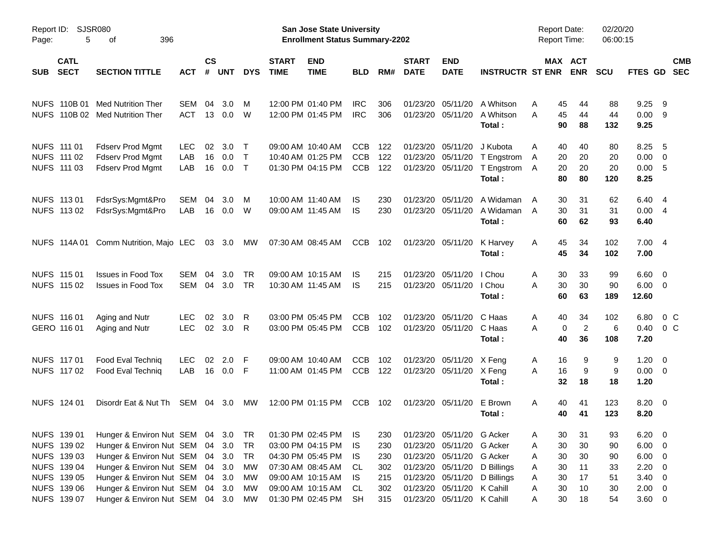|                     |                                                                         |                                                                                                                                                                             |                          |                |                         |                              |                             | <b>Preliminary Census</b>                                                                             |                                 |                                 |                               |                                                                                                                               |                                                |                                                     |                                 |                            |                                                                    |                            |                          |
|---------------------|-------------------------------------------------------------------------|-----------------------------------------------------------------------------------------------------------------------------------------------------------------------------|--------------------------|----------------|-------------------------|------------------------------|-----------------------------|-------------------------------------------------------------------------------------------------------|---------------------------------|---------------------------------|-------------------------------|-------------------------------------------------------------------------------------------------------------------------------|------------------------------------------------|-----------------------------------------------------|---------------------------------|----------------------------|--------------------------------------------------------------------|----------------------------|--------------------------|
| Report ID:<br>Page: | 5                                                                       | SJSR080<br>396<br>οf                                                                                                                                                        |                          |                |                         |                              |                             | <b>San Jose State University</b><br><b>Enrollment Status Summary-2202</b>                             |                                 |                                 |                               |                                                                                                                               |                                                | <b>Report Date:</b><br>Report Time:                 |                                 | 02/20/20<br>06:00:15       |                                                                    |                            |                          |
| <b>SUB</b>          | <b>CATL</b><br><b>SECT</b>                                              | <b>SECTION TITTLE</b>                                                                                                                                                       | <b>ACT</b>               | <b>CS</b><br># | <b>UNT</b>              | <b>DYS</b>                   | <b>START</b><br><b>TIME</b> | <b>END</b><br><b>TIME</b>                                                                             | <b>BLD</b>                      | RM#                             | <b>START</b><br><b>DATE</b>   | <b>END</b><br><b>DATE</b>                                                                                                     | <b>INSTRUCTR ST ENR ENR</b>                    |                                                     | MAX ACT                         | <b>SCU</b>                 | FTES GD                                                            |                            | <b>CMB</b><br><b>SEC</b> |
|                     | NUFS 110B 01                                                            | <b>Med Nutrition Ther</b><br>NUFS 110B 02 Med Nutrition Ther                                                                                                                | SEM<br><b>ACT</b>        | 04<br>13       | 3.0 <sub>2</sub><br>0.0 | M<br>W                       |                             | 12:00 PM 01:40 PM<br>12:00 PM 01:45 PM                                                                | <b>IRC</b><br><b>IRC</b>        | 306<br>306                      | 01/23/20                      | 05/11/20<br>01/23/20 05/11/20                                                                                                 | A Whitson<br>A Whitson<br>Total:               | 45<br>A<br>45<br>A<br>90                            | 44<br>44<br>88                  | 88<br>44<br>132            | 9.25<br>0.00<br>9.25                                               | - 9<br>- 9                 |                          |
|                     | NUFS 111 01<br>NUFS 111 02<br>NUFS 111 03                               | <b>Fdserv Prod Mgmt</b><br><b>Fdserv Prod Mgmt</b><br>Fdserv Prod Mgmt                                                                                                      | <b>LEC</b><br>LAB<br>LAB | 02<br>16<br>16 | 3.0<br>0.0<br>0.0       | $\top$<br>$\top$<br>$\top$   |                             | 09:00 AM 10:40 AM<br>10:40 AM 01:25 PM<br>01:30 PM 04:15 PM                                           | <b>CCB</b><br>CCB<br><b>CCB</b> | 122<br>122<br>122               | 01/23/20                      | 01/23/20 05/11/20<br>05/11/20<br>01/23/20 05/11/20                                                                            | J Kubota<br>T Engstrom<br>T Engstrom<br>Total: | 40<br>A<br>Α<br>20<br>20<br>A<br>80                 | 40<br>20<br>20<br>80            | 80<br>20<br>20<br>120      | 8.25<br>0.00<br>0.00<br>8.25                                       | - 5<br>$\overline{0}$<br>5 |                          |
|                     | NUFS 113 01<br>NUFS 113 02                                              | FdsrSys:Mgmt&Pro<br>FdsrSys:Mgmt&Pro                                                                                                                                        | SEM<br>LAB               | 04<br>16       | 3.0<br>0.0              | M<br>W                       |                             | 10:00 AM 11:40 AM<br>09:00 AM 11:45 AM                                                                | IS<br>IS                        | 230<br>230                      | 01/23/20<br>01/23/20 05/11/20 | 05/11/20                                                                                                                      | A Widaman<br>A Widaman<br>Total:               | 30<br>A<br>30<br>A<br>60                            | 31<br>31<br>62                  | 62<br>31<br>93             | 6.40 4<br>0.004<br>6.40                                            |                            |                          |
|                     |                                                                         | NUFS 114A 01 Comm Nutrition, Majo LEC                                                                                                                                       |                          |                | 03 3.0                  | MW                           |                             | 07:30 AM 08:45 AM                                                                                     | CCB                             | 102                             | 01/23/20 05/11/20             |                                                                                                                               | K Harvey<br>Total:                             | Α<br>45<br>45                                       | 34<br>34                        | 102<br>102                 | 7.004<br>7.00                                                      |                            |                          |
|                     | NUFS 115 01<br>NUFS 115 02                                              | <b>Issues in Food Tox</b><br><b>Issues in Food Tox</b>                                                                                                                      | SEM<br>SEM               | 04<br>04       | 3.0<br>3.0              | <b>TR</b><br><b>TR</b>       |                             | 09:00 AM 10:15 AM<br>10:30 AM 11:45 AM                                                                | IS<br>IS                        | 215<br>215                      |                               | 01/23/20 05/11/20<br>01/23/20 05/11/20                                                                                        | I Chou<br>I Chou<br>Total:                     | 30<br>A<br>A<br>30<br>60                            | 33<br>30<br>63                  | 99<br>90<br>189            | $6.60 \quad 0$<br>6.00<br>12.60                                    | $\overline{\mathbf{0}}$    |                          |
|                     | NUFS 116 01<br>GERO 116 01                                              | Aging and Nutr<br>Aging and Nutr                                                                                                                                            | <b>LEC</b><br><b>LEC</b> | 02<br>02       | 3.0<br>3.0              | R<br>R                       |                             | 03:00 PM 05:45 PM<br>03:00 PM 05:45 PM                                                                | <b>CCB</b><br><b>CCB</b>        | 102<br>102                      | 01/23/20                      | 05/11/20<br>01/23/20 05/11/20                                                                                                 | C Haas<br>C Haas<br>Total:                     | 40<br>A<br>A<br>40                                  | 34<br>$\overline{2}$<br>0<br>36 | 102<br>6<br>108            | 6.80<br>0.40<br>7.20                                               | $0\,$ C<br>0 <sup>o</sup>  |                          |
|                     | NUFS 117 01<br>NUFS 117 02                                              | Food Eval Techniq<br>Food Eval Techniq                                                                                                                                      | <b>LEC</b><br>LAB        | 02<br>16       | 2.0<br>0.0 F            | -F                           |                             | 09:00 AM 10:40 AM<br>11:00 AM 01:45 PM                                                                | <b>CCB</b><br><b>CCB</b>        | 102<br>122                      | 01/23/20                      | 05/11/20<br>01/23/20 05/11/20                                                                                                 | X Feng<br>X Feng<br>Total:                     | 16<br>A<br>A<br>16<br>32                            | 9<br>9<br>18                    | 9<br>9<br>18               | 1.20<br>$0.00 \t 0$<br>1.20                                        | $\overline{\mathbf{0}}$    |                          |
|                     | NUFS 124 01                                                             | Disordr Eat & Nut Th SEM 04 3.0                                                                                                                                             |                          |                |                         | MW                           |                             | 12:00 PM 01:15 PM                                                                                     | CCB                             | 102                             |                               | 01/23/20 05/11/20                                                                                                             | E Brown<br>Total:                              | 40<br>A<br>40                                       | 41<br>41                        | 123<br>123                 | $8.20 \ 0$<br>8.20                                                 |                            |                          |
|                     | NUFS 139 01<br>NUFS 139 02<br>NUFS 139 03<br>NUFS 139 04<br>NUFS 139 05 | Hunger & Environ Nut SEM 04 3.0<br>Hunger & Environ Nut SEM 04 3.0<br>Hunger & Environ Nut SEM 04 3.0<br>Hunger & Environ Nut SEM 04 3.0<br>Hunger & Environ Nut SEM 04 3.0 |                          |                |                         | TR T<br>TR<br>TR<br>MW<br>MW |                             | 01:30 PM 02:45 PM<br>03:00 PM 04:15 PM<br>04:30 PM 05:45 PM<br>07:30 AM 08:45 AM<br>09:00 AM 10:15 AM | IS.<br>IS.<br>IS<br>CL.<br>IS   | 230<br>230<br>230<br>302<br>215 |                               | 01/23/20 05/11/20 G Acker<br>01/23/20 05/11/20 G Acker<br>01/23/20 05/11/20 G Acker<br>01/23/20 05/11/20<br>01/23/20 05/11/20 | D Billings<br>D Billings                       | 30<br>A<br>30<br>Α<br>30<br>A<br>30<br>A<br>30<br>A | 31<br>30<br>30<br>11<br>17      | 93<br>90<br>90<br>33<br>51 | $6.20 \quad 0$<br>$6.00 \t 0$<br>$6.00 \t 0$<br>2.20<br>$3.40 \ 0$ | $\overline{\mathbf{0}}$    |                          |
|                     | NUFS 139 06<br>NUFS 139 07                                              | Hunger & Environ Nut SEM 04 3.0<br>Hunger & Environ Nut SEM 04 3.0                                                                                                          |                          |                |                         | МW<br>МW                     |                             | 09:00 AM 10:15 AM<br>01:30 PM 02:45 PM                                                                | CL<br><b>SH</b>                 | 302<br>315                      |                               | 01/23/20 05/11/20 K Cahill<br>01/23/20 05/11/20 K Cahill                                                                      |                                                | 30<br>A<br>30<br>A                                  | 10<br>18                        | 30<br>54                   | $2.00 \t 0$<br>$3.60 \ 0$                                          |                            |                          |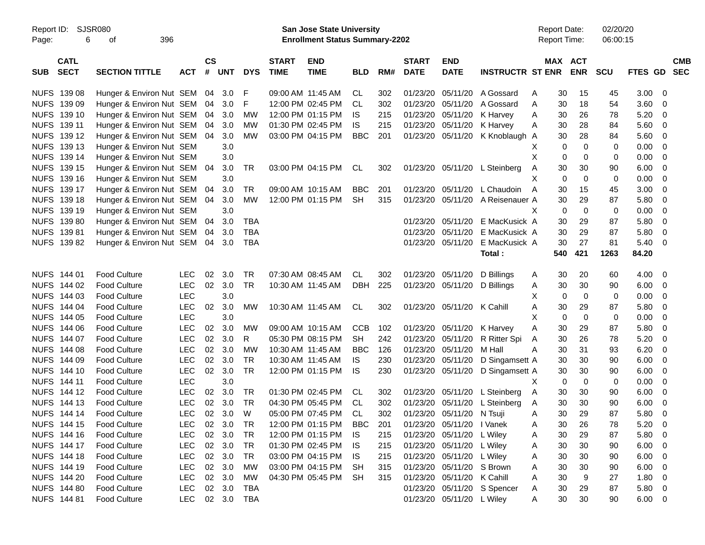|                     |                            |                          |            |                    |            |            |                             | <b>Preliminary Census</b>                                                 |            |     |                             |                            |                             |                                            |                              |                      |               |                          |                          |
|---------------------|----------------------------|--------------------------|------------|--------------------|------------|------------|-----------------------------|---------------------------------------------------------------------------|------------|-----|-----------------------------|----------------------------|-----------------------------|--------------------------------------------|------------------------------|----------------------|---------------|--------------------------|--------------------------|
| Report ID:<br>Page: | <b>SJSR080</b><br>6        | 396<br>οf                |            |                    |            |            |                             | <b>San Jose State University</b><br><b>Enrollment Status Summary-2202</b> |            |     |                             |                            |                             | <b>Report Date:</b><br><b>Report Time:</b> |                              | 02/20/20<br>06:00:15 |               |                          |                          |
| <b>SUB</b>          | <b>CATL</b><br><b>SECT</b> | <b>SECTION TITTLE</b>    | <b>ACT</b> | $\mathsf{cs}$<br># | <b>UNT</b> | <b>DYS</b> | <b>START</b><br><b>TIME</b> | <b>END</b><br><b>TIME</b>                                                 | <b>BLD</b> | RM# | <b>START</b><br><b>DATE</b> | <b>END</b><br><b>DATE</b>  | <b>INSTRUCTR ST ENR</b>     |                                            | <b>MAX ACT</b><br><b>ENR</b> | SCU                  | FTES GD       |                          | <b>CMB</b><br><b>SEC</b> |
| <b>NUFS</b>         | 139 08                     | Hunger & Environ Nut SEM |            | 04                 | 3.0        | F          |                             | 09:00 AM 11:45 AM                                                         | CL.        | 302 | 01/23/20                    | 05/11/20                   | A Gossard                   | A                                          | 30<br>15                     | 45                   | 3.00          | - 0                      |                          |
| <b>NUFS</b>         | 139 09                     | Hunger & Environ Nut SEM |            | 04                 | 3.0        | F          |                             | 12:00 PM 02:45 PM                                                         | <b>CL</b>  | 302 | 01/23/20                    | 05/11/20                   | A Gossard                   | A                                          | 18<br>30                     | 54                   | 3.60          | $\mathbf 0$              |                          |
| <b>NUFS</b>         | 139 10                     | Hunger & Environ Nut SEM |            | 04                 | 3.0        | <b>MW</b>  |                             | 12:00 PM 01:15 PM                                                         | IS         | 215 | 01/23/20                    | 05/11/20                   | K Harvey                    | Α                                          | 30<br>26                     | 78                   | 5.20          | 0                        |                          |
| <b>NUFS</b>         | 139 11                     | Hunger & Environ Nut SEM |            | 04                 | 3.0        | <b>MW</b>  |                             | 01:30 PM 02:45 PM                                                         | IS         | 215 | 01/23/20                    | 05/11/20                   | K Harvey                    | A                                          | 30<br>28                     | 84                   | 5.60          | 0                        |                          |
| <b>NUFS</b>         | 139 12                     | Hunger & Environ Nut SEM |            | 04                 | 3.0        | <b>MW</b>  |                             | 03:00 PM 04:15 PM                                                         | <b>BBC</b> | 201 | 01/23/20                    | 05/11/20                   | K Knoblaugh A               |                                            | 30<br>28                     | 84                   | 5.60          | $\mathbf 0$              |                          |
| <b>NUFS</b>         | 139 13                     | Hunger & Environ Nut SEM |            |                    | 3.0        |            |                             |                                                                           |            |     |                             |                            |                             | Х                                          | $\mathbf 0$<br>0             | 0                    | 0.00          | $\mathbf 0$              |                          |
| <b>NUFS</b>         | 139 14                     | Hunger & Environ Nut SEM |            |                    | 3.0        |            |                             |                                                                           |            |     |                             |                            |                             | X                                          | 0<br>0                       | $\mathbf 0$          | 0.00          | $\mathbf 0$              |                          |
| <b>NUFS</b>         | 139 15                     | Hunger & Environ Nut SEM |            | 04                 | 3.0        | <b>TR</b>  |                             | 03:00 PM 04:15 PM                                                         | CL         | 302 | 01/23/20                    | 05/11/20                   | L Steinberg                 | Α                                          | 30<br>30                     | 90                   | 6.00          | $\mathbf 0$              |                          |
| <b>NUFS</b>         | 139 16                     | Hunger & Environ Nut SEM |            |                    | 3.0        |            |                             |                                                                           |            |     |                             |                            |                             | X                                          | $\mathbf 0$<br>$\mathbf 0$   | $\mathbf 0$          | 0.00          | $\mathbf 0$              |                          |
| <b>NUFS</b>         | 139 17                     | Hunger & Environ Nut SEM |            | 04                 | 3.0        | <b>TR</b>  |                             | 09:00 AM 10:15 AM                                                         | <b>BBC</b> | 201 | 01/23/20                    | 05/11/20                   | L Chaudoin                  | A                                          | 30<br>15                     | 45                   | 3.00          | $\mathbf 0$              |                          |
| <b>NUFS</b>         | 139 18                     | Hunger & Environ Nut SEM |            | 04                 | 3.0        | <b>MW</b>  |                             | 12:00 PM 01:15 PM                                                         | <b>SH</b>  | 315 | 01/23/20                    | 05/11/20                   | A Reisenauer A              |                                            | 30<br>29                     | 87                   | 5.80          | $\mathbf 0$              |                          |
| <b>NUFS</b>         | 139 19                     | Hunger & Environ Nut SEM |            |                    | 3.0        |            |                             |                                                                           |            |     |                             |                            |                             | X                                          | 0<br>$\mathbf 0$             | $\mathbf 0$          | 0.00          | $\mathbf 0$              |                          |
| <b>NUFS</b>         | 13980                      | Hunger & Environ Nut SEM |            | 04                 | 3.0        | <b>TBA</b> |                             |                                                                           |            |     | 01/23/20                    | 05/11/20                   | E MacKusick A               |                                            | 30<br>29                     | 87                   | 5.80          | $\mathbf 0$              |                          |
| <b>NUFS</b>         | 13981                      | Hunger & Environ Nut SEM |            | 04                 | 3.0        | <b>TBA</b> |                             |                                                                           |            |     | 01/23/20                    | 05/11/20                   | E MacKusick A               |                                            | 30<br>29                     | 87                   | 5.80          | $\mathbf 0$              |                          |
| <b>NUFS</b>         | 13982                      | Hunger & Environ Nut SEM |            | 04                 | 3.0        | <b>TBA</b> |                             |                                                                           |            |     | 01/23/20                    | 05/11/20                   | E MacKusick A               |                                            | 30<br>27                     | 81                   | 5.40          | $\mathbf 0$              |                          |
|                     |                            |                          |            |                    |            |            |                             |                                                                           |            |     |                             |                            | Total:                      | 540                                        | 421                          | 1263                 | 84.20         |                          |                          |
|                     | NUFS 144 01                | <b>Food Culture</b>      | <b>LEC</b> | 02                 | 3.0        | <b>TR</b>  |                             | 07:30 AM 08:45 AM                                                         | CL         | 302 | 01/23/20                    | 05/11/20                   | D Billings                  | A                                          | 30<br>20                     | 60                   | 4.00          | - 0                      |                          |
| <b>NUFS</b>         | 144 02                     | <b>Food Culture</b>      | <b>LEC</b> | 02                 | 3.0        | <b>TR</b>  |                             | 10:30 AM 11:45 AM                                                         | <b>DBH</b> | 225 | 01/23/20                    | 05/11/20                   | D Billings                  | Α                                          | 30<br>30                     | 90                   | 6.00          | $\mathbf 0$              |                          |
| <b>NUFS</b>         | 144 03                     | <b>Food Culture</b>      | <b>LEC</b> |                    | 3.0        |            |                             |                                                                           |            |     |                             |                            |                             | X                                          | $\mathbf 0$<br>0             | $\mathbf 0$          | 0.00          | $\mathbf 0$              |                          |
| <b>NUFS</b>         | 144 04                     | <b>Food Culture</b>      | <b>LEC</b> | 02                 | 3.0        | <b>MW</b>  |                             | 10:30 AM 11:45 AM                                                         | CL         | 302 | 01/23/20                    | 05/11/20                   | K Cahill                    | A                                          | 30<br>29                     | 87                   | 5.80          | $\mathbf 0$              |                          |
| <b>NUFS</b>         | 144 05                     | <b>Food Culture</b>      | <b>LEC</b> |                    | 3.0        |            |                             |                                                                           |            |     |                             |                            |                             | X                                          | $\mathbf 0$<br>$\mathbf 0$   | $\mathbf 0$          | 0.00          | $\mathbf 0$              |                          |
| <b>NUFS</b>         | 144 06                     | <b>Food Culture</b>      | <b>LEC</b> | 02                 | 3.0        | <b>MW</b>  |                             | 09:00 AM 10:15 AM                                                         | <b>CCB</b> | 102 | 01/23/20                    | 05/11/20                   | K Harvey                    | Α                                          | 30<br>29                     | 87                   | 5.80          | $\mathbf 0$              |                          |
| <b>NUFS</b>         | 144 07                     | <b>Food Culture</b>      | <b>LEC</b> | 02                 | 3.0        | R          |                             | 05:30 PM 08:15 PM                                                         | <b>SH</b>  | 242 | 01/23/20                    | 05/11/20                   | R Ritter Spi                | Α                                          | 26<br>30                     | 78                   | 5.20          | $\mathbf 0$              |                          |
| <b>NUFS</b>         | 144 08                     | <b>Food Culture</b>      | <b>LEC</b> | 02                 | 3.0        | <b>MW</b>  |                             | 10:30 AM 11:45 AM                                                         | <b>BBC</b> | 126 | 01/23/20                    | 05/11/20                   | M Hall                      | A                                          | 30<br>31                     | 93                   | 6.20          | $\mathbf 0$              |                          |
| <b>NUFS</b>         | 144 09                     | <b>Food Culture</b>      | <b>LEC</b> | 02                 | 3.0        | <b>TR</b>  |                             | 10:30 AM 11:45 AM                                                         | IS         | 230 | 01/23/20                    | 05/11/20                   | D Singamsett A              |                                            | 30<br>30                     | 90                   | 6.00          | $\mathbf 0$              |                          |
| <b>NUFS</b>         | 144 10                     | <b>Food Culture</b>      | <b>LEC</b> | 02                 | 3.0        | <b>TR</b>  |                             | 12:00 PM 01:15 PM                                                         | IS         | 230 | 01/23/20                    | 05/11/20                   | D Singamsett A              |                                            | 30<br>30                     | 90                   | 6.00          | 0                        |                          |
| <b>NUFS</b>         | 144 11                     | <b>Food Culture</b>      | <b>LEC</b> |                    | 3.0        |            |                             |                                                                           |            |     |                             |                            |                             | X                                          | 0<br>0                       | 0                    | 0.00          | $\mathbf 0$              |                          |
| <b>NUFS</b>         | 144 12                     | <b>Food Culture</b>      | <b>LEC</b> | 02                 | 3.0        | <b>TR</b>  |                             | 01:30 PM 02:45 PM                                                         | CL         | 302 | 01/23/20                    | 05/11/20                   | L Steinberg                 | Α                                          | 30<br>30                     | 90                   | 6.00          | $\mathbf 0$              |                          |
|                     | NUFS 144 13                | <b>Food Culture</b>      | <b>LEC</b> | 02                 | 3.0        | <b>TR</b>  |                             | 04:30 PM 05:45 PM                                                         | <b>CL</b>  | 302 | 01/23/20                    | 05/11/20                   | L Steinberg                 | A                                          | 30<br>30                     | 90                   | 6.00          | $\overline{0}$           |                          |
|                     | NUFS 144 14                | <b>Food Culture</b>      | <b>LEC</b> | 02                 | 3.0        | W          |                             | 05:00 PM 07:45 PM                                                         | CL         | 302 |                             | 01/23/20 05/11/20 N Tsuji  |                             | A                                          | 29<br>30                     | 87                   | $5.80\quad 0$ |                          |                          |
|                     | NUFS 144 15                | <b>Food Culture</b>      | <b>LEC</b> |                    | 02 3.0     | TR         |                             | 12:00 PM 01:15 PM                                                         | BBC        | 201 |                             | 01/23/20 05/11/20 I Vanek  |                             | A                                          | 26<br>30                     | 78                   | 5.20          | $\overline{\phantom{0}}$ |                          |
|                     | NUFS 144 16                | <b>Food Culture</b>      | <b>LEC</b> |                    | 02 3.0     | TR         |                             | 12:00 PM 01:15 PM                                                         | - IS       | 215 |                             | 01/23/20 05/11/20 L Wiley  |                             | A                                          | 30<br>29                     | 87                   | 5.80 0        |                          |                          |
|                     | NUFS 144 17                | <b>Food Culture</b>      | <b>LEC</b> |                    | 02 3.0     | TR         |                             | 01:30 PM 02:45 PM                                                         | IS         | 215 |                             | 01/23/20 05/11/20 L Wiley  |                             | A                                          | 30<br>30                     | 90                   | $6.00 \t 0$   |                          |                          |
|                     | NUFS 144 18                | <b>Food Culture</b>      | <b>LEC</b> |                    | 02 3.0     | <b>TR</b>  |                             | 03:00 PM 04:15 PM                                                         | IS         | 215 |                             | 01/23/20 05/11/20 L Wiley  |                             | A                                          | 30<br>30                     | 90                   | $6.00 \t 0$   |                          |                          |
|                     | NUFS 144 19                | <b>Food Culture</b>      | <b>LEC</b> |                    | 02 3.0     | МW         |                             | 03:00 PM 04:15 PM SH                                                      |            | 315 |                             | 01/23/20 05/11/20 S Brown  |                             | A                                          | 30<br>30                     | 90                   | $6.00 \t 0$   |                          |                          |
|                     | NUFS 144 20                | <b>Food Culture</b>      | <b>LEC</b> |                    | 02 3.0     | МW         |                             | 04:30 PM 05:45 PM SH                                                      |            | 315 |                             | 01/23/20 05/11/20 K Cahill |                             | A                                          | 30<br>9                      | 27                   | $1.80 \t 0$   |                          |                          |
|                     | <b>NUFS 144 80</b>         | <b>Food Culture</b>      | <b>LEC</b> |                    | 02 3.0     | TBA        |                             |                                                                           |            |     |                             |                            | 01/23/20 05/11/20 S Spencer | A                                          | 29<br>30                     | 87                   | $5.80\ 0$     |                          |                          |
|                     | NUFS 144 81                | <b>Food Culture</b>      | <b>LEC</b> |                    | 02 3.0     | TBA        |                             |                                                                           |            |     |                             | 01/23/20 05/11/20 L Wiley  |                             | A                                          | 30<br>30                     | 90                   | $6.00 \t 0$   |                          |                          |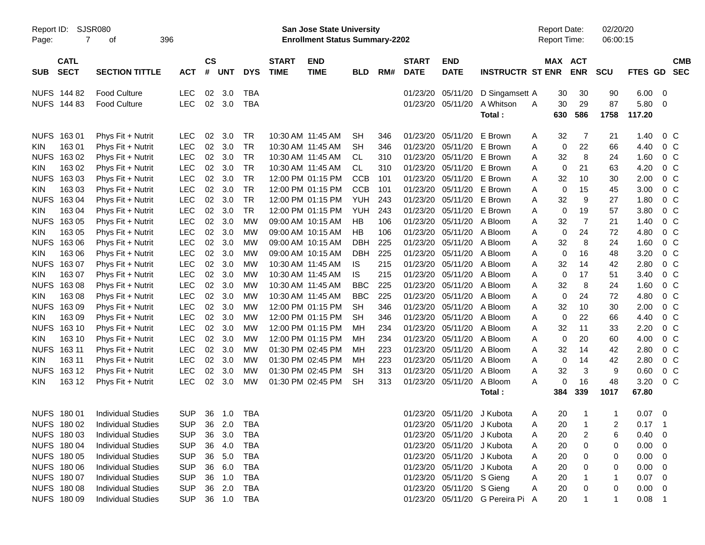|                     |                            |                           |            |                    |            |            |                             | <b>Preliminary Census</b>                                          |            |     |                             |                            |                                  |   |                                            |                |                      |                |                          |                          |
|---------------------|----------------------------|---------------------------|------------|--------------------|------------|------------|-----------------------------|--------------------------------------------------------------------|------------|-----|-----------------------------|----------------------------|----------------------------------|---|--------------------------------------------|----------------|----------------------|----------------|--------------------------|--------------------------|
| Report ID:<br>Page: | 7                          | SJSR080<br>οf             | 396        |                    |            |            |                             | San Jose State University<br><b>Enrollment Status Summary-2202</b> |            |     |                             |                            |                                  |   | <b>Report Date:</b><br><b>Report Time:</b> |                | 02/20/20<br>06:00:15 |                |                          |                          |
| <b>SUB</b>          | <b>CATL</b><br><b>SECT</b> | <b>SECTION TITTLE</b>     | <b>ACT</b> | $\mathsf{cs}$<br># | <b>UNT</b> | <b>DYS</b> | <b>START</b><br><b>TIME</b> | <b>END</b><br><b>TIME</b>                                          | <b>BLD</b> | RM# | <b>START</b><br><b>DATE</b> | <b>END</b><br><b>DATE</b>  | <b>INSTRUCTR ST ENR</b>          |   | MAX ACT                                    | <b>ENR</b>     | <b>SCU</b>           | FTES GD        |                          | <b>CMB</b><br><b>SEC</b> |
|                     | NUFS 144 82                | <b>Food Culture</b>       | <b>LEC</b> | 02                 | 3.0        | <b>TBA</b> |                             |                                                                    |            |     | 01/23/20                    | 05/11/20                   | D Singamsett A                   |   | 30                                         | 30             | 90                   | 6.00           | - 0                      |                          |
|                     | NUFS 144 83                | <b>Food Culture</b>       | <b>LEC</b> | 02                 | 3.0        | <b>TBA</b> |                             |                                                                    |            |     | 01/23/20                    | 05/11/20                   | A Whitson                        | A | 30                                         | 29             | 87                   | 5.80           | $\overline{0}$           |                          |
|                     |                            |                           |            |                    |            |            |                             |                                                                    |            |     |                             |                            | Total:                           |   | 630                                        | 586            | 1758                 | 117.20         |                          |                          |
| <b>NUFS</b>         | 16301                      | Phys Fit + Nutrit         | <b>LEC</b> | 02                 | 3.0        | <b>TR</b>  |                             | 10:30 AM 11:45 AM                                                  | <b>SH</b>  | 346 | 01/23/20                    | 05/11/20                   | E Brown                          | A | 32                                         | 7              | 21                   | 1.40           | 0 <sup>C</sup>           |                          |
| <b>KIN</b>          | 16301                      | Phys Fit + Nutrit         | <b>LEC</b> | 02                 | 3.0        | <b>TR</b>  |                             | 10:30 AM 11:45 AM                                                  | <b>SH</b>  | 346 | 01/23/20                    | 05/11/20                   | E Brown                          | Α | $\mathbf 0$                                | 22             | 66                   | 4.40           | 0 <sup>C</sup>           |                          |
| <b>NUFS</b>         | 163 02                     | Phys Fit + Nutrit         | <b>LEC</b> | 02                 | 3.0        | <b>TR</b>  |                             | 10:30 AM 11:45 AM                                                  | CL         | 310 | 01/23/20                    | 05/11/20                   | E Brown                          | Α | 32                                         | 8              | 24                   | 1.60           | 0 <sup>C</sup>           |                          |
| <b>KIN</b>          | 163 02                     | Phys Fit + Nutrit         | <b>LEC</b> | 02                 | 3.0        | <b>TR</b>  |                             | 10:30 AM 11:45 AM                                                  | <b>CL</b>  | 310 | 01/23/20                    | 05/11/20                   | E Brown                          | A | 0                                          | 21             | 63                   | 4.20           | 0 <sup>C</sup>           |                          |
| <b>NUFS</b>         | 163 03                     | Phys Fit + Nutrit         | <b>LEC</b> | 02                 | 3.0        | <b>TR</b>  |                             | 12:00 PM 01:15 PM                                                  | <b>CCB</b> | 101 | 01/23/20                    | 05/11/20                   | E Brown                          | A | 32                                         | 10             | 30                   | 2.00           | 0 <sup>C</sup>           |                          |
| <b>KIN</b>          | 163 03                     | Phys Fit + Nutrit         | <b>LEC</b> | 02                 | 3.0        | <b>TR</b>  |                             | 12:00 PM 01:15 PM                                                  | <b>CCB</b> | 101 | 01/23/20                    | 05/11/20                   | E Brown                          | A | $\mathbf 0$                                | 15             | 45                   | 3.00           | 0 <sup>C</sup>           |                          |
| <b>NUFS</b>         | 16304                      | Phys Fit + Nutrit         | <b>LEC</b> | 02                 | 3.0        | <b>TR</b>  |                             | 12:00 PM 01:15 PM                                                  | <b>YUH</b> | 243 | 01/23/20                    | 05/11/20                   | E Brown                          | A | 32                                         | 9              | 27                   | 1.80           | 0 <sup>C</sup>           |                          |
| <b>KIN</b>          | 163 04                     | Phys Fit + Nutrit         | <b>LEC</b> | 02                 | 3.0        | <b>TR</b>  |                             | 12:00 PM 01:15 PM                                                  | <b>YUH</b> | 243 | 01/23/20                    | 05/11/20                   | E Brown                          | Α | $\mathbf 0$                                | 19             | 57                   | 3.80           | 0 <sup>C</sup>           |                          |
| <b>NUFS</b>         | 163 05                     | Phys Fit + Nutrit         | <b>LEC</b> | 02                 | 3.0        | <b>MW</b>  |                             | 09:00 AM 10:15 AM                                                  | HB         | 106 | 01/23/20                    | 05/11/20                   | A Bloom                          | Α | 32                                         | $\overline{7}$ | 21                   | 1.40           | 0 <sup>C</sup>           |                          |
| <b>KIN</b>          | 163 05                     | Phys Fit + Nutrit         | <b>LEC</b> | 02                 | 3.0        | МW         |                             | 09:00 AM 10:15 AM                                                  | HB         | 106 | 01/23/20                    | 05/11/20                   | A Bloom                          | Α | 0                                          | 24             | 72                   | 4.80           | 0 <sup>C</sup>           |                          |
| <b>NUFS</b>         | 16306                      | Phys Fit + Nutrit         | <b>LEC</b> | 02                 | 3.0        | МW         |                             | 09:00 AM 10:15 AM                                                  | <b>DBH</b> | 225 | 01/23/20                    | 05/11/20                   | A Bloom                          | A | 32                                         | 8              | 24                   | 1.60           | 0 <sup>C</sup>           |                          |
| <b>KIN</b>          | 163 06                     | Phys Fit + Nutrit         | <b>LEC</b> | 02                 | 3.0        | МW         |                             | 09:00 AM 10:15 AM                                                  | <b>DBH</b> | 225 | 01/23/20                    | 05/11/20                   | A Bloom                          | Α | $\mathbf 0$                                | 16             | 48                   | 3.20           | 0 <sup>C</sup>           |                          |
| <b>NUFS</b>         | 16307                      | Phys Fit + Nutrit         | <b>LEC</b> | 02                 | 3.0        | МW         |                             | 10:30 AM 11:45 AM                                                  | IS.        | 215 | 01/23/20                    | 05/11/20                   | A Bloom                          | A | 32                                         | 14             | 42                   | 2.80           | 0 <sup>C</sup>           |                          |
| KIN                 | 163 07                     | Phys Fit + Nutrit         | <b>LEC</b> | 02                 | 3.0        | МW         |                             | 10:30 AM 11:45 AM                                                  | <b>IS</b>  | 215 | 01/23/20                    | 05/11/20                   | A Bloom                          | A | $\mathbf 0$                                | 17             | 51                   | 3.40           | 0 <sup>C</sup>           |                          |
| <b>NUFS</b>         | 16308                      | Phys Fit + Nutrit         | <b>LEC</b> | 02                 | 3.0        | МW         |                             | 10:30 AM 11:45 AM                                                  | <b>BBC</b> | 225 | 01/23/20                    | 05/11/20                   | A Bloom                          | A | 32                                         | 8              | 24                   | 1.60           | 0 <sup>C</sup>           |                          |
| <b>KIN</b>          | 163 08                     | Phys Fit + Nutrit         | <b>LEC</b> | 02                 | 3.0        | МW         |                             | 10:30 AM 11:45 AM                                                  | <b>BBC</b> | 225 | 01/23/20                    | 05/11/20                   | A Bloom                          | Α | 0                                          | 24             | 72                   | 4.80           | 0 <sup>C</sup>           |                          |
| <b>NUFS</b>         | 16309                      | Phys Fit + Nutrit         | <b>LEC</b> | 02                 | 3.0        | МW         |                             | 12:00 PM 01:15 PM                                                  | <b>SH</b>  | 346 | 01/23/20                    | 05/11/20                   | A Bloom                          | A | 32                                         | 10             | 30                   | 2.00           | 0 <sup>C</sup>           |                          |
| KIN                 | 163 09                     | Phys Fit + Nutrit         | <b>LEC</b> | 02                 | 3.0        | МW         |                             | 12:00 PM 01:15 PM                                                  | <b>SH</b>  | 346 | 01/23/20                    | 05/11/20                   | A Bloom                          | A | $\mathbf 0$                                | 22             | 66                   | 4.40           | 0 <sup>C</sup>           |                          |
| <b>NUFS</b>         | 163 10                     | Phys Fit + Nutrit         | <b>LEC</b> | 02                 | 3.0        | МW         |                             | 12:00 PM 01:15 PM                                                  | MН         | 234 | 01/23/20                    | 05/11/20                   | A Bloom                          | A | 32                                         | 11             | 33                   | 2.20           | 0 <sup>C</sup>           |                          |
| <b>KIN</b>          | 163 10                     | Phys Fit + Nutrit         | <b>LEC</b> | 02                 | 3.0        | МW         |                             | 12:00 PM 01:15 PM                                                  | MН         | 234 | 01/23/20                    | 05/11/20                   | A Bloom                          | A | 0                                          | 20             | 60                   | 4.00           | 0 <sup>C</sup>           |                          |
| <b>NUFS</b>         | 163 11                     | Phys Fit + Nutrit         | <b>LEC</b> | 02                 | 3.0        | МW         |                             | 01:30 PM 02:45 PM                                                  | MН         | 223 | 01/23/20                    | 05/11/20                   | A Bloom                          | A | 32                                         | 14             | 42                   | 2.80           | 0 <sup>C</sup>           |                          |
| KIN.                | 163 11                     | Phys Fit + Nutrit         | <b>LEC</b> | 02                 | 3.0        | МW         |                             | 01:30 PM 02:45 PM                                                  | MН         | 223 | 01/23/20                    | 05/11/20                   | A Bloom                          | A | $\mathbf 0$                                | 14             | 42                   | 2.80           | 0 <sup>C</sup>           |                          |
| <b>NUFS</b>         | 163 12                     | Phys Fit + Nutrit         | <b>LEC</b> | 02                 | 3.0        | МW         |                             | 01:30 PM 02:45 PM                                                  | <b>SH</b>  | 313 | 01/23/20                    | 05/11/20                   | A Bloom                          | A | 32                                         | 3              | 9                    | 0.60           | 0 <sup>C</sup>           |                          |
| KIN.                | 163 12                     | Phys Fit + Nutrit         | <b>LEC</b> | 02                 | 3.0        | MW         |                             | 01:30 PM 02:45 PM                                                  | <b>SH</b>  | 313 | 01/23/20                    | 05/11/20                   | A Bloom                          | A | 0                                          | 16             | 48                   | 3.20           | 0 <sup>C</sup>           |                          |
|                     |                            |                           |            |                    |            |            |                             |                                                                    |            |     |                             |                            | Total:                           |   | 384                                        | 339            | 1017                 | 67.80          |                          |                          |
|                     | NUFS 180 01                | <b>Individual Studies</b> | <b>SUP</b> |                    | 36 1.0     | TBA        |                             |                                                                    |            |     |                             | 01/23/20 05/11/20 J Kubota |                                  | A | 20                                         |                |                      | $0.07 \t 0$    |                          |                          |
|                     | NUFS 180 02                | <b>Individual Studies</b> | <b>SUP</b> |                    | 36 2.0     | TBA        |                             |                                                                    |            |     |                             | 01/23/20 05/11/20          | J Kubota                         | A | 20                                         | -1             | 2                    | $0.17$ 1       |                          |                          |
|                     | NUFS 180 03                | <b>Individual Studies</b> | <b>SUP</b> |                    | 36 3.0     | TBA        |                             |                                                                    |            |     |                             | 01/23/20 05/11/20          | J Kubota                         | Α | 20                                         | 2              | 6                    | 0.40           | - 0                      |                          |
|                     | NUFS 180 04                | <b>Individual Studies</b> | <b>SUP</b> |                    | 36 4.0     | TBA        |                             |                                                                    |            |     |                             | 01/23/20 05/11/20          | J Kubota                         | Α | 20                                         | 0              | 0                    | 0.00           | $\overline{\phantom{0}}$ |                          |
|                     | NUFS 180 05                | <b>Individual Studies</b> | <b>SUP</b> |                    | 36 5.0     | TBA        |                             |                                                                    |            |     |                             | 01/23/20 05/11/20          | J Kubota                         | Α | 20                                         | 0              | 0                    | 0.00           | - 0                      |                          |
|                     | NUFS 180 06                | <b>Individual Studies</b> | <b>SUP</b> |                    | 36 6.0     | TBA        |                             |                                                                    |            |     |                             | 01/23/20 05/11/20          | J Kubota                         | Α | 20                                         | 0              | 0                    | 0.00           | - 0                      |                          |
|                     | NUFS 180 07                | <b>Individual Studies</b> | <b>SUP</b> |                    | 36 1.0     | TBA        |                             |                                                                    |            |     |                             | 01/23/20 05/11/20 S Gieng  |                                  | Α | 20                                         |                | 1                    | $0.07 \quad 0$ |                          |                          |
|                     | NUFS 180 08                | <b>Individual Studies</b> | <b>SUP</b> |                    | 36 2.0     | TBA        |                             |                                                                    |            |     |                             | 01/23/20 05/11/20 S Gieng  |                                  | A | 20                                         |                | 0                    | $0.00 \t 0$    |                          |                          |
|                     | NUFS 180 09                | <b>Individual Studies</b> | <b>SUP</b> |                    | 36 1.0 TBA |            |                             |                                                                    |            |     |                             |                            | 01/23/20 05/11/20 G Pereira Pi A |   | 20                                         | -1             | $\mathbf{1}$         | $0.08$ 1       |                          |                          |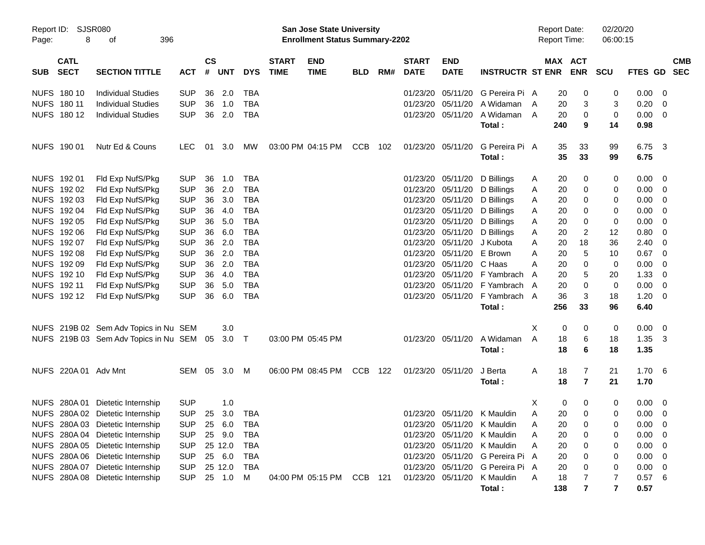|       |                            |                                          |            |                    |            |            |                             | <b>Preliminary Census</b>                                          |            |     |                             |                           |                         |   |                                            |                |                      |                |                          |                          |
|-------|----------------------------|------------------------------------------|------------|--------------------|------------|------------|-----------------------------|--------------------------------------------------------------------|------------|-----|-----------------------------|---------------------------|-------------------------|---|--------------------------------------------|----------------|----------------------|----------------|--------------------------|--------------------------|
| Page: | Report ID: SJSR080<br>8    | 396<br>οf                                |            |                    |            |            |                             | San Jose State University<br><b>Enrollment Status Summary-2202</b> |            |     |                             |                           |                         |   | <b>Report Date:</b><br><b>Report Time:</b> |                | 02/20/20<br>06:00:15 |                |                          |                          |
| SUB   | <b>CATL</b><br><b>SECT</b> | <b>SECTION TITTLE</b>                    | <b>ACT</b> | $\mathsf{cs}$<br># | <b>UNT</b> | <b>DYS</b> | <b>START</b><br><b>TIME</b> | <b>END</b><br><b>TIME</b>                                          | <b>BLD</b> | RM# | <b>START</b><br><b>DATE</b> | <b>END</b><br><b>DATE</b> | <b>INSTRUCTR ST ENR</b> |   | MAX ACT                                    | <b>ENR</b>     | <b>SCU</b>           | <b>FTES GD</b> |                          | <b>CMB</b><br><b>SEC</b> |
|       | NUFS 180 10                | <b>Individual Studies</b>                | <b>SUP</b> | 36                 | 2.0        | <b>TBA</b> |                             |                                                                    |            |     | 01/23/20                    | 05/11/20                  | G Pereira Pi A          |   | 20                                         | 0              | 0                    | $0.00 \t 0$    |                          |                          |
|       | NUFS 180 11                | <b>Individual Studies</b>                | <b>SUP</b> | 36                 | 1.0        | <b>TBA</b> |                             |                                                                    |            |     | 01/23/20                    | 05/11/20                  | A Widaman               | A | 20                                         | 3              | 3                    | 0.20           | $\overline{\phantom{0}}$ |                          |
|       | NUFS 180 12                | <b>Individual Studies</b>                | <b>SUP</b> | 36                 | 2.0        | <b>TBA</b> |                             |                                                                    |            |     |                             | 01/23/20 05/11/20         | A Widaman               | A | 20                                         | 0              | 0                    | $0.00 \t 0$    |                          |                          |
|       |                            |                                          |            |                    |            |            |                             |                                                                    |            |     |                             |                           | Total:                  |   | 240                                        | 9              | 14                   | 0.98           |                          |                          |
|       | NUFS 190 01                | Nutr Ed & Couns                          | <b>LEC</b> | 01                 | 3.0        | MW         |                             | 03:00 PM 04:15 PM                                                  | <b>CCB</b> | 102 | 01/23/20 05/11/20           |                           | G Pereira Pi A          |   | 35                                         | 33             | 99                   | 6.75 3         |                          |                          |
|       |                            |                                          |            |                    |            |            |                             |                                                                    |            |     |                             |                           | Total:                  |   | 35                                         | 33             | 99                   | 6.75           |                          |                          |
|       | NUFS 192 01                | Fld Exp NufS/Pkg                         | <b>SUP</b> | 36                 | 1.0        | TBA        |                             |                                                                    |            |     |                             | 01/23/20 05/11/20         | D Billings              | A | 20                                         | 0              | 0                    | $0.00 \t 0$    |                          |                          |
|       | NUFS 192 02                | Fld Exp NufS/Pkg                         | <b>SUP</b> | 36                 | 2.0        | <b>TBA</b> |                             |                                                                    |            |     |                             | 01/23/20 05/11/20         | D Billings              | A | 20                                         | 0              | 0                    | $0.00 \t 0$    |                          |                          |
|       | NUFS 192 03                | Fld Exp NufS/Pkg                         | <b>SUP</b> | 36                 | 3.0        | <b>TBA</b> |                             |                                                                    |            |     |                             | 01/23/20 05/11/20         | D Billings              | A | 20                                         | 0              | 0                    | $0.00 \t 0$    |                          |                          |
|       | NUFS 192 04                | Fld Exp NufS/Pkg                         | <b>SUP</b> | 36                 | 4.0        | <b>TBA</b> |                             |                                                                    |            |     |                             | 01/23/20 05/11/20         | D Billings              | A | 20                                         | 0              | 0                    | $0.00 \t 0$    |                          |                          |
|       | NUFS 192 05                | Fld Exp NufS/Pkg                         | <b>SUP</b> | 36                 | 5.0        | <b>TBA</b> |                             |                                                                    |            |     |                             | 01/23/20 05/11/20         | D Billings              | A | 20                                         | 0              | 0                    | 0.00           | $\overline{\phantom{0}}$ |                          |
|       | NUFS 192 06                | Fld Exp NufS/Pkg                         | <b>SUP</b> | 36                 | 6.0        | <b>TBA</b> |                             |                                                                    |            |     |                             | 01/23/20 05/11/20         | D Billings              | Α | 20                                         | 2              | 12                   | 0.80           | $\overline{\phantom{0}}$ |                          |
|       | NUFS 192 07                | Fld Exp NufS/Pkg                         | <b>SUP</b> | 36                 | 2.0        | <b>TBA</b> |                             |                                                                    |            |     | 01/23/20                    | 05/11/20                  | J Kubota                | A | 20                                         | 18             | 36                   | 2.40           | $\overline{\phantom{0}}$ |                          |
|       | NUFS 192 08                | Fld Exp NufS/Pkg                         | <b>SUP</b> | 36                 | 2.0        | <b>TBA</b> |                             |                                                                    |            |     | 01/23/20                    | 05/11/20                  | E Brown                 | Α | 20                                         | 5              | 10                   | 0.67           | $\overline{\phantom{0}}$ |                          |
|       | NUFS 192 09                | Fld Exp NufS/Pkg                         | <b>SUP</b> | 36                 | 2.0        | <b>TBA</b> |                             |                                                                    |            |     | 01/23/20                    | 05/11/20                  | C Haas                  | Α | 20                                         | 0              | 0                    | 0.00           | $\overline{\phantom{0}}$ |                          |
|       | NUFS 192 10                | Fld Exp NufS/Pkg                         | <b>SUP</b> | 36                 | 4.0        | <b>TBA</b> |                             |                                                                    |            |     | 01/23/20                    | 05/11/20                  | F Yambrach              | A | 20                                         | 5              | 20                   | 1.33           | $\overline{\phantom{0}}$ |                          |
|       | NUFS 192 11                | Fld Exp NufS/Pkg                         | <b>SUP</b> | 36                 | 5.0        | <b>TBA</b> |                             |                                                                    |            |     | 01/23/20                    | 05/11/20                  | F Yambrach              | A | 20                                         | 0              | 0                    | 0.00           | $\overline{\phantom{0}}$ |                          |
|       | NUFS 19212                 | Fld Exp NufS/Pkg                         | <b>SUP</b> | 36                 | 6.0        | <b>TBA</b> |                             |                                                                    |            |     |                             | 01/23/20 05/11/20         | F Yambrach A            |   | 36                                         | 3              | 18                   | $1.20 \t 0$    |                          |                          |
|       |                            |                                          |            |                    |            |            |                             |                                                                    |            |     |                             |                           | Total:                  |   | 256                                        | 33             | 96                   | 6.40           |                          |                          |
|       |                            | NUFS 219B 02 Sem Adv Topics in Nu SEM    |            |                    | 3.0        |            |                             |                                                                    |            |     |                             |                           |                         | X | 0                                          | 0              | 0                    | $0.00 \t 0$    |                          |                          |
|       |                            | NUFS 219B 03 Sem Adv Topics in Nu SEM 05 |            |                    | $3.0$ T    |            |                             | 03:00 PM 05:45 PM                                                  |            |     |                             | 01/23/20 05/11/20         | A Widaman               | A | 18                                         | 6              | 18                   | 1.35           | $\overline{\mathbf{3}}$  |                          |
|       |                            |                                          |            |                    |            |            |                             |                                                                    |            |     |                             |                           | Total:                  |   | 18                                         | 6              | 18                   | 1.35           |                          |                          |
|       | NUFS 220A 01 Adv Mnt       |                                          | SEM        | 05                 | 3.0        | M          |                             | 06:00 PM 08:45 PM                                                  | <b>CCB</b> | 122 | 01/23/20 05/11/20           |                           | J Berta                 | A | 18                                         | $\overline{7}$ | 21                   | 1.706          |                          |                          |
|       |                            |                                          |            |                    |            |            |                             |                                                                    |            |     |                             |                           | Total:                  |   | 18                                         | $\overline{7}$ | 21                   | 1.70           |                          |                          |
|       |                            | NUFS 280A 01 Dietetic Internship         | <b>SUP</b> |                    | 1.0        |            |                             |                                                                    |            |     |                             |                           |                         | х | 0                                          | 0              | 0                    | $0.00 \t 0$    |                          |                          |
|       |                            | NUFS 280A 02 Dietetic Internship         | <b>SUP</b> | 25                 | 3.0        | <b>TBA</b> |                             |                                                                    |            |     |                             | 01/23/20 05/11/20         | K Mauldin               | Α | 20                                         | 0              | 0                    | 0.00           | $\overline{\mathbf{0}}$  |                          |
|       |                            | NUFS 280A 03 Dietetic Internship         | <b>SUP</b> | 25                 | 6.0        | <b>TBA</b> |                             |                                                                    |            |     |                             | 01/23/20 05/11/20         | K Mauldin               | Α | 20                                         | 0              | 0                    | $0.00 \t 0$    |                          |                          |
|       |                            | NUFS 280A 04 Dietetic Internship         | <b>SUP</b> |                    | 25 9.0     | TBA        |                             |                                                                    |            |     |                             | 01/23/20 05/11/20         | K Mauldin               | Α | 20                                         | 0              | 0                    | $0.00 \t 0$    |                          |                          |
|       |                            | NUFS 280A 05 Dietetic Internship         | <b>SUP</b> |                    | 25 12.0    | TBA        |                             |                                                                    |            |     |                             | 01/23/20 05/11/20         | K Mauldin               | Α | 20                                         | 0              | 0                    | $0.00 \t 0$    |                          |                          |
|       |                            | NUFS 280A 06 Dietetic Internship         | <b>SUP</b> |                    | 25 6.0     | TBA        |                             |                                                                    |            |     |                             | 01/23/20 05/11/20         | G Pereira Pi A          |   | 20                                         | 0              | 0                    | 0.00           | $\overline{\phantom{0}}$ |                          |
|       |                            | NUFS 280A 07 Dietetic Internship         | <b>SUP</b> |                    | 25 12.0    | TBA        |                             |                                                                    |            |     |                             | 01/23/20 05/11/20         | G Pereira Pi A          |   | 20                                         | 0              | 0                    | $0.00 \t 0$    |                          |                          |
|       |                            | NUFS 280A 08 Dietetic Internship         | <b>SUP</b> |                    | 25 1.0     | M          |                             | 04:00 PM 05:15 PM                                                  | CCB        | 121 |                             | 01/23/20 05/11/20         | K Mauldin               | Α | 18                                         |                | 7                    | 0.576          |                          |                          |
|       |                            |                                          |            |                    |            |            |                             |                                                                    |            |     |                             |                           | Total:                  |   | 138                                        | 7              | 7                    | 0.57           |                          |                          |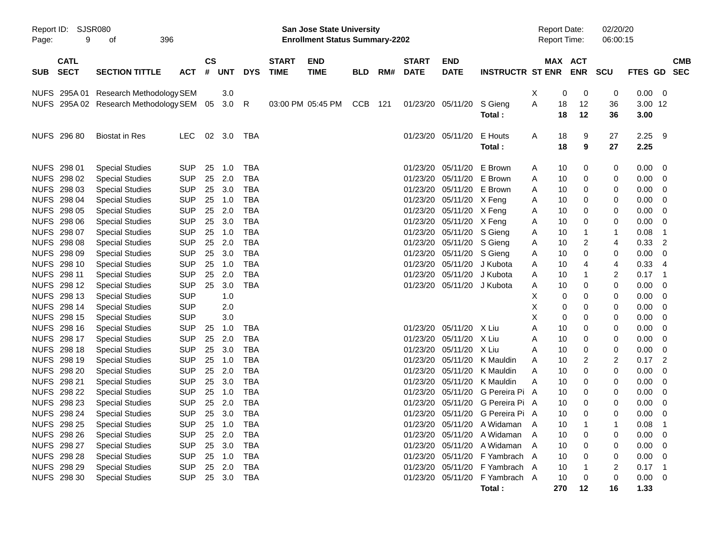|            |                                   |                                                  |                          |                    |               |              |                             | <b>Preliminary Census</b>                                                 |            |     |                             |                            |                                                                  |   |                                            |             |                         |                 |                          |
|------------|-----------------------------------|--------------------------------------------------|--------------------------|--------------------|---------------|--------------|-----------------------------|---------------------------------------------------------------------------|------------|-----|-----------------------------|----------------------------|------------------------------------------------------------------|---|--------------------------------------------|-------------|-------------------------|-----------------|--------------------------|
| Page:      | Report ID: SJSR080<br>9           | 396<br>οf                                        |                          |                    |               |              |                             | <b>San Jose State University</b><br><b>Enrollment Status Summary-2202</b> |            |     |                             |                            |                                                                  |   | <b>Report Date:</b><br><b>Report Time:</b> |             | 02/20/20<br>06:00:15    |                 |                          |
| <b>SUB</b> | <b>CATL</b><br><b>SECT</b>        | <b>SECTION TITTLE</b>                            | <b>ACT</b>               | $\mathsf{cs}$<br># | <b>UNT</b>    | <b>DYS</b>   | <b>START</b><br><b>TIME</b> | <b>END</b><br><b>TIME</b>                                                 | <b>BLD</b> | RM# | <b>START</b><br><b>DATE</b> | <b>END</b><br><b>DATE</b>  | <b>INSTRUCTR ST ENR</b>                                          |   | MAX ACT                                    | <b>ENR</b>  | <b>SCU</b>              | FTES GD         | <b>CMB</b><br><b>SEC</b> |
|            |                                   | NUFS 295A 01 Research Methodology SEM            |                          |                    | 3.0           |              |                             |                                                                           |            |     |                             |                            |                                                                  | Х | $\mathbf 0$                                | 0           | 0                       | 0.00            | $\overline{0}$           |
|            |                                   | NUFS 295A 02 Research Methodology SEM 05         |                          |                    | 3.0           | $\mathsf{R}$ |                             | 03:00 PM 05:45 PM                                                         | <b>CCB</b> | 121 | 01/23/20 05/11/20           |                            | S Gieng<br>Total:                                                | A | 18<br>18                                   | 12<br>12    | 36<br>36                | 3.00 12<br>3.00 |                          |
|            | NUFS 296 80                       | <b>Biostat in Res</b>                            | <b>LEC</b>               |                    | 02 3.0        | TBA          |                             |                                                                           |            |     |                             | 01/23/20 05/11/20          | E Houts<br>Total:                                                | A | 18<br>18                                   | 9<br>9      | 27<br>27                | 2.25<br>2.25    | 9                        |
|            | NUFS 298 01                       | <b>Special Studies</b>                           | <b>SUP</b>               | 25                 | 1.0           | <b>TBA</b>   |                             |                                                                           |            |     | 01/23/20                    | 05/11/20                   | E Brown                                                          | A | 10                                         | 0           | 0                       | 0.00            | 0                        |
|            | NUFS 298 02                       | <b>Special Studies</b>                           | <b>SUP</b>               | 25                 | 2.0           | TBA          |                             |                                                                           |            |     | 01/23/20                    | 05/11/20 E Brown           |                                                                  | A | 10                                         | 0           | 0                       | 0.00            | 0                        |
|            | NUFS 298 03                       | <b>Special Studies</b>                           | <b>SUP</b>               | 25                 | 3.0           | TBA          |                             |                                                                           |            |     | 01/23/20                    | 05/11/20 E Brown           |                                                                  | A | 10                                         | 0           | 0                       | 0.00            | 0                        |
|            | NUFS 298 04                       | <b>Special Studies</b>                           | <b>SUP</b>               | 25                 | 1.0           | TBA          |                             |                                                                           |            |     | 01/23/20                    | 05/11/20 X Feng            |                                                                  | A | 10                                         | 0           | 0                       | 0.00            | 0                        |
|            | NUFS 298 05                       | <b>Special Studies</b>                           | <b>SUP</b>               | 25                 | 2.0           | TBA          |                             |                                                                           |            |     | 01/23/20                    | 05/11/20 X Feng            |                                                                  | A | 10                                         | 0           | 0                       | 0.00            | 0                        |
|            | NUFS 298 06                       | <b>Special Studies</b>                           | <b>SUP</b>               | 25                 | 3.0           | TBA          |                             |                                                                           |            |     | 01/23/20                    | 05/11/20 X Feng            |                                                                  | A | 10                                         | 0           | 0                       | 0.00            | 0                        |
|            | NUFS 298 07                       | <b>Special Studies</b>                           | <b>SUP</b>               | 25                 | 1.0           | <b>TBA</b>   |                             |                                                                           |            |     | 01/23/20                    | 05/11/20 S Gieng           |                                                                  | A | 10                                         | 1           | 1                       | 0.08            | -1                       |
|            | NUFS 298 08                       | <b>Special Studies</b>                           | <b>SUP</b>               | 25                 | 2.0           | <b>TBA</b>   |                             |                                                                           |            |     | 01/23/20                    | 05/11/20 S Gieng           |                                                                  | A | 10                                         | 2           | 4                       | 0.33            | 2                        |
|            | NUFS 298 09                       | <b>Special Studies</b>                           | <b>SUP</b>               | 25                 | 3.0           | TBA          |                             |                                                                           |            |     | 01/23/20                    | 05/11/20                   | S Gieng                                                          | A | 10                                         | 0           | 0                       | 0.00            | 0                        |
|            | NUFS 298 10                       | <b>Special Studies</b>                           | <b>SUP</b>               | 25                 | 1.0           | <b>TBA</b>   |                             |                                                                           |            |     | 01/23/20                    | 05/11/20                   | J Kubota                                                         | A | 10                                         | 4           | 4                       | 0.33            | 4                        |
|            | NUFS 298 11                       | <b>Special Studies</b>                           | <b>SUP</b>               | 25                 | 2.0           | <b>TBA</b>   |                             |                                                                           |            |     | 01/23/20                    | 05/11/20                   | J Kubota                                                         | A | 10                                         | 1           | 2                       | 0.17            | -1                       |
|            | NUFS 298 12                       | <b>Special Studies</b>                           | <b>SUP</b>               | 25                 | 3.0           | <b>TBA</b>   |                             |                                                                           |            |     |                             | 01/23/20 05/11/20 J Kubota |                                                                  | A | 10                                         | 0           | 0                       | 0.00            | 0                        |
|            | NUFS 298 13                       | <b>Special Studies</b>                           | <b>SUP</b>               |                    | 1.0           |              |                             |                                                                           |            |     |                             |                            |                                                                  | Х | 0                                          | 0           | 0                       | 0.00            | 0                        |
|            | NUFS 298 14                       | <b>Special Studies</b>                           | <b>SUP</b>               |                    | 2.0           |              |                             |                                                                           |            |     |                             |                            |                                                                  | X | 0                                          | 0           | 0                       | 0.00            | 0                        |
|            | NUFS 298 15                       | <b>Special Studies</b>                           | <b>SUP</b>               |                    | 3.0           |              |                             |                                                                           |            |     |                             |                            |                                                                  | X | 0                                          | 0           | 0                       | 0.00            | 0                        |
|            | NUFS 298 16                       | <b>Special Studies</b>                           | <b>SUP</b>               | 25                 | 1.0           | TBA          |                             |                                                                           |            |     | 01/23/20                    | 05/11/20 X Liu             |                                                                  | Α | 10                                         | 0           | 0                       | 0.00            | 0                        |
|            | NUFS 298 17                       | <b>Special Studies</b>                           | <b>SUP</b>               | 25                 | 2.0           | TBA          |                             |                                                                           |            |     | 01/23/20                    | 05/11/20                   | X Liu                                                            | Α | 10                                         | 0           | 0                       | 0.00            | 0                        |
|            | <b>NUFS 298 18</b>                | <b>Special Studies</b>                           | <b>SUP</b>               | 25                 | 3.0           | TBA          |                             |                                                                           |            |     | 01/23/20                    | 05/11/20                   | X Liu                                                            | Α | 10                                         | 0           | 0                       | 0.00            | 0                        |
|            | NUFS 298 19                       | <b>Special Studies</b>                           | <b>SUP</b>               | 25                 | 1.0           | TBA          |                             |                                                                           |            |     | 01/23/20                    | 05/11/20                   | K Mauldin                                                        | Α | 10                                         | 2           | $\overline{\mathbf{c}}$ | 0.17            | 2                        |
|            | NUFS 298 20                       | <b>Special Studies</b>                           | <b>SUP</b>               | 25                 | 2.0           | <b>TBA</b>   |                             |                                                                           |            |     | 01/23/20                    | 05/11/20                   | K Mauldin                                                        | Α | 10                                         | 0           | 0                       | 0.00            | 0                        |
|            | NUFS 298 21                       | <b>Special Studies</b>                           | <b>SUP</b>               | 25                 | 3.0           | TBA          |                             |                                                                           |            |     | 01/23/20                    | 05/11/20                   | K Mauldin                                                        | Α | 10                                         | 0           | 0                       | 0.00            | 0                        |
|            | <b>NUFS 298 22</b>                | <b>Special Studies</b>                           | <b>SUP</b>               | 25                 | 1.0           | TBA          |                             |                                                                           |            |     | 01/23/20                    | 05/11/20                   | G Pereira Pi                                                     | A | 10                                         | 0           | 0                       | 0.00            | 0                        |
|            | <b>NUFS 298 23</b>                | <b>Special Studies</b>                           | <b>SUP</b>               | 25                 | 2.0           | <b>TBA</b>   |                             |                                                                           |            |     |                             |                            | 01/23/20 05/11/20 G Pereira Pi A                                 |   | 10                                         | $\mathbf 0$ | 0                       | 0.00            | 0                        |
|            | NUFS 298 24                       | <b>Special Studies</b>                           | <b>SUP</b>               | 25                 | 3.0           | <b>TBA</b>   |                             |                                                                           |            |     |                             |                            | 01/23/20 05/11/20 G Pereira Pi A                                 |   | 10                                         | 0           | 0                       | 0.00            | 0                        |
|            | <b>NUFS 298 25</b>                | <b>Special Studies</b>                           | <b>SUP</b>               | 25                 | 1.0           | <b>TBA</b>   |                             |                                                                           |            |     |                             |                            | 01/23/20 05/11/20 A Widaman                                      | A | 10                                         |             |                         | 0.08            |                          |
|            | <b>NUFS 298 26</b><br>NUFS 298 27 | <b>Special Studies</b>                           | <b>SUP</b>               | 25                 | 2.0           | TBA          |                             |                                                                           |            |     |                             |                            | 01/23/20 05/11/20 A Widaman                                      | A | 10                                         | 0           | 0                       | 0.00            | 0                        |
|            | NUFS 298 28                       | <b>Special Studies</b>                           | <b>SUP</b>               | 25                 | 3.0           | TBA          |                             |                                                                           |            |     |                             |                            | 01/23/20 05/11/20 A Widaman                                      | A | 10                                         | 0           | 0                       | 0.00            | 0                        |
|            |                                   | <b>Special Studies</b>                           | <b>SUP</b>               |                    | 25 1.0        | TBA          |                             |                                                                           |            |     |                             |                            | 01/23/20 05/11/20 F Yambrach A                                   |   | 10                                         | 0           | 0                       | 0.00            | 0                        |
|            | NUFS 298 29<br>NUFS 298 30        | <b>Special Studies</b><br><b>Special Studies</b> | <b>SUP</b><br><b>SUP</b> | 25                 | 2.0<br>25 3.0 | TBA<br>TBA   |                             |                                                                           |            |     |                             |                            | 01/23/20 05/11/20 F Yambrach A<br>01/23/20 05/11/20 F Yambrach A |   | 10<br>10                                   | 0           | 2<br>0                  | 0.17<br>0.00    | -1<br>0                  |
|            |                                   |                                                  |                          |                    |               |              |                             |                                                                           |            |     |                             |                            | Total:                                                           |   | 270                                        | 12          | 16                      | 1.33            |                          |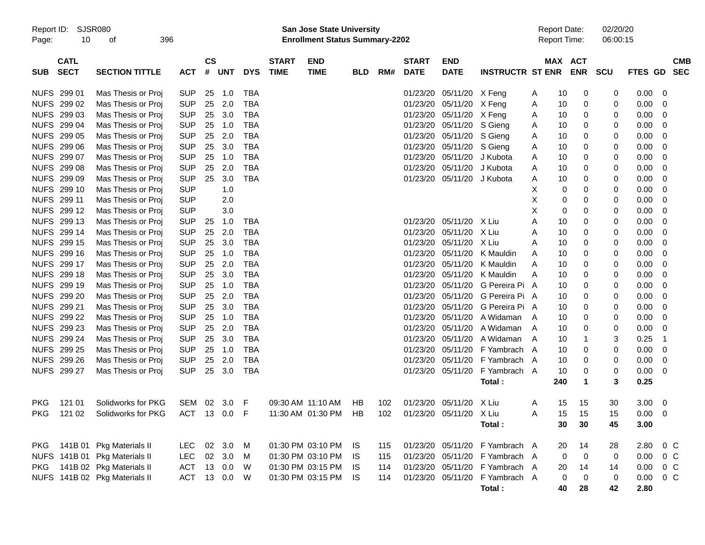|                     |                            |                               |              |                |            |            |                             |                                                                           | <b>Preliminary Census</b> |     |                             |                           |                                |                                            |                       |                      |             |                          |
|---------------------|----------------------------|-------------------------------|--------------|----------------|------------|------------|-----------------------------|---------------------------------------------------------------------------|---------------------------|-----|-----------------------------|---------------------------|--------------------------------|--------------------------------------------|-----------------------|----------------------|-------------|--------------------------|
| Report ID:<br>Page: | 10                         | <b>SJSR080</b><br>396<br>οf   |              |                |            |            |                             | <b>San Jose State University</b><br><b>Enrollment Status Summary-2202</b> |                           |     |                             |                           |                                | <b>Report Date:</b><br><b>Report Time:</b> |                       | 02/20/20<br>06:00:15 |             |                          |
| <b>SUB</b>          | <b>CATL</b><br><b>SECT</b> | <b>SECTION TITTLE</b>         | <b>ACT</b>   | <b>CS</b><br># | <b>UNT</b> | <b>DYS</b> | <b>START</b><br><b>TIME</b> | <b>END</b><br><b>TIME</b>                                                 | <b>BLD</b>                | RM# | <b>START</b><br><b>DATE</b> | <b>END</b><br><b>DATE</b> | <b>INSTRUCTR ST ENR</b>        |                                            | MAX ACT<br><b>ENR</b> | SCU                  | FTES GD     | <b>CMB</b><br><b>SEC</b> |
| NUFS 299 01         |                            | Mas Thesis or Proj            | <b>SUP</b>   | 25             | 1.0        | <b>TBA</b> |                             |                                                                           |                           |     | 01/23/20                    | 05/11/20 X Feng           |                                | 10<br>A                                    | 0                     | 0                    | 0.00        | - 0                      |
| NUFS 299 02         |                            | Mas Thesis or Proj            | <b>SUP</b>   | 25             | 2.0        | <b>TBA</b> |                             |                                                                           |                           |     | 01/23/20                    | 05/11/20                  | X Feng                         | 10<br>Α                                    | 0                     | 0                    | 0.00        | - 0                      |
| NUFS 299 03         |                            | Mas Thesis or Proj            | <b>SUP</b>   | 25             | 3.0        | <b>TBA</b> |                             |                                                                           |                           |     | 01/23/20                    | 05/11/20                  | X Feng                         | 10<br>Α                                    | 0                     | 0                    | 0.00        | - 0                      |
| NUFS 299 04         |                            | Mas Thesis or Proj            | <b>SUP</b>   | 25             | 1.0        | <b>TBA</b> |                             |                                                                           |                           |     | 01/23/20                    | 05/11/20                  | S Gieng                        | 10<br>Α                                    | 0                     | 0                    | 0.00        | - 0                      |
| NUFS 299 05         |                            | Mas Thesis or Proj            | <b>SUP</b>   | 25             | 2.0        | <b>TBA</b> |                             |                                                                           |                           |     | 01/23/20                    | 05/11/20                  | S Gieng                        | 10<br>Α                                    | 0                     | 0                    | 0.00        | - 0                      |
| NUFS 299 06         |                            | Mas Thesis or Proj            | <b>SUP</b>   | 25             | 3.0        | <b>TBA</b> |                             |                                                                           |                           |     | 01/23/20                    | 05/11/20                  | S Gieng                        | 10<br>Α                                    | 0                     | 0                    | 0.00        | - 0                      |
| NUFS 299 07         |                            | Mas Thesis or Proj            | <b>SUP</b>   | 25             | 1.0        | <b>TBA</b> |                             |                                                                           |                           |     | 01/23/20                    | 05/11/20                  | J Kubota                       | 10<br>Α                                    | 0                     | 0                    | 0.00        | - 0                      |
| NUFS 299 08         |                            | Mas Thesis or Proj            | <b>SUP</b>   | 25             | 2.0        | <b>TBA</b> |                             |                                                                           |                           |     | 01/23/20                    | 05/11/20                  | J Kubota                       | 10<br>Α                                    | 0                     | 0                    | 0.00        | - 0                      |
| NUFS 299 09         |                            | Mas Thesis or Proj            | <b>SUP</b>   | 25             | 3.0        | <b>TBA</b> |                             |                                                                           |                           |     | 01/23/20                    | 05/11/20                  | J Kubota                       | 10<br>Α                                    | 0                     | 0                    | 0.00        | - 0                      |
| NUFS 299 10         |                            | Mas Thesis or Proj            | <b>SUP</b>   |                | 1.0        |            |                             |                                                                           |                           |     |                             |                           |                                | X                                          | 0<br>0                | 0                    | 0.00        | - 0                      |
| NUFS 299 11         |                            | Mas Thesis or Proj            | <b>SUP</b>   |                | 2.0        |            |                             |                                                                           |                           |     |                             |                           |                                | X                                          | 0<br>0                | 0                    | 0.00        | - 0                      |
| NUFS 299 12         |                            | Mas Thesis or Proj            | <b>SUP</b>   |                | 3.0        |            |                             |                                                                           |                           |     |                             |                           |                                | X                                          | 0<br>0                | 0                    | 0.00        | - 0                      |
| NUFS 299 13         |                            | Mas Thesis or Proj            | <b>SUP</b>   | 25             | 1.0        | <b>TBA</b> |                             |                                                                           |                           |     | 01/23/20                    | 05/11/20                  | X Liu                          | A<br>10                                    | 0                     | 0                    | 0.00        | - 0                      |
| NUFS 299 14         |                            | Mas Thesis or Proj            | <b>SUP</b>   | 25             | 2.0        | <b>TBA</b> |                             |                                                                           |                           |     | 01/23/20                    | 05/11/20                  | X Liu                          | Α<br>10                                    | 0                     | 0                    | 0.00        | - 0                      |
| NUFS 299 15         |                            | Mas Thesis or Proj            | <b>SUP</b>   | 25             | 3.0        | <b>TBA</b> |                             |                                                                           |                           |     | 01/23/20                    | 05/11/20                  | X Liu                          | 10<br>Α                                    | 0                     | 0                    | 0.00        | - 0                      |
| NUFS 299 16         |                            | Mas Thesis or Proj            | <b>SUP</b>   | 25             | 1.0        | <b>TBA</b> |                             |                                                                           |                           |     | 01/23/20                    | 05/11/20                  | K Mauldin                      | 10<br>A                                    | 0                     | 0                    | 0.00        | - 0                      |
| NUFS 299 17         |                            | Mas Thesis or Proj            | <b>SUP</b>   | 25             | 2.0        | <b>TBA</b> |                             |                                                                           |                           |     | 01/23/20                    | 05/11/20                  | K Mauldin                      | Α<br>10                                    | 0                     | 0                    | 0.00        | - 0                      |
| NUFS 299 18         |                            | Mas Thesis or Proj            | <b>SUP</b>   | 25             | 3.0        | <b>TBA</b> |                             |                                                                           |                           |     | 01/23/20                    | 05/11/20                  | K Mauldin                      | Α<br>10                                    | 0                     | 0                    | 0.00        | - 0                      |
| NUFS 299 19         |                            | Mas Thesis or Proj            | <b>SUP</b>   | 25             | 1.0        | <b>TBA</b> |                             |                                                                           |                           |     | 01/23/20                    | 05/11/20                  | G Pereira Pi A                 | 10                                         | 0                     | 0                    | 0.00        | - 0                      |
| NUFS 299 20         |                            | Mas Thesis or Proj            | <b>SUP</b>   | 25             | 2.0        | <b>TBA</b> |                             |                                                                           |                           |     | 01/23/20                    | 05/11/20                  | G Pereira Pi A                 | 10                                         | 0                     | 0                    | 0.00        | - 0                      |
| NUFS 299 21         |                            | Mas Thesis or Proj            | <b>SUP</b>   | 25             | 3.0        | <b>TBA</b> |                             |                                                                           |                           |     | 01/23/20                    | 05/11/20                  | G Pereira Pi A                 | 10                                         | 0                     | 0                    | 0.00        | - 0                      |
| NUFS 299 22         |                            | Mas Thesis or Proj            | <b>SUP</b>   | 25             | 1.0        | <b>TBA</b> |                             |                                                                           |                           |     | 01/23/20                    | 05/11/20                  | A Widaman                      | 10<br>A                                    | 0                     | 0                    | 0.00        | - 0                      |
| NUFS 299 23         |                            | Mas Thesis or Proj            | <b>SUP</b>   | 25             | 2.0        | <b>TBA</b> |                             |                                                                           |                           |     | 01/23/20                    | 05/11/20                  | A Widaman                      | 10<br>A                                    | 0                     | 0                    | 0.00        | - 0                      |
| NUFS 299 24         |                            | Mas Thesis or Proj            | <b>SUP</b>   | 25             | 3.0        | <b>TBA</b> |                             |                                                                           |                           |     | 01/23/20                    | 05/11/20                  | A Widaman                      | 10<br>A                                    |                       | 3                    | 0.25        | $\overline{\phantom{1}}$ |
| NUFS 299 25         |                            | Mas Thesis or Proj            | <b>SUP</b>   | 25             | 1.0        | <b>TBA</b> |                             |                                                                           |                           |     | 01/23/20                    | 05/11/20                  | F Yambrach                     | 10<br>A                                    | 0                     | 0                    | 0.00        | $\overline{\mathbf{0}}$  |
|                     | NUFS 299 26                | Mas Thesis or Proj            | <b>SUP</b>   | 25             | 2.0        | <b>TBA</b> |                             |                                                                           |                           |     | 01/23/20                    | 05/11/20                  | F Yambrach                     | 10<br>A                                    | 0                     | 0                    | 0.00        | - 0                      |
|                     | NUFS 299 27                | Mas Thesis or Proj            | <b>SUP</b>   | 25             | 3.0        | <b>TBA</b> |                             |                                                                           |                           |     | 01/23/20                    | 05/11/20                  | F Yambrach A                   | 10                                         | 0                     | 0                    | 0.00        | - 0                      |
|                     |                            |                               |              |                |            |            |                             |                                                                           |                           |     |                             |                           | Total:                         | 240                                        | 1                     | 3                    | 0.25        |                          |
| <b>PKG</b>          | 121 01                     | Solidworks for PKG            | SEM 02 3.0   |                |            | F          |                             | 09:30 AM 11:10 AM                                                         | НB                        | 102 |                             | 01/23/20 05/11/20 X Liu   |                                | Α<br>15                                    | 15                    | 30                   | $3.00 \ 0$  |                          |
| <b>PKG</b>          | 121 02                     | Solidworks for PKG            | ACT 13 0.0 F |                |            |            |                             | 11:30 AM 01:30 PM                                                         | HB                        | 102 |                             | 01/23/20 05/11/20 X Liu   |                                | Α<br>15                                    | 15                    | 15                   | $0.00 \t 0$ |                          |
|                     |                            |                               |              |                |            |            |                             |                                                                           |                           |     |                             |                           | Total:                         | 30                                         | 30                    | 45                   | 3.00        |                          |
|                     |                            |                               |              |                |            |            |                             |                                                                           |                           |     |                             |                           |                                |                                            |                       |                      |             |                          |
| <b>PKG</b>          |                            | 141B 01 Pkg Materials II      | <b>LEC</b>   |                | 02 3.0     | M          |                             | 01:30 PM 03:10 PM                                                         | IS.                       | 115 |                             |                           | 01/23/20 05/11/20 F Yambrach A | 20                                         | 14                    | 28                   | 2.80        | $0\,$ C                  |
|                     |                            | NUFS 141B 01 Pkg Materials II | <b>LEC</b>   |                | 02 3.0     | M          |                             | 01:30 PM 03:10 PM                                                         | IS.                       | 115 |                             |                           | 01/23/20 05/11/20 F Yambrach A |                                            | 0<br>0                | 0                    |             | $0.00 \t 0 C$            |
| <b>PKG</b>          |                            | 141B 02 Pkg Materials II      | <b>ACT</b>   |                | 13 0.0     | W          |                             | 01:30 PM 03:15 PM                                                         | IS.                       | 114 |                             |                           | 01/23/20 05/11/20 F Yambrach A | 20                                         | 14                    | 14                   |             | $0.00 \t 0 C$            |
|                     |                            | NUFS 141B 02 Pkg Materials II | ACT          |                | 13  0.0  W |            |                             | 01:30 PM 03:15 PM                                                         | IS.                       | 114 |                             |                           | 01/23/20 05/11/20 F Yambrach A |                                            | 0<br>0                | 0                    | 0.00        | $0\,$ C                  |
|                     |                            |                               |              |                |            |            |                             |                                                                           |                           |     |                             |                           | Total:                         | 40                                         | 28                    | 42                   | 2.80        |                          |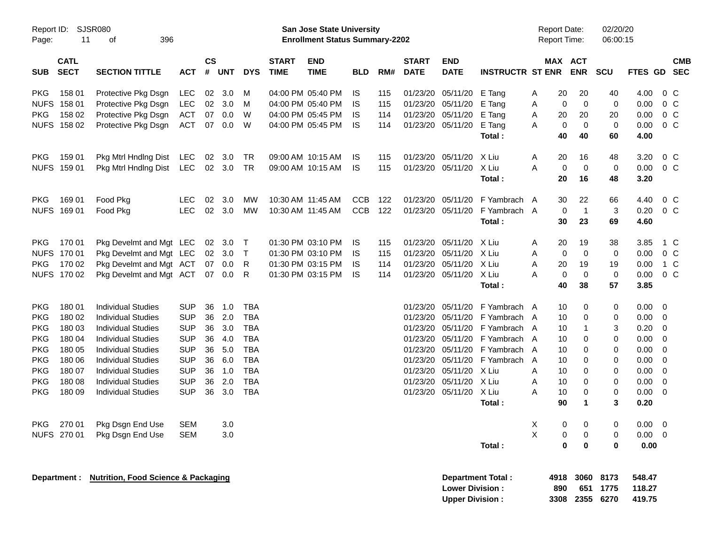|                     |                            |                                                |            |                    |            |            |                             | <b>Preliminary Census</b>                                          |            |     |                             |                           |                          |   |                                            |                       |                      |                |                          |                          |
|---------------------|----------------------------|------------------------------------------------|------------|--------------------|------------|------------|-----------------------------|--------------------------------------------------------------------|------------|-----|-----------------------------|---------------------------|--------------------------|---|--------------------------------------------|-----------------------|----------------------|----------------|--------------------------|--------------------------|
| Report ID:<br>Page: | 11                         | SJSR080<br>396<br>οf                           |            |                    |            |            |                             | San Jose State University<br><b>Enrollment Status Summary-2202</b> |            |     |                             |                           |                          |   | <b>Report Date:</b><br><b>Report Time:</b> |                       | 02/20/20<br>06:00:15 |                |                          |                          |
| <b>SUB</b>          | <b>CATL</b><br><b>SECT</b> | <b>SECTION TITTLE</b>                          | <b>ACT</b> | $\mathsf{cs}$<br># | <b>UNT</b> | <b>DYS</b> | <b>START</b><br><b>TIME</b> | <b>END</b><br><b>TIME</b>                                          | <b>BLD</b> | RM# | <b>START</b><br><b>DATE</b> | <b>END</b><br><b>DATE</b> | <b>INSTRUCTR ST ENR</b>  |   |                                            | MAX ACT<br><b>ENR</b> | <b>SCU</b>           | <b>FTES GD</b> |                          | <b>CMB</b><br><b>SEC</b> |
| <b>PKG</b>          | 158 01                     | Protective Pkg Dsgn                            | LEC        | 02                 | 3.0        | м          |                             | 04:00 PM 05:40 PM                                                  | IS         | 115 | 01/23/20                    | 05/11/20                  | E Tang                   | Α | 20                                         | 20                    | 40                   | 4.00           | $0\,$ C                  |                          |
| <b>NUFS</b>         | 158 01                     | Protective Pkg Dsgn                            | LEC        | 02                 | 3.0        | M          |                             | 04:00 PM 05:40 PM                                                  | IS         | 115 | 01/23/20                    | 05/11/20                  | E Tang                   | Α | $\mathbf 0$                                | $\mathbf 0$           | 0                    | 0.00           | $0\,$ C                  |                          |
| <b>PKG</b>          | 158 02                     | Protective Pkg Dsgn                            | <b>ACT</b> | 07                 | 0.0        | W          |                             | 04:00 PM 05:45 PM                                                  | IS         | 114 | 01/23/20 05/11/20           |                           | E Tang                   | Α | 20                                         | 20                    | 20                   | 0.00           | $0\,C$                   |                          |
|                     | NUFS 158 02                | Protective Pkg Dsgn                            | <b>ACT</b> | 07                 | 0.0        | W          |                             | 04:00 PM 05:45 PM                                                  | IS         | 114 | 01/23/20 05/11/20           |                           | E Tang                   | A | $\mathbf 0$                                | $\Omega$              | 0                    | 0.00           | $0\,$ C                  |                          |
|                     |                            |                                                |            |                    |            |            |                             |                                                                    |            |     |                             |                           | Total:                   |   | 40                                         | 40                    | 60                   | 4.00           |                          |                          |
| <b>PKG</b>          | 159 01                     | Pkg Mtrl Hndlng Dist                           | LEC        | 02                 | 3.0        | TR         |                             | 09:00 AM 10:15 AM                                                  | IS         | 115 |                             | 01/23/20 05/11/20         | X Liu                    | A | 20                                         | 16                    | 48                   | 3.20           | $0\,$ C                  |                          |
|                     | NUFS 159 01                | Pkg Mtrl Hndlng Dist                           | LEC        |                    | 02 3.0     | TR         |                             | 09:00 AM 10:15 AM                                                  | IS         | 115 | 01/23/20 05/11/20           |                           | X Liu                    | A | $\mathbf 0$                                | $\mathbf 0$           | 0                    | 0.00           | 0 <sup>o</sup>           |                          |
|                     |                            |                                                |            |                    |            |            |                             |                                                                    |            |     |                             |                           | Total:                   |   | 20                                         | 16                    | 48                   | 3.20           |                          |                          |
| <b>PKG</b>          | 169 01                     | Food Pkg                                       | <b>LEC</b> | 02                 | 3.0        | MW         | 10:30 AM 11:45 AM           |                                                                    | <b>CCB</b> | 122 | 01/23/20                    | 05/11/20                  | F Yambrach A             |   | 30                                         | 22                    | 66                   | 4.40           | $0\,$ C                  |                          |
|                     | NUFS 169 01                | Food Pkg                                       | <b>LEC</b> | 02                 | 3.0        | MW         |                             | 10:30 AM 11:45 AM                                                  | <b>CCB</b> | 122 | 01/23/20 05/11/20           |                           | F Yambrach A             |   | $\mathbf 0$                                | $\mathbf{1}$          | 3                    | 0.20           | 0 <sup>o</sup>           |                          |
|                     |                            |                                                |            |                    |            |            |                             |                                                                    |            |     |                             |                           | Total:                   |   | 30                                         | 23                    | 69                   | 4.60           |                          |                          |
| <b>PKG</b>          | 170 01                     | Pkg Develmt and Mgt LEC                        |            | 02                 | 3.0        | $\top$     |                             | 01:30 PM 03:10 PM                                                  | IS         | 115 | 01/23/20                    | 05/11/20                  | X Liu                    | A | 20                                         | 19                    | 38                   | 3.85           | 1 C                      |                          |
|                     | NUFS 170 01                | Pkg Develmt and Mgt LEC                        |            | 02                 | 3.0        | $\top$     |                             | 01:30 PM 03:10 PM                                                  | IS         | 115 | 01/23/20                    | 05/11/20                  | X Liu                    | Α | $\mathbf 0$                                | $\mathbf 0$           | 0                    | 0.00           | 0 <sup>o</sup>           |                          |
| <b>PKG</b>          | 170 02                     | Pkg Develmt and Mgt ACT                        |            | 07                 | 0.0        | R          |                             | 01:30 PM 03:15 PM                                                  | IS         | 114 | 01/23/20                    | 05/11/20                  | X Liu                    | A | 20                                         | 19                    | 19                   | 0.00           | 1 C                      |                          |
|                     | NUFS 170 02                | Pkg Develmt and Mgt ACT                        |            | 07                 | 0.0        | R          |                             | 01:30 PM 03:15 PM                                                  | IS         | 114 |                             | 01/23/20 05/11/20         | X Liu                    | А | $\mathbf 0$                                | $\mathbf 0$           | 0                    | 0.00           | 0 <sup>o</sup>           |                          |
|                     |                            |                                                |            |                    |            |            |                             |                                                                    |            |     |                             |                           | Total:                   |   | 40                                         | 38                    | 57                   | 3.85           |                          |                          |
| <b>PKG</b>          | 180 01                     | <b>Individual Studies</b>                      | <b>SUP</b> | 36                 | 1.0        | <b>TBA</b> |                             |                                                                    |            |     | 01/23/20                    | 05/11/20                  | F Yambrach A             |   | 10                                         | 0                     | 0                    | $0.00 \t 0$    |                          |                          |
| <b>PKG</b>          | 180 02                     | <b>Individual Studies</b>                      | <b>SUP</b> | 36                 | 2.0        | <b>TBA</b> |                             |                                                                    |            |     | 01/23/20                    | 05/11/20                  | F Yambrach               | A | 10                                         | 0                     | 0                    | 0.00           | $\overline{\phantom{0}}$ |                          |
| <b>PKG</b>          | 180 03                     | <b>Individual Studies</b>                      | <b>SUP</b> | 36                 | 3.0        | <b>TBA</b> |                             |                                                                    |            |     | 01/23/20                    | 05/11/20                  | F Yambrach               | A | 10                                         | 1                     | 3                    | 0.20           | - 0                      |                          |
| <b>PKG</b>          | 180 04                     | <b>Individual Studies</b>                      | <b>SUP</b> | 36                 | 4.0        | <b>TBA</b> |                             |                                                                    |            |     | 01/23/20                    | 05/11/20                  | F Yambrach               | A | 10                                         | 0                     | 0                    | 0.00           | $\overline{\phantom{0}}$ |                          |
| <b>PKG</b>          | 180 05                     | <b>Individual Studies</b>                      | <b>SUP</b> | 36                 | 5.0        | <b>TBA</b> |                             |                                                                    |            |     | 01/23/20                    | 05/11/20                  | F Yambrach               | A | 10                                         | $\Omega$              | 0                    | 0.00           | $\overline{\mathbf{0}}$  |                          |
| <b>PKG</b>          | 180 06                     | <b>Individual Studies</b>                      | <b>SUP</b> | 36                 | 6.0        | <b>TBA</b> |                             |                                                                    |            |     | 01/23/20                    | 05/11/20                  | F Yambrach               | A | 10                                         | $\Omega$              | 0                    | 0.00           | $\overline{\mathbf{0}}$  |                          |
| <b>PKG</b>          | 180 07                     | <b>Individual Studies</b>                      | <b>SUP</b> | 36                 | 1.0        | <b>TBA</b> |                             |                                                                    |            |     | 01/23/20                    | 05/11/20                  | X Liu                    | A | 10                                         | 0                     | 0                    | 0.00           | $\overline{\phantom{0}}$ |                          |
| <b>PKG</b>          | 180 08                     | <b>Individual Studies</b>                      | <b>SUP</b> | 36                 | 2.0        | <b>TBA</b> |                             |                                                                    |            |     | 01/23/20                    | 05/11/20                  | X Liu                    | A | 10                                         | 0                     | 0                    | 0.00           | $\overline{\mathbf{0}}$  |                          |
| <b>PKG</b>          | 180 09                     | <b>Individual Studies</b>                      | <b>SUP</b> | 36                 | 3.0        | <b>TBA</b> |                             |                                                                    |            |     |                             | 01/23/20 05/11/20         | X Liu                    | А | 10                                         | $\Omega$              | 0                    | 0.00           | $\overline{\phantom{0}}$ |                          |
|                     |                            |                                                |            |                    |            |            |                             |                                                                    |            |     |                             |                           | Total:                   |   | 90                                         | 1                     | 3                    | 0.20           |                          |                          |
| PKG                 | 270 01                     | Pkg Dsgn End Use                               | <b>SEM</b> |                    | 3.0        |            |                             |                                                                    |            |     |                             |                           |                          | X | 0                                          | 0                     | 0                    | $0.00 \t 0$    |                          |                          |
|                     | NUFS 270 01                | Pkg Dsgn End Use                               | <b>SEM</b> |                    | 3.0        |            |                             |                                                                    |            |     |                             |                           |                          | X | 0                                          | 0                     | 0                    | $0.00 \t 0$    |                          |                          |
|                     |                            |                                                |            |                    |            |            |                             |                                                                    |            |     |                             |                           | Total:                   |   | $\mathbf 0$                                | $\bf{0}$              | 0                    | 0.00           |                          |                          |
|                     |                            | <b>Nutrition, Food Science &amp; Packaging</b> |            |                    |            |            |                             |                                                                    |            |     |                             |                           | <b>Department Total:</b> |   | 4918                                       | 3060                  | 8173                 | 548.47         |                          |                          |
|                     | Department :               |                                                |            |                    |            |            |                             |                                                                    |            |     |                             | <b>Lower Division:</b>    |                          |   | 890                                        |                       | 651 1775             | 118.27         |                          |                          |

**Upper Division : 3308 2355 6270 419.75**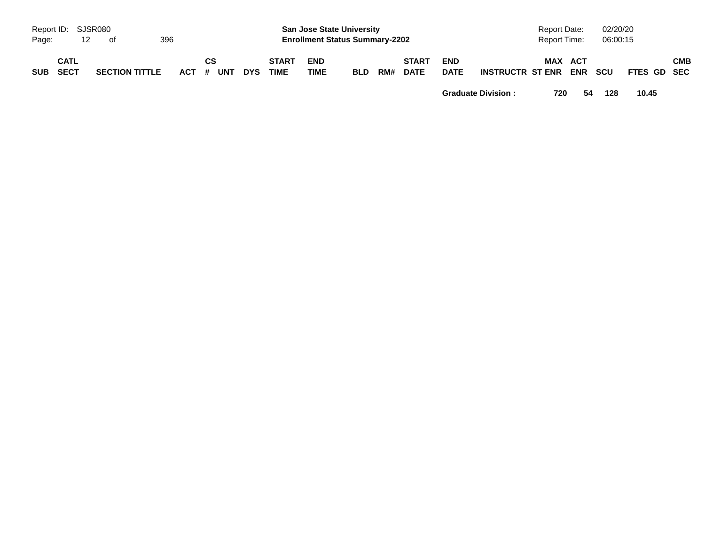|            |                          |                       |     |           |    |     |                             |                           | <b>Preliminary Census</b>                                                 |     |                             |                           |                         |                              |            |                      |             |            |
|------------|--------------------------|-----------------------|-----|-----------|----|-----|-----------------------------|---------------------------|---------------------------------------------------------------------------|-----|-----------------------------|---------------------------|-------------------------|------------------------------|------------|----------------------|-------------|------------|
| Page:      | Report ID: SJSR080<br>12 | of                    | 396 |           |    |     |                             |                           | <b>San Jose State University</b><br><b>Enrollment Status Summary-2202</b> |     |                             |                           |                         | Report Date:<br>Report Time: |            | 02/20/20<br>06:00:15 |             |            |
| <b>SUB</b> | CATL<br><b>SECT</b>      | <b>SECTION TITTLE</b> |     | ACT # UNT | СS | DYS | <b>START</b><br><b>TIME</b> | <b>END</b><br><b>TIME</b> | BLD                                                                       | RM# | <b>START</b><br><b>DATE</b> | <b>END</b><br><b>DATE</b> | <b>INSTRUCTR ST ENR</b> | MAX ACT                      | <b>ENR</b> | scu                  | FTES GD SEC | <b>CMB</b> |

**Graduate Division : 720 54 128 10.45**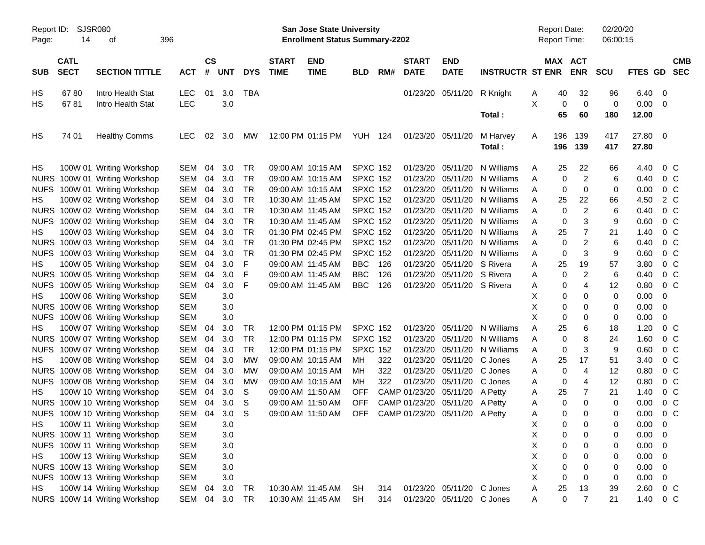|                     |                            |                               |            |                |            |            |                                                                           |                                                      | <b>Preliminary Census</b> |     |                             |                                |                         |   |                                     |                       |             |                |                          |            |
|---------------------|----------------------------|-------------------------------|------------|----------------|------------|------------|---------------------------------------------------------------------------|------------------------------------------------------|---------------------------|-----|-----------------------------|--------------------------------|-------------------------|---|-------------------------------------|-----------------------|-------------|----------------|--------------------------|------------|
| Report ID:<br>Page: | SJSR080<br>14              | 396                           |            |                |            |            | <b>San Jose State University</b><br><b>Enrollment Status Summary-2202</b> |                                                      |                           |     |                             |                                |                         |   | <b>Report Date:</b><br>Report Time: | 02/20/20<br>06:00:15  |             |                |                          |            |
| SUB                 | <b>CATL</b><br><b>SECT</b> | <b>SECTION TITTLE</b>         | <b>ACT</b> | <b>CS</b><br># | <b>UNT</b> | <b>DYS</b> | <b>START</b><br><b>TIME</b>                                               | <b>END</b><br><b>TIME</b>                            | BLD                       | RM# | <b>START</b><br><b>DATE</b> | <b>END</b><br><b>DATE</b>      | <b>INSTRUCTR ST ENR</b> |   |                                     | MAX ACT<br><b>ENR</b> | <b>SCU</b>  | FTES GD SEC    |                          | <b>CMB</b> |
| HS                  | 6780                       | Intro Health Stat             | <b>LEC</b> | 01             | 3.0        | <b>TBA</b> |                                                                           |                                                      |                           |     |                             | 01/23/20 05/11/20              | R Knight                | A | 40                                  | 32                    | 96          | 6.40           | 0                        |            |
| HS                  | 6781                       | Intro Health Stat             | <b>LEC</b> |                | 3.0        |            |                                                                           |                                                      |                           |     |                             |                                |                         | X | $\mathbf 0$                         | 0                     | 0           | 0.00           | - 0                      |            |
|                     |                            |                               |            |                |            |            |                                                                           |                                                      |                           |     |                             |                                | Total:                  |   | 65                                  | 60                    | 180         | 12.00          |                          |            |
| HS                  | 74 01                      | <b>Healthy Comms</b>          | <b>LEC</b> | 02             | 3.0        | MW.        |                                                                           | 12:00 PM 01:15 PM                                    | <b>YUH 124</b>            |     |                             | 01/23/20 05/11/20              | M Harvey<br>Total:      | A | 196<br>196                          | 139<br>139            | 417<br>417  | 27.80<br>27.80 | $\overline{\phantom{0}}$ |            |
| HS                  |                            | 100W 01 Writing Workshop      | <b>SEM</b> | 04             | 3.0        | TR         |                                                                           | 09:00 AM 10:15 AM                                    | <b>SPXC 152</b>           |     | 01/23/20                    | 05/11/20                       | N Williams              | Α | 25                                  | 22                    | 66          | 4.40           | $0\,$ C                  |            |
| <b>NURS</b>         |                            | 100W 01 Writing Workshop      | <b>SEM</b> | 04             | 3.0        | TR         |                                                                           | 09:00 AM 10:15 AM                                    | <b>SPXC 152</b>           |     | 01/23/20                    | 05/11/20                       | N Williams              | Α | 0                                   | $\overline{2}$        | 6           | 0.40           | $0\,$ C                  |            |
| <b>NUFS</b>         |                            | 100W 01 Writing Workshop      | <b>SEM</b> | 04             | 3.0        | <b>TR</b>  |                                                                           | 09:00 AM 10:15 AM                                    | <b>SPXC 152</b>           |     | 01/23/20                    | 05/11/20                       | N Williams              | A | 0                                   | 0                     | 0           | 0.00           | $0\,$ C                  |            |
| HS                  |                            | 100W 02 Writing Workshop      | <b>SEM</b> | 04             | 3.0        | <b>TR</b>  |                                                                           | 10:30 AM 11:45 AM                                    | <b>SPXC 152</b>           |     | 01/23/20                    | 05/11/20                       | N Williams              | A | 25                                  | 22                    | 66          | 4.50           | 2 C                      |            |
|                     |                            | NURS 100W 02 Writing Workshop | <b>SEM</b> | 04             | 3.0        | <b>TR</b>  |                                                                           | 10:30 AM 11:45 AM                                    | <b>SPXC 152</b>           |     | 01/23/20                    | 05/11/20                       | N Williams              | A | $\mathbf 0$                         | $\overline{c}$        | 6           | 0.40           | $0\,$ C                  |            |
| <b>NUFS</b>         |                            | 100W 02 Writing Workshop      | <b>SEM</b> | 04             | 3.0        | <b>TR</b>  |                                                                           | 10:30 AM 11:45 AM                                    | <b>SPXC 152</b>           |     | 01/23/20                    | 05/11/20                       | N Williams              | A | $\mathbf 0$                         | 3                     | 9           | 0.60           | $0\,$ C                  |            |
| HS                  |                            | 100W 03 Writing Workshop      | <b>SEM</b> | 04             | 3.0        | <b>TR</b>  |                                                                           | 01:30 PM 02:45 PM                                    | <b>SPXC 152</b>           |     | 01/23/20                    | 05/11/20                       | N Williams              | A | 25                                  | 7                     | 21          | 1.40           | $0\,$ C                  |            |
|                     |                            | NURS 100W 03 Writing Workshop | <b>SEM</b> | 04             | 3.0        | <b>TR</b>  |                                                                           | 01:30 PM 02:45 PM                                    | <b>SPXC 152</b>           |     | 01/23/20                    | 05/11/20                       | N Williams              | A | $\mathbf 0$                         | 2                     | 6           | 0.40           | $0\,$ C                  |            |
| <b>NUFS</b>         |                            | 100W 03 Writing Workshop      | <b>SEM</b> | 04             | 3.0        | <b>TR</b>  |                                                                           | 01:30 PM 02:45 PM                                    | <b>SPXC 152</b>           |     | 01/23/20                    | 05/11/20                       | N Williams              | A | 0                                   | 3                     | 9           | 0.60           | $0\,$ C                  |            |
| HS                  |                            | 100W 05 Writing Workshop      | <b>SEM</b> | 04             | 3.0        | F          | 09:00 AM 11:45 AM                                                         |                                                      | <b>BBC</b>                | 126 | 01/23/20                    | 05/11/20                       | S Rivera                | A | 25                                  | 19                    | 57          | 3.80           | $0\,$ C                  |            |
|                     |                            | NURS 100W 05 Writing Workshop | <b>SEM</b> | 04             | 3.0        | F          | 09:00 AM 11:45 AM                                                         |                                                      | <b>BBC</b>                | 126 | 01/23/20                    | 05/11/20 S Rivera              |                         | Α | $\mathbf 0$                         | $\overline{c}$        | 6           | 0.40           | $0\,$ C                  |            |
| <b>NUFS</b>         |                            | 100W 05 Writing Workshop      | <b>SEM</b> | 04             | 3.0        | F          | 09:00 AM 11:45 AM                                                         |                                                      | <b>BBC</b>                | 126 |                             | 01/23/20 05/11/20 S Rivera     |                         | A | 0                                   | 4                     | 12          | 0.80           | $0\,C$                   |            |
| HS                  |                            | 100W 06 Writing Workshop      | <b>SEM</b> |                | 3.0        |            |                                                                           |                                                      |                           |     |                             |                                |                         | х | 0                                   | 0                     | 0           | 0.00           | 0                        |            |
|                     |                            | NURS 100W 06 Writing Workshop | <b>SEM</b> |                | 3.0        |            |                                                                           |                                                      |                           |     |                             |                                |                         | Χ | 0                                   | 0                     | 0           | 0.00           | 0                        |            |
| <b>NUFS</b>         |                            | 100W 06 Writing Workshop      | <b>SEM</b> |                | 3.0        |            |                                                                           |                                                      |                           |     |                             |                                |                         | X | $\mathbf 0$                         | 0                     | 0           | 0.00           | 0                        |            |
| HS                  |                            | 100W 07 Writing Workshop      | <b>SEM</b> | 04             | 3.0        | TR         |                                                                           | 12:00 PM 01:15 PM                                    | <b>SPXC 152</b>           |     | 01/23/20                    | 05/11/20                       | N Williams              | А | 25                                  | 6                     | 18          | 1.20           | $0\,$ C                  |            |
|                     |                            | NURS 100W 07 Writing Workshop | <b>SEM</b> | 04             | 3.0        | <b>TR</b>  |                                                                           | 12:00 PM 01:15 PM                                    | <b>SPXC 152</b>           |     | 01/23/20                    | 05/11/20                       | N Williams              | A | $\mathbf 0$                         | 8                     | 24          | 1.60           | $0\,$ C                  |            |
| <b>NUFS</b>         |                            | 100W 07 Writing Workshop      | <b>SEM</b> | 04             | 3.0        | TR         |                                                                           | 12:00 PM 01:15 PM                                    | <b>SPXC 152</b>           |     | 01/23/20                    | 05/11/20                       | N Williams              | A | $\mathbf 0$                         | 3                     | 9           | 0.60           | $0\,$ C                  |            |
| HS                  |                            | 100W 08 Writing Workshop      | <b>SEM</b> | 04             | 3.0        | MW         |                                                                           | 09:00 AM 10:15 AM                                    | MН                        | 322 | 01/23/20                    | 05/11/20                       | C Jones                 | A | 25                                  | 17                    | 51          | 3.40           | $0\,$ C                  |            |
|                     |                            | NURS 100W 08 Writing Workshop | <b>SEM</b> | 04             | 3.0        | <b>MW</b>  |                                                                           | 09:00 AM 10:15 AM                                    | ΜН                        | 322 | 01/23/20                    | 05/11/20                       | C Jones                 | Α | $\mathbf 0$                         | 4                     | 12          | 0.80           | $0\,$ C                  |            |
| <b>NUFS</b>         |                            | 100W 08 Writing Workshop      | <b>SEM</b> | 04             | 3.0        | MW         |                                                                           | 09:00 AM 10:15 AM                                    | ΜН                        | 322 | 01/23/20                    | 05/11/20 C Jones               |                         | Α | $\mathbf 0$                         | 4                     | 12          | 0.80           | $0\,$ C                  |            |
| HS.                 |                            | 100W 10 Writing Workshop      | <b>SEM</b> | 04             | 3.0        | S          | 09:00 AM 11:50 AM                                                         |                                                      | OFF                       |     | CAMP 01/23/20               | 05/11/20                       | A Petty                 | Α | 25                                  | 7                     | 21          | 1.40           | $0\,$ C                  |            |
|                     |                            | NURS 100W 10 Writing Workshop | SEM        | 04             | 3.0        | S          |                                                                           | 09:00 AM 11:50 AM                                    | <b>OFF</b>                |     |                             | CAMP 01/23/20 05/11/20 A Petty |                         | А | 0                                   | 0                     | $\mathbf 0$ | 0.00           | $0\,C$                   |            |
|                     |                            | NUFS 100W 10 Writing Workshop | SEM        | 04             | 3.0        | -S         |                                                                           | 09:00 AM 11:50 AM OFF CAMP 01/23/20 05/11/20 A Petty |                           |     |                             |                                |                         | A | 0                                   | 0                     | 0           | 0.00           | $0\,$ C                  |            |
| HS                  |                            | 100W 11 Writing Workshop      | <b>SEM</b> |                | 3.0        |            |                                                                           |                                                      |                           |     |                             |                                |                         | Χ | 0                                   | 0                     | 0           | 0.00           | 0                        |            |
|                     |                            | NURS 100W 11 Writing Workshop | <b>SEM</b> |                | 3.0        |            |                                                                           |                                                      |                           |     |                             |                                |                         | Χ | 0                                   | 0                     | 0           | 0.00           | 0                        |            |
|                     |                            | NUFS 100W 11 Writing Workshop | <b>SEM</b> |                | 3.0        |            |                                                                           |                                                      |                           |     |                             |                                |                         | Χ | 0                                   | 0                     | 0           | 0.00           | 0                        |            |
| HS                  |                            | 100W 13 Writing Workshop      | <b>SEM</b> |                | 3.0        |            |                                                                           |                                                      |                           |     |                             |                                |                         | Χ | 0                                   | 0                     | 0           | 0.00           | 0                        |            |
|                     |                            | NURS 100W 13 Writing Workshop | <b>SEM</b> |                | 3.0        |            |                                                                           |                                                      |                           |     |                             |                                |                         | Χ | 0                                   | 0                     | 0           | 0.00           | 0                        |            |
|                     |                            | NUFS 100W 13 Writing Workshop | <b>SEM</b> |                | 3.0        |            |                                                                           |                                                      |                           |     |                             |                                |                         | X | $\mathbf 0$                         | 0                     | 0           | 0.00           | 0                        |            |
| HS                  |                            | 100W 14 Writing Workshop      | SEM        | 04             | 3.0        | TR         |                                                                           | 10:30 AM 11:45 AM                                    | SH                        | 314 |                             | 01/23/20 05/11/20 C Jones      |                         | Α | 25                                  | 13                    | 39          | 2.60           | $0\,C$                   |            |
|                     |                            | NURS 100W 14 Writing Workshop | SEM        |                | 04 3.0 TR  |            |                                                                           | 10:30 AM 11:45 AM                                    | SH                        | 314 |                             | 01/23/20 05/11/20 C Jones      |                         | A | $\pmb{0}$                           | $\overline{7}$        | 21          | 1.40           | $0\,C$                   |            |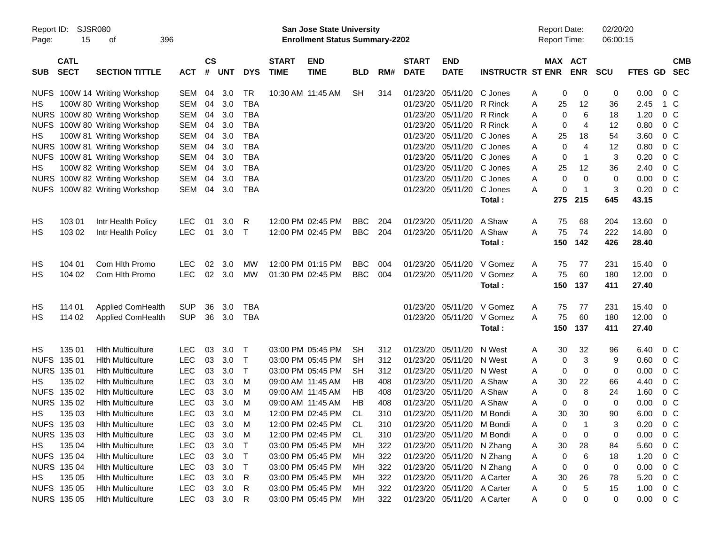|                     |                            |                               |            |                             |            |              |                             | <b>Preliminary Census</b>                                                 |            |     |                             |                            |                         |   |                                            |                |                      |               |                         |            |
|---------------------|----------------------------|-------------------------------|------------|-----------------------------|------------|--------------|-----------------------------|---------------------------------------------------------------------------|------------|-----|-----------------------------|----------------------------|-------------------------|---|--------------------------------------------|----------------|----------------------|---------------|-------------------------|------------|
| Report ID:<br>Page: | 15                         | <b>SJSR080</b><br>396<br>οf   |            |                             |            |              |                             | <b>San Jose State University</b><br><b>Enrollment Status Summary-2202</b> |            |     |                             |                            |                         |   | <b>Report Date:</b><br><b>Report Time:</b> |                | 02/20/20<br>06:00:15 |               |                         |            |
| <b>SUB</b>          | <b>CATL</b><br><b>SECT</b> | <b>SECTION TITTLE</b>         | <b>ACT</b> | $\mathsf{cs}$<br>$\pmb{\#}$ | <b>UNT</b> | <b>DYS</b>   | <b>START</b><br><b>TIME</b> | <b>END</b><br><b>TIME</b>                                                 | <b>BLD</b> | RM# | <b>START</b><br><b>DATE</b> | <b>END</b><br><b>DATE</b>  | <b>INSTRUCTR ST ENR</b> |   | MAX ACT                                    | <b>ENR</b>     | <b>SCU</b>           | FTES GD SEC   |                         | <b>CMB</b> |
|                     |                            | NUFS 100W 14 Writing Workshop | SEM        | 04                          | 3.0        | TR           |                             | 10:30 AM 11:45 AM                                                         | <b>SH</b>  | 314 | 01/23/20                    | 05/11/20                   | C Jones                 | A | 0                                          | 0              | 0                    | 0.00          | $0\,$ C                 |            |
| НS                  |                            | 100W 80 Writing Workshop      | SEM        | 04                          | 3.0        | <b>TBA</b>   |                             |                                                                           |            |     |                             | 01/23/20 05/11/20          | R Rinck                 | Α | 25                                         | 12             | 36                   | 2.45          | 1 C                     |            |
|                     |                            | NURS 100W 80 Writing Workshop | <b>SEM</b> | 04                          | 3.0        | <b>TBA</b>   |                             |                                                                           |            |     |                             | 01/23/20 05/11/20          | R Rinck                 | A | 0                                          | 6              | 18                   | 1.20          | 0 <sup>C</sup>          |            |
|                     |                            | NUFS 100W 80 Writing Workshop | <b>SEM</b> | 04                          | 3.0        | <b>TBA</b>   |                             |                                                                           |            |     |                             | 01/23/20 05/11/20 R Rinck  |                         | A | $\mathbf 0$                                | 4              | 12                   | 0.80          | $0\,C$                  |            |
| HS                  |                            | 100W 81 Writing Workshop      | <b>SEM</b> | 04                          | 3.0        | <b>TBA</b>   |                             |                                                                           |            |     |                             | 01/23/20 05/11/20 C Jones  |                         | A | 25                                         | 18             | 54                   | 3.60          | $0\,C$                  |            |
|                     |                            | NURS 100W 81 Writing Workshop | <b>SEM</b> | 04                          | 3.0        | <b>TBA</b>   |                             |                                                                           |            |     |                             | 01/23/20 05/11/20 C Jones  |                         | A | 0                                          | $\overline{4}$ | 12                   | 0.80          | 0 <sup>C</sup>          |            |
|                     |                            | NUFS 100W 81 Writing Workshop | <b>SEM</b> | 04                          | 3.0        | <b>TBA</b>   |                             |                                                                           |            |     |                             | 01/23/20 05/11/20 C Jones  |                         | A | $\mathbf 0$                                | -1             | 3                    | 0.20          | 0 <sup>C</sup>          |            |
| HS                  |                            | 100W 82 Writing Workshop      | <b>SEM</b> | 04                          | 3.0        | <b>TBA</b>   |                             |                                                                           |            |     |                             | 01/23/20 05/11/20 C Jones  |                         | A | 25                                         | 12             | 36                   | 2.40          | $0\,C$                  |            |
|                     |                            | NURS 100W 82 Writing Workshop | <b>SEM</b> | 04                          | 3.0        | <b>TBA</b>   |                             |                                                                           |            |     |                             | 01/23/20 05/11/20 C Jones  |                         | A | 0                                          | 0              | 0                    | 0.00          | $0\,C$                  |            |
|                     |                            | NUFS 100W 82 Writing Workshop | SEM        | 04                          | 3.0        | <b>TBA</b>   |                             |                                                                           |            |     |                             | 01/23/20 05/11/20 C Jones  |                         | A | 0                                          | -1             | 3                    | 0.20          | $0\,C$                  |            |
|                     |                            |                               |            |                             |            |              |                             |                                                                           |            |     |                             |                            | Total:                  |   | 275                                        | 215            | 645                  | 43.15         |                         |            |
|                     |                            |                               |            |                             |            |              |                             |                                                                           |            |     |                             |                            |                         |   |                                            |                |                      |               |                         |            |
| HS                  | 103 01                     | Intr Health Policy            | <b>LEC</b> | 01                          | 3.0        | R            |                             | 12:00 PM 02:45 PM                                                         | <b>BBC</b> | 204 |                             | 01/23/20 05/11/20          | A Shaw                  | A | 75                                         | 68             | 204                  | 13.60         | $\overline{\mathbf{0}}$ |            |
| HS                  | 103 02                     | Intr Health Policy            | <b>LEC</b> | 01                          | 3.0        | $\top$       |                             | 12:00 PM 02:45 PM                                                         | <b>BBC</b> | 204 |                             | 01/23/20 05/11/20          | A Shaw                  | A | 75                                         | 74             | 222                  | 14.80         | $\overline{\mathbf{0}}$ |            |
|                     |                            |                               |            |                             |            |              |                             |                                                                           |            |     |                             |                            | Total :                 |   | 150                                        | 142            | 426                  | 28.40         |                         |            |
| HS                  | 104 01                     | Com Hith Promo                | <b>LEC</b> | 02                          | 3.0        | МW           |                             | 12:00 PM 01:15 PM                                                         | <b>BBC</b> | 004 |                             | 01/23/20 05/11/20          | V Gomez                 | A | 75                                         | 77             | 231                  | 15.40         | $\overline{\mathbf{0}}$ |            |
| HS                  | 104 02                     | Com Hith Promo                | <b>LEC</b> | 02                          | 3.0        | MW           |                             | 01:30 PM 02:45 PM                                                         | <b>BBC</b> | 004 |                             | 01/23/20 05/11/20          | V Gomez                 | A | 75                                         | 60             | 180                  | 12.00         | $\overline{\mathbf{0}}$ |            |
|                     |                            |                               |            |                             |            |              |                             |                                                                           |            |     |                             |                            | Total:                  |   | 150                                        | 137            | 411                  | 27.40         |                         |            |
|                     |                            |                               |            |                             |            |              |                             |                                                                           |            |     |                             |                            |                         |   |                                            |                |                      |               |                         |            |
| HS                  | 114 01                     | <b>Applied ComHealth</b>      | <b>SUP</b> | 36                          | 3.0        | TBA          |                             |                                                                           |            |     |                             | 01/23/20 05/11/20          | V Gomez                 | A | 75                                         | 77             | 231                  | 15.40         | $\overline{\mathbf{0}}$ |            |
| HS                  | 114 02                     | Applied ComHealth             | <b>SUP</b> | 36                          | 3.0        | <b>TBA</b>   |                             |                                                                           |            |     |                             | 01/23/20 05/11/20          | V Gomez                 | A | 75                                         | 60             | 180                  | 12.00         | $\overline{\mathbf{0}}$ |            |
|                     |                            |                               |            |                             |            |              |                             |                                                                           |            |     |                             |                            | Total:                  |   | 150                                        | 137            | 411                  | 27.40         |                         |            |
| HS                  | 135 01                     | <b>Hith Multiculture</b>      | LEC.       | 03                          | 3.0        | $\mathsf T$  |                             | 03:00 PM 05:45 PM                                                         | SН         | 312 |                             | 01/23/20 05/11/20          | N West                  | A | 30                                         | 32             | 96                   | 6.40          | $0\,C$                  |            |
|                     | NUFS 135 01                | <b>Hith Multiculture</b>      | <b>LEC</b> | 03                          | 3.0        | $\mathsf{T}$ |                             | 03:00 PM 05:45 PM                                                         | SН         | 312 |                             | 01/23/20 05/11/20          | N West                  | A | 0                                          | 3              | 9                    | 0.60          | $0\,C$                  |            |
|                     | <b>NURS 135 01</b>         | <b>Hith Multiculture</b>      | <b>LEC</b> | 03                          | 3.0        | $\top$       |                             | 03:00 PM 05:45 PM                                                         | SН         | 312 |                             | 01/23/20 05/11/20          | N West                  | A | $\mathbf 0$                                | 0              | 0                    | 0.00          | $0\,C$                  |            |
| НS                  | 135 02                     | <b>Hith Multiculture</b>      | <b>LEC</b> | 03                          | 3.0        | М            |                             | 09:00 AM 11:45 AM                                                         | HВ         | 408 |                             | 01/23/20 05/11/20 A Shaw   |                         | A | 30                                         | 22             | 66                   | 4.40          | $0\,C$                  |            |
|                     | NUFS 135 02                | <b>Hith Multiculture</b>      | LEC        | 03                          | 3.0        | M            |                             | 09:00 AM 11:45 AM                                                         | HВ         | 408 |                             | 01/23/20 05/11/20          | A Shaw                  | A | 0                                          | 8              | 24                   | 1.60          | $0\,C$                  |            |
|                     | NURS 135 02                | <b>Hith Multiculture</b>      | <b>LEC</b> | 03                          | 3.0        | M            |                             | 09:00 AM 11:45 AM                                                         | HB         | 408 |                             | 01/23/20 05/11/20 A Shaw   |                         | A | 0                                          | 0              | 0                    | 0.00          | $0\,C$                  |            |
| HS                  | 135 03                     | <b>Hith Multiculture</b>      | <b>LEC</b> | 03                          | 3.0        | M            |                             | 12:00 PM 02:45 PM                                                         | CL         | 310 |                             | 01/23/20 05/11/20 M Bondi  |                         | A | 30                                         | 30             | 90                   | 6.00          | $0\,C$                  |            |
|                     | NUFS 135 03                | <b>Hith Multiculture</b>      | <b>LEC</b> | 03                          | 3.0        | M            |                             | 12:00 PM 02:45 PM                                                         | CL.        | 310 |                             | 01/23/20 05/11/20 M Bondi  |                         | A | 0                                          |                | 3                    | 0.20          | 0 C                     |            |
|                     | NURS 135 03                | <b>Hith Multiculture</b>      | <b>LEC</b> | 03                          | 3.0        | M            |                             | 12:00 PM 02:45 PM                                                         | CL.        | 310 |                             | 01/23/20 05/11/20 M Bondi  |                         | A | 0                                          | 0              | 0                    | 0.00          | $0\,$ C                 |            |
| HS                  | 135 04                     | <b>Hith Multiculture</b>      | <b>LEC</b> | 03                          | 3.0        | $\top$       |                             | 03:00 PM 05:45 PM                                                         | МH         | 322 |                             | 01/23/20 05/11/20 N Zhang  |                         | A | 30                                         | 28             | 84                   | 5.60          | 0 C                     |            |
|                     | NUFS 135 04                | <b>Hith Multiculture</b>      | <b>LEC</b> | 03                          | 3.0        | $\top$       |                             | 03:00 PM 05:45 PM                                                         | МH         | 322 |                             | 01/23/20 05/11/20 N Zhang  |                         | A | 0                                          | 6              | 18                   | 1.20          | 0 C                     |            |
|                     | NURS 135 04                | <b>Hith Multiculture</b>      | <b>LEC</b> | 03                          | 3.0        | $\top$       |                             | 03:00 PM 05:45 PM                                                         | МH         | 322 |                             | 01/23/20 05/11/20 N Zhang  |                         | A | 0                                          | 0              | 0                    | 0.00          | 0 C                     |            |
| HS                  | 135 05                     | <b>Hith Multiculture</b>      | LEC        | 03                          | 3.0        | R            |                             | 03:00 PM 05:45 PM                                                         | МH         | 322 |                             | 01/23/20 05/11/20 A Carter |                         | A | 30                                         | 26             | 78                   | 5.20          | 0 C                     |            |
|                     | NUFS 135 05                | <b>Hith Multiculture</b>      | LEC        |                             | 03 3.0     | R            |                             | 03:00 PM 05:45 PM                                                         | MН         | 322 |                             | 01/23/20 05/11/20 A Carter |                         | A | 0                                          | 5              | 15                   | 1.00          | $0\,$ C                 |            |
|                     | NURS 135 05                | <b>Hith Multiculture</b>      | LEC        |                             | 03 3.0     | $\mathsf{R}$ |                             | 03:00 PM 05:45 PM                                                         | МH         | 322 |                             | 01/23/20 05/11/20 A Carter |                         | A | 0                                          | 0              | 0                    | $0.00 \t 0 C$ |                         |            |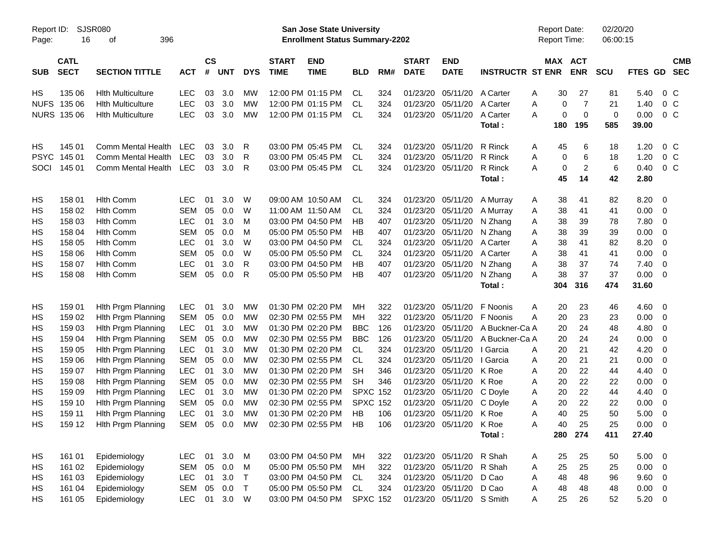|                     |                            |                             |            |                    |            |             |                             | <b>Preliminary Census</b>                                                 |                 |     |                             |                           |                         |                                     |                |                      |             |                          |  |
|---------------------|----------------------------|-----------------------------|------------|--------------------|------------|-------------|-----------------------------|---------------------------------------------------------------------------|-----------------|-----|-----------------------------|---------------------------|-------------------------|-------------------------------------|----------------|----------------------|-------------|--------------------------|--|
| Report ID:<br>Page: | 16                         | <b>SJSR080</b><br>396<br>οf |            |                    |            |             |                             | <b>San Jose State University</b><br><b>Enrollment Status Summary-2202</b> |                 |     |                             |                           |                         | <b>Report Date:</b><br>Report Time: |                | 02/20/20<br>06:00:15 |             |                          |  |
| <b>SUB</b>          | <b>CATL</b><br><b>SECT</b> | <b>SECTION TITTLE</b>       | <b>ACT</b> | $\mathsf{cs}$<br># | <b>UNT</b> | <b>DYS</b>  | <b>START</b><br><b>TIME</b> | <b>END</b><br><b>TIME</b>                                                 | <b>BLD</b>      | RM# | <b>START</b><br><b>DATE</b> | <b>END</b><br><b>DATE</b> | <b>INSTRUCTR ST ENR</b> | MAX ACT                             | <b>ENR</b>     | <b>SCU</b>           | FTES GD     | <b>CMB</b><br><b>SEC</b> |  |
| HS                  | 135 06                     | <b>Hith Multiculture</b>    | <b>LEC</b> | 03                 | 3.0        | МW          |                             | 12:00 PM 01:15 PM                                                         | <b>CL</b>       | 324 | 01/23/20                    | 05/11/20                  | A Carter                | 30<br>Α                             | 27             | 81                   | 5.40        | $0\,C$                   |  |
| <b>NUFS</b>         | 135 06                     | <b>Hith Multiculture</b>    | LEC        | 03                 | 3.0        | МW          |                             | 12:00 PM 01:15 PM                                                         | <b>CL</b>       | 324 | 01/23/20                    | 05/11/20                  | A Carter                | Α<br>0                              | 7              | 21                   | 1.40        | 0 <sup>o</sup>           |  |
|                     | <b>NURS 135 06</b>         | <b>Hith Multiculture</b>    | LEC        | 03                 | 3.0        | MW          |                             | 12:00 PM 01:15 PM                                                         | <b>CL</b>       | 324 | 01/23/20                    | 05/11/20                  | A Carter                | $\mathbf 0$<br>A                    | $\mathbf 0$    | 0                    | 0.00        | $0\,C$                   |  |
|                     |                            |                             |            |                    |            |             |                             |                                                                           |                 |     |                             |                           | Total:                  | 180                                 | 195            | 585                  | 39.00       |                          |  |
| HS                  | 145 01                     | Comm Mental Health          | LEC        | 03                 | 3.0        | R           |                             | 03:00 PM 05:45 PM                                                         | <b>CL</b>       | 324 | 01/23/20                    | 05/11/20                  | R Rinck                 | 45<br>Α                             | 6              | 18                   | 1.20        | $0\,C$                   |  |
| <b>PSYC</b>         | 145 01                     | Comm Mental Health          | <b>LEC</b> | 03                 | 3.0        | R           |                             | 03:00 PM 05:45 PM                                                         | <b>CL</b>       | 324 | 01/23/20                    | 05/11/20                  | R Rinck                 | Α<br>0                              | 6              | 18                   | 1.20        | 0 <sup>o</sup>           |  |
| SOCI                | 145 01                     | Comm Mental Health          | LEC        | 03                 | 3.0        | R           |                             | 03:00 PM 05:45 PM                                                         | <b>CL</b>       | 324 | 01/23/20                    | 05/11/20                  | R Rinck                 | 0<br>Α                              | $\overline{2}$ | 6                    | 0.40        | $0\,C$                   |  |
|                     |                            |                             |            |                    |            |             |                             |                                                                           |                 |     |                             |                           | Total:                  | 45                                  | 14             | 42                   | 2.80        |                          |  |
| HS                  | 158 01                     | <b>Hith Comm</b>            | <b>LEC</b> | 01                 | 3.0        | W           |                             | 09:00 AM 10:50 AM                                                         | <b>CL</b>       | 324 | 01/23/20                    | 05/11/20                  | A Murray                | 38<br>Α                             | 41             | 82                   | 8.20        | $\overline{\mathbf{0}}$  |  |
| HS                  | 158 02                     | <b>Hith Comm</b>            | <b>SEM</b> | 05                 | 0.0        | W           |                             | 11:00 AM 11:50 AM                                                         | <b>CL</b>       | 324 | 01/23/20                    | 05/11/20                  | A Murray                | 38<br>Α                             | 41             | 41                   | 0.00        | $\overline{\mathbf{0}}$  |  |
| HS                  | 158 03                     | <b>Hith Comm</b>            | <b>LEC</b> | 01                 | 3.0        | М           |                             | 03:00 PM 04:50 PM                                                         | НB              | 407 | 01/23/20                    | 05/11/20                  | N Zhang                 | 38<br>Α                             | 39             | 78                   | 7.80        | 0                        |  |
| HS                  | 158 04                     | <b>Hith Comm</b>            | <b>SEM</b> | 05                 | 0.0        | M           |                             | 05:00 PM 05:50 PM                                                         | НB              | 407 | 01/23/20                    | 05/11/20                  | N Zhang                 | 38<br>Α                             | 39             | 39                   | 0.00        | 0                        |  |
| HS                  | 158 05                     | <b>Hith Comm</b>            | <b>LEC</b> | 01                 | 3.0        | W           |                             | 03:00 PM 04:50 PM                                                         | <b>CL</b>       | 324 | 01/23/20                    | 05/11/20                  | A Carter                | 38<br>A                             | 41             | 82                   | 8.20        | 0                        |  |
| HS                  | 158 06                     | <b>Hlth Comm</b>            | <b>SEM</b> | 05                 | 0.0        | W           |                             | 05:00 PM 05:50 PM                                                         | <b>CL</b>       | 324 | 01/23/20                    | 05/11/20                  | A Carter                | 38<br>Α                             | 41             | 41                   | 0.00        | $\overline{0}$           |  |
| HS                  | 158 07                     | <b>Hith Comm</b>            | <b>LEC</b> | 01                 | 3.0        | R           |                             | 03:00 PM 04:50 PM                                                         | НB              | 407 | 01/23/20                    | 05/11/20                  | N Zhang                 | 38<br>Α                             | 37             | 74                   | 7.40        | 0                        |  |
| HS                  | 158 08                     | <b>Hith Comm</b>            | SEM        | 05                 | 0.0        | R           |                             | 05:00 PM 05:50 PM                                                         | HB              | 407 | 01/23/20                    | 05/11/20                  | N Zhang                 | A<br>38                             | 37             | 37                   | 0.00        | $\overline{\mathbf{0}}$  |  |
|                     |                            |                             |            |                    |            |             |                             |                                                                           |                 |     |                             |                           | Total:                  | 304                                 | 316            | 474                  | 31.60       |                          |  |
| HS                  | 159 01                     | Hith Prgm Planning          | <b>LEC</b> | 01                 | 3.0        | МW          |                             | 01:30 PM 02:20 PM                                                         | MН              | 322 | 01/23/20                    | 05/11/20                  | F Noonis                | 20<br>Α                             | 23             | 46                   | $4.60$ 0    |                          |  |
| HS                  | 159 02                     | Hith Prgm Planning          | <b>SEM</b> | 05                 | 0.0        | МW          |                             | 02:30 PM 02:55 PM                                                         | MН              | 322 | 01/23/20                    | 05/11/20                  | F Noonis                | 20<br>Α                             | 23             | 23                   | 0.00        | $\overline{\mathbf{0}}$  |  |
| HS                  | 159 03                     | Hith Prgm Planning          | LEC        | 01                 | 3.0        | МW          |                             | 01:30 PM 02:20 PM                                                         | <b>BBC</b>      | 126 | 01/23/20                    | 05/11/20                  | A Buckner-Ca A          | 20                                  | 24             | 48                   | 4.80        | 0                        |  |
| HS                  | 159 04                     | Hith Prgm Planning          | <b>SEM</b> | 05                 | 0.0        | МW          |                             | 02:30 PM 02:55 PM                                                         | <b>BBC</b>      | 126 | 01/23/20                    | 05/11/20                  | A Buckner-Ca A          | 20                                  | 24             | 24                   | 0.00        | 0                        |  |
| HS                  | 159 05                     | Hith Prgm Planning          | LEC        | 01                 | 3.0        | МW          |                             | 01:30 PM 02:20 PM                                                         | <b>CL</b>       | 324 | 01/23/20                    | 05/11/20                  | I Garcia                | 20<br>A                             | 21             | 42                   | 4.20        | 0                        |  |
| HS                  | 159 06                     | Hith Prgm Planning          | <b>SEM</b> | 05                 | 0.0        | МW          |                             | 02:30 PM 02:55 PM                                                         | <b>CL</b>       | 324 | 01/23/20                    | 05/11/20                  | I Garcia                | 20<br>Α                             | 21             | 21                   | 0.00        | 0                        |  |
| HS                  | 159 07                     | Hith Prgm Planning          | LEC        | 01                 | 3.0        | МW          |                             | 01:30 PM 02:20 PM                                                         | <b>SH</b>       | 346 | 01/23/20                    | 05/11/20                  | K Roe                   | 20<br>Α                             | 22             | 44                   | 4.40        | 0                        |  |
| HS                  | 159 08                     | Hith Prgm Planning          | <b>SEM</b> | 05                 | 0.0        | MW          |                             | 02:30 PM 02:55 PM                                                         | <b>SH</b>       | 346 | 01/23/20                    | 05/11/20                  | K Roe                   | 20<br>Α                             | 22             | 22                   | 0.00        | 0                        |  |
| HS                  | 159 09                     | Hith Prgm Planning          | LEC        | 01                 | 3.0        | МW          |                             | 01:30 PM 02:20 PM                                                         | <b>SPXC 152</b> |     | 01/23/20                    | 05/11/20                  | C Doyle                 | 20<br>Α                             | 22             | 44                   | 4.40        | 0                        |  |
| HS                  | 159 10                     | Hith Prgm Planning          | <b>SEM</b> | 05                 | 0.0        | MW          |                             | 02:30 PM 02:55 PM                                                         | <b>SPXC 152</b> |     | 01/23/20                    | 05/11/20 C Doyle          |                         | A<br>20                             | 22             | 22                   | 0.00        | $\overline{\mathbf{0}}$  |  |
| HS                  | 159 11                     | Hith Prgm Planning          | <b>LEC</b> | 01                 | 3.0        | MW          |                             | 01:30 PM 02:20 PM                                                         | HB              | 106 |                             | 01/23/20 05/11/20         | K Roe                   | 40<br>Α                             | 25             | 50                   | 5.00        | $\overline{\phantom{0}}$ |  |
| HS                  | 159 12                     | Hith Prgm Planning          | SEM        |                    | 05 0.0     | МW          |                             | 02:30 PM 02:55 PM                                                         | HB              | 106 |                             | 01/23/20 05/11/20         | K Roe                   | 40<br>A                             | 25             | 25                   | $0.00 \t 0$ |                          |  |
|                     |                            |                             |            |                    |            |             |                             |                                                                           |                 |     |                             |                           | Total:                  | 280                                 | 274            | 411                  | 27.40       |                          |  |
| HS                  | 161 01                     | Epidemiology                | <b>LEC</b> | 01                 | 3.0        | $M_{\odot}$ |                             | 03:00 PM 04:50 PM                                                         | МH              | 322 |                             | 01/23/20 05/11/20 R Shah  |                         | 25<br>Α                             | 25             | 50                   | $5.00 \t 0$ |                          |  |
| HS                  | 161 02                     | Epidemiology                | <b>SEM</b> | 05                 | 0.0        | M           |                             | 05:00 PM 05:50 PM                                                         | МH              | 322 |                             | 01/23/20 05/11/20         | R Shah                  | 25<br>Α                             | 25             | 25                   | $0.00 \t 0$ |                          |  |
| HS                  | 161 03                     | Epidemiology                | <b>LEC</b> | 01                 | 3.0        | $\top$      |                             | 03:00 PM 04:50 PM                                                         | CL              | 324 |                             | 01/23/20 05/11/20         | D Cao                   | 48<br>Α                             | 48             | 96                   | 9.60 0      |                          |  |
| HS                  | 161 04                     | Epidemiology                | SEM        | 05                 | $0.0$ T    |             |                             | 05:00 PM 05:50 PM                                                         | <b>CL</b>       | 324 | 01/23/20                    | 05/11/20                  | D Cao                   | 48<br>Α                             | 48             | 48                   | $0.00 \t 0$ |                          |  |
| HS                  | 161 05                     | Epidemiology                | LEC        |                    | 01 3.0 W   |             |                             | 03:00 PM 04:50 PM                                                         | <b>SPXC 152</b> |     |                             | 01/23/20 05/11/20 S Smith |                         | 25<br>Α                             | 26             | 52                   | $5.20 \ 0$  |                          |  |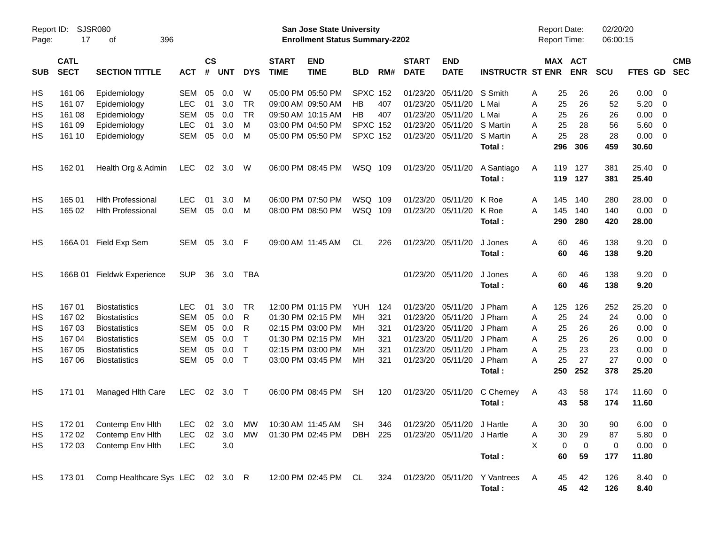|                     |                            |                                  |            |                    |            |            |                             | <b>Preliminary Census</b>                                          |                 |     |                             |                            |                              |                                            |                       |                      |                |                          |                          |
|---------------------|----------------------------|----------------------------------|------------|--------------------|------------|------------|-----------------------------|--------------------------------------------------------------------|-----------------|-----|-----------------------------|----------------------------|------------------------------|--------------------------------------------|-----------------------|----------------------|----------------|--------------------------|--------------------------|
| Report ID:<br>Page: | 17                         | <b>SJSR080</b><br>396<br>οf      |            |                    |            |            |                             | San Jose State University<br><b>Enrollment Status Summary-2202</b> |                 |     |                             |                            |                              | <b>Report Date:</b><br><b>Report Time:</b> |                       | 02/20/20<br>06:00:15 |                |                          |                          |
| <b>SUB</b>          | <b>CATL</b><br><b>SECT</b> | <b>SECTION TITTLE</b>            | <b>ACT</b> | $\mathsf{cs}$<br># | <b>UNT</b> | <b>DYS</b> | <b>START</b><br><b>TIME</b> | <b>END</b><br><b>TIME</b>                                          | <b>BLD</b>      | RM# | <b>START</b><br><b>DATE</b> | <b>END</b><br><b>DATE</b>  | <b>INSTRUCTR ST ENR</b>      |                                            | MAX ACT<br><b>ENR</b> | SCU                  | <b>FTES GD</b> |                          | <b>CMB</b><br><b>SEC</b> |
| НS                  | 161 06                     | Epidemiology                     | <b>SEM</b> | 05                 | 0.0        | W          | 05:00 PM 05:50 PM           |                                                                    | <b>SPXC 152</b> |     | 01/23/20                    | 05/11/20                   | S Smith                      | 25<br>A                                    | 26                    | 26                   | $0.00 \t 0$    |                          |                          |
| НS                  | 161 07                     | Epidemiology                     | <b>LEC</b> | 01                 | 3.0        | TR         | 09:00 AM 09:50 AM           |                                                                    | HВ              | 407 | 01/23/20                    | 05/11/20                   | L Mai                        | 25<br>Α                                    | 26                    | 52                   | 5.20           | - 0                      |                          |
| НS                  | 161 08                     | Epidemiology                     | <b>SEM</b> | 05                 | 0.0        | TR         | 09:50 AM 10:15 AM           |                                                                    | HВ              | 407 | 01/23/20                    | 05/11/20                   | L Mai                        | 25<br>A                                    | 26                    | 26                   | 0.00           | $\overline{\phantom{0}}$ |                          |
| ΗS                  | 161 09                     | Epidemiology                     | <b>LEC</b> | 01                 | 3.0        | M          |                             | 03:00 PM 04:50 PM                                                  | <b>SPXC 152</b> |     | 01/23/20                    | 05/11/20                   | S Martin                     | 25<br>A                                    | 28                    | 56                   | 5.60           | $\overline{\mathbf{0}}$  |                          |
| НS                  | 161 10                     | Epidemiology                     | SEM        | 05                 | 0.0        | M          |                             | 05:00 PM 05:50 PM                                                  | <b>SPXC 152</b> |     | 01/23/20                    | 05/11/20                   | S Martin                     | 25<br>A                                    | 28                    | 28                   | $0.00 \t 0$    |                          |                          |
|                     |                            |                                  |            |                    |            |            |                             |                                                                    |                 |     |                             |                            | Total:                       | 296                                        | 306                   | 459                  | 30.60          |                          |                          |
| HS                  | 162 01                     | Health Org & Admin               | <b>LEC</b> |                    | 02 3.0     | W          | 06:00 PM 08:45 PM           |                                                                    | WSQ 109         |     |                             | 01/23/20 05/11/20          | A Santiago                   | 119<br>A                                   | 127                   | 381                  | 25.40 0        |                          |                          |
|                     |                            |                                  |            |                    |            |            |                             |                                                                    |                 |     |                             |                            | Total:                       | 119                                        | 127                   | 381                  | 25.40          |                          |                          |
| НS                  | 165 01                     | <b>Hith Professional</b>         | LEC        | 01                 | 3.0        | M          | 06:00 PM 07:50 PM           |                                                                    | WSQ 109         |     | 01/23/20                    | 05/11/20                   | K Roe                        | 145<br>A                                   | 140                   | 280                  | 28.00 0        |                          |                          |
| НS                  | 165 02                     | <b>Hith Professional</b>         | SEM        | 05                 | 0.0        | M          |                             | 08:00 PM 08:50 PM                                                  | WSQ 109         |     | 01/23/20                    | 05/11/20                   | K Roe                        | 145<br>A                                   | 140                   | 140                  | $0.00 \t 0$    |                          |                          |
|                     |                            |                                  |            |                    |            |            |                             |                                                                    |                 |     |                             |                            | Total:                       | 290                                        | 280                   | 420                  | 28.00          |                          |                          |
| HS                  | 166A 01                    | Field Exp Sem                    | SEM 05     |                    | 3.0        | F          | 09:00 AM 11:45 AM           |                                                                    | CL.             | 226 | 01/23/20 05/11/20           |                            | J Jones                      | 60<br>A                                    | 46                    | 138                  | $9.20 \ 0$     |                          |                          |
|                     |                            |                                  |            |                    |            |            |                             |                                                                    |                 |     |                             |                            | Total:                       | 60                                         | 46                    | 138                  | 9.20           |                          |                          |
| НS                  |                            | 166B 01 Fieldwk Experience       | <b>SUP</b> | 36                 | 3.0        | TBA        |                             |                                                                    |                 |     |                             | 01/23/20 05/11/20          | J Jones                      | 60<br>A                                    | 46                    | 138                  | $9.20 \ 0$     |                          |                          |
|                     |                            |                                  |            |                    |            |            |                             |                                                                    |                 |     |                             |                            | Total:                       | 60                                         | 46                    | 138                  | 9.20           |                          |                          |
| НS                  | 167 01                     | <b>Biostatistics</b>             | LEC        | 01                 | 3.0        | TR         |                             | 12:00 PM 01:15 PM                                                  | <b>YUH</b>      | 124 | 01/23/20                    | 05/11/20                   | J Pham                       | 125<br>A                                   | 126                   | 252                  | 25.20 0        |                          |                          |
| НS                  | 167 02                     | <b>Biostatistics</b>             | <b>SEM</b> | 05                 | 0.0        | R          | 01:30 PM 02:15 PM           |                                                                    | <b>MH</b>       | 321 | 01/23/20                    | 05/11/20                   | J Pham                       | 25<br>A                                    | 24                    | 24                   | 0.00           | $\overline{\phantom{0}}$ |                          |
| НS                  | 167 03                     | <b>Biostatistics</b>             | <b>SEM</b> | 05                 | 0.0        | R          | 02:15 PM 03:00 PM           |                                                                    | MН              | 321 | 01/23/20                    | 05/11/20                   | J Pham                       | 25<br>A                                    | 26                    | 26                   | 0.00           | $\overline{\mathbf{0}}$  |                          |
| НS                  | 167 04                     | <b>Biostatistics</b>             | <b>SEM</b> | 05                 | 0.0        | Т          | 01:30 PM 02:15 PM           |                                                                    | MН              | 321 | 01/23/20                    | 05/11/20                   | J Pham                       | 25<br>A                                    | 26                    | 26                   | 0.00           | $\overline{\mathbf{0}}$  |                          |
| НS                  | 167 05                     | <b>Biostatistics</b>             | <b>SEM</b> | 05                 | 0.0        | $\top$     | 02:15 PM 03:00 PM           |                                                                    | MН              | 321 | 01/23/20                    | 05/11/20                   | J Pham                       | 25<br>A                                    | 23                    | 23                   | 0.00           | $\overline{\phantom{0}}$ |                          |
| НS                  | 167 06                     | <b>Biostatistics</b>             | SEM        | 05                 | 0.0        | $\top$     | 03:00 PM 03:45 PM           |                                                                    | MH              | 321 | 01/23/20                    | 05/11/20                   | J Pham                       | 25<br>A                                    | 27                    | 27                   | $0.00 \t 0$    |                          |                          |
|                     |                            |                                  |            |                    |            |            |                             |                                                                    |                 |     |                             |                            | Total:                       | 250                                        | 252                   | 378                  | 25.20          |                          |                          |
| НS                  | 171 01                     | Managed Hith Care                | <b>LEC</b> | 02                 | 3.0        | $\top$     | 06:00 PM 08:45 PM           |                                                                    | SН              | 120 | 01/23/20                    | 05/11/20                   | C Cherney                    | 43<br>A                                    | 58                    | 174                  | 11.60 0        |                          |                          |
|                     |                            |                                  |            |                    |            |            |                             |                                                                    |                 |     |                             |                            | Total :                      | 43                                         | 58                    | 174                  | 11.60          |                          |                          |
| HS                  | 172 01                     | Contemp Env Hlth                 | <b>LEC</b> |                    | 02 3.0     | МW         | 10:30 AM 11:45 AM           |                                                                    | SH              | 346 |                             | 01/23/20 05/11/20 J Hartle |                              | A<br>30                                    | 30                    | 90                   | $6.00 \t 0$    |                          |                          |
| HS                  | 172 02                     | Contemp Env Hith                 | <b>LEC</b> | 02                 | 3.0        | MW         |                             | 01:30 PM 02:45 PM                                                  | <b>DBH</b>      | 225 |                             | 01/23/20 05/11/20          | J Hartle                     | 30<br>Α                                    | 29                    | 87                   | 5.80 0         |                          |                          |
| <b>HS</b>           | 172 03                     | Contemp Env Hith                 | <b>LEC</b> |                    | 3.0        |            |                             |                                                                    |                 |     |                             |                            |                              | X<br>$\mathbf 0$                           | 0                     | 0                    | $0.00 \t 0$    |                          |                          |
|                     |                            |                                  |            |                    |            |            |                             |                                                                    |                 |     |                             |                            | Total:                       | 60                                         | 59                    | 177                  | 11.80          |                          |                          |
| HS                  | 17301                      | Comp Healthcare Sys LEC 02 3.0 R |            |                    |            |            |                             | 12:00 PM 02:45 PM                                                  | CL              | 324 |                             |                            | 01/23/20 05/11/20 Y Vantrees | A<br>45                                    | 42                    | 126                  | 8.40 0         |                          |                          |
|                     |                            |                                  |            |                    |            |            |                             |                                                                    |                 |     |                             |                            | Total:                       | 45                                         | 42                    | 126                  | 8.40           |                          |                          |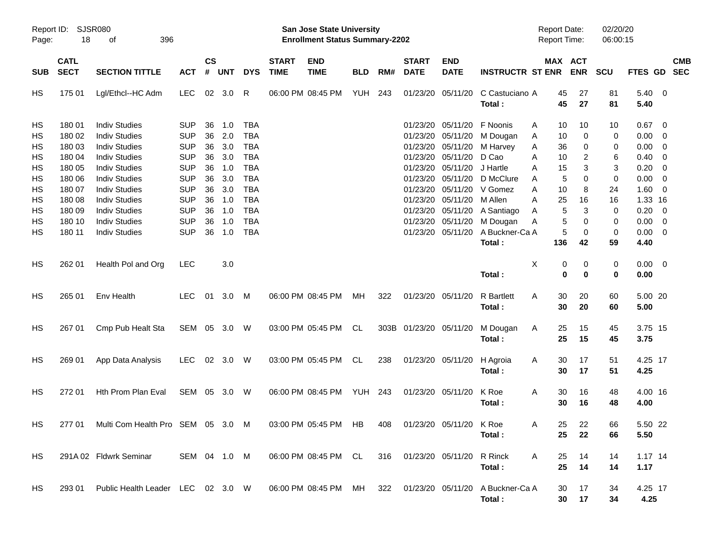|                      |                                       |                                                                                              |                                                      |                      |                          |                                                      |                             | <b>Preliminary Census</b>                                          |            |     |                                              |                                              |                                           |                                            |                         |                      |                                            |                                                      |
|----------------------|---------------------------------------|----------------------------------------------------------------------------------------------|------------------------------------------------------|----------------------|--------------------------|------------------------------------------------------|-----------------------------|--------------------------------------------------------------------|------------|-----|----------------------------------------------|----------------------------------------------|-------------------------------------------|--------------------------------------------|-------------------------|----------------------|--------------------------------------------|------------------------------------------------------|
| Page:                | Report ID: SJSR080<br>18<br>396<br>of |                                                                                              |                                                      |                      |                          |                                                      |                             | San Jose State University<br><b>Enrollment Status Summary-2202</b> |            |     |                                              |                                              |                                           | <b>Report Date:</b><br><b>Report Time:</b> |                         | 02/20/20<br>06:00:15 |                                            |                                                      |
| <b>SUB</b>           | <b>CATL</b><br><b>SECT</b>            | <b>SECTION TITTLE</b>                                                                        | <b>ACT</b>                                           | $\mathsf{cs}$<br>#   | <b>UNT</b>               | <b>DYS</b>                                           | <b>START</b><br><b>TIME</b> | <b>END</b><br><b>TIME</b>                                          | <b>BLD</b> | RM# | <b>START</b><br><b>DATE</b>                  | <b>END</b><br><b>DATE</b>                    | <b>INSTRUCTR ST ENR</b>                   |                                            | MAX ACT<br><b>ENR</b>   | <b>SCU</b>           |                                            | <b>CMB</b><br>FTES GD SEC                            |
| HS                   | 175 01                                | Lgl/Ethcl--HC Adm                                                                            | <b>LEC</b>                                           |                      | 02 3.0                   | R                                                    |                             | 06:00 PM 08:45 PM                                                  | YUH        | 243 |                                              | 01/23/20 05/11/20                            | C Castuciano A<br>Total:                  | 45<br>45                                   | 27<br>27                | 81<br>81             | $5.40 \ 0$<br>5.40                         |                                                      |
| HS<br>HS<br>HS       | 180 01<br>180 02<br>180 03            | <b>Indiv Studies</b><br><b>Indiv Studies</b><br><b>Indiv Studies</b>                         | <b>SUP</b><br><b>SUP</b><br><b>SUP</b>               | 36<br>36<br>36       | 1.0<br>2.0<br>3.0        | <b>TBA</b><br><b>TBA</b><br><b>TBA</b>               |                             |                                                                    |            |     | 01/23/20<br>01/23/20                         | 05/11/20<br>05/11/20<br>01/23/20 05/11/20    | F Noonis<br>M Dougan<br>M Harvey          | 10<br>Α<br>10<br>A<br>36<br>A              | 10<br>0<br>0            | 10<br>0<br>0         | $0.67$ 0<br>$0.00 \t 0$<br>0.00            | $\overline{\phantom{0}}$                             |
| HS<br>HS<br>HS<br>HS | 180 04<br>180 05<br>180 06<br>180 07  | <b>Indiv Studies</b><br><b>Indiv Studies</b><br><b>Indiv Studies</b><br><b>Indiv Studies</b> | <b>SUP</b><br><b>SUP</b><br><b>SUP</b><br><b>SUP</b> | 36<br>36<br>36<br>36 | 3.0<br>1.0<br>3.0<br>3.0 | <b>TBA</b><br><b>TBA</b><br><b>TBA</b><br><b>TBA</b> |                             |                                                                    |            |     | 01/23/20<br>01/23/20<br>01/23/20<br>01/23/20 | 05/11/20<br>05/11/20<br>05/11/20<br>05/11/20 | D Cao<br>J Hartle<br>D McClure<br>V Gomez | 10<br>Α<br>15<br>A<br>5<br>A<br>10<br>Α    | 2<br>3<br>$\Omega$<br>8 | 6<br>3<br>0<br>24    | 0.40<br>0.20<br>$0.00 \t 0$<br>$1.60 \t 0$ | $\overline{\phantom{0}}$<br>$\overline{\phantom{0}}$ |
| HS<br>HS<br>HS       | 180 08<br>180 09<br>180 10            | <b>Indiv Studies</b><br><b>Indiv Studies</b><br><b>Indiv Studies</b>                         | <b>SUP</b><br><b>SUP</b><br><b>SUP</b>               | 36<br>36<br>36       | 1.0<br>1.0<br>1.0        | <b>TBA</b><br><b>TBA</b><br><b>TBA</b>               |                             |                                                                    |            |     | 01/23/20<br>01/23/20<br>01/23/20             | 05/11/20<br>05/11/20<br>05/11/20             | M Allen<br>A Santiago<br>M Dougan         | 25<br>А<br>5<br>A<br>5<br>A                | 16<br>3<br>0            | 16<br>0<br>0         | 1.33 16<br>$0.20 \ 0$<br>$0.00 \ 0$        |                                                      |
| HS<br>HS             | 180 11                                | <b>Indiv Studies</b><br>Health Pol and Org                                                   | <b>SUP</b><br><b>LEC</b>                             | 36                   | 1.0<br>3.0               | <b>TBA</b>                                           |                             |                                                                    |            |     |                                              | 01/23/20 05/11/20                            | A Buckner-Ca A<br>Total:                  | 5<br>136<br>X<br>0                         | 0<br>42<br>0            | 0<br>59<br>0         | $0.00 \t 0$<br>4.40<br>$0.00 \t 0$         |                                                      |
|                      | 262 01                                |                                                                                              |                                                      |                      |                          |                                                      |                             |                                                                    |            |     |                                              |                                              | Total:                                    | $\bf{0}$                                   | $\bf{0}$                | 0                    | 0.00                                       |                                                      |
| HS                   | 265 01                                | Env Health                                                                                   | <b>LEC</b>                                           | 01                   | 3.0                      | M                                                    |                             | 06:00 PM 08:45 PM                                                  | MH         | 322 | 01/23/20 05/11/20                            |                                              | <b>R</b> Bartlett<br>Total:               | 30<br>A<br>30                              | 20<br>20                | 60<br>60             | 5.00 20<br>5.00                            |                                                      |
| HS                   | 267 01                                | Cmp Pub Healt Sta                                                                            | SEM 05 3.0 W                                         |                      |                          |                                                      |                             | 03:00 PM 05:45 PM                                                  | CL.        |     | 303B 01/23/20 05/11/20                       |                                              | M Dougan<br>Total:                        | Α<br>25<br>25                              | 15<br>15                | 45<br>45             | 3.75 15<br>3.75                            |                                                      |
| HS                   | 269 01                                | App Data Analysis                                                                            | <b>LEC</b>                                           |                      | 02 3.0 W                 |                                                      |                             | 03:00 PM 05:45 PM                                                  | CL.        | 238 | 01/23/20 05/11/20                            |                                              | H Agroia<br>Total:                        | Α<br>30<br>30                              | 17<br>17                | 51<br>51             | 4.25 17<br>4.25                            |                                                      |
| HS                   | 272 01                                | Hth Prom Plan Eval                                                                           | SEM                                                  | 05                   | 3.0                      | W                                                    |                             | 06:00 PM 08:45 PM                                                  | YUH        | 243 | 01/23/20 05/11/20                            |                                              | K Roe<br>Total:                           | Α<br>30<br>30                              | 16<br>16                | 48<br>48             | 4.00 16<br>4.00                            |                                                      |
| HS                   | 277 01                                | Multi Com Health Pro SEM 05 3.0 M                                                            |                                                      |                      |                          |                                                      |                             | 03:00 PM 05:45 PM HB                                               |            | 408 |                                              | 01/23/20 05/11/20                            | K Roe<br>Total:                           | 25<br>A<br>25                              | 22<br>22                | 66<br>66             | 5.50 22<br>5.50                            |                                                      |
| HS                   |                                       | 291A 02 Fldwrk Seminar                                                                       | SEM 04 1.0 M                                         |                      |                          |                                                      |                             | 06:00 PM 08:45 PM CL                                               |            | 316 | 01/23/20 05/11/20                            |                                              | R Rinck<br>Total:                         | A<br>25<br>25                              | 14<br>14                | 14<br>14             | $1.17$ 14<br>1.17                          |                                                      |
| HS                   | 293 01                                | Public Health Leader LEC 02 3.0 W                                                            |                                                      |                      |                          |                                                      |                             | 06:00 PM 08:45 PM MH                                               |            | 322 | 01/23/20 05/11/20                            |                                              | A Buckner-Ca A<br>Total:                  | 30<br>30                                   | 17<br>17                | 34<br>34             | 4.25 17<br>4.25                            |                                                      |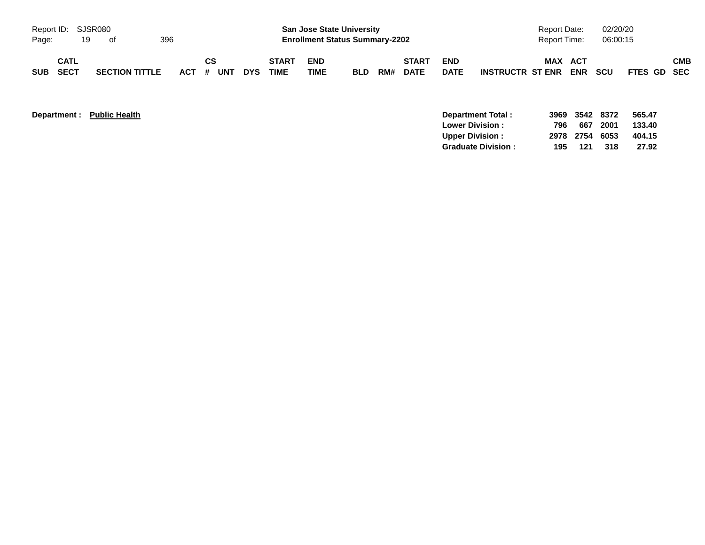|                             |                            |    |                       |     |           |    |            |                             |                                                                           | <b>Preliminary Census</b> |     |                             |                           |                         |                                            |            |                      |             |            |
|-----------------------------|----------------------------|----|-----------------------|-----|-----------|----|------------|-----------------------------|---------------------------------------------------------------------------|---------------------------|-----|-----------------------------|---------------------------|-------------------------|--------------------------------------------|------------|----------------------|-------------|------------|
| Report ID: SJSR080<br>Page: |                            | 19 | of                    | 396 |           |    |            |                             | <b>San Jose State University</b><br><b>Enrollment Status Summary-2202</b> |                           |     |                             |                           |                         | <b>Report Date:</b><br><b>Report Time:</b> |            | 02/20/20<br>06:00:15 |             |            |
| <b>SUB</b>                  | <b>CATL</b><br><b>SECT</b> |    | <b>SECTION TITTLE</b> |     | ACT # UNT | СS | <b>DYS</b> | <b>START</b><br><b>TIME</b> | <b>END</b><br>TIME                                                        | <b>BLD</b>                | RM# | <b>START</b><br><b>DATE</b> | <b>END</b><br><b>DATE</b> | <b>INSTRUCTR ST ENR</b> | MAX ACT                                    | <b>ENR</b> | <b>SCU</b>           | FTES GD SEC | <b>CMB</b> |

| Department : | <b>Public Health</b> |
|--------------|----------------------|
|              |                      |

| Department Total:                |                      |     | 565.47                                      |
|----------------------------------|----------------------|-----|---------------------------------------------|
| 796<br><b>Lower Division:</b>    | 667                  |     | 133.40                                      |
| Upper Division:                  |                      |     | 404.15                                      |
| <b>Graduate Division:</b><br>195 | 121                  | 318 | 27.92                                       |
|                                  | <b>Public Health</b> |     | 3969 3542<br>8372<br>2001<br>2978 2754 6053 |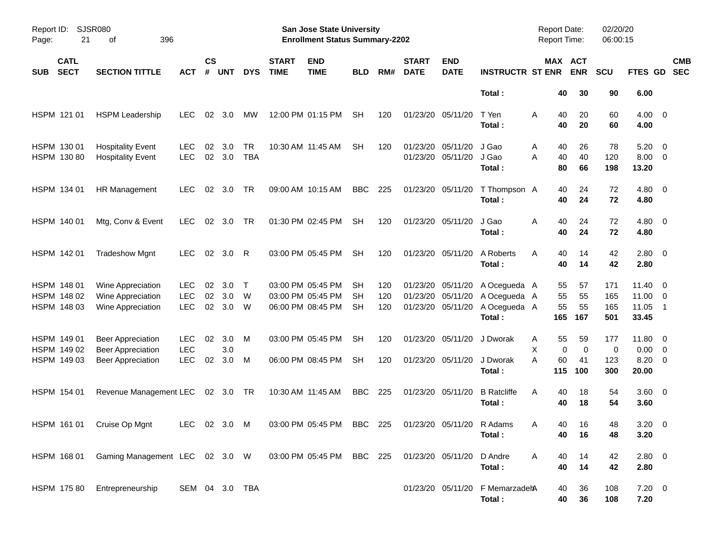|                     |                                           |                                                                                  |                                        |                    |                   |                  |                             | <b>Preliminary Census</b>                                          |                        |                   |                                           |                           |                                                        |                                               |                             |                          |                                                   |                          |
|---------------------|-------------------------------------------|----------------------------------------------------------------------------------|----------------------------------------|--------------------|-------------------|------------------|-----------------------------|--------------------------------------------------------------------|------------------------|-------------------|-------------------------------------------|---------------------------|--------------------------------------------------------|-----------------------------------------------|-----------------------------|--------------------------|---------------------------------------------------|--------------------------|
| Report ID:<br>Page: | <b>SJSR080</b><br>21                      | 396<br>оf                                                                        |                                        |                    |                   |                  |                             | San Jose State University<br><b>Enrollment Status Summary-2202</b> |                        |                   |                                           |                           |                                                        | <b>Report Date:</b><br><b>Report Time:</b>    |                             | 02/20/20<br>06:00:15     |                                                   |                          |
| <b>SUB</b>          | <b>CATL</b><br><b>SECT</b>                | <b>SECTION TITTLE</b>                                                            | <b>ACT</b>                             | $\mathsf{cs}$<br># | <b>UNT</b>        | <b>DYS</b>       | <b>START</b><br><b>TIME</b> | <b>END</b><br><b>TIME</b>                                          | <b>BLD</b>             | RM#               | <b>START</b><br><b>DATE</b>               | <b>END</b><br><b>DATE</b> | <b>INSTRUCTR ST ENR</b>                                | MAX ACT                                       | <b>ENR</b>                  | <b>SCU</b>               | FTES GD                                           | <b>CMB</b><br><b>SEC</b> |
|                     |                                           |                                                                                  |                                        |                    |                   |                  |                             |                                                                    |                        |                   |                                           |                           | Total:                                                 | 40                                            | 30                          | 90                       | 6.00                                              |                          |
|                     | HSPM 121 01                               | <b>HSPM Leadership</b>                                                           | <b>LEC</b>                             | 02                 | 3.0               | MW               |                             | 12:00 PM 01:15 PM                                                  | <b>SH</b>              | 120               | 01/23/20 05/11/20                         |                           | T Yen<br>Total:                                        | 40<br>Α<br>40                                 | 20<br>20                    | 60<br>60                 | $4.00 \ 0$<br>4.00                                |                          |
|                     | HSPM 130 01<br>HSPM 130 80                | <b>Hospitality Event</b><br><b>Hospitality Event</b>                             | <b>LEC</b><br><b>LEC</b>               | 02<br>02           | 3.0<br>3.0        | TR<br><b>TBA</b> |                             | 10:30 AM 11:45 AM                                                  | <b>SH</b>              | 120               | 01/23/20 05/11/20                         | 01/23/20 05/11/20         | J Gao<br>J Gao<br>Total:                               | Α<br>40<br>A<br>40<br>80                      | 26<br>40<br>66              | 78<br>120<br>198         | 5.20<br>$8.00 \t 0$<br>13.20                      | $\overline{\phantom{0}}$ |
|                     | HSPM 134 01                               | HR Management                                                                    | <b>LEC</b>                             | 02                 | 3.0               | TR               |                             | 09:00 AM 10:15 AM                                                  | <b>BBC</b>             | 225               | 01/23/20 05/11/20                         |                           | T Thompson A<br>Total:                                 | 40<br>40                                      | 24<br>24                    | 72<br>72                 | $4.80\ 0$<br>4.80                                 |                          |
|                     | HSPM 140 01                               | Mtg, Conv & Event                                                                | <b>LEC</b>                             | 02                 | 3.0               | <b>TR</b>        |                             | 01:30 PM 02:45 PM                                                  | <b>SH</b>              | 120               | 01/23/20 05/11/20                         |                           | J Gao<br>Total:                                        | 40<br>Α<br>40                                 | 24<br>24                    | 72<br>72                 | $4.80$ 0<br>4.80                                  |                          |
|                     | HSPM 142 01                               | <b>Tradeshow Mgnt</b>                                                            | <b>LEC</b>                             | 02                 | 3.0               | R                |                             | 03:00 PM 05:45 PM                                                  | <b>SH</b>              | 120               | 01/23/20 05/11/20                         |                           | A Roberts<br>Total:                                    | 40<br>A<br>40                                 | 14<br>14                    | 42<br>42                 | $2.80 \t 0$<br>2.80                               |                          |
|                     | HSPM 148 01<br>HSPM 148 02<br>HSPM 148 03 | Wine Appreciation<br>Wine Appreciation<br>Wine Appreciation                      | LEC.<br><b>LEC</b><br><b>LEC</b>       | 02<br>02<br>02     | 3.0<br>3.0<br>3.0 | Т<br>W<br>W      |                             | 03:00 PM 05:45 PM<br>03:00 PM 05:45 PM<br>06:00 PM 08:45 PM        | SН<br>SН<br><b>SH</b>  | 120<br>120<br>120 | 01/23/20<br>01/23/20<br>01/23/20 05/11/20 | 05/11/20<br>05/11/20      | A Ocegueda A<br>A Ocegueda A<br>A Ocegueda A<br>Total: | 55<br>55<br>55<br>165                         | 57<br>55<br>55<br>167       | 171<br>165<br>165<br>501 | $11.40 \quad 0$<br>$11.00 \t 0$<br>11.05<br>33.45 | $\overline{1}$           |
|                     | HSPM 149 01<br>HSPM 149 02<br>HSPM 149 03 | <b>Beer Appreciation</b><br><b>Beer Appreciation</b><br><b>Beer Appreciation</b> | <b>LEC</b><br><b>LEC</b><br><b>LEC</b> | 02<br>02           | 3.0<br>3.0<br>3.0 | M<br>М           |                             | 03:00 PM 05:45 PM<br>06:00 PM 08:45 PM                             | <b>SH</b><br><b>SH</b> | 120<br>120        | 01/23/20 05/11/20                         | 01/23/20 05/11/20         | J Dworak<br>J Dworak<br>Total:                         | 55<br>A<br>X<br>$\mathbf 0$<br>A<br>60<br>115 | 59<br>$\Omega$<br>41<br>100 | 177<br>0<br>123<br>300   | 11.80 0<br>$0.00 \t 0$<br>$8.20 \ 0$<br>20.00     |                          |
|                     | HSPM 154 01                               | Revenue Management LEC                                                           |                                        |                    | 02 3.0 TR         |                  |                             | 10:30 AM 11:45 AM                                                  | <b>BBC</b>             | 225               | 01/23/20 05/11/20                         |                           | <b>B</b> Ratcliffe<br>Total:                           | A<br>40<br>40                                 | 18<br>18                    | 54<br>54                 | 3.60 0<br>3.60                                    |                          |
|                     | HSPM 161 01                               | Cruise Op Mgnt                                                                   | LEC 02 3.0 M                           |                    |                   |                  |                             | 03:00 PM 05:45 PM BBC 225                                          |                        |                   | 01/23/20 05/11/20                         |                           | R Adams<br>Total:                                      | 40<br>A<br>40                                 | 16<br>16                    | 48<br>48                 | $3.20 \ 0$<br>3.20                                |                          |
|                     | HSPM 168 01                               | Gaming Management LEC 02 3.0 W                                                   |                                        |                    |                   |                  |                             | 03:00 PM 05:45 PM                                                  | BBC 225                |                   | 01/23/20 05/11/20                         |                           | D Andre<br>Total:                                      | Α<br>40<br>40                                 | 14<br>14                    | 42<br>42                 | 2.80 0<br>2.80                                    |                          |
|                     | HSPM 175 80                               | Entrepreneurship                                                                 | SEM 04 3.0 TBA                         |                    |                   |                  |                             |                                                                    |                        |                   | 01/23/20 05/11/20                         |                           | F MemarzadehA<br>Total:                                | 40<br>40                                      | 36<br>36                    | 108<br>108               | $7.20 \t 0$<br>7.20                               |                          |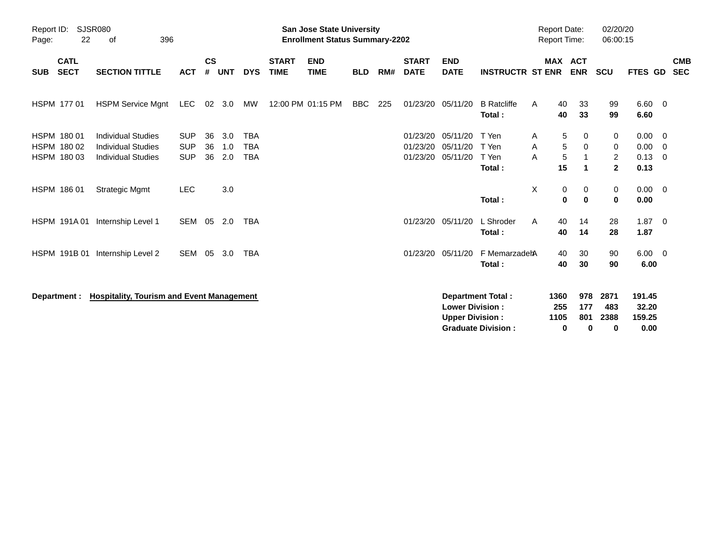|                                           |                                   |                                                                                     |                                        |                    |                   |                                        |                             | <b>Preliminary Census</b>                                                 |            |     |                                  |                                                  |                                                       |                                           |                                     |                                            |                                   |                                                                                |
|-------------------------------------------|-----------------------------------|-------------------------------------------------------------------------------------|----------------------------------------|--------------------|-------------------|----------------------------------------|-----------------------------|---------------------------------------------------------------------------|------------|-----|----------------------------------|--------------------------------------------------|-------------------------------------------------------|-------------------------------------------|-------------------------------------|--------------------------------------------|-----------------------------------|--------------------------------------------------------------------------------|
| Report ID:<br>Page:                       | <b>SJSR080</b><br>22<br>396<br>οf |                                                                                     |                                        |                    |                   |                                        |                             | <b>San Jose State University</b><br><b>Enrollment Status Summary-2202</b> |            |     |                                  |                                                  |                                                       | <b>Report Date:</b><br>Report Time:       |                                     | 02/20/20<br>06:00:15                       |                                   |                                                                                |
| <b>CATL</b><br><b>SECT</b><br><b>SUB</b>  |                                   | <b>SECTION TITTLE</b>                                                               | <b>ACT</b>                             | $\mathsf{cs}$<br># | <b>UNT</b>        | <b>DYS</b>                             | <b>START</b><br><b>TIME</b> | <b>END</b><br><b>TIME</b>                                                 | <b>BLD</b> | RM# | <b>START</b><br><b>DATE</b>      | <b>END</b><br><b>DATE</b>                        | <b>INSTRUCTR ST ENR</b>                               | <b>MAX ACT</b>                            | <b>ENR</b>                          | <b>SCU</b>                                 | FTES GD                           | <b>CMB</b><br><b>SEC</b>                                                       |
| HSPM 177 01                               |                                   | <b>HSPM Service Mgnt</b>                                                            | <b>LEC</b>                             | 02 <sub>o</sub>    | 3.0               | MW                                     |                             | 12:00 PM 01:15 PM                                                         | <b>BBC</b> | 225 |                                  | 01/23/20 05/11/20                                | <b>B</b> Ratcliffe<br>Total:                          | 40<br>Α<br>40                             | 33<br>33                            | 99<br>99                                   | $6.60 \quad 0$<br>6.60            |                                                                                |
| HSPM 180 01<br>HSPM 180 02<br>HSPM 180 03 |                                   | <b>Individual Studies</b><br><b>Individual Studies</b><br><b>Individual Studies</b> | <b>SUP</b><br><b>SUP</b><br><b>SUP</b> | 36<br>36<br>36     | 3.0<br>1.0<br>2.0 | <b>TBA</b><br><b>TBA</b><br><b>TBA</b> |                             |                                                                           |            |     | 01/23/20<br>01/23/20<br>01/23/20 | 05/11/20<br>05/11/20<br>05/11/20                 | T Yen<br>T Yen<br>T Yen<br>Total:                     | 5<br>Α<br>5<br>Α<br>$\sqrt{5}$<br>Α<br>15 | 0<br>0<br>1<br>$\blacktriangleleft$ | 0<br>0<br>$\overline{2}$<br>$\overline{2}$ | 0.00<br>0.00<br>0.13<br>0.13      | $\overline{\phantom{0}}$<br>$\overline{\mathbf{0}}$<br>$\overline{\mathbf{0}}$ |
| HSPM 186 01                               |                                   | <b>Strategic Mgmt</b>                                                               | <b>LEC</b>                             |                    | 3.0               |                                        |                             |                                                                           |            |     |                                  |                                                  | Total:                                                | X<br>0<br>$\mathbf 0$                     | 0<br>$\bf{0}$                       | 0<br>0                                     | $0.00 \t 0$<br>0.00               |                                                                                |
|                                           |                                   | HSPM 191A 01 Internship Level 1                                                     | SEM                                    | 05                 | 2.0               | <b>TBA</b>                             |                             |                                                                           |            |     |                                  | 01/23/20 05/11/20                                | L Shroder<br>Total:                                   | 40<br>Α<br>40                             | 14<br>14                            | 28<br>28                                   | $1.87 \t 0$<br>1.87               |                                                                                |
| HSPM 191B 01                              |                                   | Internship Level 2                                                                  | SEM 05                                 |                    | 3.0               | <b>TBA</b>                             |                             |                                                                           |            |     |                                  | 01/23/20 05/11/20                                | F MemarzadehA<br>Total:                               | 40<br>40                                  | 30<br>30                            | 90<br>90                                   | $6.00 \quad 0$<br>6.00            |                                                                                |
| Department :                              |                                   | <b>Hospitality, Tourism and Event Management</b>                                    |                                        |                    |                   |                                        |                             |                                                                           |            |     |                                  | <b>Lower Division:</b><br><b>Upper Division:</b> | <b>Department Total:</b><br><b>Graduate Division:</b> | 1360<br>255<br>1105<br>$\mathbf 0$        | 978<br>177<br>801<br>0              | 2871<br>483<br>2388<br>0                   | 191.45<br>32.20<br>159.25<br>0.00 |                                                                                |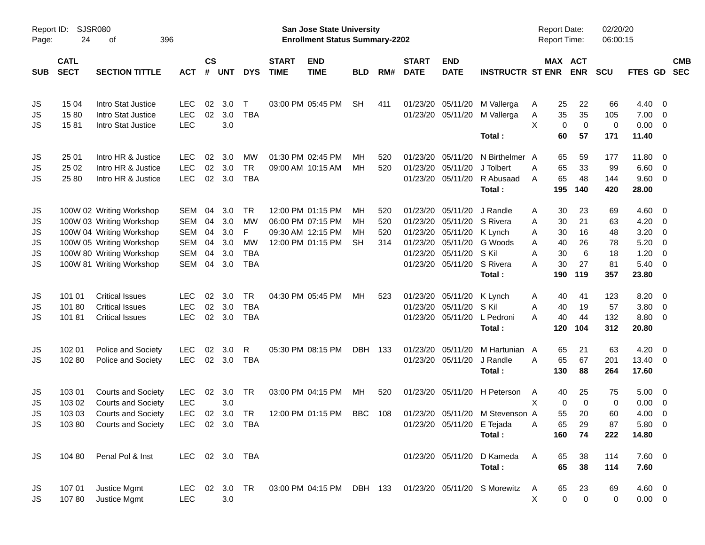|                     |                            |                           |            |                    |               |                |                             |                                                                    | <b>Preliminary Census</b> |     |                             |                            |                                 |                                     |                              |                      |             |                          |                          |
|---------------------|----------------------------|---------------------------|------------|--------------------|---------------|----------------|-----------------------------|--------------------------------------------------------------------|---------------------------|-----|-----------------------------|----------------------------|---------------------------------|-------------------------------------|------------------------------|----------------------|-------------|--------------------------|--------------------------|
| Report ID:<br>Page: | SJSR080<br>24              | οf                        | 396        |                    |               |                |                             | San Jose State University<br><b>Enrollment Status Summary-2202</b> |                           |     |                             |                            |                                 | <b>Report Date:</b><br>Report Time: |                              | 02/20/20<br>06:00:15 |             |                          |                          |
| <b>SUB</b>          | <b>CATL</b><br><b>SECT</b> | <b>SECTION TITTLE</b>     | <b>ACT</b> | $\mathsf{cs}$<br># | <b>UNT</b>    | <b>DYS</b>     | <b>START</b><br><b>TIME</b> | <b>END</b><br><b>TIME</b>                                          | <b>BLD</b>                | RM# | <b>START</b><br><b>DATE</b> | <b>END</b><br><b>DATE</b>  | <b>INSTRUCTR ST ENR</b>         |                                     | <b>MAX ACT</b><br><b>ENR</b> | <b>SCU</b>           | FTES GD     |                          | <b>CMB</b><br><b>SEC</b> |
| JS                  | 15 04                      | Intro Stat Justice        | <b>LEC</b> | 02                 | 3.0           | т              |                             | 03:00 PM 05:45 PM                                                  | <b>SH</b>                 | 411 | 01/23/20                    | 05/11/20                   | M Vallerga                      | 25<br>A                             | 22                           | 66                   | 4.40        | $\overline{\phantom{0}}$ |                          |
| JS                  | 1580                       | Intro Stat Justice        | <b>LEC</b> | 02                 | 3.0           | <b>TBA</b>     |                             |                                                                    |                           |     |                             | 01/23/20 05/11/20          | M Vallerga                      | Α<br>35                             | 35                           | 105                  | 7.00        | $\overline{\phantom{0}}$ |                          |
| <b>JS</b>           | 1581                       | Intro Stat Justice        | <b>LEC</b> |                    | 3.0           |                |                             |                                                                    |                           |     |                             |                            |                                 | X<br>$\mathbf 0$                    | $\mathbf 0$                  | 0                    | $0.00 \t 0$ |                          |                          |
|                     |                            |                           |            |                    |               |                |                             |                                                                    |                           |     |                             |                            | Total:                          | 60                                  | 57                           | 171                  | 11.40       |                          |                          |
| JS                  | 25 01                      | Intro HR & Justice        | <b>LEC</b> | 02                 | 3.0           | <b>MW</b>      |                             | 01:30 PM 02:45 PM                                                  | ΜН                        | 520 | 01/23/20                    | 05/11/20                   | N Birthelmer A                  | 65                                  | 59                           | 177                  | 11.80 0     |                          |                          |
| JS                  | 25 02                      | Intro HR & Justice        | <b>LEC</b> | 02                 | 3.0           | <b>TR</b>      |                             | 09:00 AM 10:15 AM                                                  | МH                        | 520 | 01/23/20                    | 05/11/20                   | J Tolbert                       | 65<br>Α                             | 33                           | 99                   | 6.60        | $\overline{\phantom{0}}$ |                          |
| <b>JS</b>           | 25 80                      | Intro HR & Justice        | <b>LEC</b> | 02                 | 3.0           | <b>TBA</b>     |                             |                                                                    |                           |     |                             | 01/23/20 05/11/20          | R Abusaad                       | 65<br>A                             | 48                           | 144                  | 9.60 0      |                          |                          |
|                     |                            |                           |            |                    |               |                |                             |                                                                    |                           |     |                             |                            | Total:                          | 195                                 | 140                          | 420                  | 28.00       |                          |                          |
| JS                  |                            | 100W 02 Writing Workshop  | <b>SEM</b> | 04                 | 3.0           | <b>TR</b>      |                             | 12:00 PM 01:15 PM                                                  | ΜН                        | 520 | 01/23/20                    | 05/11/20                   | J Randle                        | 30<br>A                             | 23                           | 69                   | $4.60$ 0    |                          |                          |
| JS                  |                            | 100W 03 Writing Workshop  | <b>SEM</b> | 04                 | 3.0           | <b>MW</b>      |                             | 06:00 PM 07:15 PM                                                  | ΜН                        | 520 | 01/23/20                    | 05/11/20                   | S Rivera                        | 30<br>A                             | 21                           | 63                   | 4.20        | - 0                      |                          |
| JS.                 |                            | 100W 04 Writing Workshop  | <b>SEM</b> | 04                 | 3.0           | F              |                             | 09:30 AM 12:15 PM                                                  | мн                        | 520 |                             | 01/23/20 05/11/20          | K Lynch                         | 30<br>A                             | 16                           | 48                   | 3.20        | - 0                      |                          |
| JS.                 |                            | 100W 05 Writing Workshop  | <b>SEM</b> | 04                 | 3.0           | <b>MW</b>      |                             | 12:00 PM 01:15 PM                                                  | <b>SH</b>                 | 314 |                             | 01/23/20 05/11/20          | G Woods                         | 40<br>A                             | 26                           | 78                   | 5.20        | - 0                      |                          |
| JS.                 |                            | 100W 80 Writing Workshop  | <b>SEM</b> | 04                 | 3.0           | <b>TBA</b>     |                             |                                                                    |                           |     |                             | 01/23/20 05/11/20          | S Kil                           | 30<br>A                             | 6                            | 18                   | 1.20        | $\overline{0}$           |                          |
| JS.                 |                            | 100W 81 Writing Workshop  | <b>SEM</b> | 04                 | 3.0           | <b>TBA</b>     |                             |                                                                    |                           |     |                             | 01/23/20 05/11/20 S Rivera |                                 | 30<br>A                             | 27                           | 81                   | $5.40 \ 0$  |                          |                          |
|                     |                            |                           |            |                    |               |                |                             |                                                                    |                           |     |                             |                            | Total:                          | 190                                 | 119                          | 357                  | 23.80       |                          |                          |
| JS                  | 101 01                     | <b>Critical Issues</b>    | LEC        | 02                 | 3.0           | <b>TR</b>      |                             | 04:30 PM 05:45 PM                                                  | МH                        | 523 |                             | 01/23/20 05/11/20          | K Lynch                         | 40<br>A                             | 41                           | 123                  | $8.20 \ 0$  |                          |                          |
| JS                  | 10180                      | <b>Critical Issues</b>    | <b>LEC</b> | 02                 | 3.0           | <b>TBA</b>     |                             |                                                                    |                           |     | 01/23/20                    | 05/11/20                   | S Kil                           | 40<br>A                             | 19                           | 57                   | 3.80        | $\overline{\phantom{0}}$ |                          |
| <b>JS</b>           | 10181                      | <b>Critical Issues</b>    | <b>LEC</b> | 02                 | 3.0           | <b>TBA</b>     |                             |                                                                    |                           |     |                             | 01/23/20 05/11/20          | L Pedroni                       | 40<br>A                             | 44                           | 132                  | 8.80 0      |                          |                          |
|                     |                            |                           |            |                    |               |                |                             |                                                                    |                           |     |                             |                            | Total:                          | 120                                 | 104                          | 312                  | 20.80       |                          |                          |
| JS                  | 102 01                     | Police and Society        | <b>LEC</b> | 02                 | 3.0           | R              |                             | 05:30 PM 08:15 PM                                                  | <b>DBH</b>                | 133 | 01/23/20                    | 05/11/20                   | M Hartunian                     | 65<br>A                             | 21                           | 63                   | 4.20        | $\overline{\phantom{0}}$ |                          |
| <b>JS</b>           | 102 80                     | Police and Society        | <b>LEC</b> | 02                 | 3.0           | <b>TBA</b>     |                             |                                                                    |                           |     |                             | 01/23/20 05/11/20          | J Randle                        | 65<br>A                             | 67                           | 201                  | 13.40 0     |                          |                          |
|                     |                            |                           |            |                    |               |                |                             |                                                                    |                           |     |                             |                            | Total:                          | 130                                 | 88                           | 264                  | 17.60       |                          |                          |
| JS                  | 103 01                     | <b>Courts and Society</b> | <b>LEC</b> | 02                 | 3.0           | <b>TR</b>      |                             | 03:00 PM 04:15 PM                                                  | МH                        | 520 |                             |                            | 01/23/20 05/11/20 H Peterson    | 40<br>A                             | 25                           | 75                   | $5.00 \t 0$ |                          |                          |
| JS                  | 103 02                     | <b>Courts and Society</b> | <b>LEC</b> |                    | 3.0           |                |                             |                                                                    |                           |     |                             |                            |                                 | Χ                                   | 0<br>$\Omega$                | 0                    | 0.00        | $\overline{\phantom{0}}$ |                          |
| JS                  | 103 03                     | <b>Courts and Society</b> | <b>LEC</b> |                    | 02 3.0 TR     |                |                             | 12:00 PM 01:15 PM BBC 108                                          |                           |     |                             |                            | 01/23/20 05/11/20 M Stevenson A | 55                                  | 20                           | 60                   | 4.00 0      |                          |                          |
| JS.                 | 10380                      | <b>Courts and Society</b> |            |                    |               | LEC 02 3.0 TBA |                             |                                                                    |                           |     |                             | 01/23/20 05/11/20 E Tejada |                                 | 65<br>Α                             | 29                           | 87                   | 5.80 0      |                          |                          |
|                     |                            |                           |            |                    |               |                |                             |                                                                    |                           |     |                             |                            | Total:                          | 160                                 | 74                           | 222                  | 14.80       |                          |                          |
| JS.                 | 104 80                     | Penal Pol & Inst          |            |                    |               | LEC 02 3.0 TBA |                             |                                                                    |                           |     |                             | 01/23/20 05/11/20          | D Kameda                        | Α<br>65                             | 38                           | 114                  | $7.60$ 0    |                          |                          |
|                     |                            |                           |            |                    |               |                |                             |                                                                    |                           |     |                             |                            | Total:                          | 65                                  | 38                           | 114                  | 7.60        |                          |                          |
| JS                  | 107 01                     | Justice Mgmt              |            |                    | LEC 02 3.0 TR |                |                             | 03:00 PM 04:15 PM DBH 133                                          |                           |     |                             |                            | 01/23/20 05/11/20 S Morewitz    | 65<br>A                             | 23                           | 69                   | $4.60$ 0    |                          |                          |
| JS                  | 10780                      | Justice Mgmt              | <b>LEC</b> |                    | 3.0           |                |                             |                                                                    |                           |     |                             |                            |                                 | X                                   | $\mathbf 0$<br>$\mathbf 0$   | $\mathbf 0$          | $0.00 \t 0$ |                          |                          |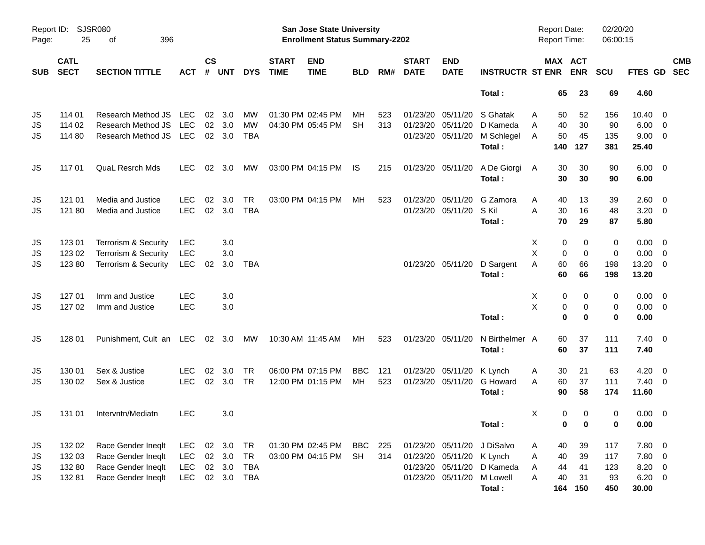|                     |                            |                         |            |                |                |            |                             | <b>Preliminary Census</b>                                          |            |     |                             |                           |                         |   |          |                                            |                      |                 |            |
|---------------------|----------------------------|-------------------------|------------|----------------|----------------|------------|-----------------------------|--------------------------------------------------------------------|------------|-----|-----------------------------|---------------------------|-------------------------|---|----------|--------------------------------------------|----------------------|-----------------|------------|
| Report ID:<br>Page: | 25                         | SJSR080<br>396<br>οf    |            |                |                |            |                             | San Jose State University<br><b>Enrollment Status Summary-2202</b> |            |     |                             |                           |                         |   |          | <b>Report Date:</b><br><b>Report Time:</b> | 02/20/20<br>06:00:15 |                 |            |
| <b>SUB</b>          | <b>CATL</b><br><b>SECT</b> | <b>SECTION TITTLE</b>   | ACT        | <b>CS</b><br># | <b>UNT</b>     | <b>DYS</b> | <b>START</b><br><b>TIME</b> | <b>END</b><br><b>TIME</b>                                          | <b>BLD</b> | RM# | <b>START</b><br><b>DATE</b> | <b>END</b><br><b>DATE</b> | <b>INSTRUCTR ST ENR</b> |   |          | <b>MAX ACT</b><br><b>ENR</b>               | <b>SCU</b>           | FTES GD SEC     | <b>CMB</b> |
|                     |                            |                         |            |                |                |            |                             |                                                                    |            |     |                             |                           | Total:                  |   | 65       | 23                                         | 69                   | 4.60            |            |
| JS                  | 114 01                     | Research Method JS      | <b>LEC</b> |                | $02 \quad 3.0$ | MW         |                             | 01:30 PM 02:45 PM                                                  | MН         | 523 | 01/23/20                    | 05/11/20                  | S Ghatak                | A | 50       | 52                                         | 156                  | $10.40 \quad 0$ |            |
| JS                  | 114 02                     | Research Method JS      | <b>LEC</b> | 02             | 3.0            | <b>MW</b>  |                             | 04:30 PM 05:45 PM                                                  | <b>SH</b>  | 313 | 01/23/20                    | 05/11/20                  | D Kameda                | A | 40       | 30                                         | 90                   | $6.00 \quad 0$  |            |
| JS                  | 114 80                     | Research Method JS      | LEC        |                | 02 3.0         | <b>TBA</b> |                             |                                                                    |            |     |                             | 01/23/20 05/11/20         | M Schlegel              | A | 50       | 45                                         | 135                  | $9.00 \t 0$     |            |
|                     |                            |                         |            |                |                |            |                             |                                                                    |            |     |                             |                           | Total:                  |   | 140      | 127                                        | 381                  | 25.40           |            |
| JS                  | 117 01                     | <b>QuaL Resrch Mds</b>  | <b>LEC</b> | 02             | 3.0            | MW         |                             | 03:00 PM 04:15 PM                                                  | IS         | 215 |                             | 01/23/20 05/11/20         | A De Giorgi             | A | 30       | 30                                         | 90                   | $6.00 \quad 0$  |            |
|                     |                            |                         |            |                |                |            |                             |                                                                    |            |     |                             |                           | Total:                  |   | 30       | 30                                         | 90                   | 6.00            |            |
| JS                  | 121 01                     | Media and Justice       | LEC.       | 02             | 3.0            | TR         |                             | 03:00 PM 04:15 PM                                                  | MН         | 523 |                             | 01/23/20 05/11/20         | G Zamora                | A | 40       | 13                                         | 39                   | $2.60 \t 0$     |            |
| JS                  | 121 80                     | Media and Justice       | <b>LEC</b> | 02             | 3.0            | <b>TBA</b> |                             |                                                                    |            |     |                             | 01/23/20 05/11/20         | S Kil                   | A | 30       | 16                                         | 48                   | $3.20 \ 0$      |            |
|                     |                            |                         |            |                |                |            |                             |                                                                    |            |     |                             |                           | Total:                  |   | 70       | 29                                         | 87                   | 5.80            |            |
| JS                  | 123 01                     | Terrorism & Security    | <b>LEC</b> |                | 3.0            |            |                             |                                                                    |            |     |                             |                           |                         | Х | 0        | 0                                          | 0                    | $0.00 \t 0$     |            |
| JS                  | 123 02                     | Terrorism & Security    | <b>LEC</b> |                | 3.0            |            |                             |                                                                    |            |     |                             |                           |                         | X | 0        | $\mathbf 0$                                | $\mathbf 0$          | $0.00 \t 0$     |            |
| JS                  | 123 80                     | Terrorism & Security    | <b>LEC</b> | 02             | 3.0            | TBA        |                             |                                                                    |            |     |                             | 01/23/20 05/11/20         | D Sargent               | A | 60       | 66                                         | 198                  | 13.20 0         |            |
|                     |                            |                         |            |                |                |            |                             |                                                                    |            |     |                             |                           | Total:                  |   | 60       | 66                                         | 198                  | 13.20           |            |
| JS                  | 127 01                     | Imm and Justice         | <b>LEC</b> |                | 3.0            |            |                             |                                                                    |            |     |                             |                           |                         | Х | 0        | 0                                          | 0                    | $0.00 \t 0$     |            |
| JS                  | 127 02                     | Imm and Justice         | <b>LEC</b> |                | 3.0            |            |                             |                                                                    |            |     |                             |                           |                         | X | 0        | $\mathbf 0$                                | 0                    | $0.00 \t 0$     |            |
|                     |                            |                         |            |                |                |            |                             |                                                                    |            |     |                             |                           | Total:                  |   | $\bf{0}$ | $\bf{0}$                                   | 0                    | 0.00            |            |
| JS                  | 128 01                     | Punishment, Cult an LEC |            |                | $02 \quad 3.0$ | МW         |                             | 10:30 AM 11:45 AM                                                  | МH         | 523 | 01/23/20 05/11/20           |                           | N Birthelmer A          |   | 60       | 37                                         | 111                  | $7.40 \quad 0$  |            |
|                     |                            |                         |            |                |                |            |                             |                                                                    |            |     |                             |                           | Total:                  |   | 60       | 37                                         | 111                  | 7.40            |            |
| JS                  | 130 01                     | Sex & Justice           | <b>LEC</b> | 02             | 3.0            | TR         |                             | 06:00 PM 07:15 PM                                                  | <b>BBC</b> | 121 |                             | 01/23/20 05/11/20         | K Lynch                 | A | 30       | 21                                         | 63                   | $4.20 \ 0$      |            |
| JS                  | 130 02                     | Sex & Justice           | <b>LEC</b> | 02             | 3.0            | <b>TR</b>  |                             | 12:00 PM 01:15 PM                                                  | MH         | 523 |                             | 01/23/20 05/11/20         | G Howard                | A | 60       | 37                                         | 111                  | $7.40 \quad 0$  |            |
|                     |                            |                         |            |                |                |            |                             |                                                                    |            |     |                             |                           | Total:                  |   | 90       | 58                                         | 174                  | 11.60           |            |
| JS                  | 131 01                     | Intervntn/Mediatn       | <b>LEC</b> |                | 3.0            |            |                             |                                                                    |            |     |                             |                           |                         | х | 0        | 0                                          | 0                    | $0.00 \t 0$     |            |
|                     |                            |                         |            |                |                |            |                             |                                                                    |            |     |                             |                           | Total:                  |   | 0        | 0                                          | 0                    | 0.00            |            |
| JS                  | 132 02                     | Race Gender Ineqlt      | LEC        |                | 02 3.0         | TR         |                             | 01:30 PM 02:45 PM                                                  | BBC        | 225 |                             | 01/23/20 05/11/20         | J DiSalvo               | A | 40       | 39                                         | 117                  | 7.80 0          |            |
| JS                  | 132 03                     | Race Gender Ineqlt      | <b>LEC</b> |                | 02 3.0         | TR         |                             | 03:00 PM 04:15 PM                                                  | <b>SH</b>  | 314 |                             | 01/23/20 05/11/20         | K Lynch                 | Α | 40       | 39                                         | 117                  | 7.80 0          |            |
| JS                  | 132 80                     | Race Gender Ineqlt      | <b>LEC</b> |                | 02 3.0         | TBA        |                             |                                                                    |            |     |                             | 01/23/20 05/11/20         | D Kameda                | A | 44       | 41                                         | 123                  | 8.20 0          |            |
| JS                  | 132 81                     | Race Gender Ineqlt      | LEC        |                |                | 02 3.0 TBA |                             |                                                                    |            |     |                             | 01/23/20 05/11/20         | M Lowell                | Α | 40       | 31                                         | 93                   | $6.20 \ 0$      |            |
|                     |                            |                         |            |                |                |            |                             |                                                                    |            |     |                             |                           | Total:                  |   | 164      | 150                                        | 450                  | 30.00           |            |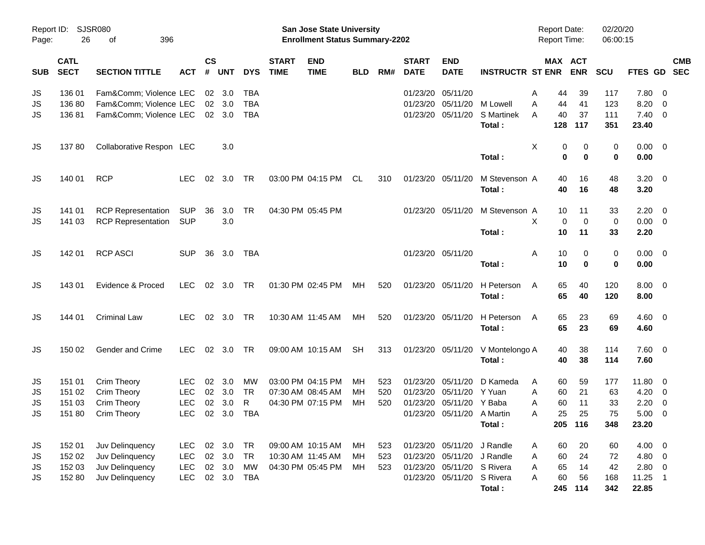|            |                            |                           |            |                |            |            |                             | <b>Preliminary Census</b>                                                 |            |     |                             |                            |                             |                                     |             |                      |                |                          |                          |
|------------|----------------------------|---------------------------|------------|----------------|------------|------------|-----------------------------|---------------------------------------------------------------------------|------------|-----|-----------------------------|----------------------------|-----------------------------|-------------------------------------|-------------|----------------------|----------------|--------------------------|--------------------------|
| Page:      | Report ID: SJSR080<br>26   | 396<br>of                 |            |                |            |            |                             | <b>San Jose State University</b><br><b>Enrollment Status Summary-2202</b> |            |     |                             |                            |                             | <b>Report Date:</b><br>Report Time: |             | 02/20/20<br>06:00:15 |                |                          |                          |
| <b>SUB</b> | <b>CATL</b><br><b>SECT</b> | <b>SECTION TITTLE</b>     | <b>ACT</b> | <b>CS</b><br># | <b>UNT</b> | <b>DYS</b> | <b>START</b><br><b>TIME</b> | <b>END</b><br><b>TIME</b>                                                 | <b>BLD</b> | RM# | <b>START</b><br><b>DATE</b> | <b>END</b><br><b>DATE</b>  | <b>INSTRUCTR ST ENR</b>     | MAX ACT                             | <b>ENR</b>  | <b>SCU</b>           | FTES GD        |                          | <b>CMB</b><br><b>SEC</b> |
| JS         | 136 01                     | Fam&Comm Violence LEC     |            | 02             | 3.0        | TBA        |                             |                                                                           |            |     | 01/23/20                    | 05/11/20                   |                             | A<br>44                             | 39          | 117                  | 7.80           | $\overline{\mathbf{0}}$  |                          |
| <b>JS</b>  | 136 80                     | Fam&Comm Violence LEC     |            | 02             | 3.0        | <b>TBA</b> |                             |                                                                           |            |     | 01/23/20                    | 05/11/20                   | M Lowell                    | A<br>44                             | 41          | 123                  | 8.20           | $\overline{0}$           |                          |
| JS         | 13681                      | Fam&Comm Violence LEC     |            |                | 02 3.0     | <b>TBA</b> |                             |                                                                           |            |     | 01/23/20                    | 05/11/20                   | <b>S</b> Martinek<br>Total: | 40<br>A<br>128                      | 37<br>117   | 111<br>351           | 7.40<br>23.40  | $\overline{\mathbf{0}}$  |                          |
|            |                            |                           |            |                |            |            |                             |                                                                           |            |     |                             |                            |                             |                                     |             |                      |                |                          |                          |
| JS         | 13780                      | Collaborative Respon LEC  |            |                | 3.0        |            |                             |                                                                           |            |     |                             |                            |                             | X<br>0                              | 0           | 0                    | $0.00 \quad 0$ |                          |                          |
|            |                            |                           |            |                |            |            |                             |                                                                           |            |     |                             |                            | Total:                      | $\mathbf 0$                         | $\bf{0}$    | $\bf{0}$             | 0.00           |                          |                          |
| JS         | 140 01                     | <b>RCP</b>                | <b>LEC</b> | 02             | 3.0        | <b>TR</b>  |                             | 03:00 PM 04:15 PM                                                         | CL         | 310 | 01/23/20 05/11/20           |                            | M Stevenson A               | 40                                  | 16          | 48                   | $3.20 \ 0$     |                          |                          |
|            |                            |                           |            |                |            |            |                             |                                                                           |            |     |                             |                            | Total:                      | 40                                  | 16          | 48                   | 3.20           |                          |                          |
| JS         | 141 01                     | <b>RCP Representation</b> | <b>SUP</b> | 36             | 3.0        | <b>TR</b>  |                             | 04:30 PM 05:45 PM                                                         |            |     |                             | 01/23/20 05/11/20          | M Stevenson A               | 10                                  | 11          | 33                   | 2.20           | $\overline{\phantom{0}}$ |                          |
| JS         | 141 03                     | <b>RCP Representation</b> | <b>SUP</b> |                | 3.0        |            |                             |                                                                           |            |     |                             |                            |                             | X<br>$\mathbf 0$                    | $\mathbf 0$ | $\mathbf 0$          | 0.00           | $\overline{\phantom{0}}$ |                          |
|            |                            |                           |            |                |            |            |                             |                                                                           |            |     |                             |                            | Total:                      | 10                                  | 11          | 33                   | 2.20           |                          |                          |
| JS         | 142 01                     | <b>RCP ASCI</b>           | <b>SUP</b> | 36             | 3.0        | <b>TBA</b> |                             |                                                                           |            |     |                             | 01/23/20 05/11/20          |                             | 10<br>Α                             | 0           | 0                    | $0.00 \t 0$    |                          |                          |
|            |                            |                           |            |                |            |            |                             |                                                                           |            |     |                             |                            | Total:                      | 10                                  | $\bf{0}$    | $\bf{0}$             | 0.00           |                          |                          |
| JS         | 143 01                     | Evidence & Proced         | <b>LEC</b> | 02             | 3.0        | <b>TR</b>  |                             | 01:30 PM 02:45 PM                                                         | MН         | 520 |                             | 01/23/20 05/11/20          | H Peterson                  | 65<br>A                             | 40          | 120                  | 8.00           | $\overline{\phantom{0}}$ |                          |
|            |                            |                           |            |                |            |            |                             |                                                                           |            |     |                             |                            | Total:                      | 65                                  | 40          | 120                  | 8.00           |                          |                          |
| JS         | 144 01                     | Criminal Law              | <b>LEC</b> | 02             | 3.0        | <b>TR</b>  |                             | 10:30 AM 11:45 AM                                                         | MН         | 520 |                             | 01/23/20 05/11/20          | H Peterson                  | 65<br>A                             | 23          | 69                   | $4.60$ 0       |                          |                          |
|            |                            |                           |            |                |            |            |                             |                                                                           |            |     |                             |                            | Total:                      | 65                                  | 23          | 69                   | 4.60           |                          |                          |
| JS         | 150 02                     | <b>Gender and Crime</b>   | <b>LEC</b> | 02             | 3.0        | <b>TR</b>  |                             | 09:00 AM 10:15 AM                                                         | <b>SH</b>  | 313 |                             | 01/23/20 05/11/20          | V Montelongo A              | 40                                  | 38          | 114                  | 7.60 0         |                          |                          |
|            |                            |                           |            |                |            |            |                             |                                                                           |            |     |                             |                            | Total:                      | 40                                  | 38          | 114                  | 7.60           |                          |                          |
| JS         | 151 01                     | Crim Theory               | <b>LEC</b> | 02             | 3.0        | MW         |                             | 03:00 PM 04:15 PM                                                         | MН         | 523 | 01/23/20                    | 05/11/20                   | D Kameda                    | 60<br>A                             | 59          | 177                  | 11.80          | $\overline{\phantom{0}}$ |                          |
| JS         | 151 02                     | Crim Theory               | <b>LEC</b> | 02             | 3.0        | <b>TR</b>  |                             | 07:30 AM 08:45 AM                                                         | MН         | 520 | 01/23/20                    | 05/11/20                   | Y Yuan                      | 60<br>Α                             | 21          | 63                   | 4.20           | $\overline{\mathbf{0}}$  |                          |
| JS         | 151 03                     | Crim Theory               | <b>LEC</b> | 02             | 3.0        | R          |                             | 04:30 PM 07:15 PM                                                         | MH         | 520 |                             | 01/23/20 05/11/20          | Y Baba                      | 60<br>Α                             | 11          | 33                   | 2.20           | $\overline{\mathbf{0}}$  |                          |
| JS         | 151 80                     | <b>Crim Theory</b>        | <b>LEC</b> |                | 02 3.0 TBA |            |                             |                                                                           |            |     |                             | 01/23/20 05/11/20 A Martin |                             | 25<br>Α                             | 25          | 75                   | $5.00 \t 0$    |                          |                          |
|            |                            |                           |            |                |            |            |                             |                                                                           |            |     |                             |                            | Total:                      |                                     | 205 116     | 348                  | 23.20          |                          |                          |
| JS         | 152 01                     | Juv Delinquency           | <b>LEC</b> | 02             | 3.0        | TR         |                             | 09:00 AM 10:15 AM                                                         | МH         | 523 |                             | 01/23/20 05/11/20          | J Randle                    | 60<br>A                             | 20          | 60                   | $4.00 \ 0$     |                          |                          |
| JS         | 152 02                     | Juv Delinquency           | <b>LEC</b> |                | 02 3.0     | TR         |                             | 10:30 AM 11:45 AM                                                         | МH         | 523 |                             | 01/23/20 05/11/20          | J Randle                    | 60<br>Α                             | 24          | 72                   | 4.80 0         |                          |                          |
| JS         | 152 03                     | Juv Delinquency           | <b>LEC</b> |                | 02 3.0     | MW         |                             | 04:30 PM 05:45 PM                                                         | MH.        | 523 |                             | 01/23/20 05/11/20 S Rivera |                             | 65<br>A                             | 14          | 42                   | 2.80 0         |                          |                          |
| JS         | 152 80                     | Juv Delinquency           | <b>LEC</b> |                | 02 3.0     | TBA        |                             |                                                                           |            |     |                             | 01/23/20 05/11/20 S Rivera |                             | 60<br>A                             | 56          | 168                  | $11.25$ 1      |                          |                          |
|            |                            |                           |            |                |            |            |                             |                                                                           |            |     |                             |                            | Total:                      |                                     | 245 114     | 342                  | 22.85          |                          |                          |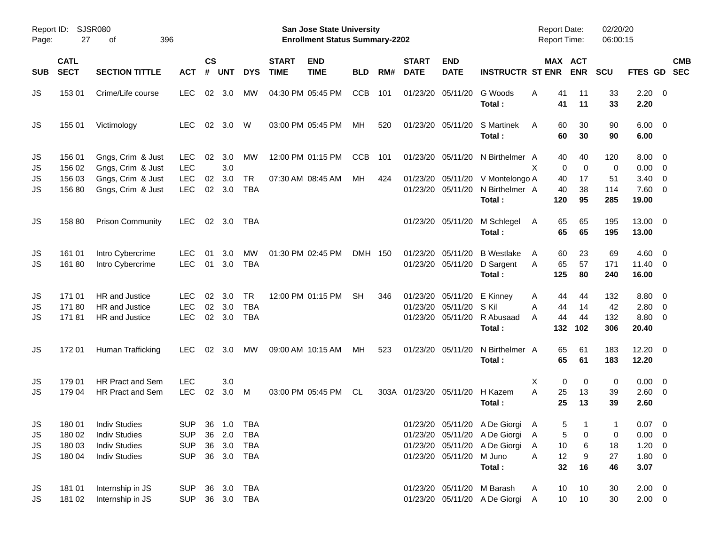| Report ID:<br>Page:  | 27                                  | <b>SJSR080</b><br>оf                                                                         | 396                                                  |                |                            |                                               |                             | San Jose State University<br><b>Enrollment Status Summary-2202</b> |            |     |                             |                                                             |                                                                                                           |                             | <b>Report Date:</b>   | <b>Report Time:</b>   | 02/20/20<br>06:00:15    |                                                  |            |
|----------------------|-------------------------------------|----------------------------------------------------------------------------------------------|------------------------------------------------------|----------------|----------------------------|-----------------------------------------------|-----------------------------|--------------------------------------------------------------------|------------|-----|-----------------------------|-------------------------------------------------------------|-----------------------------------------------------------------------------------------------------------|-----------------------------|-----------------------|-----------------------|-------------------------|--------------------------------------------------|------------|
| <b>SUB</b>           | <b>CATL</b><br><b>SECT</b>          | <b>SECTION TITTLE</b>                                                                        | <b>ACT</b>                                           | $\mathsf{cs}$  | # UNT                      | <b>DYS</b>                                    | <b>START</b><br><b>TIME</b> | <b>END</b><br><b>TIME</b>                                          | <b>BLD</b> | RM# | <b>START</b><br><b>DATE</b> | <b>END</b><br><b>DATE</b>                                   | <b>INSTRUCTR ST ENR ENR</b>                                                                               |                             |                       | MAX ACT               | SCU                     | FTES GD SEC                                      | <b>CMB</b> |
| JS                   | 153 01                              | Crime/Life course                                                                            | <b>LEC</b>                                           | 02             | 3.0                        | MW                                            |                             | 04:30 PM 05:45 PM                                                  | <b>CCB</b> | 101 |                             | 01/23/20 05/11/20                                           | G Woods<br>Total:                                                                                         | A                           | 41<br>41              | 11<br>11              | 33<br>33                | $2.20 \t 0$<br>2.20                              |            |
| <b>JS</b>            | 155 01                              | Victimology                                                                                  | <b>LEC</b>                                           | 02             | 3.0                        | W                                             |                             | 03:00 PM 05:45 PM                                                  | МH         | 520 |                             | 01/23/20 05/11/20                                           | S Martinek<br>Total:                                                                                      | A                           | 60<br>60              | 30<br>30              | 90<br>90                | $6.00 \quad 0$<br>6.00                           |            |
| JS<br>JS             | 156 01<br>156 02                    | Gngs, Crim & Just<br>Gngs, Crim & Just                                                       | <b>LEC</b><br><b>LEC</b>                             | 02             | 3.0<br>3.0                 | MW                                            |                             | 12:00 PM 01:15 PM                                                  | <b>CCB</b> | 101 |                             | 01/23/20 05/11/20                                           | N Birthelmer A                                                                                            | X                           | 40<br>$\Omega$        | 40<br>$\mathbf 0$     | 120<br>0                | $8.00 \t 0$<br>$0.00 \t 0$                       |            |
| JS<br>JS             | 156 03<br>156 80                    | Gngs, Crim & Just<br>Gngs, Crim & Just                                                       | <b>LEC</b><br><b>LEC</b>                             | 02<br>02       | 3.0<br>3.0                 | <b>TR</b><br><b>TBA</b>                       |                             | 07:30 AM 08:45 AM                                                  | МH         | 424 |                             | 01/23/20 05/11/20<br>01/23/20 05/11/20                      | V Montelongo A<br>N Birthelmer A<br>Total:                                                                |                             | 40<br>40<br>120       | 17<br>38<br>95        | 51<br>114<br>285        | $3.40 \ 0$<br>7.60 0<br>19.00                    |            |
| JS                   | 158 80                              | <b>Prison Community</b>                                                                      | LEC.                                                 | 02             | 3.0                        | TBA                                           |                             |                                                                    |            |     |                             | 01/23/20 05/11/20                                           | M Schlegel<br>Total:                                                                                      | A                           | 65<br>65              | 65<br>65              | 195<br>195              | 13.00 0<br>13.00                                 |            |
| JS<br><b>JS</b>      | 161 01<br>16180                     | Intro Cybercrime<br>Intro Cybercrime                                                         | <b>LEC</b><br><b>LEC</b>                             | 01<br>01       | 3.0<br>3.0                 | <b>MW</b><br>TBA                              |                             | 01:30 PM 02:45 PM                                                  | DMH 150    |     |                             | 01/23/20 05/11/20<br>01/23/20 05/11/20                      | <b>B</b> Westlake<br>D Sargent<br>Total:                                                                  | A<br>A                      | 60<br>65<br>125       | 23<br>57<br>80        | 69<br>171<br>240        | $4.60 \ 0$<br>$11.40 \t 0$<br>16.00              |            |
| JS<br>JS<br>JS       | 171 01<br>17180<br>17181            | HR and Justice<br>HR and Justice<br>HR and Justice                                           | LEC<br><b>LEC</b><br><b>LEC</b>                      | 02<br>02<br>02 | 3.0<br>3.0<br>3.0          | <b>TR</b><br><b>TBA</b><br>TBA                |                             | 12:00 PM 01:15 PM                                                  | <b>SH</b>  | 346 |                             | 01/23/20 05/11/20<br>01/23/20 05/11/20<br>01/23/20 05/11/20 | E Kinney<br>S Kil<br>R Abusaad<br>Total:                                                                  | A<br>A<br>A                 | 44<br>44<br>44<br>132 | 44<br>14<br>44<br>102 | 132<br>42<br>132<br>306 | $8.80\ 0$<br>2.80 0<br>8.80 0<br>20.40           |            |
| JS                   | 172 01                              | Human Trafficking                                                                            | <b>LEC</b>                                           | 02             | 3.0                        | МW                                            |                             | 09:00 AM 10:15 AM                                                  | МH         | 523 |                             | 01/23/20 05/11/20                                           | N Birthelmer A<br>Total:                                                                                  |                             | 65<br>65              | 61<br>61              | 183<br>183              | $12.20 \t 0$<br>12.20                            |            |
| JS<br><b>JS</b>      | 179 01<br>179 04                    | <b>HR Pract and Sem</b><br><b>HR Pract and Sem</b>                                           | <b>LEC</b><br><b>LEC</b>                             | 02             | 3.0<br>3.0                 | M                                             |                             | 03:00 PM 05:45 PM                                                  | CL         |     | 303A 01/23/20 05/11/20      |                                                             | H Kazem<br>Total:                                                                                         | Χ<br>A                      | 0<br>25<br>25         | 0<br>13<br>13         | 0<br>39<br>39           | $0.00 \t 0$<br>2.60 0<br>2.60                    |            |
| JS<br>JS<br>JS<br>JS | 18001<br>180 02<br>180 03<br>180 04 | <b>Indiv Studies</b><br><b>Indiv Studies</b><br><b>Indiv Studies</b><br><b>Indiv Studies</b> | <b>SUP</b><br><b>SUP</b><br><b>SUP</b><br><b>SUP</b> |                | 36 1.0<br>36 2.0<br>36 3.0 | <b>TBA</b><br>TBA<br><b>TBA</b><br>36 3.0 TBA |                             |                                                                    |            |     |                             | 01/23/20 05/11/20                                           | 01/23/20 05/11/20 A De Giorgi<br>01/23/20 05/11/20 A De Giorgi<br>01/23/20 05/11/20 A De Giorgi<br>M Juno | $\mathsf{A}$<br>A<br>A<br>Α | 5<br>5<br>10<br>12    | 0<br>6<br>9           | 1<br>0<br>18<br>27      | $0.07$ 0<br>$0.00 \t 0$<br>$1.20 \t 0$<br>1.80 0 |            |
|                      |                                     |                                                                                              |                                                      |                |                            |                                               |                             |                                                                    |            |     |                             |                                                             | Total:                                                                                                    |                             | 32                    | 16                    | 46                      | 3.07                                             |            |
| JS<br>JS             | 181 01<br>181 02                    | Internship in JS<br>Internship in JS                                                         | <b>SUP</b><br><b>SUP</b>                             |                |                            | 36 3.0 TBA<br>36 3.0 TBA                      |                             |                                                                    |            |     |                             |                                                             | 01/23/20 05/11/20 M Barash<br>01/23/20 05/11/20 A De Giorgi                                               | A<br>A                      | 10<br>10              | 10<br>10              | 30<br>30                | $2.00 \t 0$<br>$2.00 \t 0$                       |            |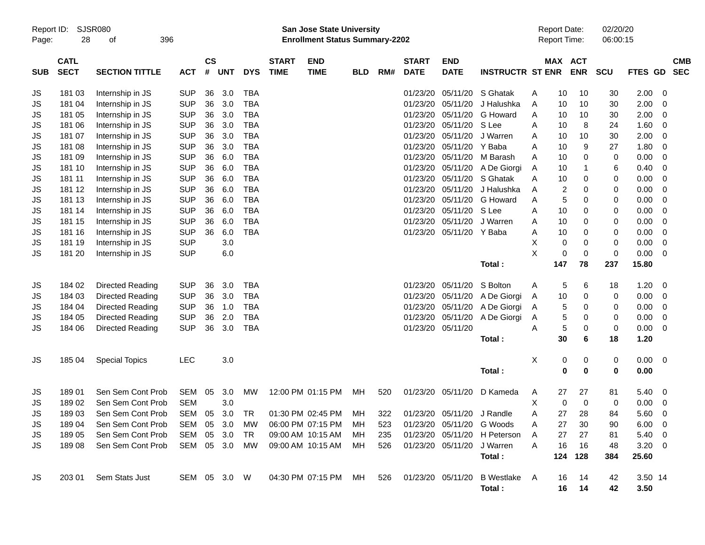|                     |                            |                             |               |                |            |            |                             |                                                                           | <b>Preliminary Census</b> |     |                             |                            |                              |   |     |                                            |                      |                |                          |                          |
|---------------------|----------------------------|-----------------------------|---------------|----------------|------------|------------|-----------------------------|---------------------------------------------------------------------------|---------------------------|-----|-----------------------------|----------------------------|------------------------------|---|-----|--------------------------------------------|----------------------|----------------|--------------------------|--------------------------|
| Report ID:<br>Page: | 28                         | <b>SJSR080</b><br>396<br>οf |               |                |            |            |                             | <b>San Jose State University</b><br><b>Enrollment Status Summary-2202</b> |                           |     |                             |                            |                              |   |     | <b>Report Date:</b><br><b>Report Time:</b> | 02/20/20<br>06:00:15 |                |                          |                          |
| <b>SUB</b>          | <b>CATL</b><br><b>SECT</b> | <b>SECTION TITTLE</b>       | <b>ACT</b>    | <b>CS</b><br># | <b>UNT</b> | <b>DYS</b> | <b>START</b><br><b>TIME</b> | <b>END</b><br><b>TIME</b>                                                 | <b>BLD</b>                | RM# | <b>START</b><br><b>DATE</b> | <b>END</b><br><b>DATE</b>  | <b>INSTRUCTR ST ENR</b>      |   |     | MAX ACT<br><b>ENR</b>                      | <b>SCU</b>           | <b>FTES GD</b> |                          | <b>CMB</b><br><b>SEC</b> |
| JS                  | 181 03                     | Internship in JS            | <b>SUP</b>    | 36             | 3.0        | <b>TBA</b> |                             |                                                                           |                           |     | 01/23/20                    | 05/11/20                   | S Ghatak                     | Α | 10  | 10                                         | 30                   | 2.00           | $\overline{\phantom{0}}$ |                          |
| JS                  | 181 04                     | Internship in JS            | <b>SUP</b>    | 36             | 3.0        | <b>TBA</b> |                             |                                                                           |                           |     | 01/23/20                    | 05/11/20                   | J Halushka                   | A | 10  | 10                                         | 30                   | 2.00           | - 0                      |                          |
| JS                  | 181 05                     | Internship in JS            | <b>SUP</b>    | 36             | 3.0        | <b>TBA</b> |                             |                                                                           |                           |     | 01/23/20                    | 05/11/20                   | G Howard                     | A | 10  | 10                                         | 30                   | 2.00           | $\overline{\mathbf{0}}$  |                          |
| JS                  | 181 06                     | Internship in JS            | <b>SUP</b>    | 36             | 3.0        | <b>TBA</b> |                             |                                                                           |                           |     | 01/23/20                    | 05/11/20                   | S Lee                        | Α | 10  | 8                                          | 24                   | 1.60           | $\overline{\mathbf{0}}$  |                          |
| JS                  | 181 07                     | Internship in JS            | <b>SUP</b>    | 36             | 3.0        | <b>TBA</b> |                             |                                                                           |                           |     | 01/23/20                    | 05/11/20                   | J Warren                     | Α | 10  | 10                                         | 30                   | 2.00           | 0                        |                          |
| JS                  | 181 08                     | Internship in JS            | <b>SUP</b>    | 36             | 3.0        | <b>TBA</b> |                             |                                                                           |                           |     | 01/23/20                    | 05/11/20                   | Y Baba                       | Α | 10  | 9                                          | 27                   | 1.80           | $\overline{\mathbf{0}}$  |                          |
| JS                  | 181 09                     | Internship in JS            | <b>SUP</b>    | 36             | 6.0        | <b>TBA</b> |                             |                                                                           |                           |     | 01/23/20                    | 05/11/20                   | M Barash                     | A | 10  | 0                                          | 0                    | 0.00           | 0                        |                          |
| JS                  | 181 10                     | Internship in JS            | <b>SUP</b>    | 36             | 6.0        | <b>TBA</b> |                             |                                                                           |                           |     | 01/23/20                    | 05/11/20                   | A De Giorgi                  | Α | 10  | 1                                          | 6                    | 0.40           | 0                        |                          |
| JS                  | 181 11                     | Internship in JS            | <b>SUP</b>    | 36             | 6.0        | <b>TBA</b> |                             |                                                                           |                           |     | 01/23/20                    | 05/11/20                   | S Ghatak                     | A | 10  | 0                                          | 0                    | 0.00           | $\overline{\mathbf{0}}$  |                          |
| JS                  | 181 12                     | Internship in JS            | <b>SUP</b>    | 36             | 6.0        | <b>TBA</b> |                             |                                                                           |                           |     | 01/23/20                    | 05/11/20                   | J Halushka                   | Α | 2   | 0                                          | 0                    | 0.00           | $\overline{\mathbf{0}}$  |                          |
| JS                  | 181 13                     | Internship in JS            | <b>SUP</b>    | 36             | 6.0        | <b>TBA</b> |                             |                                                                           |                           |     | 01/23/20                    | 05/11/20                   | G Howard                     | A | 5   | 0                                          | 0                    | 0.00           | $\overline{\mathbf{0}}$  |                          |
| JS                  | 181 14                     | Internship in JS            | <b>SUP</b>    | 36             | 6.0        | <b>TBA</b> |                             |                                                                           |                           |     | 01/23/20                    | 05/11/20                   | S Lee                        | Α | 10  | 0                                          | 0                    | 0.00           | $\overline{\mathbf{0}}$  |                          |
| JS                  | 181 15                     | Internship in JS            | <b>SUP</b>    | 36             | 6.0        | <b>TBA</b> |                             |                                                                           |                           |     | 01/23/20                    | 05/11/20                   | J Warren                     | Α | 10  | 0                                          | 0                    | 0.00           | $\overline{\mathbf{0}}$  |                          |
| JS                  | 181 16                     | Internship in JS            | <b>SUP</b>    | 36             | 6.0        | <b>TBA</b> |                             |                                                                           |                           |     |                             | 01/23/20 05/11/20 Y Baba   |                              | Α | 10  | 0                                          | 0                    | 0.00           | $\overline{\mathbf{0}}$  |                          |
| JS                  | 181 19                     | Internship in JS            | <b>SUP</b>    |                | 3.0        |            |                             |                                                                           |                           |     |                             |                            |                              | Χ | 0   | 0                                          | 0                    | 0.00           | $\overline{\mathbf{0}}$  |                          |
| JS                  | 181 20                     | Internship in JS            | <b>SUP</b>    |                | 6.0        |            |                             |                                                                           |                           |     |                             |                            |                              | X | 0   | 0                                          | 0                    | 0.00           | $\overline{\phantom{0}}$ |                          |
|                     |                            |                             |               |                |            |            |                             |                                                                           |                           |     |                             |                            | Total:                       |   | 147 | 78                                         | 237                  | 15.80          |                          |                          |
| JS                  | 184 02                     | Directed Reading            | <b>SUP</b>    | 36             | 3.0        | <b>TBA</b> |                             |                                                                           |                           |     | 01/23/20                    | 05/11/20                   | S Bolton                     | Α | 5   | 6                                          | 18                   | 1.20           | $\overline{\phantom{0}}$ |                          |
| JS                  | 184 03                     | Directed Reading            | <b>SUP</b>    | 36             | 3.0        | <b>TBA</b> |                             |                                                                           |                           |     | 01/23/20                    | 05/11/20                   | A De Giorgi                  | Α | 10  | 0                                          | 0                    | 0.00           | $\overline{\mathbf{0}}$  |                          |
| JS                  | 184 04                     | Directed Reading            | <b>SUP</b>    | 36             | 1.0        | <b>TBA</b> |                             |                                                                           |                           |     | 01/23/20                    | 05/11/20                   | A De Giorgi                  | A | 5   | 0                                          | 0                    | 0.00           | $\overline{\mathbf{0}}$  |                          |
| JS                  | 184 05                     | Directed Reading            | <b>SUP</b>    | 36             | 2.0        | <b>TBA</b> |                             |                                                                           |                           |     | 01/23/20                    | 05/11/20                   | A De Giorgi                  | A | 5   | 0                                          | 0                    | 0.00           | $\overline{\mathbf{0}}$  |                          |
| JS                  | 184 06                     | Directed Reading            | <b>SUP</b>    | 36             | 3.0        | <b>TBA</b> |                             |                                                                           |                           |     |                             | 01/23/20 05/11/20          |                              | Α | 5   | 0                                          | 0                    | 0.00           | $\overline{\phantom{0}}$ |                          |
|                     |                            |                             |               |                |            |            |                             |                                                                           |                           |     |                             |                            | Total:                       |   | 30  | 6                                          | 18                   | 1.20           |                          |                          |
| JS                  | 185 04                     | <b>Special Topics</b>       | <b>LEC</b>    |                | 3.0        |            |                             |                                                                           |                           |     |                             |                            |                              | X | 0   | 0                                          | 0                    | $0.00 \t 0$    |                          |                          |
|                     |                            |                             |               |                |            |            |                             |                                                                           |                           |     |                             |                            | Total:                       |   | 0   | 0                                          | 0                    | 0.00           |                          |                          |
| JS                  | 18901                      | Sen Sem Cont Prob           | SEM           | 05             | 3.0        | МW         |                             | 12:00 PM 01:15 PM                                                         | МH                        | 520 |                             | 01/23/20 05/11/20          | D Kameda                     | A | 27  | 27                                         | 81                   | 5.40           | $\overline{\phantom{0}}$ |                          |
| JS                  | 18902                      | Sen Sem Cont Prob           | <b>SEM</b>    |                | 3.0        |            |                             |                                                                           |                           |     |                             |                            |                              | Χ | 0   | 0                                          | 0                    | 0.00           | $\overline{\phantom{0}}$ |                          |
| JS                  | 18903                      | Sen Sem Cont Prob           | SEM 05 3.0    |                |            | TR         |                             | 01:30 PM 02:45 PM                                                         | MН                        | 322 |                             | 01/23/20 05/11/20 J Randle |                              | Α | 27  | 28                                         | 84                   | $5.60 \t 0$    |                          |                          |
| JS                  | 18904                      | Sen Sem Cont Prob           | SEM           |                | 05 3.0     | МW         |                             | 06:00 PM 07:15 PM                                                         | MН                        | 523 |                             |                            | 01/23/20 05/11/20 G Woods    | Α | 27  | 30                                         | 90                   | $6.00 \quad 0$ |                          |                          |
| JS                  | 18905                      | Sen Sem Cont Prob           | SEM           |                | 05 3.0     | TR         |                             | 09:00 AM 10:15 AM                                                         | МH                        | 235 |                             |                            | 01/23/20 05/11/20 H Peterson | A | 27  | 27                                         | 81                   | $5.40\ 0$      |                          |                          |
| JS                  | 18908                      | Sen Sem Cont Prob           | SEM 05 3.0 MW |                |            |            |                             | 09:00 AM 10:15 AM                                                         | МH                        | 526 |                             | 01/23/20 05/11/20          | J Warren                     | A | 16  | 16                                         | 48                   | $3.20 \ 0$     |                          |                          |
|                     |                            |                             |               |                |            |            |                             |                                                                           |                           |     |                             |                            | Total:                       |   | 124 | 128                                        | 384                  | 25.60          |                          |                          |
| JS                  | 203 01                     | Sem Stats Just              | SEM 05 3.0 W  |                |            |            |                             | 04:30 PM 07:15 PM                                                         | MН                        | 526 |                             | 01/23/20 05/11/20          | B Westlake                   | A | 16  | 14                                         | 42                   | 3.50 14        |                          |                          |
|                     |                            |                             |               |                |            |            |                             |                                                                           |                           |     |                             |                            | Total:                       |   | 16  | 14                                         | 42                   | 3.50           |                          |                          |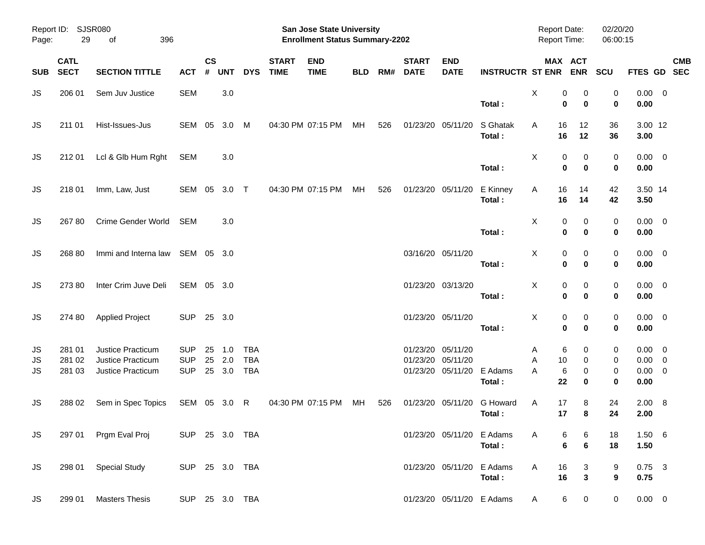|                |                                       |                                                             |                                        |                       |                      |                                        |                             | <b>Preliminary Census</b>                                          |            |     |                             |                                                    |                         |                                     |                   |                      |                                                   |            |
|----------------|---------------------------------------|-------------------------------------------------------------|----------------------------------------|-----------------------|----------------------|----------------------------------------|-----------------------------|--------------------------------------------------------------------|------------|-----|-----------------------------|----------------------------------------------------|-------------------------|-------------------------------------|-------------------|----------------------|---------------------------------------------------|------------|
| Page:          | Report ID: SJSR080<br>29<br>of<br>396 |                                                             |                                        |                       |                      |                                        |                             | San Jose State University<br><b>Enrollment Status Summary-2202</b> |            |     |                             |                                                    |                         | <b>Report Date:</b><br>Report Time: |                   | 02/20/20<br>06:00:15 |                                                   |            |
| <b>SUB</b>     | <b>CATL</b><br><b>SECT</b>            | <b>SECTION TITTLE</b>                                       | <b>ACT</b>                             | $\mathsf{cs}$<br>$\#$ | <b>UNT</b>           | <b>DYS</b>                             | <b>START</b><br><b>TIME</b> | <b>END</b><br><b>TIME</b>                                          | <b>BLD</b> | RM# | <b>START</b><br><b>DATE</b> | <b>END</b><br><b>DATE</b>                          | <b>INSTRUCTR ST ENR</b> | MAX ACT                             | <b>ENR</b>        | SCU                  | FTES GD SEC                                       | <b>CMB</b> |
| JS             | 206 01                                | Sem Juv Justice                                             | <b>SEM</b>                             |                       | 3.0                  |                                        |                             |                                                                    |            |     |                             |                                                    | Total:                  | Χ<br>0<br>0                         | 0<br>$\bf{0}$     | 0<br>0               | $0.00 \t 0$<br>0.00                               |            |
| JS             | 211 01                                | Hist-Issues-Jus                                             | SEM 05                                 |                       | 3.0                  | M                                      |                             | 04:30 PM 07:15 PM                                                  | MH         | 526 |                             | 01/23/20 05/11/20                                  | S Ghatak<br>Total:      | Α<br>16<br>16                       | 12<br>12          | 36<br>36             | 3.00 12<br>3.00                                   |            |
| JS             | 212 01                                | Lcl & Glb Hum Rght                                          | SEM                                    |                       | 3.0                  |                                        |                             |                                                                    |            |     |                             |                                                    | Total:                  | Χ<br>0<br>$\mathbf 0$               | 0<br>$\bf{0}$     | 0<br>0               | $0.00 \t 0$<br>0.00                               |            |
| JS             | 218 01                                | Imm, Law, Just                                              | SEM 05                                 |                       | $3.0$ T              |                                        |                             | 04:30 PM 07:15 PM                                                  | МH         | 526 |                             | 01/23/20 05/11/20                                  | E Kinney<br>Total:      | 16<br>Α<br>16                       | 14<br>14          | 42<br>42             | 3.50 14<br>3.50                                   |            |
| <b>JS</b>      | 26780                                 | Crime Gender World                                          | <b>SEM</b>                             |                       | 3.0                  |                                        |                             |                                                                    |            |     |                             |                                                    | Total:                  | х<br>0<br>$\bf{0}$                  | 0<br>$\bf{0}$     | 0<br>0               | $0.00 \t 0$<br>0.00                               |            |
| <b>JS</b>      | 268 80                                | Immi and Interna law SEM 05 3.0                             |                                        |                       |                      |                                        |                             |                                                                    |            |     |                             | 03/16/20 05/11/20                                  | Total:                  | X<br>0<br>$\mathbf 0$               | 0<br>$\bf{0}$     | 0<br>0               | $0.00 \t 0$<br>0.00                               |            |
| <b>JS</b>      | 273 80                                | Inter Crim Juve Deli                                        | SEM 05 3.0                             |                       |                      |                                        |                             |                                                                    |            |     |                             | 01/23/20 03/13/20                                  | Total:                  | X<br>0<br>$\mathbf 0$               | 0<br>$\bf{0}$     | 0<br>0               | $0.00 \t 0$<br>0.00                               |            |
| JS             | 274 80                                | <b>Applied Project</b>                                      | <b>SUP</b>                             |                       | 25 3.0               |                                        |                             |                                                                    |            |     |                             | 01/23/20 05/11/20                                  | Total:                  | X<br>0<br>$\mathbf 0$               | 0<br>$\bf{0}$     | 0<br>0               | $0.00 \t 0$<br>0.00                               |            |
| JS<br>JS<br>JS | 281 01<br>281 02<br>281 03            | Justice Practicum<br>Justice Practicum<br>Justice Practicum | <b>SUP</b><br><b>SUP</b><br><b>SUP</b> | 25<br>25              | 1.0<br>2.0<br>25 3.0 | <b>TBA</b><br><b>TBA</b><br><b>TBA</b> |                             |                                                                    |            |     | 01/23/20                    | 01/23/20 05/11/20<br>05/11/20<br>01/23/20 05/11/20 | E Adams<br>Total:       | 6<br>Α<br>Α<br>10<br>6<br>A<br>22   | 0<br>0<br>0<br>0  | 0<br>0<br>0<br>0     | $0.00 \t 0$<br>$0.00 \t 0$<br>$0.00 \t 0$<br>0.00 |            |
| JS             | 288 02                                | Sem in Spec Topics                                          | SEM 05 3.0 R                           |                       |                      |                                        |                             | 04:30 PM 07:15 PM                                                  | МH         | 526 |                             | 01/23/20 05/11/20                                  | G Howard<br>Total:      | 17<br>Α<br>17                       | 8<br>8            | 24<br>24             | 2.00 8<br>2.00                                    |            |
| <b>JS</b>      | 297 01                                | Prgm Eval Proj                                              | SUP 25 3.0 TBA                         |                       |                      |                                        |                             |                                                                    |            |     |                             | 01/23/20 05/11/20                                  | E Adams<br>Total:       | 6<br>Α<br>$\bf 6$                   | 6<br>$\bf 6$      | 18<br>18             | 1.50 6<br>1.50                                    |            |
| <b>JS</b>      | 298 01                                | <b>Special Study</b>                                        | SUP 25 3.0 TBA                         |                       |                      |                                        |                             |                                                                    |            |     |                             | 01/23/20 05/11/20                                  | E Adams<br>Total:       | 16<br>Α<br>16                       | 3<br>$\mathbf{3}$ | 9<br>9               | $0.75$ 3<br>0.75                                  |            |
| JS             | 299 01                                | <b>Masters Thesis</b>                                       | SUP 25 3.0 TBA                         |                       |                      |                                        |                             |                                                                    |            |     |                             | 01/23/20 05/11/20 E Adams                          |                         | 6<br>A                              | $\overline{0}$    | 0                    | $0.00 \t 0$                                       |            |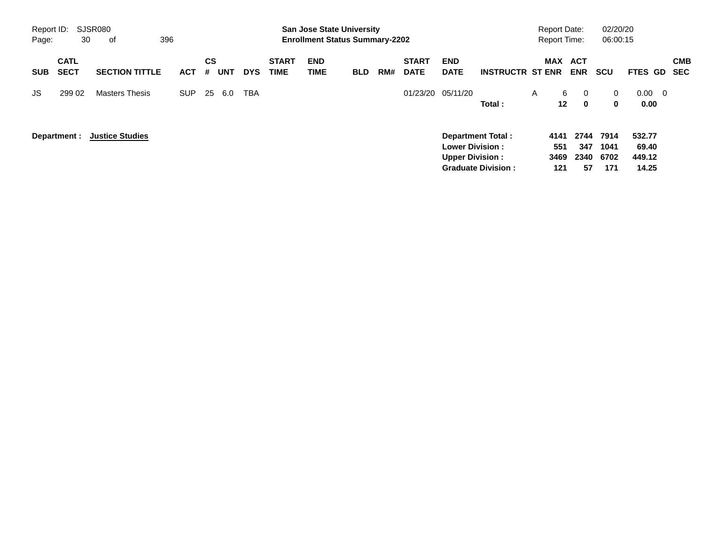|                     |                            |                        |            |         |            |            |                             | <b>Preliminary Census</b>                                                 |            |     |                             |                                                   |                                                       |                                            |                                                 |                             |                                          |                          |
|---------------------|----------------------------|------------------------|------------|---------|------------|------------|-----------------------------|---------------------------------------------------------------------------|------------|-----|-----------------------------|---------------------------------------------------|-------------------------------------------------------|--------------------------------------------|-------------------------------------------------|-----------------------------|------------------------------------------|--------------------------|
| Report ID:<br>Page: | 30                         | SJSR080<br>οf          | 396        |         |            |            |                             | <b>San Jose State University</b><br><b>Enrollment Status Summary-2202</b> |            |     |                             |                                                   |                                                       | <b>Report Date:</b><br><b>Report Time:</b> |                                                 | 02/20/20<br>06:00:15        |                                          |                          |
| <b>SUB</b>          | <b>CATL</b><br><b>SECT</b> | <b>SECTION TITTLE</b>  | <b>ACT</b> | CS<br># | <b>UNT</b> | <b>DYS</b> | <b>START</b><br><b>TIME</b> | <b>END</b><br><b>TIME</b>                                                 | <b>BLD</b> | RM# | <b>START</b><br><b>DATE</b> | <b>END</b><br><b>DATE</b>                         | <b>INSTRUCTR ST ENR</b>                               |                                            | MAX ACT<br><b>ENR</b>                           | <b>SCU</b>                  | <b>FTES GD</b>                           | <b>CMB</b><br><b>SEC</b> |
| JS.                 | 299 02                     | <b>Masters Thesis</b>  | <b>SUP</b> | 25      | 6.0        | <b>TBA</b> |                             |                                                                           |            |     | 01/23/20                    | 05/11/20                                          | Total:                                                | A                                          | 6<br>$\mathbf 0$<br>12 <sup>°</sup><br>$\bf{0}$ | $\mathbf{0}$<br>$\mathbf 0$ | 0.00<br>$\overline{\phantom{0}}$<br>0.00 |                          |
|                     | Department :               | <b>Justice Studies</b> |            |         |            |            |                             |                                                                           |            |     |                             | <b>Lower Division :</b><br><b>Upper Division:</b> | <b>Department Total:</b><br><b>Graduate Division:</b> | 4141<br>551<br>3469<br>121                 | 2744<br>347<br>2340<br>57                       | 7914<br>1041<br>6702<br>171 | 532.77<br>69.40<br>449.12<br>14.25       |                          |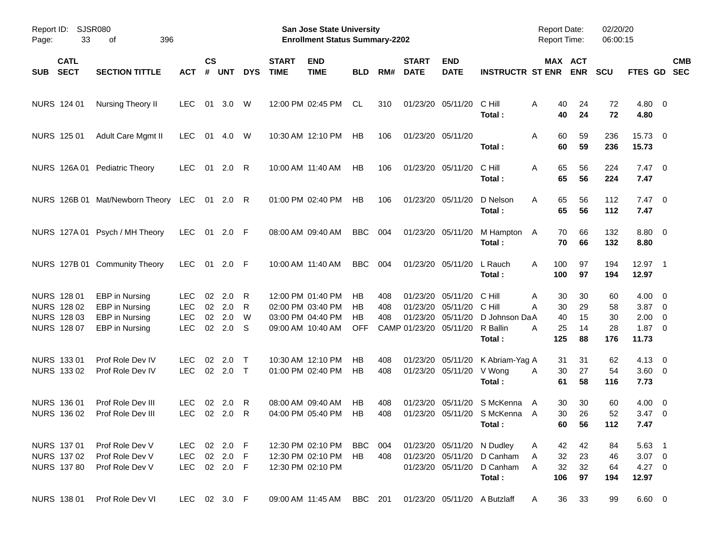|       |                                                          |                                                                      |                                                |                          |                          |                  |                             | <b>Preliminary Census</b>                                                        |                               |                   |                                                            |                                        |                                                                        |                     |                                                    |                             |                                                               |            |
|-------|----------------------------------------------------------|----------------------------------------------------------------------|------------------------------------------------|--------------------------|--------------------------|------------------|-----------------------------|----------------------------------------------------------------------------------|-------------------------------|-------------------|------------------------------------------------------------|----------------------------------------|------------------------------------------------------------------------|---------------------|----------------------------------------------------|-----------------------------|---------------------------------------------------------------|------------|
| Page: | Report ID: SJSR080<br>33<br>396<br>of                    |                                                                      |                                                |                          |                          |                  |                             | San Jose State University<br><b>Enrollment Status Summary-2202</b>               |                               |                   |                                                            |                                        |                                                                        | <b>Report Date:</b> | <b>Report Time:</b>                                | 02/20/20<br>06:00:15        |                                                               |            |
| SUB   | <b>CATL</b><br><b>SECT</b>                               | <b>SECTION TITTLE</b>                                                | <b>ACT</b>                                     | $\mathsf{cs}$<br>#       | <b>UNT</b>               | <b>DYS</b>       | <b>START</b><br><b>TIME</b> | <b>END</b><br><b>TIME</b>                                                        | <b>BLD</b>                    | RM#               | <b>START</b><br><b>DATE</b>                                | <b>END</b><br><b>DATE</b>              | <b>INSTRUCTR ST ENR</b>                                                |                     | MAX ACT<br><b>ENR</b>                              | <b>SCU</b>                  | FTES GD SEC                                                   | <b>CMB</b> |
|       | NURS 124 01                                              | Nursing Theory II                                                    | <b>LEC</b>                                     | 01                       | 3.0                      | W                |                             | 12:00 PM 02:45 PM                                                                | CL                            | 310               |                                                            | 01/23/20 05/11/20                      | C Hill<br>Total:                                                       | A                   | 40<br>24<br>40<br>24                               | 72<br>72                    | $4.80\ 0$<br>4.80                                             |            |
|       | NURS 125 01                                              | Adult Care Mgmt II                                                   | <b>LEC</b>                                     | 01                       | 4.0                      | W                |                             | 10:30 AM 12:10 PM                                                                | <b>HB</b>                     | 106               |                                                            | 01/23/20 05/11/20                      | Total:                                                                 | Α                   | 59<br>60<br>60<br>59                               | 236<br>236                  | 15.73 0<br>15.73                                              |            |
|       |                                                          | NURS 126A 01 Pediatric Theory                                        | <b>LEC</b>                                     |                          | 01 2.0 R                 |                  |                             | 10:00 AM 11:40 AM                                                                | HB                            | 106               |                                                            | 01/23/20 05/11/20                      | C Hill<br>Total:                                                       | A                   | 65<br>56<br>65<br>56                               | 224<br>224                  | $7.47\ 0$<br>7.47                                             |            |
|       |                                                          | NURS 126B 01 Mat/Newborn Theory LEC 01 2.0 R                         |                                                |                          |                          |                  |                             | 01:00 PM 02:40 PM                                                                | HB                            | 106               |                                                            | 01/23/20 05/11/20                      | D Nelson<br>Total:                                                     | A                   | 65<br>56<br>65<br>56                               | 112<br>112                  | $7.47\ 0$<br>7.47                                             |            |
|       |                                                          | NURS 127A 01 Psych / MH Theory                                       | <b>LEC</b>                                     |                          | 01 2.0 F                 |                  |                             | 08:00 AM 09:40 AM                                                                | <b>BBC</b>                    | 004               |                                                            | 01/23/20 05/11/20                      | M Hampton<br>Total:                                                    | A                   | 66<br>70<br>70<br>66                               | 132<br>132                  | 8.80 0<br>8.80                                                |            |
|       |                                                          | NURS 127B 01 Community Theory                                        | <b>LEC</b>                                     |                          | 01 2.0 F                 |                  |                             | 10:00 AM 11:40 AM                                                                | <b>BBC</b>                    | 004               |                                                            | 01/23/20 05/11/20                      | L Rauch<br>Total:                                                      | 100<br>A<br>100     | 97<br>97                                           | 194<br>194                  | 12.97 1<br>12.97                                              |            |
|       | NURS 128 01<br>NURS 128 02<br>NURS 128 03<br>NURS 128 07 | EBP in Nursing<br>EBP in Nursing<br>EBP in Nursing<br>EBP in Nursing | LEC.<br><b>LEC</b><br><b>LEC</b><br><b>LEC</b> | 02<br>02<br>02<br>$02\,$ | 2.0<br>2.0<br>2.0<br>2.0 | R<br>R<br>W<br>S |                             | 12:00 PM 01:40 PM<br>02:00 PM 03:40 PM<br>03:00 PM 04:40 PM<br>09:00 AM 10:40 AM | НB<br>HB.<br>НB<br><b>OFF</b> | 408<br>408<br>408 | 01/23/20<br>01/23/20<br>01/23/20<br>CAMP 01/23/20 05/11/20 | 05/11/20<br>05/11/20<br>05/11/20       | C Hill<br>C Hill<br>D Johnson DaA<br>R Ballin<br>Total:                | A<br>А<br>А<br>125  | 30<br>30<br>30<br>29<br>40<br>15<br>25<br>14<br>88 | 60<br>58<br>30<br>28<br>176 | $4.00 \ 0$<br>$3.87$ 0<br>$2.00 \t 0$<br>$1.87 \t 0$<br>11.73 |            |
|       | NURS 133 01<br>NURS 133 02                               | Prof Role Dev IV<br>Prof Role Dev IV                                 | LEC.<br><b>LEC</b>                             | 02<br>$02\,$             | 2.0<br>$2.0$ T           | $\top$           |                             | 10:30 AM 12:10 PM<br>01:00 PM 02:40 PM                                           | НB<br>HB                      | 408<br>408        |                                                            | 01/23/20 05/11/20<br>01/23/20 05/11/20 | K Abriam-Yag A<br>V Wong<br>Total:                                     | A                   | 31<br>31<br>30<br>27<br>61<br>58                   | 62<br>54<br>116             | $4.13 \quad 0$<br>3.60 0<br>7.73                              |            |
|       | NURS 136 01                                              | Prof Role Dev III<br>NURS 136 02 Prof Role Dev III                   | LEC.                                           |                          | 02 2.0 R<br>LEC 02 2.0 R |                  |                             | 08:00 AM 09:40 AM<br>04:00 PM 05:40 PM HB                                        | HB                            | 408<br>408        |                                                            |                                        | 01/23/20 05/11/20 S McKenna<br>01/23/20 05/11/20 S McKenna A<br>Total: | A                   | 30<br>30<br>30<br>26<br>60<br>56                   | 60<br>52<br>112             | $4.00 \ 0$<br>$3.47 \ 0$<br>7.47                              |            |
|       | NURS 137 01<br>NURS 137 02<br><b>NURS 137 80</b>         | Prof Role Dev V<br>Prof Role Dev V<br>Prof Role Dev V                | LEC<br>LEC<br>LEC 02 2.0 F                     |                          | 02 2.0 F<br>02 2.0 F     |                  |                             | 12:30 PM 02:10 PM<br>12:30 PM 02:10 PM<br>12:30 PM 02:10 PM                      | BBC 004<br>HB                 | 408               |                                                            | 01/23/20 05/11/20<br>01/23/20 05/11/20 | 01/23/20 05/11/20 N Dudley<br>D Canham<br>D Canham<br>Total:           | A<br>A<br>A<br>106  | 42<br>42<br>32<br>23<br>32<br>32<br>97             | 84<br>46<br>64<br>194       | $5.63$ 1<br>$3.07 \quad 0$<br>$4.27 \t 0$<br>12.97            |            |
|       | NURS 138 01                                              | Prof Role Dev VI                                                     | LEC 02 3.0 F                                   |                          |                          |                  |                             | 09:00 AM 11:45 AM                                                                | BBC 201                       |                   |                                                            |                                        | 01/23/20 05/11/20 A Butzlaff                                           | A                   | 33<br>36                                           | 99                          | $6.60 \t 0$                                                   |            |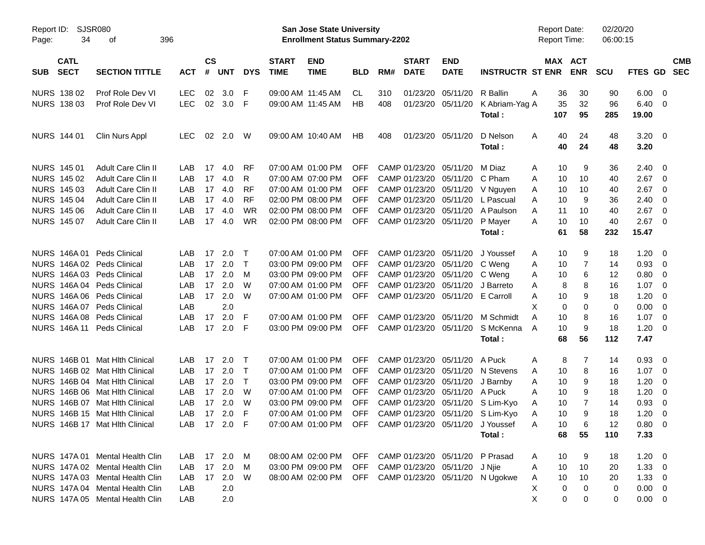| Report ID:<br>Page: | <b>SJSR080</b><br>34<br>396<br>οf |                                 |            |                |            |              |                             | <b>San Jose State University</b><br><b>Enrollment Status Summary-2202</b> |            |     |                             |                            |                                     |   | <b>Report Date:</b><br><b>Report Time:</b> |                | 02/20/20<br>06:00:15 |                    |                         |                          |
|---------------------|-----------------------------------|---------------------------------|------------|----------------|------------|--------------|-----------------------------|---------------------------------------------------------------------------|------------|-----|-----------------------------|----------------------------|-------------------------------------|---|--------------------------------------------|----------------|----------------------|--------------------|-------------------------|--------------------------|
| <b>SUB</b>          | <b>CATL</b><br><b>SECT</b>        | <b>SECTION TITTLE</b>           | <b>ACT</b> | <b>CS</b><br># | <b>UNT</b> | <b>DYS</b>   | <b>START</b><br><b>TIME</b> | <b>END</b><br><b>TIME</b>                                                 | <b>BLD</b> | RM# | <b>START</b><br><b>DATE</b> | <b>END</b><br><b>DATE</b>  | <b>INSTRUCTR ST ENR</b>             |   | MAX ACT                                    | <b>ENR</b>     | <b>SCU</b>           | FTES GD            |                         | <b>CMB</b><br><b>SEC</b> |
| NURS 138 02         |                                   | Prof Role Dev VI                | <b>LEC</b> | 02             | 3.0        | F            |                             | 09:00 AM 11:45 AM                                                         | CL.        | 310 | 01/23/20                    | 05/11/20                   | R Ballin                            | A | 36                                         | 30             | 90                   | 6.00               | $\overline{\mathbf{0}}$ |                          |
| NURS 138 03         |                                   | Prof Role Dev VI                | <b>LEC</b> | 02             | 3.0        | F            |                             | 09:00 AM 11:45 AM                                                         | <b>HB</b>  | 408 | 01/23/20                    | 05/11/20                   | K Abriam-Yag A                      |   | 35                                         | 32             | 96                   | 6.40               | $\overline{\mathbf{0}}$ |                          |
|                     |                                   |                                 |            |                |            |              |                             |                                                                           |            |     |                             |                            | Total:                              |   | 107                                        | 95             | 285                  | 19.00              |                         |                          |
| NURS 144 01         |                                   | Clin Nurs Appl                  | <b>LEC</b> | 02             | 2.0        | W            |                             | 09:00 AM 10:40 AM                                                         | HB         | 408 |                             | 01/23/20 05/11/20          | D Nelson<br>Total:                  | Α | 40<br>40                                   | 24<br>24       | 48<br>48             | $3.20 \ 0$<br>3.20 |                         |                          |
| NURS 145 01         |                                   | Adult Care Clin II              | LAB        | 17             | 4.0        | <b>RF</b>    |                             | 07:00 AM 01:00 PM                                                         | OFF        |     | CAMP 01/23/20               | 05/11/20                   | M Diaz                              | A | 10                                         | 9              | 36                   | 2.40               | - 0                     |                          |
| NURS 145 02         |                                   | Adult Care Clin II              | LAB        | 17             | 4.0        | R            |                             | 07:00 AM 07:00 PM                                                         | <b>OFF</b> |     | CAMP 01/23/20               | 05/11/20                   | C Pham                              | A | 10                                         | 10             | 40                   | 2.67               | $\overline{0}$          |                          |
| NURS 145 03         |                                   | Adult Care Clin II              | LAB        | 17             | 4.0        | <b>RF</b>    |                             | 07:00 AM 01:00 PM                                                         | <b>OFF</b> |     | CAMP 01/23/20               | 05/11/20                   | V Nguyen                            | A | 10                                         | 10             | 40                   | 2.67               | $\overline{\mathbf{0}}$ |                          |
| <b>NURS 145 04</b>  |                                   | Adult Care Clin II              | LAB        | 17             | 4.0        | <b>RF</b>    |                             | 02:00 PM 08:00 PM                                                         | <b>OFF</b> |     | CAMP 01/23/20               | 05/11/20                   | L Pascual                           | A | 10                                         | 9              | 36                   | 2.40               | $\overline{0}$          |                          |
| <b>NURS 145 06</b>  |                                   | Adult Care Clin II              | LAB        | 17             | 4.0        | <b>WR</b>    |                             | 02:00 PM 08:00 PM                                                         | <b>OFF</b> |     | CAMP 01/23/20               | 05/11/20                   | A Paulson                           | A | 11                                         | 10             | 40                   | 2.67               | $\overline{\mathbf{0}}$ |                          |
| NURS 145 07         |                                   | Adult Care Clin II              | LAB        | 17             | 4.0        | <b>WR</b>    |                             | 02:00 PM 08:00 PM                                                         | <b>OFF</b> |     | CAMP 01/23/20               | 05/11/20                   | P Mayer                             | A | 10                                         | 10             | 40                   | 2.67               | $\overline{\mathbf{0}}$ |                          |
|                     |                                   |                                 |            |                |            |              |                             |                                                                           |            |     |                             |                            | Total:                              |   | 61                                         | 58             | 232                  | 15.47              |                         |                          |
|                     |                                   | NURS 146A 01 Peds Clinical      | LAB        | 17             | 2.0        | $\top$       |                             | 07:00 AM 01:00 PM                                                         | OFF        |     | CAMP 01/23/20               | 05/11/20                   | J Youssef                           | A | 10                                         | 9              | 18                   | 1.20               | - 0                     |                          |
| NURS 146A02         |                                   | <b>Peds Clinical</b>            | LAB        | 17             | 2.0        | $\mathsf{T}$ |                             | 03:00 PM 09:00 PM                                                         | <b>OFF</b> |     | CAMP 01/23/20               | 05/11/20                   | C Weng                              | Α | 10                                         | 7              | 14                   | 0.93               | $\overline{\mathbf{0}}$ |                          |
|                     |                                   | NURS 146A 03 Peds Clinical      | LAB        | 17             | 2.0        | M            |                             | 03:00 PM 09:00 PM                                                         | <b>OFF</b> |     | CAMP 01/23/20               | 05/11/20                   | C Weng                              | A | 10                                         | 6              | 12                   | 0.80               | $\mathbf 0$             |                          |
|                     |                                   | NURS 146A 04 Peds Clinical      | LAB        | 17             | 2.0        | W            |                             | 07:00 AM 01:00 PM                                                         | <b>OFF</b> |     | CAMP 01/23/20               | 05/11/20                   | J Barreto                           | A | 8                                          | 8              | 16                   | 1.07               | $\overline{0}$          |                          |
|                     |                                   | NURS 146A 06 Peds Clinical      | LAB        | 17             | 2.0        | W            |                             | 07:00 AM 01:00 PM                                                         | <b>OFF</b> |     | CAMP 01/23/20               | 05/11/20                   | E Carroll                           | A | 10                                         | 9              | 18                   | 1.20               | $\overline{0}$          |                          |
|                     |                                   | NURS 146A 07 Peds Clinical      | LAB        |                | 2.0        |              |                             |                                                                           |            |     |                             |                            |                                     | X | 0                                          | 0              | 0                    | 0.00               | $\overline{0}$          |                          |
|                     |                                   | NURS 146A 08 Peds Clinical      | LAB        | 17             | 2.0        | F            |                             | 07:00 AM 01:00 PM                                                         | OFF        |     | CAMP 01/23/20               | 05/11/20                   | M Schmidt                           | A | 10                                         | 8              | 16                   | 1.07               | $\overline{0}$          |                          |
|                     |                                   | NURS 146A 11 Peds Clinical      | LAB        | 17             | 2.0        | F            |                             | 03:00 PM 09:00 PM                                                         | <b>OFF</b> |     | CAMP 01/23/20               | 05/11/20                   | S McKenna                           | A | 10                                         | 9              | 18                   | 1.20               | 0                       |                          |
|                     |                                   |                                 |            |                |            |              |                             |                                                                           |            |     |                             |                            | Total:                              |   | 68                                         | 56             | 112                  | 7.47               |                         |                          |
|                     |                                   | NURS 146B 01 Mat Hith Clinical  | LAB        | 17             | 2.0        | $\top$       |                             | 07:00 AM 01:00 PM                                                         | OFF        |     | CAMP 01/23/20               | 05/11/20                   | A Puck                              | Α | 8                                          | 7              | 14                   | 0.93               | $\overline{\mathbf{0}}$ |                          |
|                     |                                   | NURS 146B 02 Mat Hlth Clinical  | LAB        | 17             | 2.0        | $\mathsf{T}$ |                             | 07:00 AM 01:00 PM                                                         | <b>OFF</b> |     | CAMP 01/23/20               | 05/11/20                   | N Stevens                           | A | 10                                         | 8              | 16                   | 1.07               | $\mathbf 0$             |                          |
|                     |                                   | NURS 146B 04 Mat Hlth Clinical  | LAB        | 17             | 2.0        | $\mathsf{T}$ |                             | 03:00 PM 09:00 PM                                                         | <b>OFF</b> |     | CAMP 01/23/20               | 05/11/20                   | J Barnby                            | Α | 10                                         | 9              | 18                   | 1.20               | 0                       |                          |
|                     |                                   | NURS 146B 06 Mat Hlth Clinical  | LAB        | 17             | 2.0        | W            |                             | 07:00 AM 01:00 PM                                                         | <b>OFF</b> |     | CAMP 01/23/20               | 05/11/20                   | A Puck                              | A | 10                                         | 9              | 18                   | 1.20               | $\mathbf 0$             |                          |
|                     |                                   | NURS 146B 07 Mat Hlth Clinical  | LAB        | 17             | 2.0        | W            |                             | 03:00 PM 09:00 PM                                                         | <b>OFF</b> |     | CAMP 01/23/20               | 05/11/20                   | S Lim-Kyo                           | A | 10                                         | $\overline{7}$ | 14                   | 0.93               | $\mathbf 0$             |                          |
|                     |                                   | NURS 146B 15 Mat Hith Clinical  | LAB        | 17             | 2.0        | F            |                             | 07:00 AM 01:00 PM                                                         | <b>OFF</b> |     |                             | CAMP 01/23/20 05/11/20     | S Lim-Kyo                           | Α | 10                                         | 9              | 18                   | 1.20               | $\mathbf 0$             |                          |
|                     |                                   | NURS 146B 17 Mat Hlth Clinical  | LAB.       |                | 17 2.0 F   |              |                             | 07:00 AM 01:00 PM OFF CAMP 01/23/20 05/11/20 J Youssef                    |            |     |                             |                            |                                     | Α | 10                                         | 6              | 12                   | 0.80 0             |                         |                          |
|                     |                                   |                                 |            |                |            |              |                             |                                                                           |            |     |                             |                            | Total:                              |   | 68                                         | 55             | 110                  | 7.33               |                         |                          |
|                     |                                   | NURS 147A 01 Mental Health Clin | LAB        |                | 17 2.0     | M            |                             | 08:00 AM 02:00 PM                                                         | OFF        |     |                             | CAMP 01/23/20 05/11/20     | P Prasad                            | A | 10                                         | 9              | 18                   | $1.20 \t 0$        |                         |                          |
|                     |                                   | NURS 147A 02 Mental Health Clin | LAB        | 17             | 2.0        | M            |                             | 03:00 PM 09:00 PM                                                         |            |     |                             | OFF CAMP 01/23/20 05/11/20 | J Njie                              | A | 10                                         | 10             | 20                   | $1.33 \ 0$         |                         |                          |
|                     |                                   | NURS 147A 03 Mental Health Clin | LAB        |                | 17 2.0     | W            |                             | 08:00 AM 02:00 PM                                                         |            |     |                             |                            | OFF CAMP 01/23/20 05/11/20 N Ugokwe | A | 10                                         | 10             | 20                   | $1.33 \ 0$         |                         |                          |
|                     |                                   | NURS 147A 04 Mental Health Clin | LAB        |                | 2.0        |              |                             |                                                                           |            |     |                             |                            |                                     | Χ | 0                                          | 0              | 0                    | $0.00 \t 0$        |                         |                          |
|                     |                                   | NURS 147A 05 Mental Health Clin | LAB        |                | 2.0        |              |                             |                                                                           |            |     |                             |                            |                                     | Χ | 0                                          | 0              | 0                    | $0.00 \t 0$        |                         |                          |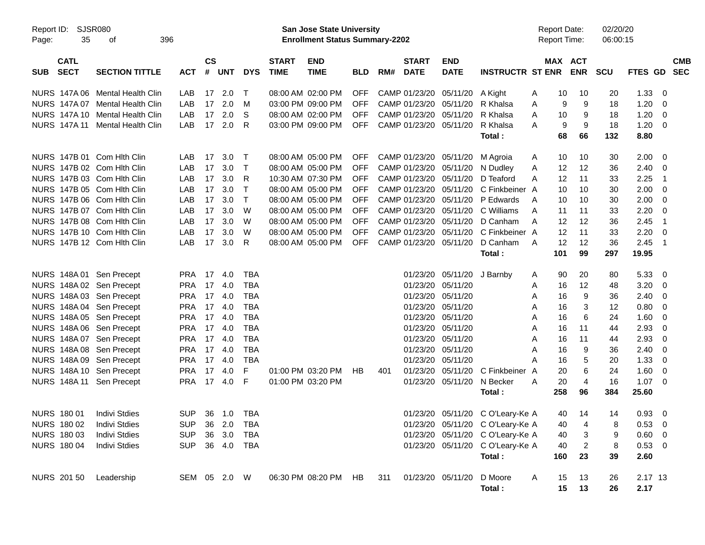|                                          |                                 |            |                    |                |              |                             | <b>Preliminary Census</b>                                                 |            |     |                             |                                |                                  |                                            |     |            |                      |             |                          |            |
|------------------------------------------|---------------------------------|------------|--------------------|----------------|--------------|-----------------------------|---------------------------------------------------------------------------|------------|-----|-----------------------------|--------------------------------|----------------------------------|--------------------------------------------|-----|------------|----------------------|-------------|--------------------------|------------|
| Report ID:<br>35<br>Page:                | <b>SJSR080</b><br>396<br>0f     |            |                    |                |              |                             | <b>San Jose State University</b><br><b>Enrollment Status Summary-2202</b> |            |     |                             |                                |                                  | <b>Report Date:</b><br><b>Report Time:</b> |     |            | 02/20/20<br>06:00:15 |             |                          |            |
| <b>CATL</b><br><b>SECT</b><br><b>SUB</b> | <b>SECTION TITTLE</b>           | <b>ACT</b> | $\mathsf{cs}$<br># | UNT            | <b>DYS</b>   | <b>START</b><br><b>TIME</b> | <b>END</b><br><b>TIME</b>                                                 | <b>BLD</b> | RM# | <b>START</b><br><b>DATE</b> | <b>END</b><br><b>DATE</b>      | <b>INSTRUCTR ST ENR</b>          | MAX ACT                                    |     | <b>ENR</b> | <b>SCU</b>           | FTES GD SEC |                          | <b>CMB</b> |
|                                          | NURS 147A 06 Mental Health Clin | LAB        |                    | $17 \quad 2.0$ | $\top$       |                             | 08:00 AM 02:00 PM                                                         | OFF        |     |                             | CAMP 01/23/20 05/11/20 A Kight |                                  | A                                          | 10  | 10         | 20                   | 1.33        | - 0                      |            |
| NURS 147A 07                             | Mental Health Clin              | LAB        | 17                 | 2.0            | M            |                             | 03:00 PM 09:00 PM                                                         | OFF        |     |                             | CAMP 01/23/20 05/11/20         | R Khalsa                         | A                                          | 9   | 9          | 18                   | 1.20        | - 0                      |            |
|                                          | NURS 147A 10 Mental Health Clin | LAB        | 17                 | 2.0            | S            |                             | 08:00 AM 02:00 PM                                                         | <b>OFF</b> |     | CAMP 01/23/20 05/11/20      |                                | R Khalsa                         | A                                          | 10  | 9          | 18                   | 1.20        | $\overline{0}$           |            |
| NURS 147A 11                             | Mental Health Clin              | LAB        |                    | 17 2.0         | R            |                             | 03:00 PM 09:00 PM                                                         | OFF        |     | CAMP 01/23/20 05/11/20      |                                | R Khalsa                         | A                                          | 9   | 9          | 18                   | 1.20        | - 0                      |            |
|                                          |                                 |            |                    |                |              |                             |                                                                           |            |     |                             |                                | Total:                           |                                            | 68  | 66         | 132                  | 8.80        |                          |            |
| NURS 147B 01 Com Hith Clin               |                                 | LAB        | 17                 | 3.0            | $\top$       |                             | 08:00 AM 05:00 PM                                                         | <b>OFF</b> |     | CAMP 01/23/20 05/11/20      |                                | M Agroia                         | A                                          | 10  | 10         | 30                   | 2.00        | - 0                      |            |
| NURS 147B 02 Com Hith Clin               |                                 | LAB        | 17                 | 3.0            | $\top$       |                             | 08:00 AM 05:00 PM                                                         | OFF        |     | CAMP 01/23/20 05/11/20      |                                | N Dudley                         | A                                          | 12  | 12         | 36                   | 2.40        | 0                        |            |
| NURS 147B 03 Com Hith Clin               |                                 | LAB        | 17                 | 3.0            | R            |                             | 10:30 AM 07:30 PM                                                         | OFF        |     | CAMP 01/23/20 05/11/20      |                                | D Teaford                        | А                                          | 12  | 11         | 33                   | 2.25        | $\overline{1}$           |            |
| NURS 147B 05 Com Hith Clin               |                                 | LAB        | 17                 | 3.0            | $\mathsf{T}$ |                             | 08:00 AM 05:00 PM                                                         | OFF        |     |                             | CAMP 01/23/20 05/11/20         | C Finkbeiner A                   |                                            | 10  | 10         | 30                   | 2.00        | - 0                      |            |
| NURS 147B 06 Com Hith Clin               |                                 | LAB        | 17                 | 3.0            | $\mathsf{T}$ |                             | 08:00 AM 05:00 PM                                                         | OFF        |     |                             | CAMP 01/23/20 05/11/20         | P Edwards                        | A                                          | 10  | 10         | 30                   | 2.00        | - 0                      |            |
| NURS 147B 07 Com Hith Clin               |                                 | LAB        | 17                 | 3.0            | W            |                             | 08:00 AM 05:00 PM                                                         | <b>OFF</b> |     |                             | CAMP 01/23/20 05/11/20         | C Williams                       | A                                          | 11  | 11         | 33                   | 2.20        | - 0                      |            |
| NURS 147B 08 Com Hith Clin               |                                 | LAB        | 17                 | 3.0            | W            |                             | 08:00 AM 05:00 PM                                                         | <b>OFF</b> |     |                             | CAMP 01/23/20 05/11/20         | D Canham                         | A                                          | 12  | 12         | 36                   | 2.45        | $\overline{1}$           |            |
| NURS 147B 10 Com Hith Clin               |                                 | LAB        | 17                 | 3.0            | W            |                             | 08:00 AM 05:00 PM                                                         | OFF        |     |                             | CAMP 01/23/20 05/11/20         | C Finkbeiner A                   |                                            | 12  | 11         | 33                   | 2.20        | - 0                      |            |
| NURS 147B 12 Com Hith Clin               |                                 | LAB        |                    | 17 3.0         | R            |                             | 08:00 AM 05:00 PM                                                         | <b>OFF</b> |     | CAMP 01/23/20 05/11/20      |                                | D Canham                         | A                                          | 12  | 12         | 36                   | 2.45        | $\overline{1}$           |            |
|                                          |                                 |            |                    |                |              |                             |                                                                           |            |     |                             |                                | Total:                           |                                            | 101 | 99         | 297                  | 19.95       |                          |            |
| NURS 148A 01 Sen Precept                 |                                 | <b>PRA</b> | 17                 | 4.0            | <b>TBA</b>   |                             |                                                                           |            |     |                             | 01/23/20 05/11/20              | J Barnby                         | A                                          | 90  | 20         | 80                   | 5.33        | - 0                      |            |
| NURS 148A 02 Sen Precept                 |                                 | <b>PRA</b> | 17                 | 4.0            | <b>TBA</b>   |                             |                                                                           |            |     |                             | 01/23/20 05/11/20              |                                  | A                                          | 16  | 12         | 48                   | 3.20        | $\overline{0}$           |            |
| NURS 148A 03 Sen Precept                 |                                 | <b>PRA</b> | 17                 | 4.0            | <b>TBA</b>   |                             |                                                                           |            |     |                             | 01/23/20 05/11/20              |                                  | A                                          | 16  | 9          | 36                   | 2.40        | - 0                      |            |
| NURS 148A 04 Sen Precept                 |                                 | <b>PRA</b> | 17                 | 4.0            | <b>TBA</b>   |                             |                                                                           |            |     |                             | 01/23/20 05/11/20              |                                  | Α                                          | 16  | 3          | 12                   | 0.80        | 0                        |            |
| NURS 148A 05 Sen Precept                 |                                 | <b>PRA</b> | 17                 | 4.0            | <b>TBA</b>   |                             |                                                                           |            |     |                             | 01/23/20 05/11/20              |                                  | Α                                          | 16  | 6          | 24                   | 1.60        | - 0                      |            |
| NURS 148A 06 Sen Precept                 |                                 | <b>PRA</b> | 17                 | -4.0           | <b>TBA</b>   |                             |                                                                           |            |     |                             | 01/23/20 05/11/20              |                                  | A                                          | 16  | 11         | 44                   | 2.93        | 0                        |            |
| NURS 148A 07 Sen Precept                 |                                 | <b>PRA</b> | 17                 | 4.0            | <b>TBA</b>   |                             |                                                                           |            |     |                             | 01/23/20 05/11/20              |                                  | A                                          | 16  | 11         | 44                   | 2.93        | 0                        |            |
| NURS 148A 08 Sen Precept                 |                                 | <b>PRA</b> | 17                 | 4.0            | <b>TBA</b>   |                             |                                                                           |            |     |                             | 01/23/20 05/11/20              |                                  | A                                          | 16  | 9          | 36                   | 2.40        | - 0                      |            |
| NURS 148A 09 Sen Precept                 |                                 | <b>PRA</b> | 17                 | 4.0            | <b>TBA</b>   |                             |                                                                           |            |     |                             | 01/23/20 05/11/20              |                                  | А                                          | 16  | 5          | 20                   | 1.33        | 0                        |            |
| NURS 148A 10 Sen Precept                 |                                 | <b>PRA</b> | 17                 | 4.0            | F            |                             | 01:00 PM 03:20 PM                                                         | НB         | 401 |                             | 01/23/20 05/11/20              | C Finkbeiner                     | A                                          | 20  | 6          | 24                   | 1.60        | - 0                      |            |
| NURS 148A 11                             | Sen Precept                     | <b>PRA</b> | 17                 | 4.0            | F            | 01:00 PM 03:20 PM           |                                                                           |            |     |                             | 01/23/20 05/11/20              | N Becker                         | Α                                          | 20  | 4          | 16                   | 1.07        | $\overline{\phantom{0}}$ |            |
|                                          |                                 |            |                    |                |              |                             |                                                                           |            |     |                             |                                | Total:                           |                                            | 258 | 96         | 384                  | 25.60       |                          |            |
| <b>NURS 180 01</b>                       | <b>Indivi Stdies</b>            | <b>SUP</b> | 36                 | 1.0            | TBA          |                             |                                                                           |            |     |                             |                                | 01/23/20 05/11/20 C O'Leary-Ke A |                                            | 40  | 14         | 14                   | 0.93 0      |                          |            |
| NURS 180 02                              | <b>Indivi Stdies</b>            | <b>SUP</b> |                    | 36 2.0         | TBA          |                             |                                                                           |            |     |                             |                                | 01/23/20 05/11/20 C O'Leary-Ke A |                                            | 40  | 4          | 8                    | 0.53 0      |                          |            |
| NURS 180 03                              | <b>Indivi Stdies</b>            | <b>SUP</b> |                    | 36 3.0         | TBA          |                             |                                                                           |            |     |                             |                                | 01/23/20 05/11/20 C O'Leary-Ke A |                                            | 40  | 3          | 9                    | 0.60 0      |                          |            |
| <b>NURS 180 04</b>                       | <b>Indivi Stdies</b>            | <b>SUP</b> |                    | 36 4.0         | TBA          |                             |                                                                           |            |     |                             |                                | 01/23/20 05/11/20 C O'Leary-Ke A |                                            | 40  | 2          | 8                    | 0.53 0      |                          |            |
|                                          |                                 |            |                    |                |              |                             |                                                                           |            |     |                             |                                | Total:                           |                                            | 160 | 23         | 39                   | 2.60        |                          |            |
| <b>NURS 201 50</b>                       | Leadership                      |            |                    | SEM 05 2.0 W   |              |                             | 06:30 PM 08:20 PM HB                                                      |            | 311 |                             | 01/23/20 05/11/20              | D Moore                          | A                                          | 15  | 13         | 26                   | 2.17 13     |                          |            |
|                                          |                                 |            |                    |                |              |                             |                                                                           |            |     |                             |                                | Total:                           |                                            | 15  | 13         | 26                   | 2.17        |                          |            |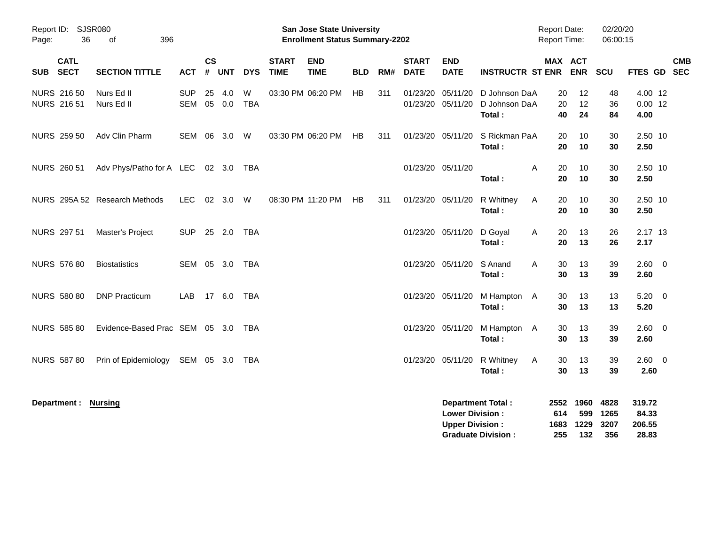|                                        |                                     |                          |                |            |                 |                             | <b>Preliminary Census</b>                                                 |            |     |                             |                                                  |                                                       |                                            |                                 |                             |                                    |            |
|----------------------------------------|-------------------------------------|--------------------------|----------------|------------|-----------------|-----------------------------|---------------------------------------------------------------------------|------------|-----|-----------------------------|--------------------------------------------------|-------------------------------------------------------|--------------------------------------------|---------------------------------|-----------------------------|------------------------------------|------------|
| Report ID: SJSR080<br>36<br>Page:      | 396<br>0f                           |                          |                |            |                 |                             | <b>San Jose State University</b><br><b>Enrollment Status Summary-2202</b> |            |     |                             |                                                  |                                                       | <b>Report Date:</b><br><b>Report Time:</b> |                                 | 02/20/20<br>06:00:15        |                                    |            |
| <b>CATL</b><br><b>SECT</b><br>SUB      | <b>SECTION TITTLE</b>               | <b>ACT</b>               | <b>CS</b><br># | <b>UNT</b> | <b>DYS</b>      | <b>START</b><br><b>TIME</b> | <b>END</b><br><b>TIME</b>                                                 | <b>BLD</b> | RM# | <b>START</b><br><b>DATE</b> | <b>END</b><br><b>DATE</b>                        | <b>INSTRUCTR ST ENR</b>                               | MAX ACT                                    | <b>ENR</b>                      | SCU                         | FTES GD SEC                        | <b>CMB</b> |
| <b>NURS 21650</b><br><b>NURS 21651</b> | Nurs Ed II<br>Nurs Ed II            | <b>SUP</b><br><b>SEM</b> | 25<br>05       | 4.0<br>0.0 | W<br><b>TBA</b> |                             | 03:30 PM 06:20 PM                                                         | HB         | 311 | 01/23/20                    | 05/11/20<br>01/23/20 05/11/20                    | D Johnson DaA<br>D Johnson DaA<br>Total:              | 20<br>20<br>40                             | 12<br>12<br>24                  | 48<br>36<br>84              | 4.00 12<br>$0.00$ 12<br>4.00       |            |
| <b>NURS 259 50</b>                     | Adv Clin Pharm                      | SEM                      |                | 06 3.0     | W               |                             | 03:30 PM 06:20 PM                                                         | HB         | 311 |                             | 01/23/20 05/11/20                                | S Rickman PaA<br>Total:                               | 20<br>20                                   | 10<br>10                        | 30<br>30                    | 2.50 10<br>2.50                    |            |
| <b>NURS 260 51</b>                     | Adv Phys/Patho for A LEC 02 3.0 TBA |                          |                |            |                 |                             |                                                                           |            |     |                             | 01/23/20 05/11/20                                | Total:                                                | 20<br>A<br>20                              | 10<br>10                        | 30<br>30                    | 2.50 10<br>2.50                    |            |
|                                        | NURS 295A 52 Research Methods       | LEC                      |                | 02 3.0     | W               |                             | 08:30 PM 11:20 PM                                                         | HB         | 311 |                             | 01/23/20 05/11/20                                | R Whitney<br>Total:                                   | 20<br>Α<br>20                              | 10<br>10                        | 30<br>30                    | 2.50 10<br>2.50                    |            |
| NURS 297 51                            | Master's Project                    | <b>SUP</b>               |                | 25 2.0     | TBA             |                             |                                                                           |            |     |                             | 01/23/20 05/11/20                                | D Goyal<br>Total:                                     | 20<br>Α<br>20                              | 13<br>13                        | 26<br>26                    | 2.17 13<br>2.17                    |            |
| <b>NURS 576 80</b>                     | <b>Biostatistics</b>                | SEM                      |                | 05 3.0     | TBA             |                             |                                                                           |            |     |                             | 01/23/20 05/11/20                                | S Anand<br>Total:                                     | 30<br>Α<br>30                              | 13<br>13                        | 39<br>39                    | 2.60 0<br>2.60                     |            |
| <b>NURS 580 80</b>                     | <b>DNP Practicum</b>                | LAB.                     |                | 17 6.0 TBA |                 |                             |                                                                           |            |     |                             | 01/23/20 05/11/20                                | M Hampton A<br>Total:                                 | 30<br>30                                   | 13<br>13                        | 13<br>13                    | $5.20 \ 0$<br>5.20                 |            |
| <b>NURS 585 80</b>                     | Evidence-Based Prac SEM 05 3.0 TBA  |                          |                |            |                 |                             |                                                                           |            |     |                             | 01/23/20 05/11/20                                | M Hampton A<br>Total:                                 | 30<br>30                                   | 13<br>13                        | 39<br>39                    | 2.60 0<br>2.60                     |            |
| <b>NURS 587 80</b>                     | Prin of Epidemiology                | SEM 05 3.0               |                |            | TBA             |                             |                                                                           |            |     |                             | 01/23/20 05/11/20                                | R Whitney<br>Total:                                   | Α<br>30<br>30                              | 13<br>13                        | 39<br>39                    | $2.60 \t 0$<br>2.60                |            |
| Department: Nursing                    |                                     |                          |                |            |                 |                             |                                                                           |            |     |                             | <b>Lower Division:</b><br><b>Upper Division:</b> | <b>Department Total:</b><br><b>Graduate Division:</b> | 614<br>1683<br>255                         | 2552 1960<br>599<br>1229<br>132 | 4828<br>1265<br>3207<br>356 | 319.72<br>84.33<br>206.55<br>28.83 |            |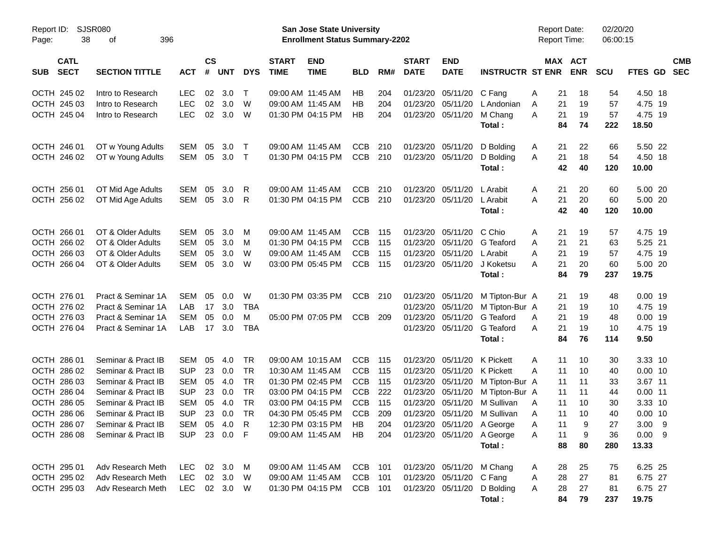| <b>Preliminary Census</b> |  |
|---------------------------|--|
|                           |  |

| Report ID:<br>Page: | 38                         | SJSR080<br>396<br>οf  |            |                    |            |            |                             | <b>San Jose State University</b><br><b>Enrollment Status Summary-2202</b> |            |     |                             |                           |                         | <b>Report Date:</b><br><b>Report Time:</b> |          |                       | 02/20/20<br>06:00:15 |                  |                          |
|---------------------|----------------------------|-----------------------|------------|--------------------|------------|------------|-----------------------------|---------------------------------------------------------------------------|------------|-----|-----------------------------|---------------------------|-------------------------|--------------------------------------------|----------|-----------------------|----------------------|------------------|--------------------------|
| <b>SUB</b>          | <b>CATL</b><br><b>SECT</b> | <b>SECTION TITTLE</b> | <b>ACT</b> | $\mathsf{cs}$<br># | <b>UNT</b> | <b>DYS</b> | <b>START</b><br><b>TIME</b> | <b>END</b><br><b>TIME</b>                                                 | <b>BLD</b> | RM# | <b>START</b><br><b>DATE</b> | <b>END</b><br><b>DATE</b> | <b>INSTRUCTR ST ENR</b> |                                            |          | MAX ACT<br><b>ENR</b> | <b>SCU</b>           | FTES GD          | <b>CMB</b><br><b>SEC</b> |
|                     | OCTH 245 02                | Intro to Research     | <b>LEC</b> | 02                 | 3.0        | Т          |                             | 09:00 AM 11:45 AM                                                         | HB         | 204 | 01/23/20                    | 05/11/20                  | C Fang                  | A                                          | 21       | 18                    | 54                   | 4.50 18          |                          |
|                     | OCTH 245 03                | Intro to Research     | <b>LEC</b> | 02                 | 3.0        | W          |                             | 09:00 AM 11:45 AM                                                         | HB         | 204 | 01/23/20                    | 05/11/20                  | L Andonian              | Α                                          | 21       | 19                    | 57                   | 4.75 19          |                          |
|                     | OCTH 245 04                | Intro to Research     | <b>LEC</b> | 02                 | 3.0        | W          |                             | 01:30 PM 04:15 PM                                                         | HB         | 204 | 01/23/20                    | 05/11/20                  | M Chang<br>Total:       | A                                          | 21<br>84 | 19<br>74              | 57<br>222            | 4.75 19<br>18.50 |                          |
|                     | OCTH 246 01                | OT w Young Adults     | SEM        | 05                 | 3.0        | $\top$     |                             | 09:00 AM 11:45 AM                                                         | <b>CCB</b> | 210 | 01/23/20                    | 05/11/20                  | D Bolding               | A                                          | 21       | 22                    | 66                   | 5.50 22          |                          |
|                     | OCTH 246 02                | OT w Young Adults     | SEM        | 05                 | 3.0        | $\top$     |                             | 01:30 PM 04:15 PM                                                         | <b>CCB</b> | 210 | 01/23/20                    | 05/11/20                  | D Bolding               | Α                                          | 21       | 18                    | 54                   | 4.50 18          |                          |
|                     |                            |                       |            |                    |            |            |                             |                                                                           |            |     |                             |                           | Total:                  |                                            | 42       | 40                    | 120                  | 10.00            |                          |
|                     | OCTH 256 01                | OT Mid Age Adults     | SEM        | 05                 | 3.0        | R          |                             | 09:00 AM 11:45 AM                                                         | <b>CCB</b> | 210 | 01/23/20                    | 05/11/20                  | L Arabit                | A                                          | 21       | 20                    | 60                   | 5.00 20          |                          |
|                     | OCTH 256 02                | OT Mid Age Adults     | SEM        | 05                 | 3.0        | R          |                             | 01:30 PM 04:15 PM                                                         | <b>CCB</b> | 210 | 01/23/20                    | 05/11/20                  | L Arabit                | A                                          | 21       | 20                    | 60                   | 5.00 20          |                          |
|                     |                            |                       |            |                    |            |            |                             |                                                                           |            |     |                             |                           | Total:                  |                                            | 42       | 40                    | 120                  | 10.00            |                          |
|                     | OCTH 266 01                | OT & Older Adults     | SEM        | 05                 | 3.0        | м          |                             | 09:00 AM 11:45 AM                                                         | <b>CCB</b> | 115 | 01/23/20                    | 05/11/20                  | C Chio                  | A                                          | 21       | 19                    | 57                   | 4.75 19          |                          |
|                     | OCTH 266 02                | OT & Older Adults     | <b>SEM</b> | 05                 | 3.0        | M          |                             | 01:30 PM 04:15 PM                                                         | <b>CCB</b> | 115 | 01/23/20                    | 05/11/20                  | G Teaford               | A                                          | 21       | 21                    | 63                   | 5.25 21          |                          |
|                     | OCTH 266 03                | OT & Older Adults     | <b>SEM</b> | 05                 | 3.0        | W          |                             | 09:00 AM 11:45 AM                                                         | <b>CCB</b> | 115 | 01/23/20                    | 05/11/20                  | L Arabit                | Α                                          | 21       | 19                    | 57                   | 4.75 19          |                          |
|                     | OCTH 266 04                | OT & Older Adults     | <b>SEM</b> | 05                 | 3.0        | W          |                             | 03:00 PM 05:45 PM                                                         | <b>CCB</b> | 115 | 01/23/20                    | 05/11/20                  | J Koketsu               | Α                                          | 21       | 20                    | 60                   | 5.00 20          |                          |
|                     |                            |                       |            |                    |            |            |                             |                                                                           |            |     |                             |                           | Total:                  |                                            | 84       | 79                    | 237                  | 19.75            |                          |
|                     | OCTH 276 01                | Pract & Seminar 1A    | <b>SEM</b> | 05                 | 0.0        | W          |                             | 01:30 PM 03:35 PM                                                         | <b>CCB</b> | 210 | 01/23/20                    | 05/11/20                  | M Tipton-Bur A          |                                            | 21       | 19                    | 48                   | $0.00$ 19        |                          |
|                     | OCTH 276 02                | Pract & Seminar 1A    | LAB        | 17                 | 3.0        | <b>TBA</b> |                             |                                                                           |            |     | 01/23/20                    | 05/11/20                  | M Tipton-Bur A          |                                            | 21       | 19                    | 10                   | 4.75 19          |                          |
|                     | OCTH 276 03                | Pract & Seminar 1A    | <b>SEM</b> | 05                 | 0.0        | M          |                             | 05:00 PM 07:05 PM                                                         | <b>CCB</b> | 209 | 01/23/20                    | 05/11/20                  | G Teaford               | Α                                          | 21       | 19                    | 48                   | $0.00$ 19        |                          |
|                     | OCTH 276 04                | Pract & Seminar 1A    | LAB        | 17                 | 3.0        | <b>TBA</b> |                             |                                                                           |            |     | 01/23/20                    | 05/11/20                  | G Teaford               | Α                                          | 21       | 19                    | 10                   | 4.75 19          |                          |
|                     |                            |                       |            |                    |            |            |                             |                                                                           |            |     |                             |                           | Total:                  |                                            | 84       | 76                    | 114                  | 9.50             |                          |
|                     | OCTH 286 01                | Seminar & Pract IB    | <b>SEM</b> | 05                 | 4.0        | <b>TR</b>  |                             | 09:00 AM 10:15 AM                                                         | <b>CCB</b> | 115 | 01/23/20                    | 05/11/20                  | K Pickett               | Α                                          | 11       | 10                    | 30                   | 3.33 10          |                          |
|                     | OCTH 286 02                | Seminar & Pract IB    | <b>SUP</b> | 23                 | 0.0        | <b>TR</b>  | 10:30 AM 11:45 AM           |                                                                           | <b>CCB</b> | 115 | 01/23/20                    | 05/11/20                  | K Pickett               | A                                          | 11       | 10                    | 40                   | $0.00$ 10        |                          |
|                     | OCTH 286 03                | Seminar & Pract IB    | <b>SEM</b> | 05                 | 4.0        | <b>TR</b>  |                             | 01:30 PM 02:45 PM                                                         | <b>CCB</b> | 115 | 01/23/20                    | 05/11/20                  | M Tipton-Bur A          |                                            | 11       | 11                    | 33                   | 3.67 11          |                          |
|                     | OCTH 286 04                | Seminar & Pract IB    | <b>SUP</b> | 23                 | 0.0        | <b>TR</b>  |                             | 03:00 PM 04:15 PM                                                         | <b>CCB</b> | 222 | 01/23/20                    | 05/11/20                  | M Tipton-Bur A          |                                            | 11       | 11                    | 44                   | $0.00$ 11        |                          |
| <b>OCTH</b>         | 286 05                     | Seminar & Pract IB    | <b>SEM</b> | 05                 | 4.0        | <b>TR</b>  |                             | 03:00 PM 04:15 PM                                                         | <b>CCB</b> | 115 | 01/23/20                    | 05/11/20                  | M Sullivan              | A                                          | 11       | 10                    | 30                   | 3.33 10          |                          |
|                     | OCTH 286 06                | Seminar & Pract IB    | <b>SUP</b> | 23                 | 0.0        | <b>TR</b>  |                             | 04:30 PM 05:45 PM                                                         | <b>CCB</b> | 209 | 01/23/20                    | 05/11/20                  | M Sullivan              | Α                                          | 11       | 10                    | 40                   | $0.00$ 10        |                          |
|                     | OCTH 286 07                | Seminar & Pract IB    | SEM 05     |                    | 4.0        | R          |                             | 12:30 PM 03:15 PM                                                         | HB         | 204 |                             | 01/23/20 05/11/20         | A George                | Α                                          | 11       | 9                     | 27                   | $3.00$ 9         |                          |
|                     | OCTH 286 08                | Seminar & Pract IB    | <b>SUP</b> |                    | 23 0.0     | F          |                             | 09:00 AM 11:45 AM                                                         | HB         | 204 |                             | 01/23/20 05/11/20         | A George                | A                                          | 11       | 9                     | 36                   | 0.009            |                          |
|                     |                            |                       |            |                    |            |            |                             |                                                                           |            |     |                             |                           | Total:                  |                                            | 88       | 80                    | 280                  | 13.33            |                          |
|                     | OCTH 295 01                | Adv Research Meth     | LEC.       |                    | 02 3.0     | M          |                             | 09:00 AM 11:45 AM                                                         | CCB 101    |     |                             | 01/23/20 05/11/20         | M Chang                 | A                                          | 28       | 25                    | 75                   | 6.25 25          |                          |
|                     | OCTH 295 02                | Adv Research Meth     | <b>LEC</b> |                    | 02 3.0     | W          |                             | 09:00 AM 11:45 AM                                                         | CCB 101    |     |                             | 01/23/20 05/11/20         | C Fang                  | A                                          | 28       | 27                    | 81                   | 6.75 27          |                          |
|                     | OCTH 295 03                | Adv Research Meth     | <b>LEC</b> |                    | 02 3.0 W   |            |                             | 01:30 PM 04:15 PM                                                         | CCB 101    |     |                             | 01/23/20 05/11/20         | D Bolding               | A                                          | 28       | 27                    | 81                   | 6.75 27          |                          |
|                     |                            |                       |            |                    |            |            |                             |                                                                           |            |     |                             |                           | Total:                  |                                            | 84       | 79                    | 237                  | 19.75            |                          |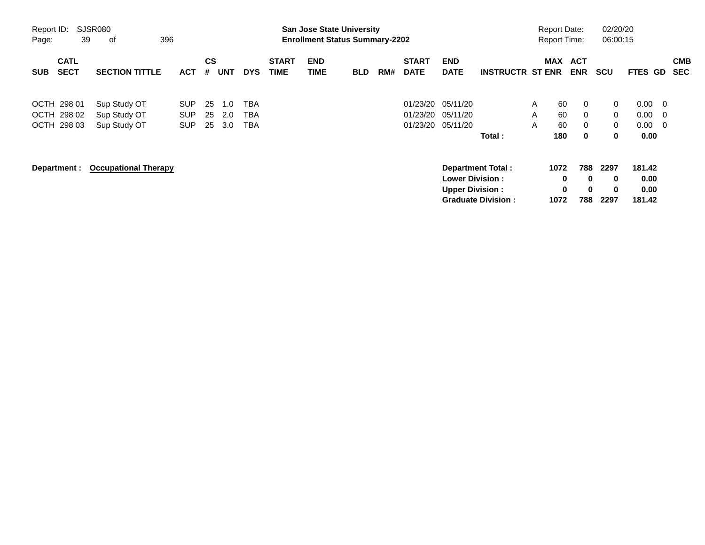|                                           |                                              |                                        |                |                   |                                        |                             |                    | <b>Preliminary Census</b>                                                 |     |                                  |                                                   |                                                       |             |                                            |                                        |                                        |                                  |                           |                          |
|-------------------------------------------|----------------------------------------------|----------------------------------------|----------------|-------------------|----------------------------------------|-----------------------------|--------------------|---------------------------------------------------------------------------|-----|----------------------------------|---------------------------------------------------|-------------------------------------------------------|-------------|--------------------------------------------|----------------------------------------|----------------------------------------|----------------------------------|---------------------------|--------------------------|
| Report ID:<br>39<br>Page:                 | SJSR080<br>396<br>οf                         |                                        |                |                   |                                        |                             |                    | <b>San Jose State University</b><br><b>Enrollment Status Summary-2202</b> |     |                                  |                                                   |                                                       |             | <b>Report Date:</b><br><b>Report Time:</b> |                                        | 02/20/20<br>06:00:15                   |                                  |                           |                          |
| <b>CATL</b><br><b>SECT</b><br><b>SUB</b>  | <b>SECTION TITTLE</b>                        | <b>ACT</b>                             | <b>CS</b><br># | <b>UNT</b>        | <b>DYS</b>                             | <b>START</b><br><b>TIME</b> | <b>END</b><br>TIME | <b>BLD</b>                                                                | RM# | <b>START</b><br><b>DATE</b>      | <b>END</b><br><b>DATE</b>                         | <b>INSTRUCTR ST ENR</b>                               |             | MAX ACT                                    | <b>ENR</b>                             | <b>SCU</b>                             | FTES GD                          |                           | <b>CMB</b><br><b>SEC</b> |
| OCTH 298 01<br>OCTH 298 02<br>OCTH 298 03 | Sup Study OT<br>Sup Study OT<br>Sup Study OT | <b>SUP</b><br><b>SUP</b><br><b>SUP</b> | 25<br>25<br>25 | 1.0<br>2.0<br>3.0 | <b>TBA</b><br><b>TBA</b><br><b>TBA</b> |                             |                    |                                                                           |     | 01/23/20<br>01/23/20<br>01/23/20 | 05/11/20<br>05/11/20<br>05/11/20                  | Total:                                                | A<br>A<br>A | 60<br>60<br>60<br>180                      | $\mathbf{0}$<br>$\mathbf{0}$<br>0<br>0 | 0<br>$\mathbf{0}$<br>$\mathbf{0}$<br>0 | 0.00<br>0.00<br>0.00<br>0.00     | - 0<br>$\mathbf 0$<br>- 0 |                          |
| Department :                              | <b>Occupational Therapy</b>                  |                                        |                |                   |                                        |                             |                    |                                                                           |     |                                  | <b>Lower Division :</b><br><b>Upper Division:</b> | <b>Department Total:</b><br><b>Graduate Division:</b> |             | 1072<br>0<br>0<br>1072                     | 788<br>$\bf{0}$<br>$\bf{0}$<br>788     | 2297<br>0<br>$\bf{0}$<br>2297          | 181.42<br>0.00<br>0.00<br>181.42 |                           |                          |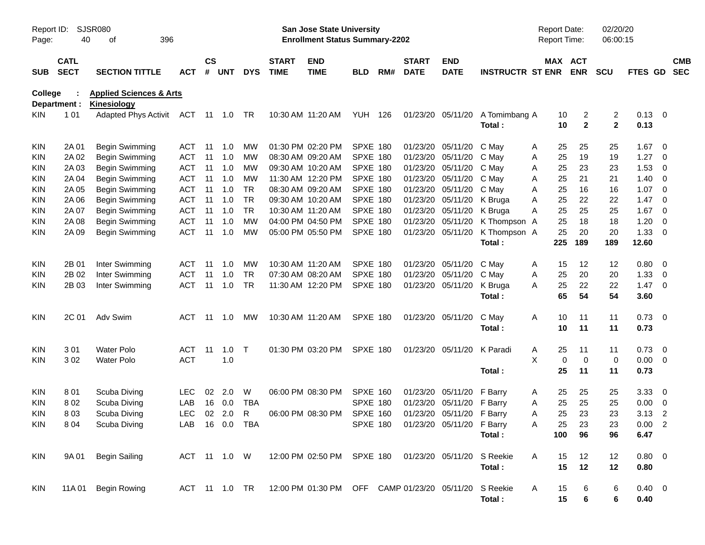|                     |                            |                             |                           |               |        |              |                             |                                                                           | <b>Preliminary Census</b> |     |                             |                           |                         |                                     |                       |                      |                    |                         |                          |
|---------------------|----------------------------|-----------------------------|---------------------------|---------------|--------|--------------|-----------------------------|---------------------------------------------------------------------------|---------------------------|-----|-----------------------------|---------------------------|-------------------------|-------------------------------------|-----------------------|----------------------|--------------------|-------------------------|--------------------------|
| Report ID:<br>Page: | 40                         | SJSR080<br>396<br>οf        |                           |               |        |              |                             | <b>San Jose State University</b><br><b>Enrollment Status Summary-2202</b> |                           |     |                             |                           |                         | <b>Report Date:</b><br>Report Time: |                       | 02/20/20<br>06:00:15 |                    |                         |                          |
| <b>SUB</b>          | <b>CATL</b><br><b>SECT</b> | <b>SECTION TITTLE</b>       | <b>ACT</b>                | $\mathsf{cs}$ | # UNT  | <b>DYS</b>   | <b>START</b><br><b>TIME</b> | <b>END</b><br><b>TIME</b>                                                 | <b>BLD</b>                | RM# | <b>START</b><br><b>DATE</b> | <b>END</b><br><b>DATE</b> | <b>INSTRUCTR ST ENR</b> |                                     | MAX ACT<br><b>ENR</b> | <b>SCU</b>           | FTES GD            |                         | <b>CMB</b><br><b>SEC</b> |
| College             |                            | +HDOWK                      | + X P D Q 6 F L H Q F H V |               |        |              |                             |                                                                           |                           |     |                             |                           |                         |                                     |                       |                      |                    |                         |                          |
|                     | Department :               | Kinesiology                 |                           |               |        |              |                             |                                                                           |                           |     |                             |                           |                         |                                     |                       |                      |                    |                         |                          |
| <b>KIN</b>          | 101                        | <b>Adapted Phys Activit</b> | ACT 11 1.0 TR             |               |        |              |                             | 10:30 AM 11:20 AM                                                         | YUH 126                   |     |                             | 01/23/20 05/11/20         | A Tomimbang A<br>Total: | 10<br>10                            | 2<br>$\mathbf{2}$     | 2<br>$\mathbf{2}$    | $0.13 \ 0$<br>0.13 |                         |                          |
| <b>KIN</b>          | 2A 01                      | Begin Swimming              | ACT                       | 11            | 1.0    | МW           |                             | 01:30 PM 02:20 PM                                                         | <b>SPXE 180</b>           |     | 01/23/20                    | 05/11/20                  | C May                   | 25<br>A                             | 25                    | 25                   | 1.67               | $\overline{0}$          |                          |
| <b>KIN</b>          | 2A 02                      | Begin Swimming              | ACT                       | 11            | 1.0    | <b>MW</b>    |                             | 08:30 AM 09:20 AM                                                         | <b>SPXE 180</b>           |     | 01/23/20                    | 05/11/20                  | C May                   | 25<br>A                             | 19                    | 19                   | 1.27               | 0                       |                          |
| KIN                 | 2A 03                      | Begin Swimming              | <b>ACT</b>                | 11            | 1.0    | МW           |                             | 09:30 AM 10:20 AM                                                         | SPXE 180                  |     | 01/23/20                    | 05/11/20                  | C May                   | 25<br>Α                             | 23                    | 23                   | 1.53               | 0                       |                          |
| <b>KIN</b>          | 2A 04                      | Begin Swimming              | <b>ACT</b>                | 11            | 1.0    | МW           |                             | 11:30 AM 12:20 PM                                                         | SPXE 180                  |     | 01/23/20                    | 05/11/20                  | C May                   | 25<br>Α                             | 21                    | 21                   | 1.40               | 0                       |                          |
| <b>KIN</b>          | 2A 05                      | Begin Swimming              | ACT                       | 11            | 1.0    | TR           |                             | 08:30 AM 09:20 AM                                                         | <b>SPXE 180</b>           |     | 01/23/20                    | 05/11/20                  | C May                   | 25<br>Α                             | 16                    | 16                   | 1.07               | 0                       |                          |
| <b>KIN</b>          | 2A 06                      | Begin Swimming              | ACT                       | 11            | 1.0    | <b>TR</b>    |                             | 09:30 AM 10:20 AM                                                         | <b>SPXE 180</b>           |     | 01/23/20                    | 05/11/20                  | K Bruga                 | 25<br>Α                             | 22                    | 22                   | 1.47               | 0                       |                          |
| <b>KIN</b>          | 2A 07                      | Begin Swimming              | ACT                       | 11            | 1.0    | <b>TR</b>    |                             | 10:30 AM 11:20 AM                                                         | <b>SPXE 180</b>           |     | 01/23/20                    | 05/11/20                  | K Bruga                 | 25<br>Α                             | 25                    | 25                   | 1.67               | 0                       |                          |
| KIN                 | 2A 08                      | Begin Swimming              | ACT                       | 11            | 1.0    | <b>MW</b>    |                             | 04:00 PM 04:50 PM                                                         | <b>SPXE 180</b>           |     | 01/23/20                    | 05/11/20                  | K Thompson A            | 25                                  | 18                    | 18                   | 1.20               | 0                       |                          |
| <b>KIN</b>          | 2A 09                      | Begin Swimming              | <b>ACT</b>                | 11            | 1.0    | MW           |                             | 05:00 PM 05:50 PM                                                         | SPXE 180                  |     | 01/23/20                    | 05/11/20                  | K Thompson A            | 25                                  | 20                    | 20                   | 1.33               | 0                       |                          |
|                     |                            |                             |                           |               |        |              |                             |                                                                           |                           |     |                             |                           | Total:                  | 225                                 | 189                   | 189                  | 12.60              |                         |                          |
| <b>KIN</b>          | 2B 01                      | Inter Swimming              | ACT                       | -11           | 1.0    | MW           |                             | 10:30 AM 11:20 AM                                                         | SPXE 180                  |     | 01/23/20                    | 05/11/20                  | C May                   | 15<br>A                             | 12                    | 12                   | 0.80               | $\overline{0}$          |                          |
| KIN                 | 2B 02                      | Inter Swimming              | <b>ACT</b>                | 11            | 1.0    | <b>TR</b>    |                             | 07:30 AM 08:20 AM                                                         | <b>SPXE 180</b>           |     | 01/23/20                    | 05/11/20                  | C May                   | 25<br>Α                             | 20                    | 20                   | 1.33               | 0                       |                          |
| <b>KIN</b>          | 2B 03                      | Inter Swimming              | <b>ACT</b>                | 11            | 1.0    | <b>TR</b>    |                             | 11:30 AM 12:20 PM                                                         | SPXE 180                  |     |                             | 01/23/20 05/11/20         | K Bruga                 | 25<br>Α                             | 22                    | 22                   | 1.47               | $\overline{0}$          |                          |
|                     |                            |                             |                           |               |        |              |                             |                                                                           |                           |     |                             |                           | Total:                  | 65                                  | 54                    | 54                   | 3.60               |                         |                          |
| <b>KIN</b>          | 2C 01                      | Adv Swim                    | ACT                       | -11           | 1.0    | МW           |                             | 10:30 AM 11:20 AM                                                         | SPXE 180                  |     |                             | 01/23/20 05/11/20         | C May                   | 10<br>A                             | 11                    | 11                   | $0.73 \quad 0$     |                         |                          |
|                     |                            |                             |                           |               |        |              |                             |                                                                           |                           |     |                             |                           | Total:                  | 10                                  | 11                    | 11                   | 0.73               |                         |                          |
| <b>KIN</b>          | 301                        | <b>Water Polo</b>           | <b>ACT</b>                | 11            | 1.0    | $\top$       |                             | 01:30 PM 03:20 PM                                                         | <b>SPXE 180</b>           |     |                             | 01/23/20 05/11/20         | K Paradi                | 25<br>A                             | 11                    | 11                   | 0.73               | $\overline{\mathbf{0}}$ |                          |
| <b>KIN</b>          | 302                        | <b>Water Polo</b>           | <b>ACT</b>                |               | 1.0    |              |                             |                                                                           |                           |     |                             |                           |                         | X<br>$\mathbf 0$                    | $\mathbf 0$           | 0                    | 0.00               | $\overline{\mathbf{0}}$ |                          |
|                     |                            |                             |                           |               |        |              |                             |                                                                           |                           |     |                             |                           | Total:                  | 25                                  | 11                    | 11                   | 0.73               |                         |                          |
| <b>KIN</b>          | 801                        | Scuba Diving                | LEC                       | 02            | 2.0    | W            |                             | 06:00 PM 08:30 PM                                                         | <b>SPXE 160</b>           |     | 01/23/20                    | 05/11/20                  | F Barry                 | 25<br>A                             | 25                    | 25                   | 3.33               | $\overline{0}$          |                          |
| <b>KIN</b>          | 802                        | Scuba Diving                | LAB                       | 16            | 0.0    | TBA          |                             |                                                                           | SPXE 180                  |     |                             | 01/23/20 05/11/20 F Barry |                         | 25<br>Α                             | 25                    | 25                   | 0.00               | $\overline{0}$          |                          |
| <b>KIN</b>          | 803                        | Scuba Diving                | LEC.                      |               | 02 2.0 | $\mathsf{R}$ |                             | 06:00 PM 08:30 PM                                                         | SPXE 160                  |     |                             | 01/23/20 05/11/20 F Barry |                         | Α<br>25                             | 23                    | 23                   | $3.13$ 2           |                         |                          |
| <b>KIN</b>          | 804                        | Scuba Diving                | LAB                       |               |        | 16  0.0  TBA |                             |                                                                           | <b>SPXE 180</b>           |     |                             | 01/23/20 05/11/20 F Barry |                         | 25<br>Α                             | 23                    | 23                   | $0.00$ 2           |                         |                          |
|                     |                            |                             |                           |               |        |              |                             |                                                                           |                           |     |                             |                           | Total:                  | 100                                 | 96                    | 96                   | 6.47               |                         |                          |
| <b>KIN</b>          | 9A 01                      | <b>Begin Sailing</b>        | ACT 11 1.0 W              |               |        |              |                             | 12:00 PM 02:50 PM SPXE 180                                                |                           |     |                             | 01/23/20 05/11/20         | S Reekie                | Α<br>15                             | 12                    | 12                   | $0.80 \t 0$        |                         |                          |
|                     |                            |                             |                           |               |        |              |                             |                                                                           |                           |     |                             |                           | Total:                  | 15                                  | 12                    | 12                   | 0.80               |                         |                          |
| KIN                 | 11A 01                     | <b>Begin Rowing</b>         |                           |               |        |              |                             | ACT 11 1.0 TR 12:00 PM 01:30 PM OFF CAMP 01/23/20 05/11/20                |                           |     |                             |                           | S Reekie                | 15<br>A                             | 6                     | 6                    | $0.40 \ 0$         |                         |                          |
|                     |                            |                             |                           |               |        |              |                             |                                                                           |                           |     |                             |                           | Total:                  | 15                                  | 6                     | 6                    | 0.40               |                         |                          |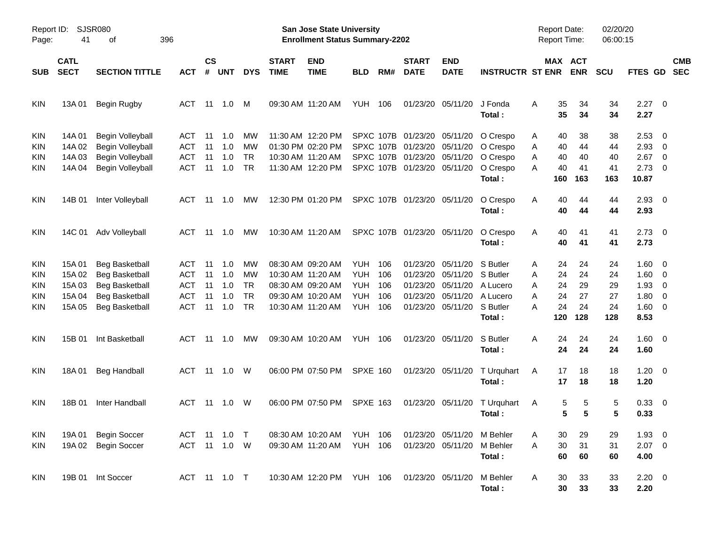|                                 |                                                |                                                                                                                           |                                        |                            |                                     |                                   |                             |                                                                                                       | <b>Preliminary Census</b>                            |                                 |                                                                                                                          |                                                                   |                                                                    |                                                            |                                   |                                   |                                                                  |                                                                                  |                          |
|---------------------------------|------------------------------------------------|---------------------------------------------------------------------------------------------------------------------------|----------------------------------------|----------------------------|-------------------------------------|-----------------------------------|-----------------------------|-------------------------------------------------------------------------------------------------------|------------------------------------------------------|---------------------------------|--------------------------------------------------------------------------------------------------------------------------|-------------------------------------------------------------------|--------------------------------------------------------------------|------------------------------------------------------------|-----------------------------------|-----------------------------------|------------------------------------------------------------------|----------------------------------------------------------------------------------|--------------------------|
| Report ID:<br>Page:             | 41                                             | SJSR080<br>396<br>οf                                                                                                      |                                        |                            |                                     |                                   |                             | <b>San Jose State University</b><br><b>Enrollment Status Summary-2202</b>                             |                                                      |                                 |                                                                                                                          |                                                                   |                                                                    | <b>Report Date:</b><br>Report Time:                        |                                   | 02/20/20<br>06:00:15              |                                                                  |                                                                                  |                          |
| <b>SUB</b>                      | <b>CATL</b><br><b>SECT</b>                     | <b>SECTION TITTLE</b>                                                                                                     | <b>ACT</b>                             | <b>CS</b><br>#             | <b>UNT</b>                          | <b>DYS</b>                        | <b>START</b><br><b>TIME</b> | <b>END</b><br><b>TIME</b>                                                                             | <b>BLD</b>                                           | RM#                             | <b>START</b><br><b>DATE</b>                                                                                              | <b>END</b><br><b>DATE</b>                                         | <b>INSTRUCTR ST ENR</b>                                            |                                                            | MAX ACT<br><b>ENR</b>             | <b>SCU</b>                        | FTES GD                                                          |                                                                                  | <b>CMB</b><br><b>SEC</b> |
| KIN                             | 13A 01                                         | Begin Rugby                                                                                                               | ACT 11 1.0                             |                            |                                     | М                                 |                             | 09:30 AM 11:20 AM                                                                                     | <b>YUH 106</b>                                       |                                 |                                                                                                                          | 01/23/20 05/11/20                                                 | J Fonda<br>Total:                                                  | 35<br>Α<br>35                                              | 34<br>34                          | 34<br>34                          | $2.27$ 0<br>2.27                                                 |                                                                                  |                          |
| KIN<br>KIN<br>KIN<br>KIN        | 14A 01<br>14A 02<br>14A 03<br>14A 04           | Begin Volleyball<br>Begin Volleyball<br>Begin Volleyball<br>Begin Volleyball                                              | ACT<br>ACT<br>ACT<br><b>ACT</b>        | 11<br>11<br>11             | 1.0<br>1.0<br>1.0<br>$11 \quad 1.0$ | МW<br>MW<br><b>TR</b><br>TR       |                             | 11:30 AM 12:20 PM<br>01:30 PM 02:20 PM<br>10:30 AM 11:20 AM<br>11:30 AM 12:20 PM                      |                                                      |                                 | SPXC 107B 01/23/20 05/11/20<br>SPXC 107B 01/23/20 05/11/20<br>SPXC 107B 01/23/20 05/11/20<br>SPXC 107B 01/23/20 05/11/20 |                                                                   | O Crespo<br>O Crespo<br>O Crespo<br>O Crespo<br>Total:             | 40<br>A<br>40<br>A<br>40<br>A<br>40<br>А<br>160            | 38<br>44<br>40<br>41<br>163       | 38<br>44<br>40<br>41<br>163       | $2.53$ 0<br>2.93<br>2.67<br>2.73<br>10.87                        | $\overline{\phantom{0}}$<br>$\overline{\phantom{0}}$<br>$\overline{\phantom{0}}$ |                          |
| KIN                             | 14B 01                                         | Inter Volleyball                                                                                                          | ACT                                    |                            | 11 1.0                              | MW                                |                             | 12:30 PM 01:20 PM                                                                                     |                                                      |                                 | SPXC 107B 01/23/20 05/11/20                                                                                              |                                                                   | O Crespo<br>Total:                                                 | Α<br>40<br>40                                              | 44<br>44                          | 44<br>44                          | $2.93$ 0<br>2.93                                                 |                                                                                  |                          |
| KIN                             | 14C 01                                         | Adv Volleyball                                                                                                            | ACT                                    |                            | 11 1.0                              | MW                                |                             | 10:30 AM 11:20 AM                                                                                     |                                                      |                                 | SPXC 107B 01/23/20 05/11/20                                                                                              |                                                                   | O Crespo<br>Total:                                                 | 40<br>A<br>40                                              | 41<br>41                          | 41<br>41                          | $2.73$ 0<br>2.73                                                 |                                                                                  |                          |
| KIN<br>KIN<br>KIN<br>KIN<br>KIN | 15A 01<br>15A 02<br>15A 03<br>15A 04<br>15A 05 | <b>Beg Basketball</b><br><b>Beg Basketball</b><br><b>Beg Basketball</b><br><b>Beg Basketball</b><br><b>Beg Basketball</b> | ACT<br>ACT<br>ACT<br>ACT<br><b>ACT</b> | 11<br>11<br>11<br>11<br>11 | 1.0<br>1.0<br>1.0<br>1.0<br>1.0     | МW<br>МW<br>TR<br><b>TR</b><br>TR |                             | 08:30 AM 09:20 AM<br>10:30 AM 11:20 AM<br>08:30 AM 09:20 AM<br>09:30 AM 10:20 AM<br>10:30 AM 11:20 AM | YUH<br><b>YUH</b><br><b>YUH</b><br><b>YUH</b><br>YUH | 106<br>106<br>106<br>106<br>106 | 01/23/20<br>01/23/20<br>01/23/20<br>01/23/20                                                                             | 05/11/20<br>05/11/20<br>05/11/20<br>05/11/20<br>01/23/20 05/11/20 | S Butler<br>S Butler<br>A Lucero<br>A Lucero<br>S Butler<br>Total: | 24<br>Α<br>24<br>A<br>24<br>A<br>24<br>Α<br>24<br>А<br>120 | 24<br>24<br>29<br>27<br>24<br>128 | 24<br>24<br>29<br>27<br>24<br>128 | $1.60 \ 0$<br>$1.60 \t 0$<br>1.93<br>1.80<br>$1.60 \t 0$<br>8.53 | $\overline{\phantom{0}}$<br>$\overline{\phantom{0}}$                             |                          |
| KIN                             | 15B 01                                         | Int Basketball                                                                                                            | ACT                                    |                            | 11 1.0                              | MW                                |                             | 09:30 AM 10:20 AM                                                                                     | <b>YUH 106</b>                                       |                                 |                                                                                                                          | 01/23/20 05/11/20                                                 | S Butler<br>Total:                                                 | Α<br>24<br>24                                              | 24<br>24                          | 24<br>24                          | $1.60 \t 0$<br>1.60                                              |                                                                                  |                          |
| KIN                             | 18A 01                                         | <b>Beg Handball</b>                                                                                                       | ACT                                    |                            | 11 1.0                              | W                                 |                             | 06:00 PM 07:50 PM                                                                                     | <b>SPXE 160</b>                                      |                                 |                                                                                                                          | 01/23/20 05/11/20                                                 | T Urquhart<br>Total:                                               | 17<br>A<br>17                                              | 18<br>18                          | 18<br>18                          | $1.20 \t 0$<br>1.20                                              |                                                                                  |                          |
| KIN                             | 18B 01                                         | Inter Handball                                                                                                            | ACT                                    |                            | 11  1.0  W                          |                                   |                             | 06:00 PM 07:50 PM                                                                                     | <b>SPXE 163</b>                                      |                                 |                                                                                                                          |                                                                   | 01/23/20 05/11/20 T Urquhart<br>Total:                             | A                                                          | 5<br>5<br>5<br>5                  | 5<br>5                            | 0.33 0<br>0.33                                                   |                                                                                  |                          |
| KIN<br><b>KIN</b>               | 19A 01                                         | <b>Begin Soccer</b><br>19A 02 Begin Soccer                                                                                | ACT 11 1.0 T<br>ACT 11 1.0 W           |                            |                                     |                                   |                             | 08:30 AM 10:20 AM<br>09:30 AM 11:20 AM                                                                | <b>YUH 106</b><br><b>YUH 106</b>                     |                                 | 01/23/20 05/11/20<br>01/23/20 05/11/20                                                                                   |                                                                   | M Behler<br>M Behler<br>Total:                                     | 30<br>A<br>30<br>A<br>60                                   | 29<br>31<br>60                    | 29<br>31<br>60                    | $1.93$ 0<br>$2.07$ 0<br>4.00                                     |                                                                                  |                          |
| KIN                             |                                                | 19B 01 Int Soccer                                                                                                         | ACT 11 1.0 T                           |                            |                                     |                                   |                             | 10:30 AM 12:20 PM YUH 106                                                                             |                                                      |                                 | 01/23/20 05/11/20                                                                                                        |                                                                   | M Behler<br>Total:                                                 | 30<br>A<br>30                                              | 33<br>33                          | 33<br>33                          | $2.20 \t 0$<br>2.20                                              |                                                                                  |                          |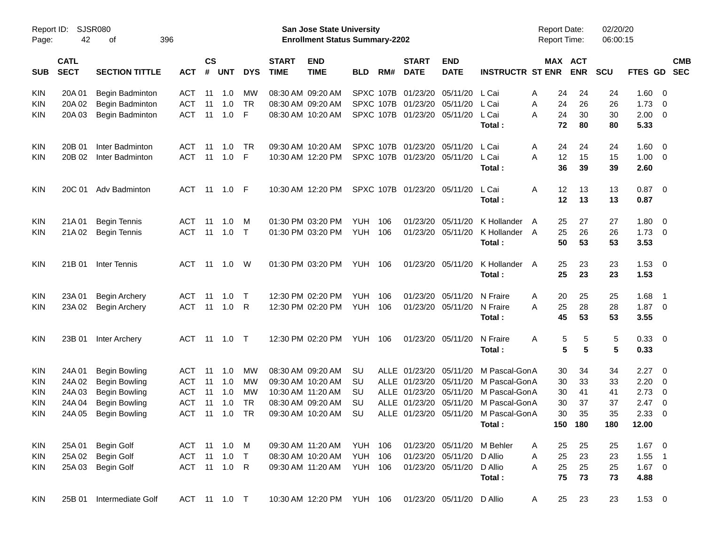| Page:      | Report ID: SJSR080<br>42<br>396<br>of |                       |              |                    |     |            |                             | <b>San Jose State University</b><br><b>Enrollment Status Summary-2202</b> |                |     |                             |                           |                         | <b>Report Date:</b><br><b>Report Time:</b> |                 |                       | 02/20/20<br>06:00:15 |             |                         |            |
|------------|---------------------------------------|-----------------------|--------------|--------------------|-----|------------|-----------------------------|---------------------------------------------------------------------------|----------------|-----|-----------------------------|---------------------------|-------------------------|--------------------------------------------|-----------------|-----------------------|----------------------|-------------|-------------------------|------------|
| SUB        | <b>CATL</b><br><b>SECT</b>            | <b>SECTION TITTLE</b> | <b>ACT</b>   | $\mathsf{cs}$<br># | UNT | <b>DYS</b> | <b>START</b><br><b>TIME</b> | <b>END</b><br><b>TIME</b>                                                 | <b>BLD</b>     | RM# | <b>START</b><br><b>DATE</b> | <b>END</b><br><b>DATE</b> | <b>INSTRUCTR ST ENR</b> |                                            |                 | MAX ACT<br><b>ENR</b> | <b>SCU</b>           | FTES GD SEC |                         | <b>CMB</b> |
| <b>KIN</b> | 20A 01                                | Begin Badminton       | ACT          | -11                | 1.0 | <b>MW</b>  |                             | 08:30 AM 09:20 AM                                                         |                |     | SPXC 107B 01/23/20 05/11/20 |                           | L Cai                   | Α                                          | 24              | 24                    | 24                   | 1.60        | $\overline{\mathbf{0}}$ |            |
| <b>KIN</b> | 20A 02                                | Begin Badminton       | <b>ACT</b>   | 11                 | 1.0 | <b>TR</b>  |                             | 08:30 AM 09:20 AM                                                         |                |     | SPXC 107B 01/23/20 05/11/20 |                           | L Cai                   | Α                                          | 24              | 26                    | 26                   | 1.73        | $\overline{0}$          |            |
| KIN        | 20A 03                                | Begin Badminton       | <b>ACT</b>   | 11                 | 1.0 | F          |                             | 08:30 AM 10:20 AM                                                         |                |     | SPXC 107B 01/23/20 05/11/20 |                           | L Cai                   | A                                          | 24              | 30                    | 30                   | 2.00        | $\overline{\mathbf{0}}$ |            |
|            |                                       |                       |              |                    |     |            |                             |                                                                           |                |     |                             |                           | Total:                  |                                            | 72              | 80                    | 80                   | 5.33        |                         |            |
| <b>KIN</b> | 20B 01                                | Inter Badminton       | ACT          | -11                | 1.0 | TR.        |                             | 09:30 AM 10:20 AM                                                         |                |     | SPXC 107B 01/23/20 05/11/20 |                           | L Cai                   | A                                          | 24              | 24                    | 24                   | 1.60        | $\overline{\mathbf{0}}$ |            |
| <b>KIN</b> | 20B 02                                | Inter Badminton       | <b>ACT</b>   | 11                 | 1.0 | -F         |                             | 10:30 AM 12:20 PM                                                         |                |     | SPXC 107B 01/23/20 05/11/20 |                           | L Cai                   | A                                          | 12              | 15                    | 15                   | 1.00        | $\overline{\mathbf{0}}$ |            |
|            |                                       |                       |              |                    |     |            |                             |                                                                           |                |     |                             |                           | Total :                 |                                            | 36              | 39                    | 39                   | 2.60        |                         |            |
| <b>KIN</b> | 20C 01                                | Adv Badminton         | ACT          |                    |     |            |                             | 10:30 AM 12:20 PM                                                         |                |     | SPXC 107B 01/23/20 05/11/20 |                           | L Cai                   | Α                                          | 12              | 13                    | 13                   | 0.87        | $\overline{\mathbf{0}}$ |            |
|            |                                       |                       |              |                    |     |            |                             |                                                                           |                |     |                             |                           | Total :                 |                                            | 12              | 13                    | 13                   | 0.87        |                         |            |
| <b>KIN</b> | 21A 01                                | <b>Begin Tennis</b>   | ACT          | -11                | 1.0 | M          |                             | 01:30 PM 03:20 PM                                                         | YUH            | 106 |                             | 01/23/20 05/11/20         | K Hollander             | A                                          | 25              | 27                    | 27                   | 1.80        | $\overline{\mathbf{0}}$ |            |
| KIN        | 21A 02                                | <b>Begin Tennis</b>   | <b>ACT</b>   | 11                 | 1.0 | $\top$     |                             | 01:30 PM 03:20 PM                                                         | YUH            | 106 |                             | 01/23/20 05/11/20         | K Hollander A           |                                            | 25              | 26                    | 26                   | 1.73        | $\overline{\mathbf{0}}$ |            |
|            |                                       |                       |              |                    |     |            |                             |                                                                           |                |     |                             |                           | Total:                  |                                            | 50              | 53                    | 53                   | 3.53        |                         |            |
| <b>KIN</b> | 21B 01                                | Inter Tennis          | ACT          | -11                | 1.0 | W          |                             | 01:30 PM 03:20 PM                                                         | YUH 106        |     | 01/23/20 05/11/20           |                           | K Hollander             | A                                          | 25              | 23                    | 23                   | 1.53        | $\overline{\mathbf{0}}$ |            |
|            |                                       |                       |              |                    |     |            |                             |                                                                           |                |     |                             |                           | Total:                  |                                            | 25              | 23                    | 23                   | 1.53        |                         |            |
| <b>KIN</b> | 23A 01                                | <b>Begin Archery</b>  | ACT          | -11                | 1.0 | $\top$     |                             | 12:30 PM 02:20 PM                                                         | YUH            | 106 |                             | 01/23/20 05/11/20         | N Fraire                | A                                          | 20              | 25                    | 25                   | 1.68        | $\overline{1}$          |            |
| KIN        | 23A 02                                | <b>Begin Archery</b>  | <b>ACT</b>   | 11                 | 1.0 | R          |                             | 12:30 PM 02:20 PM                                                         | YUH            | 106 |                             | 01/23/20 05/11/20         | N Fraire                | A                                          | 25              | 28                    | 28                   | $1.87 \t 0$ |                         |            |
|            |                                       |                       |              |                    |     |            |                             |                                                                           |                |     |                             |                           | Total:                  |                                            | 45              | 53                    | 53                   | 3.55        |                         |            |
| <b>KIN</b> | 23B 01                                | Inter Archery         | ACT          | -11                | 1.0 | $\top$     |                             | 12:30 PM 02:20 PM                                                         | <b>YUH 106</b> |     | 01/23/20 05/11/20           |                           | N Fraire                | A                                          | 5               | 5                     | 5                    | 0.33        | $\overline{\mathbf{0}}$ |            |
|            |                                       |                       |              |                    |     |            |                             |                                                                           |                |     |                             |                           | Total :                 |                                            | $5\phantom{.0}$ | 5                     | 5                    | 0.33        |                         |            |
| <b>KIN</b> | 24A 01                                | Begin Bowling         | ACT          | 11                 | 1.0 | <b>MW</b>  |                             | 08:30 AM 09:20 AM                                                         | <b>SU</b>      |     | ALLE 01/23/20 05/11/20      |                           | M Pascal-GonA           |                                            | 30              | 34                    | 34                   | 2.27        | $\overline{0}$          |            |
| <b>KIN</b> | 24A 02                                | <b>Begin Bowling</b>  | <b>ACT</b>   | 11                 | 1.0 | МW         |                             | 09:30 AM 10:20 AM                                                         | <b>SU</b>      |     | ALLE 01/23/20 05/11/20      |                           | M Pascal-GonA           |                                            | 30              | 33                    | 33                   | 2.20        | $\overline{0}$          |            |
| <b>KIN</b> | 24A 03                                | <b>Begin Bowling</b>  | <b>ACT</b>   | 11                 | 1.0 | МW         |                             | 10:30 AM 11:20 AM                                                         | SU             |     | ALLE 01/23/20 05/11/20      |                           | M Pascal-GonA           |                                            | 30              | 41                    | 41                   | 2.73        | $\overline{0}$          |            |
| <b>KIN</b> | 24A 04                                | <b>Begin Bowling</b>  | <b>ACT</b>   | 11                 | 1.0 | <b>TR</b>  |                             | 08:30 AM 09:20 AM                                                         | <b>SU</b>      |     | ALLE 01/23/20 05/11/20      |                           | M Pascal-GonA           |                                            | 30              | 37                    | 37                   | 2.47        | $\overline{0}$          |            |
| <b>KIN</b> | 24A 05                                | <b>Begin Bowling</b>  | <b>ACT</b>   | -11                | 1.0 | <b>TR</b>  |                             | 09:30 AM 10:20 AM                                                         | <b>SU</b>      |     | ALLE 01/23/20 05/11/20      |                           | M Pascal-GonA           |                                            | 30              | 35                    | 35                   | 2.33        | $\overline{0}$          |            |
|            |                                       |                       |              |                    |     |            |                             |                                                                           |                |     |                             |                           | Total:                  |                                            |                 | 150 180               | 180                  | 12.00       |                         |            |
| <b>KIN</b> | 25A 01                                | Begin Golf            | ACT 11       |                    | 1.0 | M          |                             | 09:30 AM 11:20 AM                                                         | <b>YUH 106</b> |     |                             | 01/23/20 05/11/20         | M Behler                | A                                          | 25              | 25                    | 25                   | $1.67$ 0    |                         |            |
| <b>KIN</b> | 25A 02                                | <b>Begin Golf</b>     | ACT          | 11                 | 1.0 | $\top$     |                             | 08:30 AM 10:20 AM                                                         | <b>YUH 106</b> |     | 01/23/20 05/11/20           |                           | D Allio                 | Α                                          | 25              | 23                    | 23                   | $1.55$ 1    |                         |            |
| <b>KIN</b> | 25A 03                                | Begin Golf            | ACT 11 1.0 R |                    |     |            |                             | 09:30 AM 11:20 AM                                                         | <b>YUH 106</b> |     |                             | 01/23/20 05/11/20         | D Allio                 | A                                          | 25              | 25                    | 25                   | $1.67 \t 0$ |                         |            |
|            |                                       |                       |              |                    |     |            |                             |                                                                           |                |     |                             |                           | Total:                  |                                            | 75              | 73                    | 73                   | 4.88        |                         |            |
| KIN        | 25B 01                                | Intermediate Golf     | ACT 11 1.0 T |                    |     |            |                             | 10:30 AM 12:20 PM YUH 106                                                 |                |     |                             | 01/23/20 05/11/20 D Allio |                         | A                                          | 25              | 23                    | 23                   | $1.53 \t 0$ |                         |            |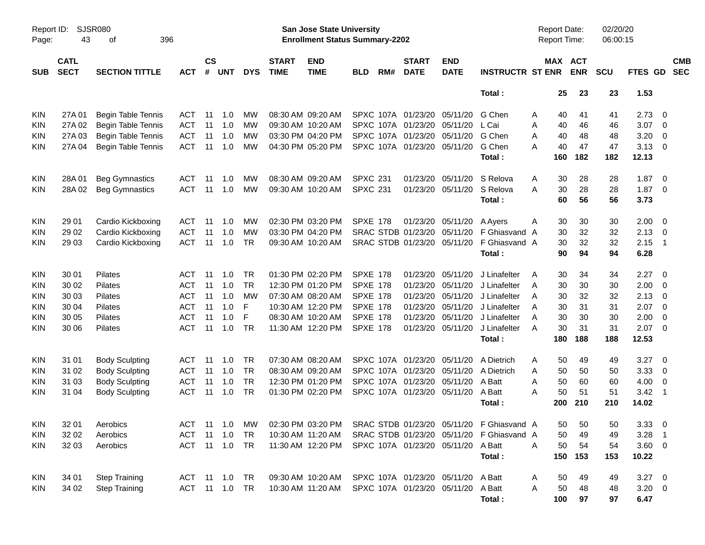|                     |                            |                             |            |                    |               |            |                             |                                                                           | <b>Preliminary Census</b> |     |                             |                             |                                           |   |                                            |                       |                      |                |                          |                          |
|---------------------|----------------------------|-----------------------------|------------|--------------------|---------------|------------|-----------------------------|---------------------------------------------------------------------------|---------------------------|-----|-----------------------------|-----------------------------|-------------------------------------------|---|--------------------------------------------|-----------------------|----------------------|----------------|--------------------------|--------------------------|
| Report ID:<br>Page: | 43                         | <b>SJSR080</b><br>396<br>оf |            |                    |               |            |                             | <b>San Jose State University</b><br><b>Enrollment Status Summary-2202</b> |                           |     |                             |                             |                                           |   | <b>Report Date:</b><br><b>Report Time:</b> |                       | 02/20/20<br>06:00:15 |                |                          |                          |
| <b>SUB</b>          | <b>CATL</b><br><b>SECT</b> | <b>SECTION TITTLE</b>       | <b>ACT</b> | $\mathsf{cs}$<br># | <b>UNT</b>    | <b>DYS</b> | <b>START</b><br><b>TIME</b> | <b>END</b><br><b>TIME</b>                                                 | <b>BLD</b>                | RM# | <b>START</b><br><b>DATE</b> | <b>END</b><br><b>DATE</b>   | <b>INSTRUCTR ST ENR</b>                   |   |                                            | MAX ACT<br><b>ENR</b> | <b>SCU</b>           | FTES GD        |                          | <b>CMB</b><br><b>SEC</b> |
|                     |                            |                             |            |                    |               |            |                             |                                                                           |                           |     |                             |                             | Total:                                    |   | 25                                         | 23                    | 23                   | 1.53           |                          |                          |
| <b>KIN</b>          | 27A 01                     | <b>Begin Table Tennis</b>   | ACT        | 11                 | 1.0           | МW         |                             | 08:30 AM 09:20 AM                                                         |                           |     | SPXC 107A 01/23/20 05/11/20 |                             | G Chen                                    | A | 40                                         | 41                    | 41                   | 2.73           | $\overline{\phantom{0}}$ |                          |
| <b>KIN</b>          | 27A 02                     | <b>Begin Table Tennis</b>   | <b>ACT</b> | 11                 | 1.0           | МW         |                             | 09:30 AM 10:20 AM                                                         |                           |     | SPXC 107A 01/23/20          | 05/11/20                    | L Cai                                     | A | 40                                         | 46                    | 46                   | 3.07           | $\overline{\phantom{0}}$ |                          |
| KIN                 | 27A 03                     | <b>Begin Table Tennis</b>   | <b>ACT</b> | 11                 | 1.0           | МW         |                             | 03:30 PM 04:20 PM                                                         |                           |     | SPXC 107A 01/23/20          | 05/11/20                    | G Chen                                    | A | 40                                         | 48                    | 48                   | 3.20           | $\overline{\mathbf{0}}$  |                          |
| KIN                 | 27A 04                     | <b>Begin Table Tennis</b>   | <b>ACT</b> | 11                 | 1.0           | MW         |                             | 04:30 PM 05:20 PM                                                         |                           |     | SPXC 107A 01/23/20 05/11/20 |                             | G Chen                                    | A | 40                                         | 47                    | 47                   | $3.13 \quad 0$ |                          |                          |
|                     |                            |                             |            |                    |               |            |                             |                                                                           |                           |     |                             |                             | Total:                                    |   | 160                                        | 182                   | 182                  | 12.13          |                          |                          |
| <b>KIN</b>          | 28A01                      | <b>Beg Gymnastics</b>       | ACT        | 11                 | 1.0           | МW         |                             | 08:30 AM 09:20 AM                                                         | <b>SPXC 231</b>           |     | 01/23/20                    | 05/11/20                    | S Relova                                  | A | 30                                         | 28                    | 28                   | 1.87           | $\overline{\phantom{0}}$ |                          |
| <b>KIN</b>          | 28A 02                     | <b>Beg Gymnastics</b>       | <b>ACT</b> | 11                 | 1.0           | MW         |                             | 09:30 AM 10:20 AM                                                         | <b>SPXC 231</b>           |     | 01/23/20                    | 05/11/20                    | S Relova                                  | Α | 30                                         | 28                    | 28                   | 1.87           | $\overline{\phantom{0}}$ |                          |
|                     |                            |                             |            |                    |               |            |                             |                                                                           |                           |     |                             |                             | Total:                                    |   | 60                                         | 56                    | 56                   | 3.73           |                          |                          |
| <b>KIN</b>          | 29 01                      | Cardio Kickboxing           | ACT        | 11                 | 1.0           | МW         |                             | 02:30 PM 03:20 PM                                                         | <b>SPXE 178</b>           |     |                             | 01/23/20 05/11/20           | A Ayers                                   | A | 30                                         | 30                    | 30                   | $2.00 \t 0$    |                          |                          |
| <b>KIN</b>          | 29 02                      | Cardio Kickboxing           | <b>ACT</b> | 11                 | 1.0           | МW         |                             | 03:30 PM 04:20 PM                                                         |                           |     | SRAC STDB 01/23/20          | 05/11/20                    | F Ghiasvand                               | A | 30                                         | 32                    | 32                   | 2.13           | $\overline{\phantom{0}}$ |                          |
| KIN                 | 29 03                      | Cardio Kickboxing           | <b>ACT</b> | 11                 | 1.0           | TR         |                             | 09:30 AM 10:20 AM                                                         |                           |     | SRAC STDB 01/23/20 05/11/20 |                             | F Ghiasvand A                             |   | 30                                         | 32                    | 32                   | 2.15           | - 1                      |                          |
|                     |                            |                             |            |                    |               |            |                             |                                                                           |                           |     |                             |                             | Total:                                    |   | 90                                         | 94                    | 94                   | 6.28           |                          |                          |
| <b>KIN</b>          | 30 01                      | Pilates                     | ACT        | 11                 | 1.0           | TR         |                             | 01:30 PM 02:20 PM                                                         | <b>SPXE 178</b>           |     | 01/23/20                    | 05/11/20                    | J Linafelter                              | Α | 30                                         | 34                    | 34                   | 2.27           | $\overline{\phantom{0}}$ |                          |
| <b>KIN</b>          | 30 02                      | Pilates                     | <b>ACT</b> | 11                 | 1.0           | <b>TR</b>  |                             | 12:30 PM 01:20 PM                                                         | <b>SPXE 178</b>           |     | 01/23/20                    | 05/11/20                    | J Linafelter                              | A | 30                                         | 30                    | 30                   | 2.00           | $\overline{\phantom{0}}$ |                          |
| KIN                 | 30 03                      | Pilates                     | <b>ACT</b> | 11                 | 1.0           | МW         |                             | 07:30 AM 08:20 AM                                                         | <b>SPXE 178</b>           |     | 01/23/20                    | 05/11/20                    | J Linafelter                              | A | 30                                         | 32                    | 32                   | 2.13           | - 0                      |                          |
| <b>KIN</b>          | 30 04                      | Pilates                     | <b>ACT</b> | 11                 | 1.0           | F          |                             | 10:30 AM 12:20 PM                                                         | <b>SPXE 178</b>           |     | 01/23/20                    | 05/11/20                    | J Linafelter                              | A | 30                                         | 31                    | 31                   | 2.07           | $\overline{\mathbf{0}}$  |                          |
| KIN                 | 30 05                      | Pilates                     | <b>ACT</b> | 11                 | 1.0           | F          |                             | 08:30 AM 10:20 AM                                                         | <b>SPXE 178</b>           |     | 01/23/20                    | 05/11/20                    | J Linafelter                              | A | 30                                         | 30                    | 30                   | 2.00           | $\overline{\mathbf{0}}$  |                          |
| KIN                 | 30 06                      | Pilates                     | <b>ACT</b> | 11                 | 1.0           | <b>TR</b>  |                             | 11:30 AM 12:20 PM                                                         | <b>SPXE 178</b>           |     |                             | 01/23/20 05/11/20           | J Linafelter                              | A | 30                                         | 31                    | 31                   | $2.07$ 0       |                          |                          |
|                     |                            |                             |            |                    |               |            |                             |                                                                           |                           |     |                             |                             | Total:                                    |   | 180                                        | 188                   | 188                  | 12.53          |                          |                          |
| <b>KIN</b>          | 31 01                      | <b>Body Sculpting</b>       | ACT        | 11                 | 1.0           | TR         |                             | 07:30 AM 08:20 AM                                                         |                           |     | SPXC 107A 01/23/20          | 05/11/20                    | A Dietrich                                | Α | 50                                         | 49                    | 49                   | 3.27           | $\overline{\phantom{0}}$ |                          |
| <b>KIN</b>          | 31 02                      | <b>Body Sculpting</b>       | <b>ACT</b> | 11                 | 1.0           | <b>TR</b>  |                             | 08:30 AM 09:20 AM                                                         | SPXC 107A                 |     | 01/23/20                    | 05/11/20                    | A Dietrich                                | A | 50                                         | 50                    | 50                   | 3.33           | $\overline{\mathbf{0}}$  |                          |
| <b>KIN</b>          | 31 03                      | <b>Body Sculpting</b>       | <b>ACT</b> | 11                 | 1.0           | <b>TR</b>  |                             | 12:30 PM 01:20 PM                                                         |                           |     | SPXC 107A 01/23/20          | 05/11/20                    | A Batt                                    | A | 50                                         | 60                    | 60                   | 4.00           | $\overline{\phantom{0}}$ |                          |
| KIN                 | 31 04                      | <b>Body Sculpting</b>       | <b>ACT</b> | 11                 | 1.0           | TR         |                             | 01:30 PM 02:20 PM                                                         |                           |     | SPXC 107A 01/23/20 05/11/20 |                             | A Batt                                    | A | 50                                         | 51                    | 51                   | 3.42           | - 1                      |                          |
|                     |                            |                             |            |                    |               |            |                             |                                                                           |                           |     |                             |                             | Total :                                   |   | 200                                        | 210                   | 210                  | 14.02          |                          |                          |
| <b>KIN</b>          | 32 01                      | Aerobics                    | ACT 11 1.0 |                    |               | МW         |                             | 02:30 PM 03:20 PM                                                         |                           |     |                             |                             | SRAC STDB 01/23/20 05/11/20 F Ghiasvand A |   | 50                                         | 50                    | 50                   | $3.33\ 0$      |                          |                          |
| <b>KIN</b>          | 32 02                      | Aerobics                    | ACT        | 11                 | 1.0           | <b>TR</b>  |                             | 10:30 AM 11:20 AM                                                         |                           |     |                             | SRAC STDB 01/23/20 05/11/20 | F Ghiasvand A                             |   | 50                                         | 49                    | 49                   | $3.28$ 1       |                          |                          |
| <b>KIN</b>          | 32 03                      | Aerobics                    |            |                    | ACT 11 1.0 TR |            |                             | 11:30 AM 12:20 PM                                                         |                           |     |                             | SPXC 107A 01/23/20 05/11/20 | A Batt                                    | A | 50                                         | 54                    | 54                   | 3.60 0         |                          |                          |
|                     |                            |                             |            |                    |               |            |                             |                                                                           |                           |     |                             |                             | Total:                                    |   | 150                                        | 153                   | 153                  | 10.22          |                          |                          |
| <b>KIN</b>          | 34 01                      | <b>Step Training</b>        |            |                    | ACT 11 1.0 TR |            |                             | 09:30 AM 10:20 AM                                                         |                           |     |                             | SPXC 107A 01/23/20 05/11/20 | A Batt                                    | A | 50                                         | 49                    | 49                   | $3.27$ 0       |                          |                          |
| <b>KIN</b>          | 34 02                      | <b>Step Training</b>        |            |                    | ACT 11 1.0 TR |            |                             | 10:30 AM 11:20 AM                                                         |                           |     |                             | SPXC 107A 01/23/20 05/11/20 | A Batt                                    | A | 50                                         | 48                    | 48                   | $3.20 \ 0$     |                          |                          |
|                     |                            |                             |            |                    |               |            |                             |                                                                           |                           |     |                             |                             | Total:                                    |   | 100                                        | 97                    | 97                   | 6.47           |                          |                          |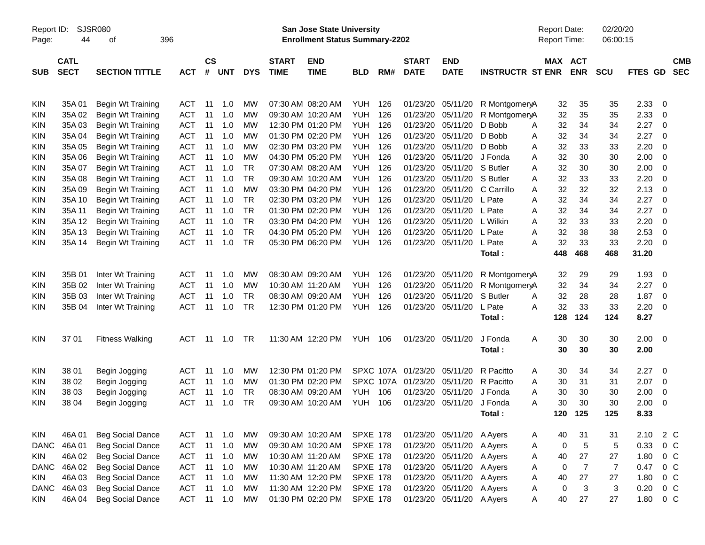|                     |                            |                         |            |                |                |            |                             |                                                                    | <b>Preliminary Census</b> |           |                             |                           |                         |                                     |                |                      |                |                         |                          |
|---------------------|----------------------------|-------------------------|------------|----------------|----------------|------------|-----------------------------|--------------------------------------------------------------------|---------------------------|-----------|-----------------------------|---------------------------|-------------------------|-------------------------------------|----------------|----------------------|----------------|-------------------------|--------------------------|
| Report ID:<br>Page: | 44                         | SJSR080<br>396<br>οf    |            |                |                |            |                             | San Jose State University<br><b>Enrollment Status Summary-2202</b> |                           |           |                             |                           |                         | <b>Report Date:</b><br>Report Time: |                | 02/20/20<br>06:00:15 |                |                         |                          |
| <b>SUB</b>          | <b>CATL</b><br><b>SECT</b> | <b>SECTION TITTLE</b>   | <b>ACT</b> | <b>CS</b><br># | <b>UNT</b>     | <b>DYS</b> | <b>START</b><br><b>TIME</b> | <b>END</b><br><b>TIME</b>                                          | <b>BLD</b>                | RM#       | <b>START</b><br><b>DATE</b> | <b>END</b><br><b>DATE</b> | <b>INSTRUCTR ST ENR</b> | MAX ACT                             | <b>ENR</b>     | <b>SCU</b>           | <b>FTES GD</b> |                         | <b>CMB</b><br><b>SEC</b> |
| <b>KIN</b>          | 35A01                      | Begin Wt Training       | <b>ACT</b> | 11             | 1.0            | MW         |                             | 07:30 AM 08:20 AM                                                  | <b>YUH</b>                | 126       | 01/23/20                    | 05/11/20                  | R MontgomeryA           | 32                                  | 35             | 35                   | 2.33           | 0                       |                          |
| KIN                 | 35A 02                     | Begin Wt Training       | <b>ACT</b> | 11             | 1.0            | MW         |                             | 09:30 AM 10:20 AM                                                  | <b>YUH</b>                | 126       | 01/23/20                    | 05/11/20                  | R MontgomeryA           | 32                                  | 35             | 35                   | 2.33           | 0                       |                          |
| KIN                 | 35A03                      | Begin Wt Training       | ACT        | 11             | 1.0            | MW         |                             | 12:30 PM 01:20 PM                                                  | YUH                       | 126       | 01/23/20                    | 05/11/20                  | D Bobb                  | 32<br>Α                             | 34             | 34                   | 2.27           | 0                       |                          |
| KIN                 | 35A 04                     | Begin Wt Training       | <b>ACT</b> | 11             | 1.0            | MW         |                             | 01:30 PM 02:20 PM                                                  | YUH.                      | 126       | 01/23/20                    | 05/11/20                  | D Bobb                  | 32<br>Α                             | 34             | 34                   | 2.27           | 0                       |                          |
| KIN                 | 35A 05                     | Begin Wt Training       | <b>ACT</b> | 11             | 1.0            | MW         |                             | 02:30 PM 03:20 PM                                                  | YUH.                      | 126       | 01/23/20                    | 05/11/20                  | D Bobb                  | 32<br>Α                             | 33             | 33                   | 2.20           | 0                       |                          |
| KIN                 | 35A 06                     | Begin Wt Training       | <b>ACT</b> | 11             | 1.0            | MW         |                             | 04:30 PM 05:20 PM                                                  | YUH.                      | 126       | 01/23/20                    | 05/11/20                  | J Fonda                 | 32<br>Α                             | 30             | 30                   | 2.00           | 0                       |                          |
| KIN                 | 35A 07                     | Begin Wt Training       | <b>ACT</b> | 11             | 1.0            | TR         |                             | 07:30 AM 08:20 AM                                                  | YUH.                      | 126       | 01/23/20                    | 05/11/20 S Butler         |                         | 32<br>Α                             | 30             | 30                   | 2.00           | 0                       |                          |
| KIN                 | 35A 08                     | Begin Wt Training       | <b>ACT</b> | 11             | 1.0            | <b>TR</b>  |                             | 09:30 AM 10:20 AM                                                  | YUH.                      | 126       | 01/23/20                    | 05/11/20 S Butler         |                         | 32<br>A                             | 33             | 33                   | 2.20           | 0                       |                          |
| KIN                 | 35A09                      | Begin Wt Training       | <b>ACT</b> | 11             | 1.0            | МW         |                             | 03:30 PM 04:20 PM                                                  | YUH.                      | 126       | 01/23/20                    | 05/11/20                  | C Carrillo              | 32<br>A                             | 32             | 32                   | 2.13           | 0                       |                          |
| KIN                 | 35A 10                     | Begin Wt Training       | <b>ACT</b> | 11             | 1.0            | TR         |                             | 02:30 PM 03:20 PM                                                  | YUH.                      | 126       | 01/23/20                    | 05/11/20                  | L Pate                  | 32<br>Α                             | 34             | 34                   | 2.27           | 0                       |                          |
| <b>KIN</b>          | 35A 11                     | Begin Wt Training       | <b>ACT</b> | 11             | 1.0            | <b>TR</b>  |                             | 01:30 PM 02:20 PM                                                  | YUH                       | 126       | 01/23/20                    | 05/11/20                  | L Pate                  | 32<br>Α                             | 34             | 34                   | 2.27           | $\overline{0}$          |                          |
| KIN                 | 35A 12                     | Begin Wt Training       | <b>ACT</b> | 11             | 1.0            | <b>TR</b>  |                             | 03:30 PM 04:20 PM                                                  | YUH.                      | 126       | 01/23/20                    | 05/11/20                  | L Wilkin                | 32<br>A                             | 33             | 33                   | 2.20           | 0                       |                          |
| KIN                 | 35A 13                     | Begin Wt Training       | <b>ACT</b> | 11             | 1.0            | <b>TR</b>  |                             | 04:30 PM 05:20 PM                                                  | YUH                       | 126       | 01/23/20                    | 05/11/20                  | L Pate                  | 32<br>Α                             | 38             | 38                   | 2.53           | 0                       |                          |
| KIN                 | 35A 14                     | Begin Wt Training       | <b>ACT</b> | 11             | 1.0            | <b>TR</b>  |                             | 05:30 PM 06:20 PM                                                  | <b>YUH</b>                | 126       |                             | 01/23/20 05/11/20         | L Pate                  | 32<br>А                             | 33             | 33                   | 2.20           | - 0                     |                          |
|                     |                            |                         |            |                |                |            |                             |                                                                    |                           |           |                             |                           | Total:                  | 448                                 | 468            | 468                  | 31.20          |                         |                          |
| <b>KIN</b>          | 35B 01                     | Inter Wt Training       | <b>ACT</b> | 11             | 1.0            | MW         |                             | 08:30 AM 09:20 AM                                                  | YUH                       | 126       | 01/23/20                    | 05/11/20                  | R MontgomeryA           | 32                                  | 29             | 29                   | 1.93           | 0                       |                          |
| <b>KIN</b>          | 35B 02                     | Inter Wt Training       | <b>ACT</b> | 11             | 1.0            | MW         |                             | 10:30 AM 11:20 AM                                                  | <b>YUH</b>                | 126       | 01/23/20                    | 05/11/20                  | R MontgomeryA           | 32                                  | 34             | 34                   | 2.27           | - 0                     |                          |
| KIN                 | 35B 03                     | Inter Wt Training       | <b>ACT</b> | 11             | 1.0            | TR.        |                             | 08:30 AM 09:20 AM                                                  | YUH                       | 126       | 01/23/20                    | 05/11/20                  | S Butler                | 32<br>A                             | 28             | 28                   | 1.87           | 0                       |                          |
| KIN                 | 35B 04                     | Inter Wt Training       | <b>ACT</b> | 11             | 1.0            | TR         |                             | 12:30 PM 01:20 PM                                                  | YUH                       | 126       |                             | 01/23/20 05/11/20         | L Pate                  | 32<br>Α                             | 33             | 33                   | 2.20           | 0                       |                          |
|                     |                            |                         |            |                |                |            |                             |                                                                    |                           |           |                             |                           | Total:                  | 128                                 | 124            | 124                  | 8.27           |                         |                          |
| <b>KIN</b>          | 37 01                      | <b>Fitness Walking</b>  | <b>ACT</b> | -11            | 1.0            | TR         |                             | 11:30 AM 12:20 PM                                                  | <b>YUH 106</b>            |           |                             | 01/23/20 05/11/20         | J Fonda                 | 30<br>Α                             | 30             | 30                   | $2.00 \t 0$    |                         |                          |
|                     |                            |                         |            |                |                |            |                             |                                                                    |                           |           |                             |                           | Total:                  | 30                                  | 30             | 30                   | 2.00           |                         |                          |
| <b>KIN</b>          | 38 01                      | Begin Jogging           | <b>ACT</b> | 11             | 1.0            | MW         |                             | 12:30 PM 01:20 PM                                                  |                           |           | SPXC 107A 01/23/20          | 05/11/20                  | R Pacitto               | 30<br>A                             | 34             | 34                   | 2.27           | $\overline{\mathbf{0}}$ |                          |
| <b>KIN</b>          | 38 02                      | Begin Jogging           | <b>ACT</b> | 11             | 1.0            | MW         |                             | 01:30 PM 02:20 PM                                                  |                           | SPXC 107A | 01/23/20                    | 05/11/20                  | R Pacitto               | 30<br>Α                             | 31             | 31                   | 2.07           | 0                       |                          |
| KIN                 | 38 03                      | Begin Jogging           | <b>ACT</b> | 11             | 1.0            | TR         |                             | 08:30 AM 09:20 AM                                                  | YUH                       | 106       | 01/23/20                    | 05/11/20                  | J Fonda                 | 30<br>A                             | 30             | 30                   | 2.00           | 0                       |                          |
| KIN                 | 38 04                      | Begin Jogging           | <b>ACT</b> | 11             | 1.0            | TR         |                             | 09:30 AM 10:20 AM                                                  | <b>YUH</b>                | 106       |                             | 01/23/20 05/11/20 J Fonda |                         | 30<br>A                             | 30             | 30                   | 2.00           | 0                       |                          |
|                     |                            |                         |            |                |                |            |                             |                                                                    |                           |           |                             |                           | Total:                  |                                     | 120 125        | 125                  | 8.33           |                         |                          |
| KIN                 | 46A 01                     | <b>Beg Social Dance</b> | ACT        |                | 11 1.0         | МW         |                             | 09:30 AM 10:20 AM                                                  | <b>SPXE 178</b>           |           |                             | 01/23/20 05/11/20 A Ayers |                         | 40<br>A                             | 31             | 31                   | 2.10           | 2 C                     |                          |
| <b>DANC</b>         | 46A01                      | Beg Social Dance        | ACT        | 11             | 1.0            | <b>MW</b>  |                             | 09:30 AM 10:20 AM                                                  | <b>SPXE 178</b>           |           |                             | 01/23/20 05/11/20 A Ayers |                         | 0<br>A                              | 5              | $\mathbf 5$          | 0.33           | $0\,C$                  |                          |
| <b>KIN</b>          | 46A 02                     | <b>Beg Social Dance</b> | <b>ACT</b> |                | $11 \quad 1.0$ | МW         |                             | 10:30 AM 11:20 AM                                                  | <b>SPXE 178</b>           |           |                             | 01/23/20 05/11/20 A Ayers |                         | 40<br>Α                             | 27             | 27                   | 1.80           | $0\,C$                  |                          |
| DANC                | 46A 02                     | <b>Beg Social Dance</b> | <b>ACT</b> |                | $11 \quad 1.0$ | МW         |                             | 10:30 AM 11:20 AM                                                  | <b>SPXE 178</b>           |           |                             | 01/23/20 05/11/20 A Ayers |                         | 0<br>A                              | $\overline{7}$ | 7                    | 0.47           | $0\,C$                  |                          |
| <b>KIN</b>          | 46A03                      | <b>Beg Social Dance</b> | <b>ACT</b> |                | $11 \quad 1.0$ | МW         |                             | 11:30 AM 12:20 PM                                                  | <b>SPXE 178</b>           |           |                             | 01/23/20 05/11/20 A Ayers |                         | 40<br>Α                             | 27             | 27                   | 1.80           | 0 C                     |                          |
| DANC                | 46A03                      | <b>Beg Social Dance</b> | <b>ACT</b> |                | $11 \quad 1.0$ | МW         |                             | 11:30 AM 12:20 PM                                                  | <b>SPXE 178</b>           |           |                             | 01/23/20 05/11/20 A Ayers |                         | 0<br>A                              | 3              | 3                    | 0.20           | $0\,C$                  |                          |
| <b>KIN</b>          | 46A 04                     | <b>Beg Social Dance</b> | <b>ACT</b> |                | 11  1.0        | МW         |                             | 01:30 PM 02:20 PM                                                  | <b>SPXE 178</b>           |           |                             | 01/23/20 05/11/20 A Ayers |                         | 40<br>A                             | 27             | 27                   | 1.80           | $0\,C$                  |                          |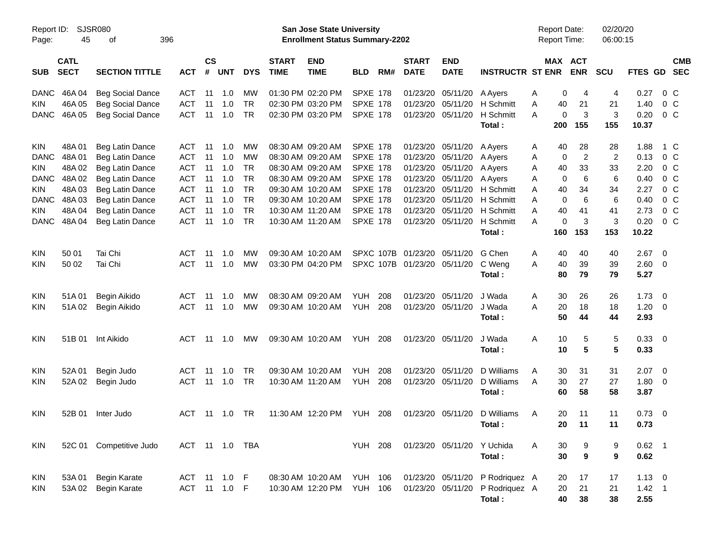|                     |                            |                             |            |                |               |                |                             |                                                                           | <b>Preliminary Census</b> |     |                             |                           |                                                        |                                            |                       |                      |                |                          |                          |
|---------------------|----------------------------|-----------------------------|------------|----------------|---------------|----------------|-----------------------------|---------------------------------------------------------------------------|---------------------------|-----|-----------------------------|---------------------------|--------------------------------------------------------|--------------------------------------------|-----------------------|----------------------|----------------|--------------------------|--------------------------|
| Report ID:<br>Page: | 45                         | <b>SJSR080</b><br>396<br>οf |            |                |               |                |                             | <b>San Jose State University</b><br><b>Enrollment Status Summary-2202</b> |                           |     |                             |                           |                                                        | <b>Report Date:</b><br><b>Report Time:</b> |                       | 02/20/20<br>06:00:15 |                |                          |                          |
| <b>SUB</b>          | <b>CATL</b><br><b>SECT</b> | <b>SECTION TITTLE</b>       | <b>ACT</b> | <b>CS</b><br># | <b>UNT</b>    | <b>DYS</b>     | <b>START</b><br><b>TIME</b> | <b>END</b><br><b>TIME</b>                                                 | <b>BLD</b>                | RM# | <b>START</b><br><b>DATE</b> | <b>END</b><br><b>DATE</b> | <b>INSTRUCTR ST ENR</b>                                |                                            | MAX ACT<br><b>ENR</b> | <b>SCU</b>           | FTES GD        |                          | <b>CMB</b><br><b>SEC</b> |
| <b>DANC</b>         | 46A04                      | <b>Beg Social Dance</b>     | ACT        | 11             | 1.0           | МW             |                             | 01:30 PM 02:20 PM                                                         | <b>SPXE 178</b>           |     | 01/23/20                    | 05/11/20                  | A Ayers                                                | 0<br>A                                     | 4                     | 4                    | 0.27           | 0 C                      |                          |
| <b>KIN</b>          | 46A 05                     | <b>Beg Social Dance</b>     | <b>ACT</b> | 11             | 1.0           | <b>TR</b>      |                             | 02:30 PM 03:20 PM                                                         | <b>SPXE 178</b>           |     | 01/23/20                    | 05/11/20                  | H Schmitt                                              | 40<br>Α                                    | 21                    | 21                   | 1.40           | 0 <sup>o</sup>           |                          |
| <b>DANC</b>         | 46A 05                     | <b>Beg Social Dance</b>     | <b>ACT</b> | 11             | 1.0           | <b>TR</b>      |                             | 02:30 PM 03:20 PM                                                         | <b>SPXE 178</b>           |     | 01/23/20                    | 05/11/20                  | H Schmitt                                              | $\Omega$<br>A                              | 3                     | 3                    | 0.20           | $0\,C$                   |                          |
|                     |                            |                             |            |                |               |                |                             |                                                                           |                           |     |                             |                           | Total:                                                 | 200                                        | 155                   | 155                  | 10.37          |                          |                          |
| <b>KIN</b>          | 48A 01                     | Beg Latin Dance             | ACT        | 11             | 1.0           | МW             |                             | 08:30 AM 09:20 AM                                                         | SPXE 178                  |     | 01/23/20                    | 05/11/20                  | A Ayers                                                | 40<br>A                                    | 28                    | 28                   | 1.88           | 1 C                      |                          |
| <b>DANC</b>         | 48A01                      | Beg Latin Dance             | <b>ACT</b> | 11             | 1.0           | МW             |                             | 08:30 AM 09:20 AM                                                         | <b>SPXE 178</b>           |     | 01/23/20                    | 05/11/20                  | A Ayers                                                | $\mathbf 0$<br>A                           | 2                     | $\overline{2}$       | 0.13           | $0\,C$                   |                          |
| KIN.                | 48A02                      | Beg Latin Dance             | <b>ACT</b> | 11             | 1.0           | TR             |                             | 08:30 AM 09:20 AM                                                         | <b>SPXE 178</b>           |     | 01/23/20                    | 05/11/20                  | A Ayers                                                | 40<br>A                                    | 33                    | 33                   | 2.20           | 0 <sup>o</sup>           |                          |
| <b>DANC</b>         | 48A 02                     | Beg Latin Dance             | <b>ACT</b> | 11             | 1.0           | <b>TR</b>      |                             | 08:30 AM 09:20 AM                                                         | <b>SPXE 178</b>           |     | 01/23/20                    | 05/11/20                  | A Ayers                                                | $\mathbf 0$<br>A                           | 6                     | 6                    | 0.40           | 0 <sup>o</sup>           |                          |
| <b>KIN</b>          | 48A03                      | Beg Latin Dance             | <b>ACT</b> | 11             | 1.0           | <b>TR</b>      |                             | 09:30 AM 10:20 AM                                                         | <b>SPXE 178</b>           |     | 01/23/20                    |                           | 05/11/20 H Schmitt                                     | 40<br>A                                    | 34                    | 34                   | 2.27           | 0 <sup>o</sup>           |                          |
| <b>DANC</b>         | 48A03                      | Beg Latin Dance             | <b>ACT</b> | 11             | 1.0           | <b>TR</b>      |                             | 09:30 AM 10:20 AM                                                         | <b>SPXE 178</b>           |     | 01/23/20                    |                           | 05/11/20 H Schmitt                                     | $\Omega$<br>A                              | 6                     | 6                    | 0.40           | 0 <sup>o</sup>           |                          |
| <b>KIN</b>          | 48A04                      | Beg Latin Dance             | <b>ACT</b> | 11             | 1.0           | <b>TR</b>      |                             | 10:30 AM 11:20 AM                                                         | <b>SPXE 178</b>           |     | 01/23/20                    |                           | 05/11/20 H Schmitt                                     | A<br>40                                    | 41                    | 41                   | 2.73           | $0\,$ C                  |                          |
| <b>DANC</b>         | 48A 04                     | Beg Latin Dance             | <b>ACT</b> | 11             | 1.0           | <b>TR</b>      |                             | 10:30 AM 11:20 AM                                                         | <b>SPXE 178</b>           |     | 01/23/20                    | 05/11/20                  | H Schmitt                                              | $\mathbf 0$<br>A                           | 3                     | 3                    | 0.20           | 0 <sup>o</sup>           |                          |
|                     |                            |                             |            |                |               |                |                             |                                                                           |                           |     |                             |                           | Total:                                                 | 160                                        | 153                   | 153                  | 10.22          |                          |                          |
| KIN                 | 50 01                      | Tai Chi                     | ACT        | 11             | 1.0           | МW             |                             | 09:30 AM 10:20 AM                                                         |                           |     | SPXC 107B 01/23/20          | 05/11/20                  | G Chen                                                 | 40<br>A                                    | 40                    | 40                   | 2.67           | $\overline{\phantom{0}}$ |                          |
| <b>KIN</b>          | 50 02                      | Tai Chi                     | ACT        | 11             | 1.0           | МW             |                             | 03:30 PM 04:20 PM                                                         |                           |     | SPXC 107B 01/23/20          | 05/11/20                  | C Weng                                                 | A<br>40                                    | 39                    | 39                   | $2.60 \t 0$    |                          |                          |
|                     |                            |                             |            |                |               |                |                             |                                                                           |                           |     |                             |                           | Total:                                                 | 80                                         | 79                    | 79                   | 5.27           |                          |                          |
| KIN                 | 51A01                      | Begin Aikido                | ACT        | 11             | 1.0           | МW             |                             | 08:30 AM 09:20 AM                                                         | <b>YUH</b>                | 208 | 01/23/20                    | 05/11/20                  | J Wada                                                 | 30<br>A                                    | 26                    | 26                   | 1.73           | $\overline{\phantom{0}}$ |                          |
| <b>KIN</b>          | 51A02                      | Begin Aikido                | <b>ACT</b> | 11             | 1.0           | МW             |                             | 09:30 AM 10:20 AM                                                         | <b>YUH</b>                | 208 | 01/23/20                    | 05/11/20                  | J Wada                                                 | A<br>20                                    | 18                    | 18                   | 1.20           | $\overline{\phantom{0}}$ |                          |
|                     |                            |                             |            |                |               |                |                             |                                                                           |                           |     |                             |                           | Total:                                                 | 50                                         | 44                    | 44                   | 2.93           |                          |                          |
| <b>KIN</b>          | 51B 01                     | Int Aikido                  | ACT        | 11             | 1.0           | МW             |                             | 09:30 AM 10:20 AM                                                         | YUH                       | 208 |                             | 01/23/20 05/11/20         | J Wada                                                 | 10<br>Α                                    | 5                     | 5                    | 0.33 0         |                          |                          |
|                     |                            |                             |            |                |               |                |                             |                                                                           |                           |     |                             |                           | Total:                                                 | 10                                         | 5                     | 5                    | 0.33           |                          |                          |
| KIN                 | 52A 01                     | Begin Judo                  | ACT        | 11             | 1.0           | TR             |                             | 09:30 AM 10:20 AM                                                         | <b>YUH</b>                | 208 | 01/23/20                    | 05/11/20                  | D Williams                                             | 30<br>A                                    | 31                    | 31                   | $2.07$ 0       |                          |                          |
| <b>KIN</b>          | 52A 02                     | Begin Judo                  | <b>ACT</b> | 11             | 1.0           | TR             |                             | 10:30 AM 11:20 AM                                                         | <b>YUH</b>                | 208 | 01/23/20                    | 05/11/20                  | D Williams                                             | 30<br>A                                    | 27                    | 27                   | $1.80 \ 0$     |                          |                          |
|                     |                            |                             |            |                |               |                |                             |                                                                           |                           |     |                             |                           | Total:                                                 | 60                                         | 58                    | 58                   | 3.87           |                          |                          |
| <b>KIN</b>          |                            | 52B 01 Inter Judo           |            |                | ACT 11 1.0 TR |                |                             |                                                                           |                           |     |                             |                           | 11:30 AM 12:20 PM YUH 208 01/23/20 05/11/20 D Williams | Α<br>20                                    | 11                    | 11                   | $0.73 \quad 0$ |                          |                          |
|                     |                            |                             |            |                |               |                |                             |                                                                           |                           |     |                             |                           | Total:                                                 | 20                                         | 11                    | 11                   | 0.73           |                          |                          |
| KIN                 |                            | 52C 01 Competitive Judo     |            |                |               | ACT 11 1.0 TBA |                             |                                                                           | <b>YUH 208</b>            |     |                             |                           | 01/23/20 05/11/20 Y Uchida                             | 30<br>A                                    | 9                     | 9                    | $0.62$ 1       |                          |                          |
|                     |                            |                             |            |                |               |                |                             |                                                                           |                           |     |                             |                           | Total:                                                 | 30                                         | $\boldsymbol{9}$      | 9                    | 0.62           |                          |                          |
|                     |                            |                             |            |                |               |                |                             |                                                                           |                           |     |                             |                           |                                                        |                                            |                       |                      |                |                          |                          |
| KIN                 |                            | 53A 01 Begin Karate         |            |                | ACT 11 1.0 F  |                |                             | 08:30 AM 10:20 AM YUH 106                                                 |                           |     |                             |                           | 01/23/20 05/11/20 P Rodriquez A                        | 20                                         | 17                    | 17                   | $1.13 \ 0$     |                          |                          |
| KIN                 |                            | 53A 02 Begin Karate         |            |                | ACT 11 1.0 F  |                |                             | 10:30 AM 12:20 PM                                                         | <b>YUH 106</b>            |     |                             |                           | 01/23/20 05/11/20 P Rodriquez A                        | 20                                         | 21                    | 21                   | $1.42 \quad 1$ |                          |                          |
|                     |                            |                             |            |                |               |                |                             |                                                                           |                           |     |                             |                           | Total:                                                 | 40                                         | 38                    | 38                   | 2.55           |                          |                          |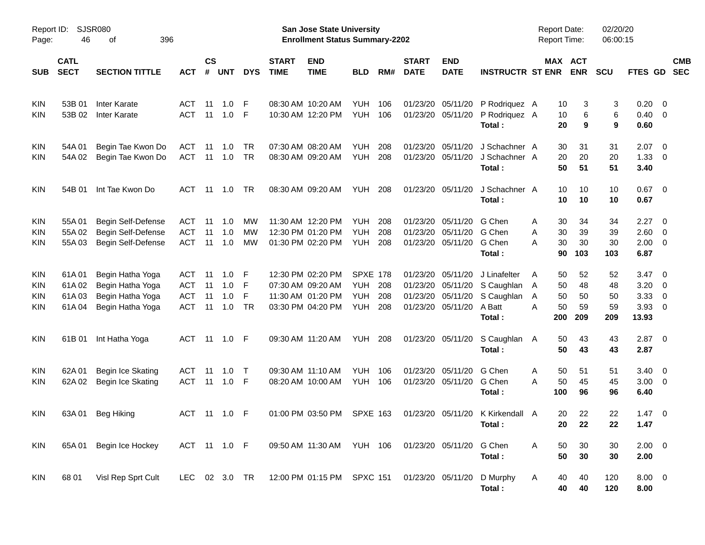|                                                      |                                  |                                                                              |                                 |                      |                          |                   |                             | <b>Preliminary Census</b>                                                        |                                                    |                   |                                  |                                                       |                                                                       |                                                 |                             |                             |                                                 |                                                          |                          |
|------------------------------------------------------|----------------------------------|------------------------------------------------------------------------------|---------------------------------|----------------------|--------------------------|-------------------|-----------------------------|----------------------------------------------------------------------------------|----------------------------------------------------|-------------------|----------------------------------|-------------------------------------------------------|-----------------------------------------------------------------------|-------------------------------------------------|-----------------------------|-----------------------------|-------------------------------------------------|----------------------------------------------------------|--------------------------|
| Report ID:<br>Page:                                  | 46                               | <b>SJSR080</b><br>396<br>οf                                                  |                                 |                      |                          |                   |                             | <b>San Jose State University</b><br><b>Enrollment Status Summary-2202</b>        |                                                    |                   |                                  |                                                       |                                                                       | <b>Report Date:</b><br>Report Time:             |                             | 02/20/20<br>06:00:15        |                                                 |                                                          |                          |
| <b>SUB</b>                                           | <b>CATL</b><br><b>SECT</b>       | <b>SECTION TITTLE</b>                                                        | <b>ACT</b>                      | <b>CS</b><br>#       | <b>UNT</b>               | <b>DYS</b>        | <b>START</b><br><b>TIME</b> | <b>END</b><br><b>TIME</b>                                                        | <b>BLD</b>                                         | RM#               | <b>START</b><br><b>DATE</b>      | <b>END</b><br><b>DATE</b>                             | <b>INSTRUCTR ST ENR</b>                                               | MAX ACT                                         | <b>ENR</b>                  | <b>SCU</b>                  | FTES GD                                         |                                                          | <b>CMB</b><br><b>SEC</b> |
| <b>KIN</b><br><b>KIN</b>                             | 53B 01<br>53B 02                 | Inter Karate<br><b>Inter Karate</b>                                          | ACT<br><b>ACT</b>               | 11<br>11             | 1.0<br>1.0               | -F<br>-F          |                             | 08:30 AM 10:20 AM<br>10:30 AM 12:20 PM                                           | <b>YUH</b><br><b>YUH</b>                           | 106<br>106        |                                  | 01/23/20 05/11/20<br>01/23/20 05/11/20                | P Rodriquez A<br>P Rodriguez A<br>Total:                              | 10<br>10<br>20                                  | 3<br>6<br>9                 | 3<br>6<br>9                 | $0.20 \ 0$<br>$0.40 \quad 0$<br>0.60            |                                                          |                          |
| <b>KIN</b><br><b>KIN</b>                             | 54A01<br>54A 02                  | Begin Tae Kwon Do<br>Begin Tae Kwon Do                                       | ACT<br>ACT                      | 11<br>11             | 1.0<br>1.0               | TR<br><b>TR</b>   |                             | 07:30 AM 08:20 AM<br>08:30 AM 09:20 AM                                           | <b>YUH</b><br><b>YUH</b>                           | 208<br>208        | 01/23/20<br>01/23/20             | 05/11/20<br>05/11/20                                  | J Schachner A<br>J Schachner A<br>Total:                              | 30<br>20<br>50                                  | 31<br>20<br>51              | 31<br>20<br>51              | $2.07 \quad 0$<br>1.33<br>3.40                  | $\overline{\phantom{0}}$                                 |                          |
| <b>KIN</b>                                           | 54B 01                           | Int Tae Kwon Do                                                              | ACT                             |                      | $11 \quad 1.0$           | <b>TR</b>         |                             | 08:30 AM 09:20 AM                                                                | <b>YUH 208</b>                                     |                   |                                  | 01/23/20 05/11/20                                     | J Schachner A<br>Total:                                               | 10<br>10                                        | 10<br>10                    | 10<br>10                    | $0.67$ 0<br>0.67                                |                                                          |                          |
| <b>KIN</b><br><b>KIN</b><br><b>KIN</b>               | 55A01<br>55A 02<br>55A03         | Begin Self-Defense<br>Begin Self-Defense<br>Begin Self-Defense               | ACT<br><b>ACT</b><br><b>ACT</b> | 11<br>11<br>11       | -1.0<br>1.0<br>1.0       | МW<br>МW<br>MW    |                             | 11:30 AM 12:20 PM<br>12:30 PM 01:20 PM<br>01:30 PM 02:20 PM                      | <b>YUH</b><br><b>YUH</b><br><b>YUH</b>             | 208<br>208<br>208 | 01/23/20<br>01/23/20             | 05/11/20<br>05/11/20<br>01/23/20 05/11/20             | G Chen<br>G Chen<br>G Chen<br>Total:                                  | 30<br>Α<br>30<br>A<br>30<br>Α<br>90             | 34<br>39<br>30<br>103       | 34<br>39<br>30<br>103       | 2.27<br>2.60<br>$2.00 \t 0$<br>6.87             | $\overline{\phantom{0}}$<br>$\overline{\phantom{0}}$     |                          |
| <b>KIN</b><br><b>KIN</b><br><b>KIN</b><br><b>KIN</b> | 61A01<br>61A02<br>61A03<br>61A04 | Begin Hatha Yoga<br>Begin Hatha Yoga<br>Begin Hatha Yoga<br>Begin Hatha Yoga | ACT<br>ACT<br>ACT<br>ACT        | 11<br>11<br>11<br>11 | 1.0<br>1.0<br>1.0<br>1.0 | F<br>F<br>F<br>TR |                             | 12:30 PM 02:20 PM<br>07:30 AM 09:20 AM<br>11:30 AM 01:20 PM<br>03:30 PM 04:20 PM | <b>SPXE 178</b><br><b>YUH</b><br><b>YUH</b><br>YUH | 208<br>208<br>208 | 01/23/20<br>01/23/20<br>01/23/20 | 05/11/20<br>05/11/20<br>05/11/20<br>01/23/20 05/11/20 | J Linafelter<br>S Caughlan<br>S Caughlan<br>A Batt<br>Total:          | 50<br>A<br>50<br>A<br>50<br>A<br>50<br>A<br>200 | 52<br>48<br>50<br>59<br>209 | 52<br>48<br>50<br>59<br>209 | $3.47 \quad 0$<br>3.20<br>3.33<br>3.93<br>13.93 | $\overline{\mathbf{0}}$<br>0<br>$\overline{\phantom{0}}$ |                          |
| <b>KIN</b>                                           | 61B01                            | Int Hatha Yoga                                                               |                                 |                      | ACT 11 1.0 F             |                   |                             | 09:30 AM 11:20 AM                                                                | <b>YUH 208</b>                                     |                   |                                  | 01/23/20 05/11/20                                     | S Caughlan<br>Total:                                                  | 50<br>A<br>50                                   | 43<br>43                    | 43<br>43                    | $2.87$ 0<br>2.87                                |                                                          |                          |
| <b>KIN</b><br><b>KIN</b>                             | 62A 01<br>62A 02                 | Begin Ice Skating<br>Begin Ice Skating                                       | ACT<br>ACT                      | 11<br>11             | 1.0<br>1.0               | $\top$<br>- F     |                             | 09:30 AM 11:10 AM<br>08:20 AM 10:00 AM                                           | <b>YUH</b><br><b>YUH</b>                           | 106<br>106        | 01/23/20                         | 05/11/20<br>01/23/20 05/11/20                         | G Chen<br>G Chen<br>Total:                                            | 50<br>A<br>50<br>Α<br>100                       | 51<br>45<br>96              | 51<br>45<br>96              | $3.40 \quad 0$<br>$3.00 \ 0$<br>6.40            |                                                          |                          |
| <b>KIN</b>                                           |                                  | 63A 01 Beg Hiking                                                            |                                 |                      | ACT 11 1.0 F             |                   |                             |                                                                                  |                                                    |                   |                                  |                                                       | 01:00 PM 03:50 PM SPXE 163 01/23/20 05/11/20 K Kirkendall A<br>Total: | 20<br>20                                        | 22<br>22                    | 22<br>22                    | $1.47 \ 0$<br>1.47                              |                                                          |                          |
| KIN                                                  | 65A 01                           | Begin Ice Hockey                                                             | ACT 11 1.0 F                    |                      |                          |                   |                             | 09:50 AM 11:30 AM YUH 106 01/23/20 05/11/20                                      |                                                    |                   |                                  |                                                       | G Chen<br>Total:                                                      | 50<br>Α<br>50                                   | 30<br>30                    | 30<br>30                    | $2.00 \t 0$<br>2.00                             |                                                          |                          |
| KIN                                                  | 68 01                            | Visl Rep Sprt Cult                                                           | LEC 02 3.0 TR                   |                      |                          |                   |                             | 12:00 PM 01:15 PM SPXC 151                                                       |                                                    |                   | 01/23/20 05/11/20                |                                                       | D Murphy<br>Total:                                                    | 40<br>A<br>40                                   | 40<br>40                    | 120<br>120                  | $8.00 \t 0$<br>8.00                             |                                                          |                          |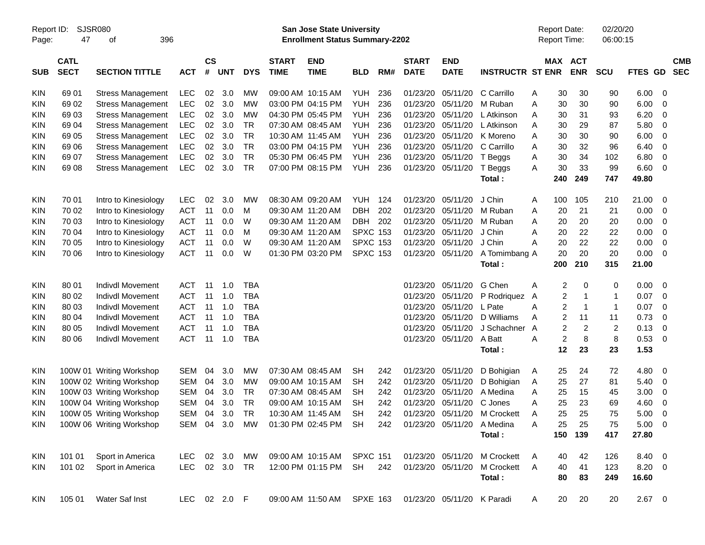|                     |                            |                          |              |                |            |            |                             | <b>Preliminary Census</b>                                                 |                 |     |                             |                            |                         |   |                         |                                     |                      |             |                          |                          |
|---------------------|----------------------------|--------------------------|--------------|----------------|------------|------------|-----------------------------|---------------------------------------------------------------------------|-----------------|-----|-----------------------------|----------------------------|-------------------------|---|-------------------------|-------------------------------------|----------------------|-------------|--------------------------|--------------------------|
| Report ID:<br>Page: | SJSR080<br>47              | 396<br>οf                |              |                |            |            |                             | <b>San Jose State University</b><br><b>Enrollment Status Summary-2202</b> |                 |     |                             |                            |                         |   |                         | <b>Report Date:</b><br>Report Time: | 02/20/20<br>06:00:15 |             |                          |                          |
| <b>SUB</b>          | <b>CATL</b><br><b>SECT</b> | <b>SECTION TITTLE</b>    | <b>ACT</b>   | <b>CS</b><br># | <b>UNT</b> | <b>DYS</b> | <b>START</b><br><b>TIME</b> | <b>END</b><br><b>TIME</b>                                                 | <b>BLD</b>      | RM# | <b>START</b><br><b>DATE</b> | <b>END</b><br><b>DATE</b>  | <b>INSTRUCTR ST ENR</b> |   |                         | MAX ACT<br><b>ENR</b>               | <b>SCU</b>           | <b>FTES</b> | GD                       | <b>CMB</b><br><b>SEC</b> |
| KIN                 | 69 01                      | <b>Stress Management</b> | <b>LEC</b>   | 02             | 3.0        | MW         |                             | 09:00 AM 10:15 AM                                                         | YUH             | 236 | 01/23/20                    | 05/11/20                   | C Carrillo              | Α | 30                      | 30                                  | 90                   | 6.00        | - 0                      |                          |
| KIN                 | 69 02                      | <b>Stress Management</b> | LEC          | 02             | 3.0        | <b>MW</b>  |                             | 03:00 PM 04:15 PM                                                         | <b>YUH</b>      | 236 | 01/23/20                    | 05/11/20                   | M Ruban                 | A | 30                      | 30                                  | 90                   | 6.00        | 0                        |                          |
| KIN                 | 6903                       | <b>Stress Management</b> | LEC          | 02             | 3.0        | <b>MW</b>  |                             | 04:30 PM 05:45 PM                                                         | YUH             | 236 | 01/23/20                    | 05/11/20                   | L Atkinson              | Α | 30                      | 31                                  | 93                   | 6.20        | 0                        |                          |
| <b>KIN</b>          | 6904                       | <b>Stress Management</b> | LEC          | 02             | 3.0        | <b>TR</b>  |                             | 07:30 AM 08:45 AM                                                         | YUH             | 236 | 01/23/20                    | 05/11/20                   | L Atkinson              | Α | 30                      | 29                                  | 87                   | 5.80        | 0                        |                          |
| <b>KIN</b>          | 69 05                      | <b>Stress Management</b> | LEC          | 02             | 3.0        | <b>TR</b>  |                             | 10:30 AM 11:45 AM                                                         | <b>YUH</b>      | 236 | 01/23/20                    | 05/11/20                   | K Moreno                | Α | 30                      | 30                                  | 90                   | 6.00        | 0                        |                          |
| <b>KIN</b>          | 69 06                      | <b>Stress Management</b> | LEC          | 02             | 3.0        | <b>TR</b>  |                             | 03:00 PM 04:15 PM                                                         | <b>YUH</b>      | 236 | 01/23/20                    | 05/11/20                   | C Carrillo              | Α | 30                      | 32                                  | 96                   | 6.40        | 0                        |                          |
| <b>KIN</b>          | 69 07                      | <b>Stress Management</b> | LEC          | 02             | 3.0        | <b>TR</b>  |                             | 05:30 PM 06:45 PM                                                         | YUH             | 236 | 01/23/20                    | 05/11/20                   | T Beggs                 | Α | 30                      | 34                                  | 102                  | 6.80        | 0                        |                          |
| <b>KIN</b>          | 69 08                      | <b>Stress Management</b> | <b>LEC</b>   | 02             | 3.0        | <b>TR</b>  |                             | 07:00 PM 08:15 PM                                                         | <b>YUH</b>      | 236 | 01/23/20                    | 05/11/20                   | T Beggs                 | A | 30                      | 33                                  | 99                   | 6.60        | 0                        |                          |
|                     |                            |                          |              |                |            |            |                             |                                                                           |                 |     |                             |                            | Total:                  |   | 240                     | 249                                 | 747                  | 49.80       |                          |                          |
| <b>KIN</b>          | 70 01                      | Intro to Kinesiology     | <b>LEC</b>   | 02             | 3.0        | <b>MW</b>  |                             | 08:30 AM 09:20 AM                                                         | <b>YUH</b>      | 124 | 01/23/20                    | 05/11/20                   | J Chin                  | A | 100                     | 105                                 | 210                  | 21.00       | 0                        |                          |
| KIN                 | 70 02                      | Intro to Kinesiology     | <b>ACT</b>   | 11             | 0.0        | M          |                             | 09:30 AM 11:20 AM                                                         | <b>DBH</b>      | 202 | 01/23/20                    | 05/11/20                   | M Ruban                 | A | 20                      | 21                                  | 21                   | 0.00        | 0                        |                          |
| KIN                 | 70 03                      | Intro to Kinesiology     | <b>ACT</b>   | 11             | 0.0        | W          |                             | 09:30 AM 11:20 AM                                                         | <b>DBH</b>      | 202 | 01/23/20                    | 05/11/20                   | M Ruban                 | A | 20                      | 20                                  | 20                   | 0.00        | 0                        |                          |
| KIN                 | 70 04                      | Intro to Kinesiology     | <b>ACT</b>   | 11             | 0.0        | M          |                             | 09:30 AM 11:20 AM                                                         | <b>SPXC 153</b> |     | 01/23/20                    | 05/11/20                   | J Chin                  | A | 20                      | 22                                  | 22                   | 0.00        | 0                        |                          |
| KIN                 | 70 05                      | Intro to Kinesiology     | <b>ACT</b>   | 11             | 0.0        | W          |                             | 09:30 AM 11:20 AM                                                         | <b>SPXC 153</b> |     | 01/23/20                    | 05/11/20                   | J Chin                  | A | 20                      | 22                                  | 22                   | 0.00        | 0                        |                          |
| <b>KIN</b>          | 70 06                      | Intro to Kinesiology     | <b>ACT</b>   | 11             | 0.0        | W          |                             | 01:30 PM 03:20 PM                                                         | <b>SPXC 153</b> |     | 01/23/20                    | 05/11/20                   | A Tomimbang A           |   | 20                      | 20                                  | 20                   | 0.00        | 0                        |                          |
|                     |                            |                          |              |                |            |            |                             |                                                                           |                 |     |                             |                            | Total:                  |   | 200                     | 210                                 | 315                  | 21.00       |                          |                          |
| <b>KIN</b>          | 80 01                      | <b>Indivdl Movement</b>  | <b>ACT</b>   | 11             | 1.0        | <b>TBA</b> |                             |                                                                           |                 |     | 01/23/20                    | 05/11/20                   | G Chen                  | Α | 2                       | 0                                   | 0                    | 0.00        | 0                        |                          |
| KIN                 | 80 02                      | <b>Indivdl Movement</b>  | <b>ACT</b>   | 11             | 1.0        | <b>TBA</b> |                             |                                                                           |                 |     | 01/23/20                    | 05/11/20                   | P Rodriquez             | A | $\overline{c}$          | $\mathbf 1$                         | 1                    | 0.07        | $\mathbf 0$              |                          |
| KIN                 | 80 03                      | Indivdl Movement         | <b>ACT</b>   | 11             | 1.0        | <b>TBA</b> |                             |                                                                           |                 |     | 01/23/20                    | 05/11/20                   | L Pate                  | A | $\overline{c}$          | $\mathbf 1$                         | $\mathbf{1}$         | 0.07        | 0                        |                          |
| <b>KIN</b>          | 80 04                      | Indivdl Movement         | <b>ACT</b>   | 11             | 1.0        | <b>TBA</b> |                             |                                                                           |                 |     | 01/23/20                    | 05/11/20                   | D Williams              | A | $\overline{\mathbf{c}}$ | 11                                  | 11                   | 0.73        | 0                        |                          |
| <b>KIN</b>          | 80 05                      | Indivdl Movement         | <b>ACT</b>   | 11             | 1.0        | <b>TBA</b> |                             |                                                                           |                 |     | 01/23/20                    | 05/11/20                   | J Schachner             | A | $\overline{c}$          | $\overline{c}$                      | $\overline{c}$       | 0.13        | 0                        |                          |
| <b>KIN</b>          | 80 06                      | <b>Indivdl Movement</b>  | <b>ACT</b>   | 11             | 1.0        | <b>TBA</b> |                             |                                                                           |                 |     | 01/23/20                    | 05/11/20                   | A Batt                  | A | $\overline{\mathbf{c}}$ | 8                                   | 8                    | 0.53        | 0                        |                          |
|                     |                            |                          |              |                |            |            |                             |                                                                           |                 |     |                             |                            | Total:                  |   | 12                      | 23                                  | 23                   | 1.53        |                          |                          |
| <b>KIN</b>          |                            | 100W 01 Writing Workshop | <b>SEM</b>   | 04             | 3.0        | МW         |                             | 07:30 AM 08:45 AM                                                         | <b>SH</b>       | 242 | 01/23/20                    | 05/11/20                   | D Bohigian              | A | 25                      | 24                                  | 72                   | 4.80        | 0                        |                          |
| <b>KIN</b>          |                            | 100W 02 Writing Workshop | <b>SEM</b>   | 04             | 3.0        | MW         |                             | 09:00 AM 10:15 AM                                                         | <b>SH</b>       | 242 | 01/23/20                    | 05/11/20                   | D Bohigian              | A | 25                      | 27                                  | 81                   | 5.40        | 0                        |                          |
| KIN                 |                            | 100W 03 Writing Workshop | <b>SEM</b>   | 04             | 3.0        | <b>TR</b>  |                             | 07:30 AM 08:45 AM                                                         | <b>SH</b>       | 242 | 01/23/20                    | 05/11/20                   | A Medina                | Α | 25                      | 15                                  | 45                   | 3.00        | 0                        |                          |
| <b>KIN</b>          |                            | 100W 04 Writing Workshop | <b>SEM</b>   | 04             | 3.0        | <b>TR</b>  |                             | 09:00 AM 10:15 AM                                                         | <b>SH</b>       | 242 | 01/23/20                    | 05/11/20                   | C Jones                 | A | 25                      | 23                                  | 69                   | 4.60        | 0                        |                          |
| KIN                 |                            | 100W 05 Writing Workshop | SEM 04       |                | 3.0        | TR         |                             | 10:30 AM 11:45 AM                                                         | SH              | 242 |                             | 01/23/20 05/11/20          | M Crockett              | A | 25                      | 25                                  | 75                   | 5.00        | $\overline{0}$           |                          |
| <b>KIN</b>          |                            | 100W 06 Writing Workshop | SEM 04 3.0   |                |            | MW         |                             | 01:30 PM 02:45 PM                                                         | SH              | 242 | 01/23/20 05/11/20           |                            | A Medina                | Α | 25                      | 25                                  | 75                   | 5.00        | $\overline{\phantom{0}}$ |                          |
|                     |                            |                          |              |                |            |            |                             |                                                                           |                 |     |                             |                            | Total:                  |   | 150                     | 139                                 | 417                  | 27.80       |                          |                          |
| <b>KIN</b>          | 101 01                     | Sport in America         | LEC.         |                | 02 3.0     | MW         |                             | 09:00 AM 10:15 AM SPXC 151                                                |                 |     | 01/23/20 05/11/20           |                            | M Crockett              | A | 40                      | 42                                  | 126                  | 8.40        | $\overline{\phantom{0}}$ |                          |
| <b>KIN</b>          | 101 02                     | Sport in America         | LEC 02 3.0   |                |            | TR         |                             | 12:00 PM 01:15 PM                                                         | SH              | 242 | 01/23/20 05/11/20           |                            | M Crockett              | A | 40                      | 41                                  | 123                  | $8.20 \ 0$  |                          |                          |
|                     |                            |                          |              |                |            |            |                             |                                                                           |                 |     |                             |                            | Total:                  |   | 80                      | 83                                  | 249                  | 16.60       |                          |                          |
| KIN                 | 105 01                     | Water Saf Inst           | LEC 02 2.0 F |                |            |            |                             | 09:00 AM 11:50 AM SPXE 163                                                |                 |     |                             | 01/23/20 05/11/20 K Paradi |                         | A | 20                      | 20                                  | 20                   | $2.67$ 0    |                          |                          |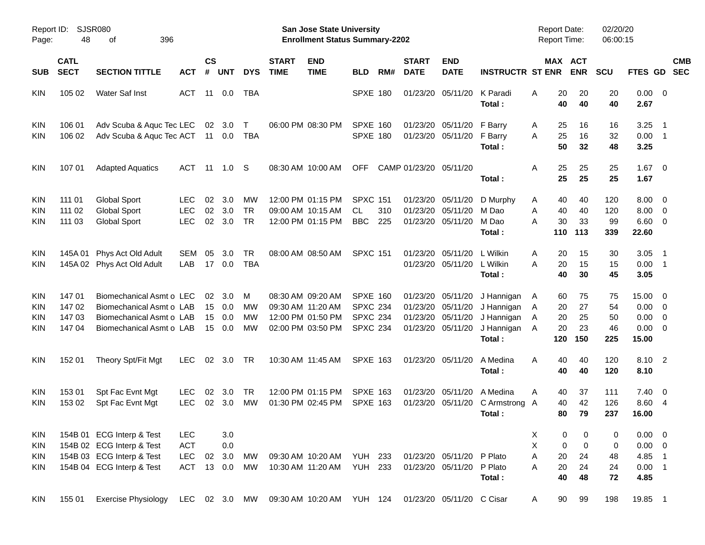|                                        |                                     |                                                                                                                  |                                               |                |                                |                              |                             |                                                                                  | <b>Preliminary Census</b>                                                |            |                                  |                                                        |                                                                |                                                      |                                    |                             |                                                               |                          |            |
|----------------------------------------|-------------------------------------|------------------------------------------------------------------------------------------------------------------|-----------------------------------------------|----------------|--------------------------------|------------------------------|-----------------------------|----------------------------------------------------------------------------------|--------------------------------------------------------------------------|------------|----------------------------------|--------------------------------------------------------|----------------------------------------------------------------|------------------------------------------------------|------------------------------------|-----------------------------|---------------------------------------------------------------|--------------------------|------------|
| Report ID:<br>Page:                    | 48                                  | <b>SJSR080</b><br>396<br>οf                                                                                      |                                               |                |                                |                              |                             | <b>San Jose State University</b><br><b>Enrollment Status Summary-2202</b>        |                                                                          |            |                                  |                                                        |                                                                | <b>Report Date:</b><br>Report Time:                  |                                    | 02/20/20<br>06:00:15        |                                                               |                          |            |
| <b>SUB</b>                             | <b>CATL</b><br><b>SECT</b>          | <b>SECTION TITTLE</b>                                                                                            | <b>ACT</b>                                    | <b>CS</b><br># | <b>UNT</b>                     | <b>DYS</b>                   | <b>START</b><br><b>TIME</b> | <b>END</b><br><b>TIME</b>                                                        | <b>BLD</b>                                                               | RM#        | <b>START</b><br><b>DATE</b>      | <b>END</b><br><b>DATE</b>                              | <b>INSTRUCTR ST ENR</b>                                        |                                                      | MAX ACT<br><b>ENR</b>              | <b>SCU</b>                  | FTES GD SEC                                                   |                          | <b>CMB</b> |
| <b>KIN</b>                             | 105 02                              | Water Saf Inst                                                                                                   | ACT 11 0.0                                    |                |                                | TBA                          |                             |                                                                                  | <b>SPXE 180</b>                                                          |            |                                  | 01/23/20 05/11/20                                      | K Paradi<br>Total:                                             | 20<br>Α<br>40                                        | 20<br>40                           | 20<br>40                    | $0.00 \t 0$<br>2.67                                           |                          |            |
| KIN<br><b>KIN</b>                      | 106 01<br>106 02                    | Adv Scuba & Aquc Tec LEC<br>Adv Scuba & Aquc Tec ACT 11 0.0                                                      |                                               |                | 02 3.0                         | $\mathsf T$<br>TBA           |                             | 06:00 PM 08:30 PM                                                                | SPXE 160<br><b>SPXE 180</b>                                              |            | 01/23/20                         | 05/11/20<br>01/23/20 05/11/20                          | F Barry<br>F Barry<br>Total:                                   | 25<br>A<br>25<br>A<br>50                             | 16<br>16<br>32                     | 16<br>32<br>48              | 3.25<br>$0.00$ 1<br>3.25                                      | $\overline{\phantom{1}}$ |            |
| <b>KIN</b>                             | 107 01                              | <b>Adapted Aquatics</b>                                                                                          | ACT                                           |                | 11 1.0 S                       |                              |                             | 08:30 AM 10:00 AM                                                                | OFF.                                                                     |            | CAMP 01/23/20 05/11/20           |                                                        | Total:                                                         | 25<br>Α<br>25                                        | 25<br>25                           | 25<br>25                    | $1.67$ 0<br>1.67                                              |                          |            |
| KIN<br>KIN<br><b>KIN</b>               | 111 01<br>111 02<br>111 03          | <b>Global Sport</b><br><b>Global Sport</b><br><b>Global Sport</b>                                                | <b>LEC</b><br><b>LEC</b><br><b>LEC</b>        | 02<br>02       | 3.0<br>3.0<br>02 3.0           | МW<br><b>TR</b><br><b>TR</b> |                             | 12:00 PM 01:15 PM<br>09:00 AM 10:15 AM<br>12:00 PM 01:15 PM                      | <b>SPXC 151</b><br><b>CL</b><br><b>BBC</b>                               | 310<br>225 | 01/23/20<br>01/23/20             | 05/11/20<br>05/11/20<br>01/23/20 05/11/20              | D Murphy<br>M Dao<br>M Dao<br>Total:                           | 40<br>A<br>A<br>40<br>30<br>A<br>110                 | 40<br>40<br>33<br>113              | 120<br>120<br>99<br>339     | $8.00 \t 0$<br>$8.00 \t 0$<br>$6.60$ 0<br>22.60               |                          |            |
| <b>KIN</b><br><b>KIN</b>               | 145A 01                             | Phys Act Old Adult<br>145A 02 Phys Act Old Adult                                                                 | SEM<br>LAB                                    | 05<br>17       | 3.0<br>0.0                     | <b>TR</b><br><b>TBA</b>      |                             | 08:00 AM 08:50 AM                                                                | <b>SPXC 151</b>                                                          |            | 01/23/20                         | 05/11/20<br>01/23/20 05/11/20                          | L Wilkin<br>L Wilkin<br>Total:                                 | 20<br>Α<br>A<br>20<br>40                             | 15<br>15<br>30                     | 30<br>15<br>45              | 3.05<br>$0.00$ 1<br>3.05                                      | $\overline{\phantom{1}}$ |            |
| <b>KIN</b><br>KIN<br>KIN<br><b>KIN</b> | 14701<br>147 02<br>147 03<br>147 04 | Biomechanical Asmt o LEC<br>Biomechanical Asmt o LAB<br>Biomechanical Asmt o LAB<br>Biomechanical Asmt o LAB     |                                               | 02<br>15<br>15 | - 3.0<br>0.0<br>0.0<br>15 0.0  | м<br>МW<br>МW<br>МW          |                             | 08:30 AM 09:20 AM<br>09:30 AM 11:20 AM<br>12:00 PM 01:50 PM<br>02:00 PM 03:50 PM | <b>SPXE 160</b><br><b>SPXC 234</b><br><b>SPXC 234</b><br><b>SPXC 234</b> |            | 01/23/20<br>01/23/20<br>01/23/20 | 05/11/20<br>05/11/20<br>05/11/20<br>01/23/20 05/11/20  | J Hannigan<br>J Hannigan<br>J Hannigan<br>J Hannigan<br>Total: | 60<br>A<br>20<br>A<br>20<br>A<br>20<br>A<br>120      | 75<br>27<br>25<br>23<br>150        | 75<br>54<br>50<br>46<br>225 | 15.00 0<br>$0.00 \t 0$<br>$0.00 \t 0$<br>$0.00 \t 0$<br>15.00 |                          |            |
| <b>KIN</b>                             | 152 01                              | Theory Spt/Fit Mgt                                                                                               | <b>LEC</b>                                    |                | $02 \quad 3.0$                 | TR                           |                             | 10:30 AM 11:45 AM                                                                | <b>SPXE 163</b>                                                          |            |                                  | 01/23/20 05/11/20                                      | A Medina<br>Total:                                             | A<br>40<br>40                                        | 40<br>40                           | 120<br>120                  | 8.10 2<br>8.10                                                |                          |            |
| KIN<br><b>KIN</b>                      | 153 01<br>153 02                    | Spt Fac Evnt Mgt<br>Spt Fac Evnt Mgt                                                                             | <b>LEC</b><br><b>LEC</b>                      | 02             | 3.0<br>02 3.0                  | TR<br>МW                     |                             | 12:00 PM 01:15 PM<br>01:30 PM 02:45 PM                                           | <b>SPXE 163</b><br><b>SPXE 163</b>                                       |            | 01/23/20                         | 05/11/20                                               | A Medina<br>01/23/20 05/11/20 C Armstrong A<br>Total:          | 40<br>A<br>40<br>80                                  | 37<br>42<br>79                     | 111<br>126<br>237           | $7.40 \quad 0$<br>8.60 4<br>16.00                             |                          |            |
| KIN<br><b>KIN</b><br>KIN<br>KIN        |                                     | 154B 01 ECG Interp & Test<br>154B 02 ECG Interp & Test<br>154B 03 ECG Interp & Test<br>154B 04 ECG Interp & Test | <b>LEC</b><br><b>ACT</b><br><b>LEC</b><br>ACT |                | 3.0<br>0.0<br>02 3.0<br>13 0.0 | <b>MW</b><br>МW              |                             | 09:30 AM 10:20 AM<br>10:30 AM 11:20 AM                                           | <b>YUH 233</b><br><b>YUH 233</b>                                         |            |                                  | 01/23/20 05/11/20 P Plato<br>01/23/20 05/11/20 P Plato | Total:                                                         | Х<br>0<br>Χ<br>$\pmb{0}$<br>A<br>20<br>20<br>A<br>40 | 0<br>$\mathbf 0$<br>24<br>24<br>48 | 0<br>0<br>48<br>24<br>72    | $0.00 \t 0$<br>$0.00 \t 0$<br>4.85 1<br>$0.00$ 1<br>4.85      |                          |            |
| KIN                                    | 155 01                              | <b>Exercise Physiology</b>                                                                                       |                                               |                |                                |                              |                             | LEC 02 3.0 MW 09:30 AM 10:20 AM YUH 124 01/23/20 05/11/20 C Cisar                |                                                                          |            |                                  |                                                        |                                                                | 90<br>A                                              | 99                                 | 198                         | 19.85 1                                                       |                          |            |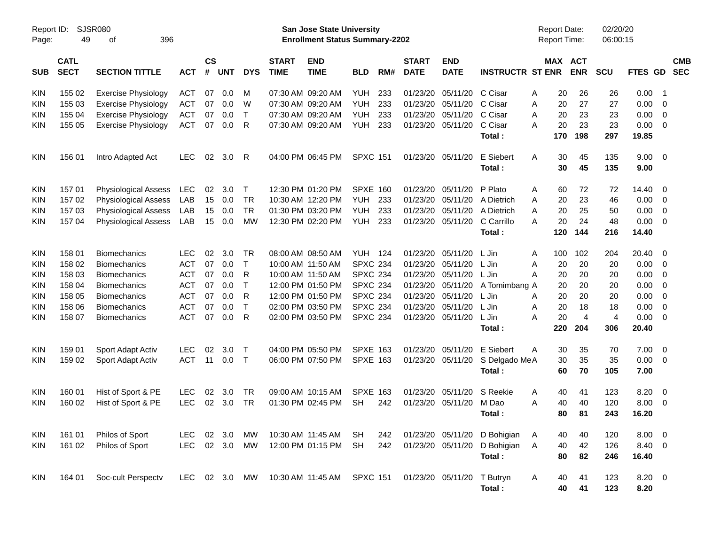| Report ID:<br>Page: | 49                         | <b>SJSR080</b><br>396<br>οf |            |                    |            |             |                             | <b>San Jose State University</b><br><b>Enrollment Status Summary-2202</b> |                 |     |                             |                           |                         | <b>Report Date:</b><br>Report Time: |                       | 02/20/20<br>06:00:15 |             |                          |                          |
|---------------------|----------------------------|-----------------------------|------------|--------------------|------------|-------------|-----------------------------|---------------------------------------------------------------------------|-----------------|-----|-----------------------------|---------------------------|-------------------------|-------------------------------------|-----------------------|----------------------|-------------|--------------------------|--------------------------|
| <b>SUB</b>          | <b>CATL</b><br><b>SECT</b> | <b>SECTION TITTLE</b>       | <b>ACT</b> | $\mathsf{cs}$<br># | <b>UNT</b> | <b>DYS</b>  | <b>START</b><br><b>TIME</b> | <b>END</b><br><b>TIME</b>                                                 | <b>BLD</b>      | RM# | <b>START</b><br><b>DATE</b> | <b>END</b><br><b>DATE</b> | <b>INSTRUCTR ST ENR</b> |                                     | MAX ACT<br><b>ENR</b> | SCU                  | FTES GD     |                          | <b>CMB</b><br><b>SEC</b> |
| <b>KIN</b>          | 155 02                     | <b>Exercise Physiology</b>  | <b>ACT</b> | 07                 | 0.0        | м           |                             | 07:30 AM 09:20 AM                                                         | <b>YUH</b>      | 233 | 01/23/20                    | 05/11/20                  | C Cisar                 | 20<br>Α                             | 26                    | 26                   | 0.00        | $\overline{\phantom{1}}$ |                          |
| KIN                 | 155 03                     | <b>Exercise Physiology</b>  | <b>ACT</b> | 07                 | 0.0        | W           |                             | 07:30 AM 09:20 AM                                                         | <b>YUH</b>      | 233 | 01/23/20                    | 05/11/20                  | C Cisar                 | 20<br>Α                             | 27                    | 27                   | 0.00        | $\overline{0}$           |                          |
| <b>KIN</b>          | 155 04                     | <b>Exercise Physiology</b>  | <b>ACT</b> | 07                 | 0.0        | $\top$      |                             | 07:30 AM 09:20 AM                                                         | <b>YUH</b>      | 233 | 01/23/20                    | 05/11/20                  | C Cisar                 | 20<br>Α                             | 23                    | 23                   | 0.00        | $\overline{0}$           |                          |
| KIN                 | 155 05                     | <b>Exercise Physiology</b>  | <b>ACT</b> | 07                 | 0.0        | R           |                             | 07:30 AM 09:20 AM                                                         | <b>YUH</b>      | 233 | 01/23/20                    | 05/11/20                  | C Cisar                 | 20<br>Α                             | 23                    | 23                   | 0.00        | - 0                      |                          |
|                     |                            |                             |            |                    |            |             |                             |                                                                           |                 |     |                             |                           | Total:                  | 170                                 | 198                   | 297                  | 19.85       |                          |                          |
| KIN                 | 156 01                     | Intro Adapted Act           | <b>LEC</b> | 02                 | 3.0        | R           |                             | 04:00 PM 06:45 PM                                                         | <b>SPXC 151</b> |     |                             | 01/23/20 05/11/20         | E Siebert               | 30<br>A                             | 45                    | 135                  | $9.00 \t 0$ |                          |                          |
|                     |                            |                             |            |                    |            |             |                             |                                                                           |                 |     |                             |                           | Total:                  | 30                                  | 45                    | 135                  | 9.00        |                          |                          |
| KIN                 | 157 01                     | <b>Physiological Assess</b> | <b>LEC</b> | 02                 | 3.0        | $\mathsf T$ |                             | 12:30 PM 01:20 PM                                                         | <b>SPXE 160</b> |     | 01/23/20                    | 05/11/20                  | P Plato                 | Α                                   | 72<br>60              | 72                   | 14.40       | - 0                      |                          |
| KIN                 | 157 02                     | <b>Physiological Assess</b> | LAB        | 15                 | 0.0        | <b>TR</b>   |                             | 10:30 AM 12:20 PM                                                         | <b>YUH</b>      | 233 | 01/23/20                    | 05/11/20                  | A Dietrich              | 20<br>A                             | 23                    | 46                   | 0.00        | $\overline{0}$           |                          |
| <b>KIN</b>          | 157 03                     | <b>Physiological Assess</b> | LAB        | 15                 | 0.0        | <b>TR</b>   |                             | 01:30 PM 03:20 PM                                                         | <b>YUH</b>      | 233 | 01/23/20                    | 05/11/20                  | A Dietrich              | 20<br>Α                             | 25                    | 50                   | 0.00        | $\overline{0}$           |                          |
| KIN                 | 157 04                     | <b>Physiological Assess</b> | LAB        | 15                 | 0.0        | <b>MW</b>   |                             | 12:30 PM 02:20 PM                                                         | <b>YUH</b>      | 233 | 01/23/20                    | 05/11/20                  | C Carrillo              | 20<br>Α                             | 24                    | 48                   | 0.00        | $\overline{0}$           |                          |
|                     |                            |                             |            |                    |            |             |                             |                                                                           |                 |     |                             |                           | Total:                  | 120                                 | 144                   | 216                  | 14.40       |                          |                          |
| <b>KIN</b>          | 158 01                     | <b>Biomechanics</b>         | <b>LEC</b> | 02                 | 3.0        | <b>TR</b>   |                             | 08:00 AM 08:50 AM                                                         | YUH             | 124 | 01/23/20                    | 05/11/20                  | L Jin                   | A<br>100                            | 102                   | 204                  | 20.40 0     |                          |                          |
| KIN                 | 158 02                     | <b>Biomechanics</b>         | <b>ACT</b> | 07                 | 0.0        | $\top$      |                             | 10:00 AM 11:50 AM                                                         | <b>SPXC 234</b> |     | 01/23/20                    | 05/11/20                  | L Jin                   | 20<br>Α                             | 20                    | 20                   | 0.00        | - 0                      |                          |
| KIN                 | 158 03                     | <b>Biomechanics</b>         | <b>ACT</b> | 07                 | 0.0        | R           |                             | 10:00 AM 11:50 AM                                                         | <b>SPXC 234</b> |     | 01/23/20                    | 05/11/20                  | L Jin                   | Α<br>20                             | 20                    | 20                   | 0.00        | $\overline{0}$           |                          |
| KIN                 | 158 04                     | <b>Biomechanics</b>         | <b>ACT</b> | 07                 | 0.0        | $\top$      |                             | 12:00 PM 01:50 PM                                                         | <b>SPXC 234</b> |     | 01/23/20                    | 05/11/20                  | A Tomimbang A           | 20                                  | 20                    | 20                   | 0.00        | $\overline{0}$           |                          |
| KIN                 | 158 05                     | <b>Biomechanics</b>         | <b>ACT</b> | 07                 | 0.0        | R           |                             | 12:00 PM 01:50 PM                                                         | <b>SPXC 234</b> |     | 01/23/20                    | 05/11/20                  | L Jin                   | 20<br>Α                             | 20                    | 20                   | 0.00        | $\overline{0}$           |                          |
| <b>KIN</b>          | 158 06                     | <b>Biomechanics</b>         | <b>ACT</b> | 07                 | 0.0        | $\top$      |                             | 02:00 PM 03:50 PM                                                         | <b>SPXC 234</b> |     | 01/23/20                    | 05/11/20                  | L Jin                   | 20<br>A                             | 18                    | 18                   | 0.00        | $\overline{0}$           |                          |
| KIN                 | 158 07                     | <b>Biomechanics</b>         | <b>ACT</b> | 07                 | 0.0        | R           |                             | 02:00 PM 03:50 PM                                                         | <b>SPXC 234</b> |     | 01/23/20                    | 05/11/20                  | L Jin                   | 20<br>Α                             | $\overline{4}$        | 4                    | 0.00        | $\overline{0}$           |                          |
|                     |                            |                             |            |                    |            |             |                             |                                                                           |                 |     |                             |                           | Total :                 | 220                                 | 204                   | 306                  | 20.40       |                          |                          |
| <b>KIN</b>          | 159 01                     | Sport Adapt Activ           | <b>LEC</b> | 02                 | 3.0        | $\mathsf T$ |                             | 04:00 PM 05:50 PM                                                         | <b>SPXE 163</b> |     | 01/23/20                    | 05/11/20                  | E Siebert               | A<br>30                             | 35                    | 70                   | 7.00        | $\overline{\phantom{0}}$ |                          |
| KIN                 | 159 02                     | Sport Adapt Activ           | <b>ACT</b> | 11                 | 0.0        | $\top$      |                             | 06:00 PM 07:50 PM                                                         | <b>SPXE 163</b> |     | 01/23/20                    | 05/11/20                  | S Delgado MeA           | 30                                  | 35                    | 35                   | 0.00        | - 0                      |                          |
|                     |                            |                             |            |                    |            |             |                             |                                                                           |                 |     |                             |                           | Total:                  | 60                                  | 70                    | 105                  | 7.00        |                          |                          |
| <b>KIN</b>          | 160 01                     | Hist of Sport & PE          | <b>LEC</b> | 02                 | 3.0        | TR          |                             | 09:00 AM 10:15 AM                                                         | <b>SPXE 163</b> |     | 01/23/20                    | 05/11/20                  | S Reekie                | Α                                   | 40<br>41              | 123                  | 8.20        | $\overline{\mathbf{0}}$  |                          |
| KIN                 | 160 02                     | Hist of Sport & PE          | <b>LEC</b> | 02                 | 3.0        | <b>TR</b>   |                             | 01:30 PM 02:45 PM                                                         | <b>SH</b>       | 242 | 01/23/20                    | 05/11/20                  | M Dao                   | A<br>40                             | 40                    | 120                  | 8.00        | - 0                      |                          |
|                     |                            |                             |            |                    |            |             |                             |                                                                           |                 |     |                             |                           | Total:                  | 80                                  | 81                    | 243                  | 16.20       |                          |                          |
| <b>KIN</b>          | 161 01                     | Philos of Sport             | <b>LEC</b> | 02                 | 3.0        | MW          |                             | 10:30 AM 11:45 AM                                                         | <b>SH</b>       | 242 |                             | 01/23/20 05/11/20         | D Bohigian              | A                                   | 40<br>40              | 120                  | $8.00 \t 0$ |                          |                          |
| <b>KIN</b>          | 161 02                     | Philos of Sport             | <b>LEC</b> |                    | 02 3.0     | MW          |                             | 12:00 PM 01:15 PM                                                         | <b>SH</b>       | 242 |                             | 01/23/20 05/11/20         | D Bohigian              | 40<br>A                             | 42                    | 126                  | 8.40 0      |                          |                          |
|                     |                            |                             |            |                    |            |             |                             |                                                                           |                 |     |                             |                           | Total:                  | 80                                  | 82                    | 246                  | 16.40       |                          |                          |
| <b>KIN</b>          | 164 01                     | Soc-cult Perspectv          | <b>LEC</b> |                    | 02 3.0 MW  |             |                             | 10:30 AM 11:45 AM                                                         | <b>SPXC 151</b> |     |                             | 01/23/20 05/11/20         | T Butryn                | A                                   | 40<br>41              | 123                  | $8.20 \ 0$  |                          |                          |
|                     |                            |                             |            |                    |            |             |                             |                                                                           |                 |     |                             |                           | Total:                  |                                     | 40<br>41              | 123                  | 8.20        |                          |                          |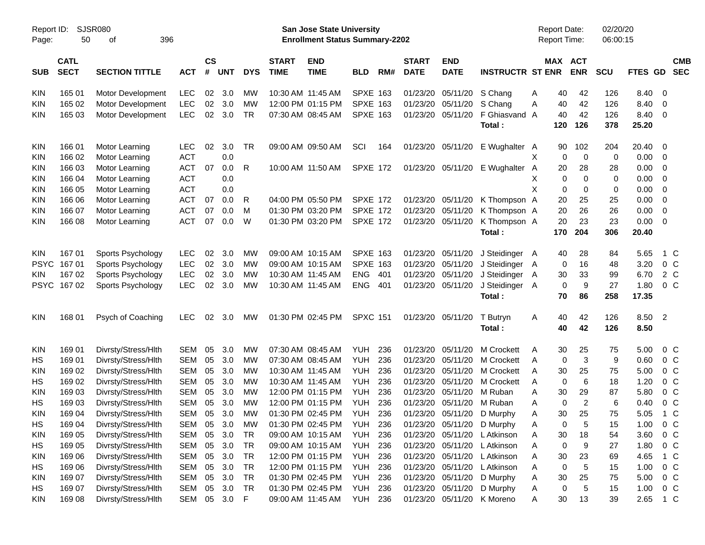| Report ID:<br>Page:      | 50                         | SJSR080<br>396<br>οf             |                          |                    |            |            |                             | <b>San Jose State University</b><br><b>Enrollment Status Summary-2202</b> |                 |     |                             |                           |                            | <b>Report Date:</b><br><b>Report Time:</b> |             |                   | 02/20/20<br>06:00:15 |               |                                                    |                          |
|--------------------------|----------------------------|----------------------------------|--------------------------|--------------------|------------|------------|-----------------------------|---------------------------------------------------------------------------|-----------------|-----|-----------------------------|---------------------------|----------------------------|--------------------------------------------|-------------|-------------------|----------------------|---------------|----------------------------------------------------|--------------------------|
| <b>SUB</b>               | <b>CATL</b><br><b>SECT</b> | <b>SECTION TITTLE</b>            | <b>ACT</b>               | $\mathsf{cs}$<br># | <b>UNT</b> | <b>DYS</b> | <b>START</b><br><b>TIME</b> | <b>END</b><br><b>TIME</b>                                                 | <b>BLD</b>      | RM# | <b>START</b><br><b>DATE</b> | <b>END</b><br><b>DATE</b> | <b>INSTRUCTR ST ENR</b>    |                                            | MAX ACT     | <b>ENR</b>        | <b>SCU</b>           | FTES GD       |                                                    | <b>CMB</b><br><b>SEC</b> |
| <b>KIN</b>               | 165 01                     | Motor Development                | <b>LEC</b>               | 02                 | 3.0        | MW         |                             | 10:30 AM 11:45 AM                                                         | <b>SPXE 163</b> |     | 01/23/20                    | 05/11/20 S Chang          |                            | Α                                          | 40          | 42                | 126                  | 8.40 0        |                                                    |                          |
| <b>KIN</b>               | 165 02                     | Motor Development                | LEC                      | 02                 | 3.0        | <b>MW</b>  |                             | 12:00 PM 01:15 PM                                                         | <b>SPXE 163</b> |     | 01/23/20                    | 05/11/20                  | S Chang                    | Α                                          | 40          | 42                | 126                  | 8.40          | - 0                                                |                          |
| <b>KIN</b>               | 165 03                     | <b>Motor Development</b>         | LEC                      | 02                 | 3.0        | TR         |                             | 07:30 AM 08:45 AM                                                         | <b>SPXE 163</b> |     | 01/23/20                    | 05/11/20                  | F Ghiasvand A<br>Total:    |                                            | 40<br>120   | 42<br>126         | 126<br>378           | 8.40<br>25.20 | $\overline{\phantom{0}}$                           |                          |
|                          |                            |                                  |                          |                    |            |            |                             |                                                                           |                 |     |                             |                           |                            |                                            |             |                   |                      |               |                                                    |                          |
| <b>KIN</b>               | 166 01                     | Motor Learning                   | <b>LEC</b>               | 02                 | 3.0        | TR         |                             | 09:00 AM 09:50 AM                                                         | SCI             | 164 |                             | 01/23/20 05/11/20         | E Wughalter A              |                                            | 90          | 102               | 204                  | 20.40 0       |                                                    |                          |
| <b>KIN</b>               | 166 02                     | Motor Learning                   | <b>ACT</b><br><b>ACT</b> |                    | 0.0        |            |                             |                                                                           |                 |     |                             |                           |                            | X                                          | $\mathbf 0$ | $\mathbf 0$       | $\mathbf 0$          | 0.00          | $\overline{\mathbf{0}}$                            |                          |
| <b>KIN</b><br><b>KIN</b> | 166 03<br>166 04           | Motor Learning                   | <b>ACT</b>               | 07                 | 0.0<br>0.0 | R          |                             | 10:00 AM 11:50 AM                                                         | <b>SPXE 172</b> |     |                             | 01/23/20 05/11/20         | E Wughalter                | A<br>х                                     | 20<br>0     | 28<br>$\mathbf 0$ | 28<br>0              | 0.00<br>0.00  | $\overline{\mathbf{0}}$<br>$\overline{\mathbf{0}}$ |                          |
| <b>KIN</b>               | 166 05                     | Motor Learning<br>Motor Learning | <b>ACT</b>               |                    | 0.0        |            |                             |                                                                           |                 |     |                             |                           |                            | X                                          | $\mathbf 0$ | $\mathbf 0$       | 0                    | 0.00          | $\overline{0}$                                     |                          |
| <b>KIN</b>               | 166 06                     | Motor Learning                   | <b>ACT</b>               | 07                 | 0.0        | R          |                             | 04:00 PM 05:50 PM                                                         | <b>SPXE 172</b> |     | 01/23/20                    | 05/11/20                  | K Thompson A               |                                            | 20          | 25                | 25                   | 0.00          | $\overline{0}$                                     |                          |
| <b>KIN</b>               | 166 07                     | Motor Learning                   | <b>ACT</b>               | 07                 | 0.0        | М          |                             | 01:30 PM 03:20 PM                                                         | <b>SPXE 172</b> |     | 01/23/20                    | 05/11/20                  | K Thompson A               |                                            | 20          | 26                | 26                   | 0.00          | $\overline{0}$                                     |                          |
| <b>KIN</b>               | 166 08                     | Motor Learning                   | <b>ACT</b>               | 07                 | 0.0        | W          |                             | 01:30 PM 03:20 PM                                                         | <b>SPXE 172</b> |     | 01/23/20                    | 05/11/20                  | K Thompson A               |                                            | 20          | 23                | 23                   | 0.00          | $\overline{\phantom{0}}$                           |                          |
|                          |                            |                                  |                          |                    |            |            |                             |                                                                           |                 |     |                             |                           | Total:                     |                                            | 170         | 204               | 306                  | 20.40         |                                                    |                          |
|                          |                            |                                  |                          |                    |            |            |                             |                                                                           |                 |     |                             |                           |                            |                                            |             |                   |                      |               |                                                    |                          |
| <b>KIN</b>               | 167 01                     | Sports Psychology                | <b>LEC</b>               | 02                 | 3.0        | MW         |                             | 09:00 AM 10:15 AM                                                         | <b>SPXE 163</b> |     | 01/23/20                    | 05/11/20                  | J Steidinger A             |                                            | 40          | 28                | 84                   | 5.65          |                                                    | 1 C                      |
| <b>PSYC</b>              | 16701                      | Sports Psychology                | LEC                      | 02                 | 3.0        | <b>MW</b>  |                             | 09:00 AM 10:15 AM                                                         | <b>SPXE 163</b> |     | 01/23/20                    | 05/11/20                  | J Steidinger               | A                                          | $\mathbf 0$ | 16                | 48                   | 3.20          |                                                    | 0 C                      |
| KIN.                     | 167 02                     | Sports Psychology                | <b>LEC</b>               | 02                 | 3.0        | MW         |                             | 10:30 AM 11:45 AM                                                         | <b>ENG</b>      | 401 | 01/23/20                    | 05/11/20                  | J Steidinger               | A                                          | 30          | 33                | 99                   | 6.70          |                                                    | 2 C                      |
| <b>PSYC</b>              | 16702                      | Sports Psychology                | LEC                      | 02                 | 3.0        | MW         |                             | 10:30 AM 11:45 AM                                                         | <b>ENG</b>      | 401 | 01/23/20                    | 05/11/20                  | J Steidinger               | A                                          | 0           | 9                 | 27                   | 1.80          |                                                    | 0 <sup>o</sup>           |
|                          |                            |                                  |                          |                    |            |            |                             |                                                                           |                 |     |                             |                           | Total:                     |                                            | 70          | 86                | 258                  | 17.35         |                                                    |                          |
| <b>KIN</b>               | 168 01                     | Psych of Coaching                | <b>LEC</b>               | 02                 | 3.0        | MW         |                             | 01:30 PM 02:45 PM                                                         | <b>SPXC 151</b> |     | 01/23/20                    | 05/11/20                  | T Butryn                   | Α                                          | 40          | 42                | 126                  | 8.50 2        |                                                    |                          |
|                          |                            |                                  |                          |                    |            |            |                             |                                                                           |                 |     |                             |                           | Total:                     |                                            | 40          | 42                | 126                  | 8.50          |                                                    |                          |
| <b>KIN</b>               | 169 01                     | Divrsty/Stress/Hlth              | SEM                      | 05                 | 3.0        | МW         |                             | 07:30 AM 08:45 AM                                                         | <b>YUH</b>      | 236 | 01/23/20                    | 05/11/20                  | M Crockett                 | Α                                          | 30          | 25                | 75                   | 5.00          |                                                    | $0\,$ C                  |
| HS                       | 169 01                     | Divrsty/Stress/Hlth              | <b>SEM</b>               | 05                 | 3.0        | MW         |                             | 07:30 AM 08:45 AM                                                         | <b>YUH</b>      | 236 | 01/23/20                    | 05/11/20                  | M Crockett                 | Α                                          | $\mathbf 0$ | 3                 | 9                    | 0.60          |                                                    | $0\,C$                   |
| <b>KIN</b>               | 169 02                     | Divrsty/Stress/Hlth              | <b>SEM</b>               | 05                 | 3.0        | MW         |                             | 10:30 AM 11:45 AM                                                         | <b>YUH</b>      | 236 | 01/23/20                    | 05/11/20                  | M Crockett                 | Α                                          | 30          | 25                | 75                   | 5.00          |                                                    | 0 C                      |
| HS                       | 169 02                     | Divrsty/Stress/Hlth              | <b>SEM</b>               | 05                 | 3.0        | <b>MW</b>  |                             | 10:30 AM 11:45 AM                                                         | <b>YUH</b>      | 236 | 01/23/20                    | 05/11/20                  | M Crockett                 | A                                          | $\mathbf 0$ | 6                 | 18                   | 1.20          |                                                    | 0 <sup>o</sup>           |
| <b>KIN</b>               | 169 03                     | Divrsty/Stress/Hlth              | <b>SEM</b>               | 05                 | 3.0        | MW         |                             | 12:00 PM 01:15 PM                                                         | <b>YUH</b>      | 236 | 01/23/20                    | 05/11/20                  | M Ruban                    | A                                          | 30          | 29                | 87                   | 5.80          |                                                    | 0 <sup>o</sup>           |
| HS                       | 169 03                     | Divrsty/Stress/Hlth              | SEM                      | 05                 | 3.0        | MW         |                             | 12:00 PM 01:15 PM                                                         | YUH             | 236 | 01/23/20                    | 05/11/20                  | M Ruban                    | A                                          | $\mathbf 0$ | $\overline{2}$    | 6                    | 0.40          |                                                    | 0 C                      |
| <b>KIN</b>               | 169 04                     | Divrsty/Stress/Hlth              | SEM                      | 05                 | 3.0        | MW         |                             | 01:30 PM 02:45 PM                                                         | <b>YUH</b>      | 236 | 01/23/20                    | 05/11/20                  | D Murphy                   | Α                                          | 30          | 25                | 75                   | 5.05          |                                                    | 1 C                      |
| HS                       | 169 04                     | Divrsty/Stress/Hlth              | SEM                      | 05                 | $3.0\,$    | MW         |                             | 01:30 PM 02:45 PM                                                         | <b>YUH</b>      | 236 |                             | 01/23/20 05/11/20         | D Murphy                   | Α                                          | 0           | 5                 | 15                   | 1.00          | $0\,C$                                             |                          |
| KIN                      | 169 05                     | Divrsty/Stress/Hlth              | SEM                      | 05                 | 3.0        | TR         |                             | 09:00 AM 10:15 AM                                                         | <b>YUH</b>      | 236 |                             | 01/23/20 05/11/20         | L Atkinson                 | Α                                          | 30          | 18                | 54                   | 3.60          |                                                    | $0\,C$                   |
| HS                       | 169 05                     | Divrsty/Stress/Hlth              | SEM                      | 05                 | 3.0        | TR         |                             | 09:00 AM 10:15 AM                                                         | <b>YUH</b>      | 236 |                             | 01/23/20 05/11/20         | L Atkinson                 | Α                                          | $\mathbf 0$ | 9                 | 27                   | 1.80          |                                                    | $0\,$ C                  |
| KIN                      | 169 06                     | Divrsty/Stress/Hlth              | SEM                      | 05                 | 3.0        | TR         |                             | 12:00 PM 01:15 PM                                                         | <b>YUH</b>      | 236 |                             | 01/23/20 05/11/20         | L Atkinson                 | Α                                          | 30          | 23                | 69                   | 4.65          |                                                    | 1 C                      |
| HS                       | 169 06                     | Divrsty/Stress/Hlth              | SEM                      | 05                 | 3.0        | <b>TR</b>  |                             | 12:00 PM 01:15 PM                                                         | <b>YUH</b>      | 236 | 01/23/20                    | 05/11/20                  | L Atkinson                 | Α                                          | 0           | 5                 | 15                   | 1.00          |                                                    | $0\,C$                   |
| KIN                      | 169 07                     | Divrsty/Stress/Hlth              | SEM                      | 05                 | 3.0        | <b>TR</b>  |                             | 01:30 PM 02:45 PM                                                         | <b>YUH</b>      | 236 | 01/23/20                    | 05/11/20                  | D Murphy                   | A                                          | 30          | 25                | 75                   | 5.00          |                                                    | $0\,C$                   |
| HS                       | 169 07                     | Divrsty/Stress/Hlth              | SEM                      | 05                 | 3.0 TR     |            |                             | 01:30 PM 02:45 PM                                                         | <b>YUH</b>      | 236 |                             | 01/23/20 05/11/20         | D Murphy                   | A                                          | 0           | 5                 | 15                   | 1.00          |                                                    | $0\,C$                   |
| <b>KIN</b>               | 16908                      | Divrsty/Stress/Hlth              | SEM 05 3.0 F             |                    |            |            |                             | 09:00 AM 11:45 AM                                                         | YUH             | 236 |                             |                           | 01/23/20 05/11/20 K Moreno | A                                          | 30          | 13                | 39                   | 2.65          | $1\,C$                                             |                          |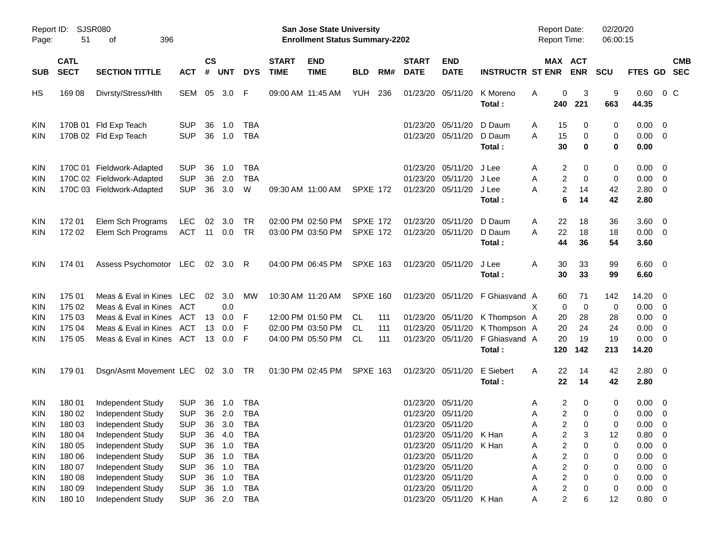|                     |                            |                                 |            |                    |            |            |                             |                                                                    | <b>Preliminary Census</b> |     |                             |                           |                         |                                            |                                     |                      |               |                          |            |
|---------------------|----------------------------|---------------------------------|------------|--------------------|------------|------------|-----------------------------|--------------------------------------------------------------------|---------------------------|-----|-----------------------------|---------------------------|-------------------------|--------------------------------------------|-------------------------------------|----------------------|---------------|--------------------------|------------|
| Report ID:<br>Page: | 51                         | <b>SJSR080</b><br>of<br>396     |            |                    |            |            |                             | San Jose State University<br><b>Enrollment Status Summary-2202</b> |                           |     |                             |                           |                         | <b>Report Date:</b><br><b>Report Time:</b> |                                     | 02/20/20<br>06:00:15 |               |                          |            |
| <b>SUB</b>          | <b>CATL</b><br><b>SECT</b> | <b>SECTION TITTLE</b>           | <b>ACT</b> | $\mathsf{cs}$<br># | <b>UNT</b> | <b>DYS</b> | <b>START</b><br><b>TIME</b> | <b>END</b><br><b>TIME</b>                                          | <b>BLD</b>                | RM# | <b>START</b><br><b>DATE</b> | <b>END</b><br><b>DATE</b> | <b>INSTRUCTR ST ENR</b> |                                            | MAX ACT<br><b>ENR</b>               | <b>SCU</b>           | FTES GD SEC   |                          | <b>CMB</b> |
| HS                  | 169 08                     | Divrsty/Stress/Hlth             | SEM        |                    | 05 3.0     | F          |                             | 09:00 AM 11:45 AM                                                  | YUH                       | 236 |                             | 01/23/20 05/11/20         | K Moreno                | Α                                          | 0<br>3                              | 9                    | $0.60 \t 0 C$ |                          |            |
|                     |                            |                                 |            |                    |            |            |                             |                                                                    |                           |     |                             |                           | Total:                  | 240                                        | 221                                 | 663                  | 44.35         |                          |            |
| <b>KIN</b>          |                            | 170B 01 Fld Exp Teach           | <b>SUP</b> | 36                 | 1.0        | TBA        |                             |                                                                    |                           |     | 01/23/20                    | 05/11/20                  | D Daum                  | Α                                          | 15<br>0                             | 0                    | $0.00 \t 0$   |                          |            |
| <b>KIN</b>          |                            | 170B 02 Fld Exp Teach           | <b>SUP</b> | 36                 | 1.0        | <b>TBA</b> |                             |                                                                    |                           |     |                             | 01/23/20 05/11/20         | D Daum                  | A                                          | 15<br>0                             | 0                    | $0.00 \t 0$   |                          |            |
|                     |                            |                                 |            |                    |            |            |                             |                                                                    |                           |     |                             |                           | Total:                  |                                            | 30<br>$\bf{0}$                      | 0                    | 0.00          |                          |            |
| <b>KIN</b>          |                            | 170C 01 Fieldwork-Adapted       | <b>SUP</b> | 36                 | 1.0        | TBA        |                             |                                                                    |                           |     | 01/23/20                    | 05/11/20                  | J Lee                   | Α                                          | 2<br>0                              | 0                    | $0.00 \t 0$   |                          |            |
| <b>KIN</b>          |                            | 170C 02 Fieldwork-Adapted       | <b>SUP</b> | 36                 | 2.0        | <b>TBA</b> |                             |                                                                    |                           |     | 01/23/20                    | 05/11/20                  | J Lee                   | Α                                          | 2<br>0                              | 0                    | $0.00 \t 0$   |                          |            |
| <b>KIN</b>          |                            | 170C 03 Fieldwork-Adapted       | <b>SUP</b> | 36                 | 3.0        | W          |                             | 09:30 AM 11:00 AM                                                  | <b>SPXE 172</b>           |     |                             | 01/23/20 05/11/20         | J Lee                   | A                                          | $\boldsymbol{2}$<br>14              | 42                   | $2.80 \t 0$   |                          |            |
|                     |                            |                                 |            |                    |            |            |                             |                                                                    |                           |     |                             |                           | Total:                  |                                            | 6<br>14                             | 42                   | 2.80          |                          |            |
| <b>KIN</b>          | 17201                      | Elem Sch Programs               | <b>LEC</b> | 02                 | 3.0        | TR         |                             | 02:00 PM 02:50 PM                                                  | <b>SPXE 172</b>           |     |                             | 01/23/20 05/11/20         | D Daum                  | Α                                          | 18<br>22                            | 36                   | $3.60 \ 0$    |                          |            |
| <b>KIN</b>          | 172 02                     | Elem Sch Programs               | <b>ACT</b> | 11                 | 0.0        | <b>TR</b>  |                             | 03:00 PM 03:50 PM                                                  | <b>SPXE 172</b>           |     |                             | 01/23/20 05/11/20         | D Daum                  | A                                          | 22<br>18                            | 18                   | $0.00 \t 0$   |                          |            |
|                     |                            |                                 |            |                    |            |            |                             |                                                                    |                           |     |                             |                           | Total:                  |                                            | 44<br>36                            | 54                   | 3.60          |                          |            |
| <b>KIN</b>          | 174 01                     | Assess Psychomotor LEC 02 3.0 R |            |                    |            |            |                             | 04:00 PM 06:45 PM                                                  | <b>SPXE 163</b>           |     |                             | 01/23/20 05/11/20         | J Lee                   | Α                                          | 33<br>30                            | 99                   | $6.60$ 0      |                          |            |
|                     |                            |                                 |            |                    |            |            |                             |                                                                    |                           |     |                             |                           | Total:                  |                                            | 30<br>33                            | 99                   | 6.60          |                          |            |
| <b>KIN</b>          | 175 01                     | Meas & Eval in Kines LEC        |            | 02                 | 3.0        | MW         |                             | 10:30 AM 11:20 AM                                                  | <b>SPXE 160</b>           |     |                             | 01/23/20 05/11/20         | F Ghiasvand A           |                                            | 60<br>71                            | 142                  | 14.20 0       |                          |            |
| KIN                 | 175 02                     | Meas & Eval in Kines            | ACT        |                    | 0.0        |            |                             |                                                                    |                           |     |                             |                           |                         | X                                          | $\mathbf 0$<br>$\mathbf 0$          | 0                    | $0.00 \t 0$   |                          |            |
| KIN                 | 175 03                     | Meas & Eval in Kines            | ACT        | 13                 | 0.0        | F          |                             | 12:00 PM 01:50 PM                                                  | CL.                       | 111 |                             | 01/23/20 05/11/20         | K Thompson A            |                                            | 28<br>20                            | 28                   | $0.00 \t 0$   |                          |            |
| KIN                 | 175 04                     | Meas & Eval in Kines            | ACT        | 13                 | 0.0        | F          |                             | 02:00 PM 03:50 PM                                                  | <b>CL</b>                 | 111 |                             | 01/23/20 05/11/20         | K Thompson A            |                                            | 20<br>24                            | 24                   | 0.00          | $\overline{\phantom{0}}$ |            |
| <b>KIN</b>          | 175 05                     | Meas & Eval in Kines ACT        |            |                    | 13 0.0     | -F         |                             | 04:00 PM 05:50 PM                                                  | CL                        | 111 |                             | 01/23/20 05/11/20         | F Ghiasvand A           |                                            | 20<br>19                            | 19                   | $0.00 \t 0$   |                          |            |
|                     |                            |                                 |            |                    |            |            |                             |                                                                    |                           |     |                             |                           | Total:                  | 120                                        | 142                                 | 213                  | 14.20         |                          |            |
| <b>KIN</b>          | 179 01                     | Dsgn/Asmt Movement LEC          |            |                    | 02 3.0 TR  |            |                             | 01:30 PM 02:45 PM                                                  | SPXE 163                  |     |                             | 01/23/20 05/11/20         | E Siebert               | Α                                          | 22<br>14                            | 42                   | $2.80 \t 0$   |                          |            |
|                     |                            |                                 |            |                    |            |            |                             |                                                                    |                           |     |                             |                           | Total:                  |                                            | 22<br>14                            | 42                   | 2.80          |                          |            |
| <b>KIN</b>          | 180 01                     | Independent Study               | SUP        |                    | 36 1.0     | TBA        |                             |                                                                    |                           |     |                             | 01/23/20 05/11/20         |                         | Α                                          | 2<br>0                              | 0                    | $0.00 \t 0$   |                          |            |
| KIN                 | 180 02                     | Independent Study               | <b>SUP</b> | 36                 | 2.0        | <b>TBA</b> |                             |                                                                    |                           |     |                             | 01/23/20 05/11/20         |                         | Α                                          | 2<br>0                              | 0                    | 0.00          | $\overline{\mathbf{0}}$  |            |
| KIN                 | 180 03                     | Independent Study               | <b>SUP</b> | 36                 | 3.0        | <b>TBA</b> |                             |                                                                    |                           |     |                             | 01/23/20 05/11/20         |                         | А                                          | 2<br>0                              | 0                    | 0.00          | $\overline{\phantom{0}}$ |            |
| KIN                 | 180 04                     | Independent Study               | <b>SUP</b> | 36                 | 4.0        | <b>TBA</b> |                             |                                                                    |                           |     |                             | 01/23/20 05/11/20         | K Han                   | Α                                          | $\overline{\mathbf{c}}$<br>3        | 12                   | 0.80          | $\overline{\phantom{0}}$ |            |
| KIN                 | 180 05                     | Independent Study               | <b>SUP</b> | 36                 | 1.0        | <b>TBA</b> |                             |                                                                    |                           |     |                             | 01/23/20 05/11/20         | K Han                   | Α                                          | $\overline{\mathbf{c}}$<br>$\Omega$ | 0                    | 0.00          | $\overline{\phantom{0}}$ |            |
| <b>KIN</b>          | 180 06                     | Independent Study               | <b>SUP</b> | 36                 | 1.0        | <b>TBA</b> |                             |                                                                    |                           |     |                             | 01/23/20 05/11/20         |                         | Α                                          | 2<br>0                              | 0                    | 0.00          | $\overline{\phantom{0}}$ |            |
| KIN                 | 180 07                     | Independent Study               | <b>SUP</b> | 36                 | 1.0        | <b>TBA</b> |                             |                                                                    |                           |     |                             | 01/23/20 05/11/20         |                         | А                                          | $\overline{\mathbf{c}}$<br>0        | 0                    | 0.00          | $\overline{\phantom{0}}$ |            |
| KIN                 | 180 08                     | Independent Study               | <b>SUP</b> | 36                 | 1.0        | <b>TBA</b> |                             |                                                                    |                           |     |                             | 01/23/20 05/11/20         |                         | А                                          | $\overline{\mathbf{c}}$<br>0        | 0                    | $0.00 \t 0$   |                          |            |
| KIN                 | 180 09                     | Independent Study               | <b>SUP</b> | 36                 | 1.0        | <b>TBA</b> |                             |                                                                    |                           |     |                             | 01/23/20 05/11/20         |                         | А                                          | $\overline{\mathbf{c}}$<br>0        | 0                    | $0.00 \t 0$   |                          |            |
| KIN                 | 180 10                     | Independent Study               | <b>SUP</b> |                    | 36 2.0     | <b>TBA</b> |                             |                                                                    |                           |     |                             | 01/23/20 05/11/20 K Han   |                         | Α                                          | $\overline{c}$<br>6                 | 12                   | $0.80 \t 0$   |                          |            |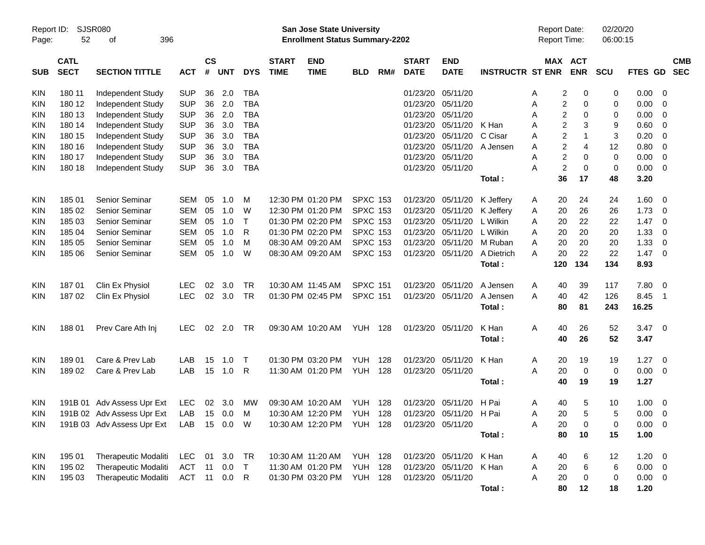|                     |                            |                                         |            |                 |            |            |                             |                                                                           | <b>Preliminary Census</b>        |     |                             |                           |                         |                                            |                         |                       |                      |              |                          |                          |
|---------------------|----------------------------|-----------------------------------------|------------|-----------------|------------|------------|-----------------------------|---------------------------------------------------------------------------|----------------------------------|-----|-----------------------------|---------------------------|-------------------------|--------------------------------------------|-------------------------|-----------------------|----------------------|--------------|--------------------------|--------------------------|
| Report ID:<br>Page: | 52                         | SJSR080<br>396<br>оf                    |            |                 |            |            |                             | <b>San Jose State University</b><br><b>Enrollment Status Summary-2202</b> |                                  |     |                             |                           |                         | <b>Report Date:</b><br><b>Report Time:</b> |                         |                       | 02/20/20<br>06:00:15 |              |                          |                          |
| <b>SUB</b>          | <b>CATL</b><br><b>SECT</b> | <b>SECTION TITTLE</b>                   | <b>ACT</b> | <b>CS</b><br>#  | <b>UNT</b> | <b>DYS</b> | <b>START</b><br><b>TIME</b> | <b>END</b><br><b>TIME</b>                                                 | <b>BLD</b>                       | RM# | <b>START</b><br><b>DATE</b> | <b>END</b><br><b>DATE</b> | <b>INSTRUCTR ST ENR</b> |                                            |                         | MAX ACT<br><b>ENR</b> | <b>SCU</b>           | FTES GD      |                          | <b>CMB</b><br><b>SEC</b> |
| KIN                 | 180 11                     | Independent Study                       | <b>SUP</b> | 36              | 2.0        | <b>TBA</b> |                             |                                                                           |                                  |     | 01/23/20                    | 05/11/20                  |                         | A                                          | 2                       | 0                     | 0                    | 0.00         | - 0                      |                          |
| KIN                 | 180 12                     | Independent Study                       | <b>SUP</b> | 36              | 2.0        | <b>TBA</b> |                             |                                                                           |                                  |     | 01/23/20                    | 05/11/20                  |                         | A                                          | 2                       | 0                     | 0                    | 0.00         | 0                        |                          |
| KIN                 | 180 13                     | Independent Study                       | <b>SUP</b> | 36              | 2.0        | <b>TBA</b> |                             |                                                                           |                                  |     | 01/23/20                    | 05/11/20                  |                         | A                                          | 2                       | 0                     | 0                    | 0.00         | 0                        |                          |
| KIN                 | 180 14                     | Independent Study                       | <b>SUP</b> | 36              | 3.0        | <b>TBA</b> |                             |                                                                           |                                  |     | 01/23/20                    | 05/11/20                  | K Han                   | A                                          | 2                       | 3                     | 9                    | 0.60         | 0                        |                          |
| KIN                 | 180 15                     | Independent Study                       | <b>SUP</b> | 36              | 3.0        | <b>TBA</b> |                             |                                                                           |                                  |     | 01/23/20                    | 05/11/20                  | C Cisar                 | A                                          | 2                       | $\mathbf 1$           | 3                    | 0.20         | - 0                      |                          |
| KIN                 | 180 16                     | Independent Study                       | <b>SUP</b> | 36              | 3.0        | <b>TBA</b> |                             |                                                                           |                                  |     | 01/23/20                    | 05/11/20                  | A Jensen                | A                                          | $\overline{\mathbf{c}}$ | $\overline{4}$        | 12                   | 0.80         | $\overline{0}$           |                          |
| KIN                 | 180 17                     | Independent Study                       | <b>SUP</b> | 36              | 3.0        | <b>TBA</b> |                             |                                                                           |                                  |     | 01/23/20                    | 05/11/20                  |                         | A                                          | 2                       | 0                     | $\mathbf 0$          | 0.00         | $\overline{0}$           |                          |
| KIN                 | 180 18                     | Independent Study                       | <b>SUP</b> | 36              | 3.0        | <b>TBA</b> |                             |                                                                           |                                  |     | 01/23/20                    | 05/11/20                  |                         | Α                                          | $\overline{c}$          | $\mathbf 0$           | 0                    | 0.00         | $\overline{0}$           |                          |
|                     |                            |                                         |            |                 |            |            |                             |                                                                           |                                  |     |                             |                           | Total:                  |                                            | 36                      | 17                    | 48                   | 3.20         |                          |                          |
|                     |                            |                                         |            |                 |            |            |                             |                                                                           |                                  |     |                             |                           |                         |                                            |                         |                       |                      |              |                          |                          |
| KIN                 | 18501                      | Senior Seminar                          | <b>SEM</b> | 05              | 1.0        | M          |                             | 12:30 PM 01:20 PM                                                         | <b>SPXC 153</b>                  |     | 01/23/20                    | 05/11/20                  | K Jeffery               | A                                          | 20                      | 24                    | 24                   | 1.60         | 0                        |                          |
| KIN                 | 185 02                     | Senior Seminar                          | <b>SEM</b> | 05              | 1.0        | W          |                             | 12:30 PM 01:20 PM                                                         | <b>SPXC 153</b>                  |     | 01/23/20                    | 05/11/20                  | K Jeffery               | A                                          | 20                      | 26                    | 26                   | 1.73         | 0                        |                          |
| KIN                 | 185 03                     | Senior Seminar                          | <b>SEM</b> | 05              | 1.0        | Τ          |                             | 01:30 PM 02:20 PM                                                         | <b>SPXC 153</b>                  |     | 01/23/20                    | 05/11/20                  | L Wilkin                | A                                          | 20                      | 22                    | 22                   | 1.47         | 0                        |                          |
| KIN                 | 185 04                     | Senior Seminar                          | <b>SEM</b> | 05              | 1.0        | R          |                             | 01:30 PM 02:20 PM                                                         | <b>SPXC 153</b>                  |     | 01/23/20                    | 05/11/20                  | L Wilkin                | A                                          | 20                      | 20                    | 20                   | 1.33         | 0                        |                          |
| KIN                 | 185 05                     | Senior Seminar                          | <b>SEM</b> | 05              | 1.0        | M          |                             | 08:30 AM 09:20 AM                                                         | <b>SPXC 153</b>                  |     | 01/23/20                    | 05/11/20                  | M Ruban                 | A                                          | 20                      | 20                    | 20                   | 1.33         | 0                        |                          |
| KIN                 | 185 06                     | Senior Seminar                          | <b>SEM</b> | 05              | 1.0        | W          |                             | 08:30 AM 09:20 AM                                                         | <b>SPXC 153</b>                  |     | 01/23/20                    | 05/11/20                  | A Dietrich              | A                                          | 20                      | 22                    | 22                   | 1.47         | - 0                      |                          |
|                     |                            |                                         |            |                 |            |            |                             |                                                                           |                                  |     |                             |                           | Total:                  |                                            | 120                     | 134                   | 134                  | 8.93         |                          |                          |
| KIN                 | 18701                      | Clin Ex Physiol                         | <b>LEC</b> | 02              | 3.0        | TR         |                             | 10:30 AM 11:45 AM                                                         | <b>SPXC 151</b>                  |     | 01/23/20                    | 05/11/20                  | A Jensen                | A                                          | 40                      | 39                    | 117                  | 7.80         | - 0                      |                          |
| KIN                 | 18702                      | Clin Ex Physiol                         | <b>LEC</b> | 02              | 3.0        | <b>TR</b>  |                             | 01:30 PM 02:45 PM                                                         | <b>SPXC 151</b>                  |     | 01/23/20                    | 05/11/20                  | A Jensen                | A                                          | 40                      | 42                    | 126                  | 8.45         | - 1                      |                          |
|                     |                            |                                         |            |                 |            |            |                             |                                                                           |                                  |     |                             |                           | Total:                  |                                            | 80                      | 81                    | 243                  | 16.25        |                          |                          |
|                     |                            |                                         |            |                 |            |            |                             |                                                                           |                                  |     |                             |                           | K Han                   |                                            |                         |                       |                      |              |                          |                          |
| KIN                 | 18801                      | Prev Care Ath Inj                       | LEC.       | 02 <sub>o</sub> | 2.0        | TR         |                             | 09:30 AM 10:20 AM                                                         | <b>YUH 128</b>                   |     | 01/23/20                    | 05/11/20                  | Total:                  | A                                          | 40<br>40                | 26<br>26              | 52<br>52             | 3.47<br>3.47 | $\overline{\phantom{0}}$ |                          |
|                     |                            |                                         |            |                 |            |            |                             |                                                                           |                                  |     |                             |                           |                         |                                            |                         |                       |                      |              |                          |                          |
| KIN                 | 18901                      | Care & Prev Lab                         | LAB        | 15              | 1.0        | Т          |                             | 01:30 PM 03:20 PM                                                         | YUH                              | 128 | 01/23/20                    | 05/11/20                  | K Han                   | A                                          | 20                      | 19                    | 19                   | 1.27         | - 0                      |                          |
| KIN                 | 18902                      | Care & Prev Lab                         | LAB        | 15              | 1.0        | R          |                             | 11:30 AM 01:20 PM                                                         | <b>YUH</b>                       | 128 | 01/23/20                    | 05/11/20                  |                         | A                                          | 20                      | $\mathbf 0$           | $\pmb{0}$            | 0.00         | $\overline{0}$           |                          |
|                     |                            |                                         |            |                 |            |            |                             |                                                                           |                                  |     |                             |                           | Total:                  |                                            | 40                      | 19                    | 19                   | 1.27         |                          |                          |
| KIN                 |                            | 191B 01 Adv Assess Upr Ext              | LEC        |                 | 02 3.0     | MW         |                             | 09:30 AM 10:20 AM                                                         | YUH 128                          |     |                             | 01/23/20 05/11/20 H Pai   |                         | A                                          | 40                      | 5                     | 10                   | 1.00         | $\overline{0}$           |                          |
| <b>KIN</b>          |                            | 191B 02 Adv Assess Upr Ext LAB 15 0.0 M |            |                 |            |            |                             | 10:30 AM 12:20 PM YUH 128 01/23/20 05/11/20 H Pai                         |                                  |     |                             |                           |                         | Α                                          | 20                      | 5                     | $\sqrt{5}$           | $0.00 \t 0$  |                          |                          |
| <b>KIN</b>          |                            | 191B 03 Adv Assess Upr Ext              | LAB        |                 | 15  0.0  W |            |                             | 10:30 AM 12:20 PM YUH 128                                                 |                                  |     | 01/23/20 05/11/20           |                           |                         | Α                                          | 20                      | 0                     | 0                    | $0.00 \t 0$  |                          |                          |
|                     |                            |                                         |            |                 |            |            |                             |                                                                           |                                  |     |                             |                           | Total:                  |                                            | 80                      | 10                    | 15                   | 1.00         |                          |                          |
|                     |                            |                                         |            |                 |            |            |                             |                                                                           |                                  |     |                             |                           |                         |                                            |                         |                       |                      |              |                          |                          |
| KIN                 | 195 01                     | Therapeutic Modaliti                    | LEC        |                 | 01 3.0     | TR         |                             | 10:30 AM 11:20 AM                                                         | YUH 128                          |     |                             | 01/23/20 05/11/20         | K Han                   | A                                          | 40                      | 6                     | 12                   | $1.20 \ 0$   |                          |                          |
| KIN                 | 195 02                     | Therapeutic Modaliti                    | <b>ACT</b> | 11              | 0.0        | $\top$     |                             | 11:30 AM 01:20 PM                                                         | <b>YUH 128</b><br><b>YUH 128</b> |     | 01/23/20 05/11/20           | 01/23/20 05/11/20         | K Han                   | Α                                          | 20                      | 6                     | 6                    | $0.00 \t 0$  |                          |                          |
| <b>KIN</b>          | 195 03                     | <b>Therapeutic Modaliti</b>             | ACT 11 0.0 |                 |            | R          |                             | 01:30 PM 03:20 PM                                                         |                                  |     |                             |                           |                         | Α                                          | 20                      | 0                     | 0                    | $0.00 \t 0$  |                          |                          |
|                     |                            |                                         |            |                 |            |            |                             |                                                                           |                                  |     |                             |                           | Total:                  |                                            | 80                      | 12                    | 18                   | 1.20         |                          |                          |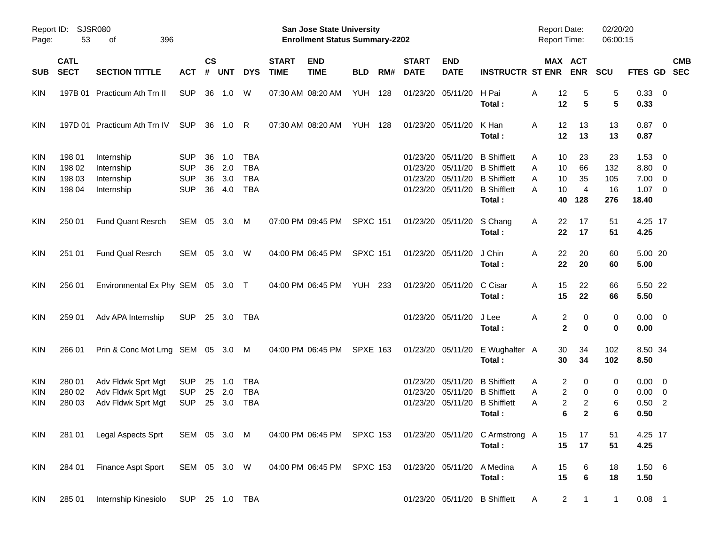|                                        |                                      |                                                                |                                                      |                      |                          |                                               |                             |                                                                    | <b>Preliminary Census</b> |     |                             |                                                                |                                                                                      |                                            |                                       |                        |                                                     |                                                      |            |
|----------------------------------------|--------------------------------------|----------------------------------------------------------------|------------------------------------------------------|----------------------|--------------------------|-----------------------------------------------|-----------------------------|--------------------------------------------------------------------|---------------------------|-----|-----------------------------|----------------------------------------------------------------|--------------------------------------------------------------------------------------|--------------------------------------------|---------------------------------------|------------------------|-----------------------------------------------------|------------------------------------------------------|------------|
| Page:                                  | Report ID: SJSR080<br>53             | of<br>396                                                      |                                                      |                      |                          |                                               |                             | San Jose State University<br><b>Enrollment Status Summary-2202</b> |                           |     |                             |                                                                |                                                                                      | <b>Report Date:</b><br><b>Report Time:</b> |                                       | 02/20/20<br>06:00:15   |                                                     |                                                      |            |
| <b>SUB</b>                             | <b>CATL</b><br><b>SECT</b>           | <b>SECTION TITTLE</b>                                          | <b>ACT</b>                                           | $\mathsf{cs}$<br>#   | <b>UNT</b>               | <b>DYS</b>                                    | <b>START</b><br><b>TIME</b> | <b>END</b><br><b>TIME</b>                                          | <b>BLD</b>                | RM# | <b>START</b><br><b>DATE</b> | <b>END</b><br><b>DATE</b>                                      | <b>INSTRUCTR ST ENR</b>                                                              |                                            | MAX ACT<br><b>ENR</b>                 | <b>SCU</b>             | FTES GD SEC                                         |                                                      | <b>CMB</b> |
| <b>KIN</b>                             |                                      | 197B 01 Practicum Ath Trn II                                   | <b>SUP</b>                                           | 36                   | 1.0                      | W                                             |                             | 07:30 AM 08:20 AM                                                  | <b>YUH 128</b>            |     |                             | 01/23/20 05/11/20                                              | H Pai<br>Total:                                                                      | 12<br>Α<br>12                              | 5<br>5                                | 5<br>5                 | 0.33 0<br>0.33                                      |                                                      |            |
| <b>KIN</b>                             |                                      | 197D 01 Practicum Ath Trn IV                                   | <b>SUP</b>                                           |                      | 36 1.0 R                 |                                               |                             | 07:30 AM 08:20 AM                                                  | <b>YUH 128</b>            |     |                             | 01/23/20 05/11/20                                              | K Han<br>Total:                                                                      | 12<br>Α<br>12                              | 13<br>13                              | 13<br>13               | $0.87$ 0<br>0.87                                    |                                                      |            |
| <b>KIN</b><br>KIN<br>KIN<br><b>KIN</b> | 198 01<br>198 02<br>198 03<br>198 04 | Internship<br>Internship<br>Internship<br>Internship           | <b>SUP</b><br><b>SUP</b><br><b>SUP</b><br><b>SUP</b> | 36<br>36<br>36<br>36 | 1.0<br>2.0<br>3.0<br>4.0 | TBA<br><b>TBA</b><br><b>TBA</b><br><b>TBA</b> |                             |                                                                    |                           |     | 01/23/20<br>01/23/20        | 05/11/20<br>05/11/20<br>01/23/20 05/11/20<br>01/23/20 05/11/20 | <b>B</b> Shifflett<br><b>B</b> Shifflett<br><b>B</b> Shifflett<br><b>B</b> Shifflett | 10<br>Α<br>Α<br>10<br>10<br>A<br>10<br>А   | 23<br>66<br>35<br>$\overline{4}$      | 23<br>132<br>105<br>16 | $1.53 \t 0$<br>8.80 0<br>$7.00 \t 0$<br>$1.07 \t 0$ |                                                      |            |
| <b>KIN</b>                             | 250 01                               | <b>Fund Quant Resrch</b>                                       | SEM 05 3.0                                           |                      |                          | M                                             |                             | 07:00 PM 09:45 PM                                                  | <b>SPXC 151</b>           |     |                             | 01/23/20 05/11/20                                              | Total:<br>S Chang                                                                    | 40<br>Α<br>22<br>22                        | 128<br>17<br>17                       | 276<br>51              | 18.40<br>4.25 17                                    |                                                      |            |
| <b>KIN</b>                             | 251 01                               | <b>Fund Qual Resrch</b>                                        | SEM 05 3.0                                           |                      |                          | W                                             |                             | 04:00 PM 06:45 PM                                                  | <b>SPXC 151</b>           |     |                             | 01/23/20 05/11/20                                              | Total:<br>J Chin<br>Total:                                                           | 22<br>Α<br>22                              | 20<br>20                              | 51<br>60<br>60         | 4.25<br>5.00 20<br>5.00                             |                                                      |            |
| <b>KIN</b>                             | 256 01                               | Environmental Ex Phy SEM 05 3.0 T                              |                                                      |                      |                          |                                               |                             | 04:00 PM 06:45 PM                                                  | <b>YUH 233</b>            |     |                             | 01/23/20 05/11/20                                              | C Cisar<br>Total:                                                                    | 15<br>Α<br>15                              | 22<br>22                              | 66<br>66               | 5.50 22<br>5.50                                     |                                                      |            |
| <b>KIN</b>                             | 259 01                               | Adv APA Internship                                             | <b>SUP</b>                                           |                      | 25 3.0                   | TBA                                           |                             |                                                                    |                           |     |                             | 01/23/20 05/11/20                                              | J Lee<br>Total:                                                                      | Α                                          | 2<br>0<br>$\mathbf 2$<br>0            | 0<br>0                 | $0.00 \t 0$<br>0.00                                 |                                                      |            |
| <b>KIN</b>                             | 266 01                               | Prin & Conc Mot Lrng SEM 05 3.0 M                              |                                                      |                      |                          |                                               |                             | 04:00 PM 06:45 PM                                                  | <b>SPXE 163</b>           |     |                             | 01/23/20 05/11/20                                              | E Wughalter A<br>Total:                                                              | 30<br>30                                   | 34<br>34                              | 102<br>102             | 8.50 34<br>8.50                                     |                                                      |            |
| <b>KIN</b><br><b>KIN</b><br>KIN        | 280 01<br>280 02<br>280 03           | Adv Fldwk Sprt Mgt<br>Adv Fldwk Sprt Mgt<br>Adv Fldwk Sprt Mgt | <b>SUP</b><br><b>SUP</b><br><b>SUP</b>               | 25<br>25             | 1.0<br>2.0<br>25 3.0     | TBA<br><b>TBA</b><br>TBA                      |                             |                                                                    |                           |     | 01/23/20<br>01/23/20        | 05/11/20<br>05/11/20                                           | <b>B</b> Shifflett<br><b>B</b> Shifflett<br>01/23/20 05/11/20 B Shifflett<br>Total:  | 2<br>Α<br>A<br>2<br>Α                      | 0<br>2<br>0<br>2<br>6<br>$\mathbf{2}$ | 0<br>0<br>6<br>6       | $0.00 \quad 0$<br>0.00<br>0.50<br>0.50              | $\overline{\phantom{0}}$<br>$\overline{\phantom{0}}$ |            |
| KIN                                    | 281 01                               | Legal Aspects Sprt                                             | SEM 05 3.0 M                                         |                      |                          |                                               |                             | 04:00 PM 06:45 PM SPXC 153                                         |                           |     |                             | 01/23/20 05/11/20                                              | C Armstrong A<br>Total:                                                              | 15<br>15                                   | 17<br>17                              | 51<br>51               | 4.25 17<br>4.25                                     |                                                      |            |
| KIN                                    | 284 01                               | Finance Aspt Sport                                             | SEM 05 3.0 W                                         |                      |                          |                                               |                             | 04:00 PM 06:45 PM                                                  | <b>SPXC 153</b>           |     |                             | 01/23/20 05/11/20                                              | A Medina<br>Total:                                                                   | 15<br>Α<br>15                              | 6<br>$\bf 6$                          | 18<br>18               | 1.50 6<br>1.50                                      |                                                      |            |
| KIN                                    | 285 01                               | Internship Kinesiolo                                           |                                                      |                      |                          | SUP 25 1.0 TBA                                |                             |                                                                    |                           |     |                             |                                                                | 01/23/20 05/11/20 B Shifflett                                                        | A                                          | $\overline{a}$<br>$\mathbf{1}$        | $\mathbf{1}$           | $0.08$ 1                                            |                                                      |            |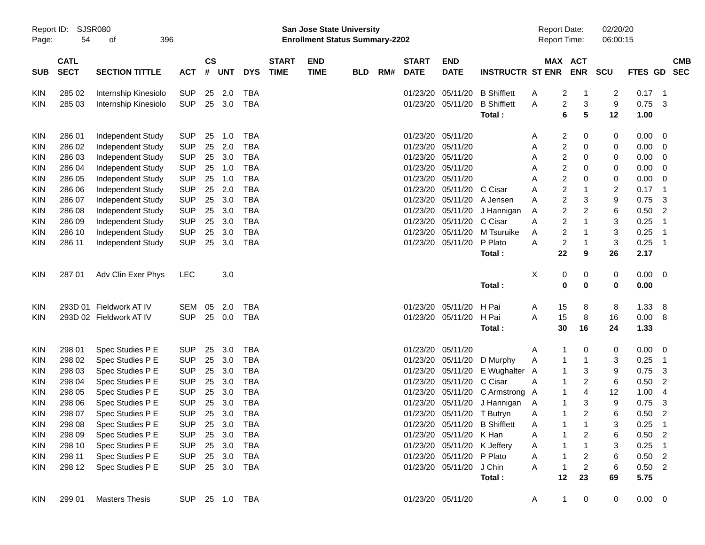|                     |                            |                          |            |                    |            |                |                                                                    |                           | <b>Preliminary Census</b> |     |                             |                             |                                     |         |                                         |                |              |                                |  |
|---------------------|----------------------------|--------------------------|------------|--------------------|------------|----------------|--------------------------------------------------------------------|---------------------------|---------------------------|-----|-----------------------------|-----------------------------|-------------------------------------|---------|-----------------------------------------|----------------|--------------|--------------------------------|--|
| Report ID:<br>Page: | SJSR080<br>54              | 396                      |            |                    |            |                | San Jose State University<br><b>Enrollment Status Summary-2202</b> |                           |                           |     |                             |                             | <b>Report Date:</b><br>Report Time: |         | 02/20/20<br>06:00:15                    |                |              |                                |  |
| <b>SUB</b>          | <b>CATL</b><br><b>SECT</b> | <b>SECTION TITTLE</b>    | <b>ACT</b> | $\mathsf{cs}$<br># | <b>UNT</b> | <b>DYS</b>     | <b>START</b><br><b>TIME</b>                                        | <b>END</b><br><b>TIME</b> | <b>BLD</b>                | RM# | <b>START</b><br><b>DATE</b> | <b>END</b><br><b>DATE</b>   | <b>INSTRUCTR ST ENR</b>             |         | MAX ACT<br><b>ENR</b>                   | <b>SCU</b>     | <b>FTES</b>  | <b>CMB</b><br><b>SEC</b><br>GD |  |
| <b>KIN</b>          | 285 02                     | Internship Kinesiolo     | <b>SUP</b> | 25                 | 2.0        | <b>TBA</b>     |                                                                    |                           |                           |     | 01/23/20                    | 05/11/20                    | <b>B</b> Shifflett                  | A       | $\overline{c}$<br>1                     | 2              | 0.17         | -1                             |  |
| KIN                 | 285 03                     | Internship Kinesiolo     | <b>SUP</b> | 25                 | 3.0        | <b>TBA</b>     |                                                                    |                           |                           |     | 01/23/20                    | 05/11/20                    | <b>B</b> Shifflett<br>Total:        | A       | $\sqrt{2}$<br>3<br>6<br>5               | 9<br>12        | 0.75<br>1.00 | 3                              |  |
| KIN                 | 286 01                     | Independent Study        | <b>SUP</b> | 25                 | 1.0        | <b>TBA</b>     |                                                                    |                           |                           |     | 01/23/20                    | 05/11/20                    |                                     | A       | $\overline{c}$<br>0                     | 0              | 0.00         | 0                              |  |
| KIN                 | 286 02                     | <b>Independent Study</b> | <b>SUP</b> | 25                 | 2.0        | <b>TBA</b>     |                                                                    |                           |                           |     | 01/23/20                    | 05/11/20                    |                                     | Α       | $\boldsymbol{2}$<br>0                   | 0              | 0.00         | 0                              |  |
| KIN                 | 286 03                     | Independent Study        | <b>SUP</b> | 25                 | 3.0        | <b>TBA</b>     |                                                                    |                           |                           |     | 01/23/20                    | 05/11/20                    |                                     | A       | $\overline{\mathbf{c}}$<br>0            | 0              | 0.00         | 0                              |  |
| KIN                 | 286 04                     | Independent Study        | <b>SUP</b> | 25                 | 1.0        | <b>TBA</b>     |                                                                    |                           |                           |     | 01/23/20                    | 05/11/20                    |                                     | Α       | $\boldsymbol{2}$<br>0                   | 0              | 0.00         | 0                              |  |
| KIN                 | 286 05                     | Independent Study        | <b>SUP</b> | 25                 | 1.0        | <b>TBA</b>     |                                                                    |                           |                           |     | 01/23/20                    | 05/11/20                    |                                     | A       | $\overline{c}$<br>0                     | 0              | 0.00         | 0                              |  |
| KIN                 | 286 06                     | Independent Study        | <b>SUP</b> | 25                 | 2.0        | <b>TBA</b>     |                                                                    |                           |                           |     | 01/23/20                    | 05/11/20                    | C Cisar                             | A       | $\sqrt{2}$<br>1                         | $\overline{c}$ | 0.17         | $\mathbf 1$                    |  |
| KIN                 | 286 07                     | Independent Study        | <b>SUP</b> | 25                 | 3.0        | <b>TBA</b>     |                                                                    |                           |                           |     | 01/23/20                    | 05/11/20                    | A Jensen                            | Α       | $\overline{c}$<br>3                     | 9              | 0.75         | 3                              |  |
| KIN                 | 286 08                     | Independent Study        | <b>SUP</b> | 25                 | 3.0        | <b>TBA</b>     |                                                                    |                           |                           |     | 01/23/20                    | 05/11/20                    | J Hannigan                          | A       | $\boldsymbol{2}$<br>$\overline{c}$      | $\,6$          | 0.50         | $\overline{2}$                 |  |
| KIN                 | 286 09                     | Independent Study        | <b>SUP</b> | 25                 | 3.0        | <b>TBA</b>     |                                                                    |                           |                           |     | 01/23/20                    | 05/11/20                    | C Cisar                             | A       | $\overline{c}$<br>1                     | 3              | 0.25         | $\overline{1}$                 |  |
| <b>KIN</b>          | 286 10                     | Independent Study        | <b>SUP</b> | 25                 | 3.0        | <b>TBA</b>     |                                                                    |                           |                           |     | 01/23/20                    | 05/11/20                    | M Tsuruike                          | Α       | $\overline{2}$<br>1                     | 3              | 0.25         | $\overline{1}$                 |  |
| <b>KIN</b>          | 286 11                     | Independent Study        | <b>SUP</b> | 25                 | 3.0        | <b>TBA</b>     |                                                                    |                           |                           |     | 01/23/20                    | 05/11/20                    | P Plato                             | A       | $\boldsymbol{2}$<br>1                   | 3              | 0.25         | $\overline{1}$                 |  |
|                     |                            |                          |            |                    |            |                |                                                                    |                           |                           |     |                             |                             | Total:                              | 22      | 9                                       | 26             | 2.17         |                                |  |
| KIN                 | 287 01                     | Adv Clin Exer Phys       | <b>LEC</b> |                    | 3.0        |                |                                                                    |                           |                           |     |                             |                             |                                     | X       | $\pmb{0}$<br>0                          | 0              | 0.00         | 0                              |  |
|                     |                            |                          |            |                    |            |                |                                                                    |                           |                           |     |                             |                             | Total:                              |         | $\bf{0}$<br>0                           | 0              | 0.00         |                                |  |
| KIN                 |                            | 293D 01 Fieldwork AT IV  | SEM        | 05                 | 2.0        | <b>TBA</b>     |                                                                    |                           |                           |     | 01/23/20                    | 05/11/20                    | H Pai                               | 15<br>A | 8                                       | 8              | 1.33         | 8                              |  |
| KIN                 |                            | 293D 02 Fieldwork AT IV  | <b>SUP</b> | 25                 | 0.0        | <b>TBA</b>     |                                                                    |                           |                           |     | 01/23/20                    | 05/11/20                    | H Pai                               | 15<br>A | 8                                       | 16             | 0.00         | 8                              |  |
|                     |                            |                          |            |                    |            |                |                                                                    |                           |                           |     |                             |                             | Total:                              | 30      | 16                                      | 24             | 1.33         |                                |  |
| <b>KIN</b>          | 298 01                     | Spec Studies P E         | <b>SUP</b> | 25                 | 3.0        | <b>TBA</b>     |                                                                    |                           |                           |     | 01/23/20                    | 05/11/20                    |                                     | A       | 0<br>1                                  | 0              | 0.00         | 0                              |  |
| KIN                 | 298 02                     | Spec Studies P E         | <b>SUP</b> | 25                 | 3.0        | <b>TBA</b>     |                                                                    |                           |                           |     | 01/23/20                    | 05/11/20                    | D Murphy                            | Α       | $\overline{1}$<br>1                     | 3              | 0.25         | $\overline{1}$                 |  |
| KIN                 | 298 03                     | Spec Studies P E         | <b>SUP</b> | 25                 | 3.0        | <b>TBA</b>     |                                                                    |                           |                           |     | 01/23/20                    | 05/11/20                    | E Wughalter A                       |         | 3<br>1                                  | 9              | 0.75         | 3                              |  |
| KIN                 | 298 04                     | Spec Studies P E         | <b>SUP</b> | 25                 | 3.0        | <b>TBA</b>     |                                                                    |                           |                           |     | 01/23/20                    | 05/11/20                    | C Cisar                             | Α       | 2<br>1                                  | $\,6$          | 0.50         | $\overline{2}$                 |  |
| <b>KIN</b>          | 298 05                     | Spec Studies P E         | <b>SUP</b> | 25                 | 3.0        | <b>TBA</b>     |                                                                    |                           |                           |     | 01/23/20                    | 05/11/20                    | C Armstrong A                       |         | $\mathbf{1}$<br>4                       | 12             | 1.00         | 4                              |  |
| <b>KIN</b>          | 298 06                     | Spec Studies P E         | <b>SUP</b> | 25                 | 3.0        | <b>TBA</b>     |                                                                    |                           |                           |     | 01/23/20                    | 05/11/20                    | J Hannigan                          | A       | 3<br>$\mathbf{1}$                       | 9              | 0.75         | 3                              |  |
| <b>KIN</b>          | 298 07                     | Spec Studies P E         | <b>SUP</b> | 25                 | 3.0        | TBA            |                                                                    |                           |                           |     |                             | 01/23/20 05/11/20 T Butryn  |                                     | Α       | $\overline{c}$<br>1                     | 6              | $0.50$ 2     |                                |  |
| <b>KIN</b>          | 298 08                     | Spec Studies P E         | <b>SUP</b> | 25                 | 3.0        | <b>TBA</b>     |                                                                    |                           |                           |     |                             |                             | 01/23/20 05/11/20 B Shifflett       | A       | 1                                       | 3              | 0.25         | $\overline{1}$                 |  |
| <b>KIN</b>          | 298 09                     | Spec Studies P E         | <b>SUP</b> |                    | 25 3.0     | <b>TBA</b>     |                                                                    |                           |                           |     |                             | 01/23/20 05/11/20           | K Han                               | A       | $\overline{\mathbf{c}}$<br>1            | 6              | 0.50         | $\overline{c}$                 |  |
| <b>KIN</b>          | 298 10                     | Spec Studies P E         | <b>SUP</b> |                    | 25 3.0     | <b>TBA</b>     |                                                                    |                           |                           |     |                             | 01/23/20 05/11/20 K Jeffery |                                     | A       | $\mathbf{1}$<br>1                       | 3              | 0.25         | $\overline{1}$                 |  |
| <b>KIN</b>          | 298 11                     | Spec Studies P E         | <b>SUP</b> |                    | 25 3.0     | <b>TBA</b>     |                                                                    |                           |                           |     |                             | 01/23/20 05/11/20           | P Plato                             | A       | $\overline{\mathbf{c}}$<br>$\mathbf{1}$ | 6              | 0.50         | $\overline{2}$                 |  |
| <b>KIN</b>          | 298 12                     | Spec Studies P E         | <b>SUP</b> |                    | 25 3.0     | TBA            |                                                                    |                           |                           |     |                             | 01/23/20 05/11/20           | J Chin                              | -1<br>Α | $\overline{c}$                          | 6              | $0.50$ 2     |                                |  |
|                     |                            |                          |            |                    |            |                |                                                                    |                           |                           |     |                             |                             | Total:                              | 12      | 23                                      | 69             | 5.75         |                                |  |
| KIN                 | 299 01                     | <b>Masters Thesis</b>    |            |                    |            | SUP 25 1.0 TBA |                                                                    |                           |                           |     | 01/23/20 05/11/20           |                             |                                     | A       | 0<br>$\mathbf{1}$                       | 0              | $0.00 \t 0$  |                                |  |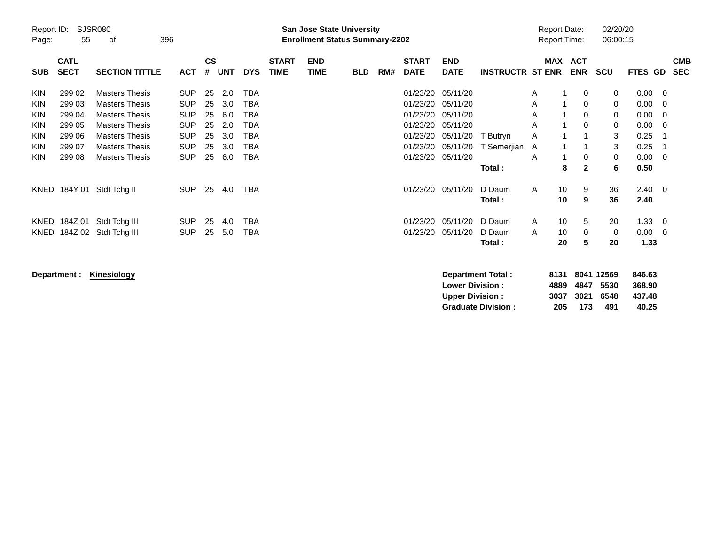| <b>Preliminary Census</b> |                                                                                                                              |                                                |                          |                |            |                   |                             |                           |            |     |                             |                           |                         |            |                                            |                            |                               |     |                          |
|---------------------------|------------------------------------------------------------------------------------------------------------------------------|------------------------------------------------|--------------------------|----------------|------------|-------------------|-----------------------------|---------------------------|------------|-----|-----------------------------|---------------------------|-------------------------|------------|--------------------------------------------|----------------------------|-------------------------------|-----|--------------------------|
| Page:                     | <b>SJSR080</b><br>Report ID:<br><b>San Jose State University</b><br>55<br>396<br><b>Enrollment Status Summary-2202</b><br>οf |                                                |                          |                |            |                   |                             |                           |            |     |                             |                           |                         |            | <b>Report Date:</b><br><b>Report Time:</b> | 02/20/20<br>06:00:15       |                               |     |                          |
| <b>SUB</b>                | <b>CATL</b><br><b>SECT</b>                                                                                                   | <b>SECTION TITTLE</b>                          | <b>ACT</b>               | <b>CS</b><br># | UNT        | <b>DYS</b>        | <b>START</b><br><b>TIME</b> | <b>END</b><br><b>TIME</b> | <b>BLD</b> | RM# | <b>START</b><br><b>DATE</b> | <b>END</b><br><b>DATE</b> | <b>INSTRUCTR ST ENR</b> | <b>MAX</b> | <b>ACT</b><br><b>ENR</b>                   | <b>SCU</b>                 | <b>FTES GD</b>                |     | <b>CMB</b><br><b>SEC</b> |
| <b>KIN</b>                | 299 02                                                                                                                       | <b>Masters Thesis</b>                          | <b>SUP</b>               | 25             | 2.0        | TBA               |                             |                           |            |     | 01/23/20                    | 05/11/20                  |                         | Α          | 0                                          | 0                          | $0.00 \quad 0$                |     |                          |
| KIN<br><b>KIN</b>         | 299 03<br>299 04                                                                                                             | <b>Masters Thesis</b><br><b>Masters Thesis</b> | <b>SUP</b><br><b>SUP</b> | 25<br>25       | 3.0<br>6.0 | TBA<br>TBA        |                             |                           |            |     | 01/23/20<br>01/23/20        | 05/11/20<br>05/11/20      |                         | A<br>A     | 0<br>0                                     | $\mathbf 0$<br>$\mathbf 0$ | $0.00 \t 0$<br>$0.00 \quad 0$ |     |                          |
| <b>KIN</b><br><b>KIN</b>  | 299 05<br>299 06                                                                                                             | <b>Masters Thesis</b><br><b>Masters Thesis</b> | <b>SUP</b><br><b>SUP</b> | 25<br>25       | 2.0<br>3.0 | TBA<br><b>TBA</b> |                             |                           |            |     | 01/23/20<br>01/23/20        | 05/11/20<br>05/11/20      | T Butryn                | A<br>A     | $\Omega$                                   | 0<br>3                     | $0.00 \quad 0$<br>0.25        | - 1 |                          |
| <b>KIN</b>                | 299 07                                                                                                                       | <b>Masters Thesis</b>                          | <b>SUP</b>               | 25             | 3.0        | <b>TBA</b>        |                             |                           |            |     | 01/23/20                    | 05/11/20                  | T Semerjian             | A          |                                            | 3                          | 0.25                          |     |                          |
| <b>KIN</b>                | 299 08                                                                                                                       | <b>Masters Thesis</b>                          | <b>SUP</b>               | 25             | 6.0        | TBA               |                             |                           |            |     | 01/23/20                    | 05/11/20                  | Total :                 | A          | 0<br>$\mathbf{2}$<br>8                     | $\mathbf 0$<br>6           | $0.00 \quad 0$<br>0.50        |     |                          |
|                           | KNED 184Y 01                                                                                                                 | Stdt Tchg II                                   | <b>SUP</b>               | 25             | 4.0        | TBA               |                             |                           |            |     | 01/23/20                    | 05/11/20                  | D Daum<br>Total:        | A          | 10<br>9<br>10<br>9                         | 36<br>36                   | $2.40 \quad 0$<br>2.40        |     |                          |
|                           | KNED 184Z 01<br>KNED 184Z 02                                                                                                 | Stdt Tchg III<br>Stdt Tchg III                 | <b>SUP</b><br><b>SUP</b> | 25<br>25       | 4.0<br>5.0 | TBA<br>TBA        |                             |                           |            |     | 01/23/20<br>01/23/20        | 05/11/20<br>05/11/20      | D Daum<br>D Daum        | A<br>A     | 10<br>5<br>10<br>$\Omega$                  | 20<br>$\mathbf 0$          | $1.33 \t 0$<br>$0.00 \t 0$    |     |                          |
|                           |                                                                                                                              |                                                |                          |                |            |                   |                             |                           |            |     |                             |                           | Total:                  |            | 20<br>5                                    | 20                         | 1.33                          |     |                          |

**Department : Kinesiology** 

| Department Total:         |     |     | 8131 8041 12569 | 846.63 |
|---------------------------|-----|-----|-----------------|--------|
| <b>Lower Division:</b>    |     |     | 4889 4847 5530  | 368.90 |
| <b>Upper Division:</b>    |     |     | 3037 3021 6548  | 437.48 |
| <b>Graduate Division:</b> | 205 | 173 | 491             | 40.25  |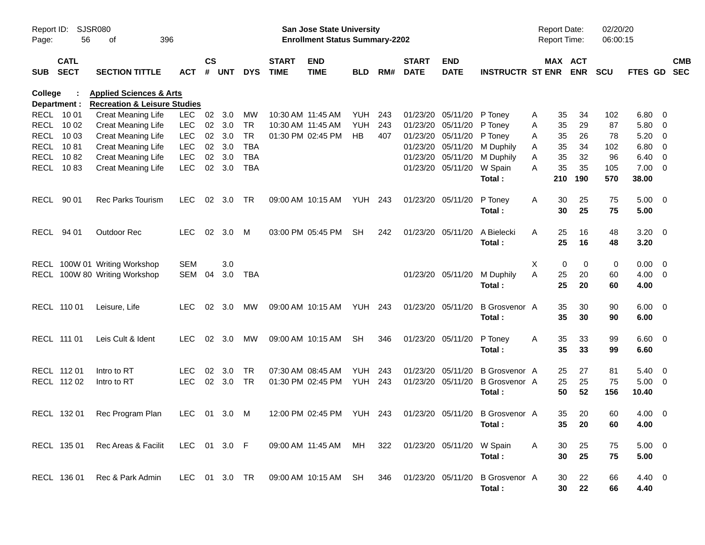|                |                            |                                         |               |               |        |            |                             | <b>Preliminary Census</b>             |                |     |                             |                               |                                                           |   |                     |                       |            |                     |                          |                          |
|----------------|----------------------------|-----------------------------------------|---------------|---------------|--------|------------|-----------------------------|---------------------------------------|----------------|-----|-----------------------------|-------------------------------|-----------------------------------------------------------|---|---------------------|-----------------------|------------|---------------------|--------------------------|--------------------------|
| Report ID:     | <b>SJSR080</b>             |                                         |               |               |        |            |                             | <b>San Jose State University</b>      |                |     |                             |                               |                                                           |   | <b>Report Date:</b> |                       | 02/20/20   |                     |                          |                          |
| Page:          | 56                         | 396<br>оf                               |               |               |        |            |                             | <b>Enrollment Status Summary-2202</b> |                |     |                             |                               |                                                           |   | Report Time:        |                       | 06:00:15   |                     |                          |                          |
| <b>SUB</b>     | <b>CATL</b><br><b>SECT</b> | <b>SECTION TITTLE</b>                   | <b>ACT</b>    | $\mathsf{cs}$ | # UNT  | <b>DYS</b> | <b>START</b><br><b>TIME</b> | <b>END</b><br><b>TIME</b>             | BLD            | RM# | <b>START</b><br><b>DATE</b> | <b>END</b><br><b>DATE</b>     | <b>INSTRUCTR ST ENR</b>                                   |   |                     | MAX ACT<br><b>ENR</b> | <b>SCU</b> | <b>FTES GD</b>      |                          | <b>CMB</b><br><b>SEC</b> |
| <b>College</b> |                            | <b>Health &amp; Human Sciences</b>      |               |               |        |            |                             |                                       |                |     |                             |                               |                                                           |   |                     |                       |            |                     |                          |                          |
|                | Department :               | <b>Recreation &amp; Leisure Studies</b> |               |               |        |            |                             |                                       |                |     |                             |                               |                                                           |   |                     |                       |            |                     |                          |                          |
|                | RECL 10 01                 | <b>Creat Meaning Life</b>               | <b>LEC</b>    |               | 02 3.0 | MW         |                             | 10:30 AM 11:45 AM                     | <b>YUH</b>     | 243 |                             | 01/23/20 05/11/20             | P Tonev                                                   | Α | 35                  | 34                    | 102        | $6.80$ 0            |                          |                          |
|                | RECL 10 02                 | <b>Creat Meaning Life</b>               | <b>LEC</b>    | $02\,$        | 3.0    | TR         |                             | 10:30 AM 11:45 AM                     | <b>YUH</b>     | 243 |                             | 01/23/20 05/11/20             | P Toney                                                   | Α | 35                  | 29                    | 87         | 5.80                | $\overline{\phantom{0}}$ |                          |
|                | RECL 10 03                 | <b>Creat Meaning Life</b>               | <b>LEC</b>    | 02            | 3.0    | <b>TR</b>  |                             | 01:30 PM 02:45 PM                     | <b>HB</b>      | 407 |                             | 01/23/20 05/11/20             | P Toney                                                   | A | 35                  | 26                    | 78         | 5.20                | $\overline{\phantom{0}}$ |                          |
|                | RECL 1081                  | <b>Creat Meaning Life</b>               | <b>LEC</b>    | 02            | 3.0    | TBA        |                             |                                       |                |     |                             | 01/23/20 05/11/20             | M Duphily                                                 | A | 35                  | 34                    | 102        | 6.80                | $\overline{\phantom{0}}$ |                          |
|                | RECL 1082                  | <b>Creat Meaning Life</b>               | <b>LEC</b>    | 02            | 3.0    | <b>TBA</b> |                             |                                       |                |     |                             | 01/23/20 05/11/20             | M Duphily                                                 | A | 35                  | 32                    | 96         | 6.40                | $\overline{\phantom{0}}$ |                          |
|                | RECL 1083                  | <b>Creat Meaning Life</b>               | <b>LEC</b>    | 02            | 3.0    | <b>TBA</b> |                             |                                       |                |     |                             | 01/23/20 05/11/20             | W Spain                                                   | Α | 35                  | 35                    | 105        | $7.00 \t 0$         |                          |                          |
|                |                            |                                         |               |               |        |            |                             |                                       |                |     |                             |                               | Total:                                                    |   | 210                 | 190                   | 570        | 38.00               |                          |                          |
|                | RECL 90 01                 | <b>Rec Parks Tourism</b>                | <b>LEC</b>    |               | 02 3.0 | TR.        |                             | 09:00 AM 10:15 AM                     | <b>YUH 243</b> |     |                             | 01/23/20 05/11/20             | P Toney<br>Total:                                         | Α | 30<br>30            | 25<br>25              | 75<br>75   | $5.00 \t 0$<br>5.00 |                          |                          |
|                | RECL 94 01                 | <b>Outdoor Rec</b>                      | <b>LEC</b>    |               | 02 3.0 | M          |                             | 03:00 PM 05:45 PM                     | <b>SH</b>      | 242 |                             | 01/23/20 05/11/20             | A Bielecki                                                | A | 25                  | 16                    | 48         | $3.20 \ 0$          |                          |                          |
|                |                            |                                         |               |               |        |            |                             |                                       |                |     |                             |                               | Total:                                                    |   | 25                  | 16                    | 48         | 3.20                |                          |                          |
|                |                            | RECL 100W 01 Writing Workshop           | <b>SEM</b>    |               | 3.0    |            |                             |                                       |                |     |                             |                               |                                                           | Χ | 0                   | 0                     | 0          | $0.00 \t 0$         |                          |                          |
|                |                            | RECL 100W 80 Writing Workshop           | SEM           | 04            | 3.0    | TBA        |                             |                                       |                |     |                             | 01/23/20 05/11/20             | M Duphily                                                 | A | 25                  | 20                    | 60         | $4.00 \ 0$          |                          |                          |
|                |                            |                                         |               |               |        |            |                             |                                       |                |     |                             |                               | Total:                                                    |   | 25                  | 20                    | 60         | 4.00                |                          |                          |
|                | RECL 110 01                | Leisure, Life                           | <b>LEC</b>    | 02            | 3.0    | MW         |                             | 09:00 AM 10:15 AM                     | <b>YUH 243</b> |     |                             | 01/23/20 05/11/20             | <b>B</b> Grosvenor A                                      |   | 35                  | 30                    | 90         | $6.00 \quad 0$      |                          |                          |
|                |                            |                                         |               |               |        |            |                             |                                       |                |     |                             |                               | Total:                                                    |   | 35                  | 30                    | 90         | 6.00                |                          |                          |
|                | RECL 111 01                | Leis Cult & Ident                       | <b>LEC</b>    | 02            | 3.0    | MW         |                             | 09:00 AM 10:15 AM                     | <b>SH</b>      | 346 |                             | 01/23/20 05/11/20             | P Toney                                                   | Α | 35                  | 33                    | 99         | $6.60$ 0            |                          |                          |
|                |                            |                                         |               |               |        |            |                             |                                       |                |     |                             |                               | Total:                                                    |   | 35                  | 33                    | 99         | 6.60                |                          |                          |
|                | RECL 112 01                | Intro to RT                             | LEC           | 02            | 3.0    | TR         |                             | 07:30 AM 08:45 AM                     | YUH            | 243 |                             | 01/23/20 05/11/20             | <b>B</b> Grosvenor A                                      |   | 25                  | 27                    | 81         | $5.40 \ 0$          |                          |                          |
|                | RECL 112 02                | Intro to RT                             | <b>LEC</b>    | 02            | 3.0    | <b>TR</b>  |                             | 01:30 PM 02:45 PM                     | YUH            | 243 |                             | 01/23/20 05/11/20             | <b>B</b> Grosvenor A                                      |   | 25                  | 25                    | 75         | $5.00 \t 0$         |                          |                          |
|                |                            |                                         |               |               |        |            |                             |                                       |                |     |                             |                               | Total:                                                    |   | 50                  | 52                    | 156        | 10.40               |                          |                          |
|                |                            | RECL 132 01 Rec Program Plan            | LEC 01 3.0 M  |               |        |            |                             |                                       |                |     |                             |                               | 12:00 PM 02:45 PM YUH 243 01/23/20 05/11/20 B Grosvenor A |   | 35                  | 20                    | 60         | $4.00 \t 0$         |                          |                          |
|                |                            |                                         |               |               |        |            |                             |                                       |                |     |                             |                               | Total:                                                    |   | 35                  | 20                    | 60         | 4.00                |                          |                          |
|                | RECL 135 01                | Rec Areas & Facilit                     | LEC 01 3.0 F  |               |        |            |                             | 09:00 AM 11:45 AM MH                  |                |     |                             | 322 01/23/20 05/11/20 W Spain |                                                           | A | 30                  | 25                    | 75         | $5.00 \t 0$         |                          |                          |
|                |                            |                                         |               |               |        |            |                             |                                       |                |     |                             |                               | Total:                                                    |   | 30                  | 25                    | 75         | 5.00                |                          |                          |
|                | RECL 136 01                | Rec & Park Admin                        | LEC 01 3.0 TR |               |        |            |                             | 09:00 AM 10:15 AM SH 346              |                |     |                             | 01/23/20 05/11/20             | B Grosvenor A                                             |   | 30                  | 22                    | 66         | 4.40 0              |                          |                          |
|                |                            |                                         |               |               |        |            |                             |                                       |                |     |                             |                               | Total:                                                    |   | 30                  | 22                    | 66         | 4.40                |                          |                          |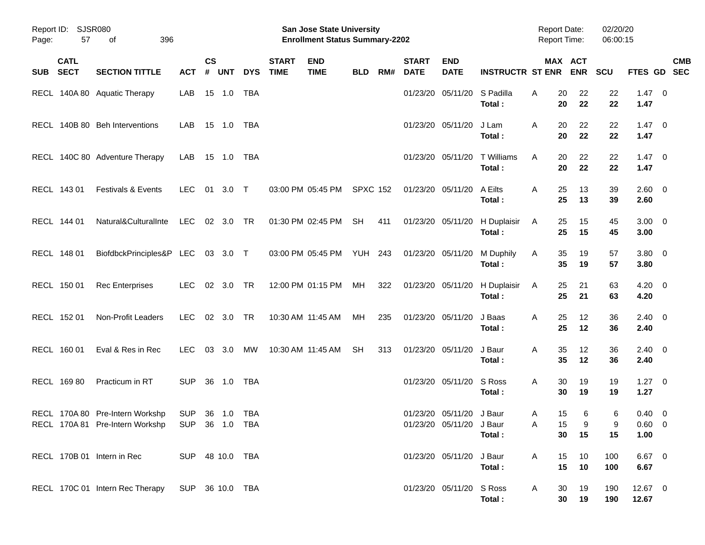|            |                            |                                                                    |                                  |                    |            |            |                             | <b>Preliminary Census</b>                                          |                 |     |                             |                                                      |                         |                                            |                              |                      |                                  |                           |
|------------|----------------------------|--------------------------------------------------------------------|----------------------------------|--------------------|------------|------------|-----------------------------|--------------------------------------------------------------------|-----------------|-----|-----------------------------|------------------------------------------------------|-------------------------|--------------------------------------------|------------------------------|----------------------|----------------------------------|---------------------------|
| Page:      | Report ID: SJSR080<br>57   | 396<br>of                                                          |                                  |                    |            |            |                             | San Jose State University<br><b>Enrollment Status Summary-2202</b> |                 |     |                             |                                                      |                         | <b>Report Date:</b><br><b>Report Time:</b> |                              | 02/20/20<br>06:00:15 |                                  |                           |
| <b>SUB</b> | <b>CATL</b><br><b>SECT</b> | <b>SECTION TITTLE</b>                                              | <b>ACT</b>                       | $\mathsf{cs}$<br># | <b>UNT</b> | <b>DYS</b> | <b>START</b><br><b>TIME</b> | <b>END</b><br><b>TIME</b>                                          | <b>BLD</b>      | RM# | <b>START</b><br><b>DATE</b> | <b>END</b><br><b>DATE</b>                            | <b>INSTRUCTR ST ENR</b> |                                            | <b>MAX ACT</b><br><b>ENR</b> | <b>SCU</b>           |                                  | <b>CMB</b><br>FTES GD SEC |
|            |                            | RECL 140A 80 Aquatic Therapy                                       | LAB                              |                    |            |            |                             |                                                                    |                 |     |                             | 01/23/20 05/11/20                                    | S Padilla<br>Total:     | 20<br>A<br>20                              | 22<br>22                     | 22<br>22             | $1.47 \quad 0$<br>1.47           |                           |
|            |                            | RECL 140B 80 Beh Interventions                                     | LAB.                             |                    | 15 1.0 TBA |            |                             |                                                                    |                 |     |                             | 01/23/20 05/11/20                                    | J Lam<br>Total:         | Α<br>20<br>20                              | 22<br>22                     | 22<br>22             | $1.47 \quad 0$<br>1.47           |                           |
|            |                            | RECL 140C 80 Adventure Therapy                                     | LAB                              |                    | 15 1.0 TBA |            |                             |                                                                    |                 |     |                             | 01/23/20 05/11/20                                    | T Williams<br>Total:    | A<br>20<br>20                              | 22<br>22                     | 22<br>22             | $1.47 \quad 0$<br>1.47           |                           |
|            | RECL 143 01                | <b>Festivals &amp; Events</b>                                      | <b>LEC</b>                       |                    | 01 3.0 T   |            |                             | 03:00 PM 05:45 PM                                                  | <b>SPXC 152</b> |     |                             | 01/23/20 05/11/20                                    | A Eilts<br>Total:       | 25<br>Α<br>25                              | 13<br>13                     | 39<br>39             | $2.60 \t 0$<br>2.60              |                           |
|            | RECL 144 01                | Natural&CulturalInte                                               | LEC                              |                    | 02 3.0 TR  |            |                             | 01:30 PM 02:45 PM                                                  | <b>SH</b>       | 411 |                             | 01/23/20 05/11/20                                    | H Duplaisir<br>Total:   | 25<br>Α<br>25                              | 15<br>15                     | 45<br>45             | $3.00 \ 0$<br>3.00               |                           |
|            | RECL 148 01                | BiofdbckPrinciples&P LEC 03 3.0 T                                  |                                  |                    |            |            |                             | 03:00 PM 05:45 PM YUH 243                                          |                 |     | 01/23/20 05/11/20           |                                                      | M Duphily<br>Total:     | 35<br>Α<br>35                              | 19<br>19                     | 57<br>57             | $3.80\ 0$<br>3.80                |                           |
|            | RECL 150 01                | <b>Rec Enterprises</b>                                             | <b>LEC</b>                       |                    | 02 3.0 TR  |            |                             | 12:00 PM 01:15 PM                                                  | МH              | 322 |                             | 01/23/20 05/11/20                                    | H Duplaisir<br>Total:   | 25<br>Α<br>25                              | 21<br>21                     | 63<br>63             | $4.20 \ 0$<br>4.20               |                           |
|            | RECL 152 01                | Non-Profit Leaders                                                 | <b>LEC</b>                       |                    | 02 3.0 TR  |            |                             | 10:30 AM 11:45 AM                                                  | MH              | 235 |                             | 01/23/20 05/11/20                                    | J Baas<br>Total:        | 25<br>Α<br>25                              | 12<br>12                     | 36<br>36             | $2.40 \ 0$<br>2.40               |                           |
|            | RECL 160 01                | Eval & Res in Rec                                                  | <b>LEC</b>                       |                    | 03 3.0     | MW         |                             | 10:30 AM 11:45 AM                                                  | <b>SH</b>       | 313 |                             | 01/23/20 05/11/20                                    | J Baur<br>Total:        | 35<br>Α<br>35                              | 12<br>12                     | 36<br>36             | $2.40 \ 0$<br>2.40               |                           |
|            | RECL 169 80                | Practicum in RT                                                    | <b>SUP</b>                       |                    | 36 1.0     | TBA        |                             |                                                                    |                 |     |                             | 01/23/20 05/11/20                                    | S Ross<br>Total:        | Α<br>30<br>30                              | 19<br>19                     | 19<br>19             | $1.27 \t 0$<br>1.27              |                           |
|            |                            | RECL 170A 80 Pre-Intern Workshp<br>RECL 170A 81 Pre-Intern Workshp | SUP 36 1.0 TBA<br>SUP 36 1.0 TBA |                    |            |            |                             |                                                                    |                 |     |                             | 01/23/20 05/11/20 J Baur<br>01/23/20 05/11/20 J Baur | Total:                  | A<br>15<br>15<br>Α<br>30                   | 6<br>9<br>15                 | 6<br>9<br>15         | $0.40 \quad 0$<br>0.60 0<br>1.00 |                           |
|            |                            | RECL 170B 01 Intern in Rec                                         | SUP 48 10.0 TBA                  |                    |            |            |                             |                                                                    |                 |     |                             | 01/23/20 05/11/20                                    | J Baur<br>Total:        | 15<br>Α<br>15                              | 10<br>10                     | 100<br>100           | $6.67$ 0<br>6.67                 |                           |
|            |                            | RECL 170C 01 Intern Rec Therapy                                    | SUP 36 10.0 TBA                  |                    |            |            |                             |                                                                    |                 |     |                             | 01/23/20 05/11/20 S Ross                             | Total:                  | 30<br>A<br>30                              | 19<br>19                     | 190<br>190           | 12.67 0<br>12.67                 |                           |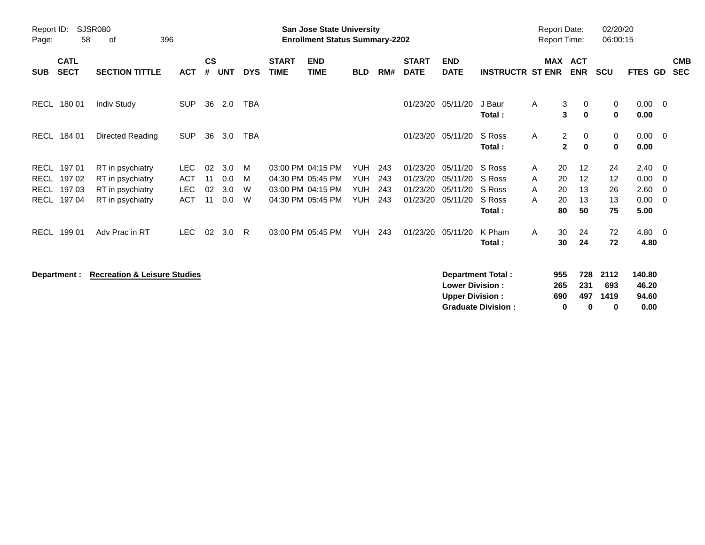|             | <b>Preliminary Census</b>                                                                                                    |                                         |            |                    |            |            |                             |                           |            |     |                             |                           |                          |   |                                            |                             |                      |                        |                          |                          |
|-------------|------------------------------------------------------------------------------------------------------------------------------|-----------------------------------------|------------|--------------------|------------|------------|-----------------------------|---------------------------|------------|-----|-----------------------------|---------------------------|--------------------------|---|--------------------------------------------|-----------------------------|----------------------|------------------------|--------------------------|--------------------------|
| Page:       | Report ID:<br><b>SJSR080</b><br><b>San Jose State University</b><br>58<br>396<br><b>Enrollment Status Summary-2202</b><br>of |                                         |            |                    |            |            |                             |                           |            |     |                             |                           |                          |   | <b>Report Date:</b><br><b>Report Time:</b> |                             | 02/20/20<br>06:00:15 |                        |                          |                          |
| <b>SUB</b>  | <b>CATL</b><br><b>SECT</b>                                                                                                   | <b>SECTION TITTLE</b>                   | <b>ACT</b> | $\mathsf{cs}$<br># | <b>UNT</b> | <b>DYS</b> | <b>START</b><br><b>TIME</b> | <b>END</b><br><b>TIME</b> | <b>BLD</b> | RM# | <b>START</b><br><b>DATE</b> | <b>END</b><br><b>DATE</b> | <b>INSTRUCTR ST ENR</b>  |   | MAX ACT                                    | <b>ENR</b>                  | <b>SCU</b>           | <b>FTES GD</b>         |                          | <b>CMB</b><br><b>SEC</b> |
| <b>RECL</b> | 180 01                                                                                                                       | <b>Indiv Study</b>                      | <b>SUP</b> | 36                 | 2.0        | <b>TBA</b> |                             |                           |            |     | 01/23/20                    | 05/11/20                  | J Baur<br>Total:         | Α | 3<br>3                                     | 0<br>$\bf{0}$               | 0<br>0               | 0.00<br>0.00           | $\overline{\mathbf{0}}$  |                          |
| <b>RECL</b> | 184 01                                                                                                                       | Directed Reading                        | <b>SUP</b> | 36                 | 3.0        | <b>TBA</b> |                             |                           |            |     | 01/23/20                    | 05/11/20                  | S Ross<br>Total:         | A | $\overline{c}$<br>$\mathbf{2}$             | $\mathbf{0}$<br>$\mathbf 0$ | 0<br>$\mathbf 0$     | $0.00 \quad 0$<br>0.00 |                          |                          |
| <b>RECL</b> | 197 01                                                                                                                       | RT in psychiatry                        | <b>LEC</b> | 02                 | 3.0        | M          |                             | 03:00 PM 04:15 PM         | <b>YUH</b> | 243 | 01/23/20                    | 05/11/20                  | S Ross                   | A | 20                                         | 12                          | 24                   | 2.40                   | $\overline{\phantom{0}}$ |                          |
| <b>RECL</b> | 197 02                                                                                                                       | RT in psychiatry                        | <b>ACT</b> | 11                 | 0.0        | м          |                             | 04:30 PM 05:45 PM         | <b>YUH</b> | 243 | 01/23/20                    | 05/11/20                  | S Ross                   | A | 20                                         | 12                          | 12                   | 0.00                   | - 0                      |                          |
| <b>RECL</b> | 197 03                                                                                                                       | RT in psychiatry                        | <b>LEC</b> | 02                 | 3.0        | W          |                             | 03:00 PM 04:15 PM         | <b>YUH</b> | 243 | 01/23/20                    | 05/11/20                  | S Ross                   | A | 20                                         | 13                          | 26                   | 2.60                   | - 0                      |                          |
| <b>RECL</b> | 19704                                                                                                                        | RT in psychiatry                        | <b>ACT</b> | 11                 | 0.0        | W          |                             | 04:30 PM 05:45 PM         | <b>YUH</b> | 243 | 01/23/20                    | 05/11/20                  | S Ross<br>Total:         | A | 20<br>80                                   | 13<br>50                    | 13<br>75             | 0.00<br>5.00           | - 0                      |                          |
| <b>RECL</b> | 199 01                                                                                                                       | Adv Prac in RT                          | <b>LEC</b> | 02                 | 3.0        | R          |                             | 03:00 PM 05:45 PM         | <b>YUH</b> | 243 | 01/23/20                    | 05/11/20                  | K Pham<br>Total:         | A | 30<br>30                                   | 24<br>24                    | 72<br>72             | 4.80 0<br>4.80         |                          |                          |
|             | Department :                                                                                                                 | <b>Recreation &amp; Leisure Studies</b> |            |                    |            |            |                             |                           |            |     |                             |                           | <b>Department Total:</b> |   | 955                                        | 728                         | 2112                 | 140.80                 |                          |                          |

| Department Total:         | 955 |      | 728 2112 | 140.80 |
|---------------------------|-----|------|----------|--------|
| <b>Lower Division:</b>    | 265 | -231 | 693      | 46.20  |
| <b>Upper Division:</b>    | 690 | 497  | 1419     | 94.60  |
| <b>Graduate Division:</b> | n   | n    | o        | 0.00   |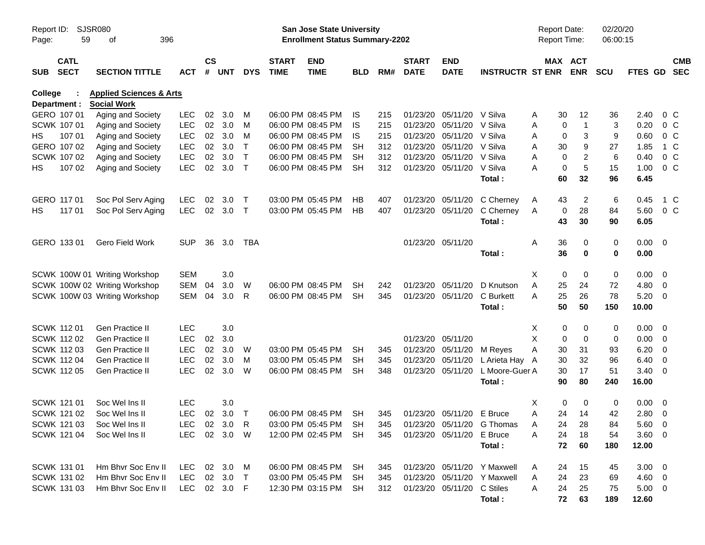|            |                            |                                    |            |                    |            |              |                             | <b>Preliminary Census</b>                                                 |           |     |                             |                            |                             |                                     |                               |            |              |                          |                          |
|------------|----------------------------|------------------------------------|------------|--------------------|------------|--------------|-----------------------------|---------------------------------------------------------------------------|-----------|-----|-----------------------------|----------------------------|-----------------------------|-------------------------------------|-------------------------------|------------|--------------|--------------------------|--------------------------|
| Report ID: | <b>SJSR080</b><br>59       | 396                                |            |                    |            |              |                             | <b>San Jose State University</b><br><b>Enrollment Status Summary-2202</b> |           |     |                             |                            |                             | <b>Report Date:</b><br>Report Time: |                               | 02/20/20   |              |                          |                          |
| Page:      |                            | οf                                 |            |                    |            |              |                             |                                                                           |           |     |                             |                            |                             |                                     |                               | 06:00:15   |              |                          |                          |
| <b>SUB</b> | <b>CATL</b><br><b>SECT</b> | <b>SECTION TITTLE</b>              | ACT        | $\mathsf{cs}$<br># | <b>UNT</b> | <b>DYS</b>   | <b>START</b><br><b>TIME</b> | <b>END</b><br><b>TIME</b>                                                 | BLD       | RM# | <b>START</b><br><b>DATE</b> | <b>END</b><br><b>DATE</b>  | <b>INSTRUCTR ST ENR</b>     |                                     | MAX ACT<br><b>ENR</b>         | <b>SCU</b> | FTES GD      |                          | <b>CMB</b><br><b>SEC</b> |
| College    |                            | <b>Health &amp; Human Sciences</b> |            |                    |            |              |                             |                                                                           |           |     |                             |                            |                             |                                     |                               |            |              |                          |                          |
|            | Department :               | <b>Social Work</b>                 |            |                    |            |              |                             |                                                                           |           |     |                             |                            |                             |                                     |                               |            |              |                          |                          |
|            | GERO 107 01                | Aging and Society                  | <b>LEC</b> | 02                 | 3.0        | M            |                             | 06:00 PM 08:45 PM                                                         | IS        | 215 | 01/23/20                    | 05/11/20 V Silva           |                             | 30<br>Α                             | 12                            | 36         | 2.40         |                          | $0\,C$                   |
|            | SCWK 107 01                | Aging and Society                  | <b>LEC</b> | 02                 | 3.0        | M            |                             | 06:00 PM 08:45 PM                                                         | IS        | 215 | 01/23/20                    | 05/11/20                   | V Silva                     | A                                   | $\mathbf 0$<br>1              | 3          | 0.20         |                          | $0\,$ C                  |
| HS.        | 107 01                     | Aging and Society                  | <b>LEC</b> | 02                 | 3.0        | M            |                             | 06:00 PM 08:45 PM                                                         | IS        | 215 | 01/23/20                    | 05/11/20                   | V Silva                     | A                                   | $\mathbf 0$<br>3              | 9          | 0.60         | 0 <sup>o</sup>           |                          |
|            | GERO 107 02                | Aging and Society                  | <b>LEC</b> | 02                 | 3.0        | Τ            |                             | 06:00 PM 08:45 PM                                                         | SН        | 312 |                             | 01/23/20 05/11/20 V Silva  |                             | 30<br>Α                             | 9                             | 27         | 1.85         |                          | 1 C                      |
|            | <b>SCWK 107 02</b>         | Aging and Society                  | <b>LEC</b> | 02                 | 3.0        | $\top$       |                             | 06:00 PM 08:45 PM                                                         | SН        | 312 | 01/23/20                    | 05/11/20                   | V Silva                     | Α                                   | $\overline{c}$<br>$\mathbf 0$ | 6          | 0.40         |                          | $0\,C$                   |
| HS         | 107 02                     | Aging and Society                  | <b>LEC</b> | 02                 | 3.0        | $\mathsf{T}$ |                             | 06:00 PM 08:45 PM                                                         | <b>SH</b> | 312 |                             | 01/23/20 05/11/20          | V Silva<br>Total:           | А<br>60                             | 5<br>$\mathbf 0$<br>32        | 15<br>96   | 1.00<br>6.45 | 0 <sup>o</sup>           |                          |
|            | GERO 117 01                | Soc Pol Serv Aging                 | <b>LEC</b> | 02                 | 3.0        | Т            |                             | 03:00 PM 05:45 PM                                                         | HВ        | 407 | 01/23/20                    | 05/11/20                   | C Cherney                   | 43<br>A                             | 2                             | 6          | 0.45         |                          | 1 C                      |
| HS.        | 117 01                     | Soc Pol Serv Aging                 | <b>LEC</b> | 02                 | 3.0        | $\top$       |                             | 03:00 PM 05:45 PM                                                         | HB        | 407 |                             | 01/23/20 05/11/20          | C Cherney                   | A                                   | 28<br>$\mathbf 0$             | 84         | 5.60         | 0 <sup>o</sup>           |                          |
|            |                            |                                    |            |                    |            |              |                             |                                                                           |           |     |                             |                            | Total:                      | 43                                  | 30                            | 90         | 6.05         |                          |                          |
|            | GERO 133 01                | Gero Field Work                    | <b>SUP</b> | 36                 | 3.0        | TBA          |                             |                                                                           |           |     |                             | 01/23/20 05/11/20          |                             | 36<br>Α                             | 0                             | 0          | $0.00 \t 0$  |                          |                          |
|            |                            |                                    |            |                    |            |              |                             |                                                                           |           |     |                             |                            | Total:                      | 36                                  | $\bf{0}$                      | 0          | 0.00         |                          |                          |
|            |                            | SCWK 100W 01 Writing Workshop      | <b>SEM</b> |                    | 3.0        |              |                             |                                                                           |           |     |                             |                            |                             | X                                   | $\mathbf 0$<br>0              | 0          | $0.00 \t 0$  |                          |                          |
|            |                            | SCWK 100W 02 Writing Workshop      | <b>SEM</b> | 04                 | 3.0        | W            |                             | 06:00 PM 08:45 PM                                                         | SН        | 242 | 01/23/20                    | 05/11/20                   | D Knutson                   | 25<br>A                             | 24                            | 72         | 4.80         | $\overline{\mathbf{0}}$  |                          |
|            |                            | SCWK 100W 03 Writing Workshop      | <b>SEM</b> | 04                 | 3.0        | R            |                             | 06:00 PM 08:45 PM                                                         | <b>SH</b> | 345 |                             | 01/23/20 05/11/20          | C Burkett                   | 25<br>A                             | 26                            | 78         | 5.20         | $\overline{\phantom{0}}$ |                          |
|            |                            |                                    |            |                    |            |              |                             |                                                                           |           |     |                             |                            | Total:                      | 50                                  | 50                            | 150        | 10.00        |                          |                          |
|            | <b>SCWK 11201</b>          | <b>Gen Practice II</b>             | <b>LEC</b> |                    | 3.0        |              |                             |                                                                           |           |     |                             |                            |                             | X.                                  | 0<br>0                        | 0          | $0.00 \t 0$  |                          |                          |
|            | <b>SCWK 11202</b>          | Gen Practice II                    | <b>LEC</b> | 02                 | 3.0        |              |                             |                                                                           |           |     | 01/23/20                    | 05/11/20                   |                             | X                                   | $\mathbf 0$<br>$\mathbf 0$    | 0          | 0.00         | $\overline{\mathbf{0}}$  |                          |
|            | <b>SCWK 11203</b>          | Gen Practice II                    | <b>LEC</b> | 02                 | 3.0        | W            |                             | 03:00 PM 05:45 PM                                                         | SH        | 345 | 01/23/20                    | 05/11/20                   | M Reyes                     | 30<br>Α                             | 31                            | 93         | 6.20         | 0                        |                          |
|            | <b>SCWK 11204</b>          | Gen Practice II                    | <b>LEC</b> | 02                 | 3.0        | м            |                             | 03:00 PM 05:45 PM                                                         | SН        | 345 | 01/23/20                    | 05/11/20                   | L Arieta Hay                | 30<br>A                             | 32                            | 96         | 6.40         | 0                        |                          |
|            | <b>SCWK 112 05</b>         | <b>Gen Practice II</b>             | <b>LEC</b> | 02                 | 3.0        | W            |                             | 06:00 PM 08:45 PM                                                         | SH        | 348 |                             | 01/23/20 05/11/20          | L Moore-Guer A              | 30                                  | 17                            | 51         | 3.40         | $\overline{\phantom{0}}$ |                          |
|            |                            |                                    |            |                    |            |              |                             |                                                                           |           |     |                             |                            | Total:                      | 90                                  | 80                            | 240        | 16.00        |                          |                          |
|            | SCWK 121 01                | Soc Wel Ins II                     | <b>LEC</b> |                    | 3.0        |              |                             |                                                                           |           |     |                             |                            |                             | X                                   | 0<br>0                        | 0          | $0.00 \t 0$  |                          |                          |
|            | SCWK 121 02                | Soc Wel Ins II                     | <b>LEC</b> |                    | 02 3.0     | Т            |                             | 06:00 PM 08:45 PM                                                         | <b>SH</b> | 345 |                             | 01/23/20 05/11/20 E Bruce  |                             | 24<br>A                             | 14                            | 42         | 2.80 0       |                          |                          |
|            | SCWK 121 03                | Soc Wel Ins II                     | <b>LEC</b> |                    | 02 3.0     | R            |                             | 03:00 PM 05:45 PM                                                         | <b>SH</b> | 345 |                             |                            | 01/23/20 05/11/20 G Thomas  | 24<br>Α                             | 28                            | 84         | $5.60$ 0     |                          |                          |
|            | <b>SCWK 121 04</b>         | Soc Wel Ins II                     | <b>LEC</b> |                    | 02 3.0 W   |              |                             | 12:00 PM 02:45 PM                                                         | <b>SH</b> | 345 |                             | 01/23/20 05/11/20 E Bruce  |                             | 24<br>Α                             | 18                            | 54         | $3.60 \ 0$   |                          |                          |
|            |                            |                                    |            |                    |            |              |                             |                                                                           |           |     |                             |                            | Total:                      | 72                                  | 60                            | 180        | 12.00        |                          |                          |
|            | SCWK 131 01                | Hm Bhvr Soc Env II                 | LEC        |                    | 02 3.0     | M            |                             | 06:00 PM 08:45 PM                                                         | SH        | 345 |                             |                            | 01/23/20 05/11/20 Y Maxwell | 24<br>A                             | 15                            | 45         | $3.00 \ 0$   |                          |                          |
|            | SCWK 131 02                | Hm Bhvr Soc Env II                 | LEC.       |                    | 02 3.0     | $\top$       |                             | 03:00 PM 05:45 PM                                                         | SH        | 345 |                             |                            | 01/23/20 05/11/20 Y Maxwell | 24<br>A                             | 23                            | 69         | $4.60$ 0     |                          |                          |
|            | SCWK 131 03                | Hm Bhvr Soc Env II                 | <b>LEC</b> |                    | 02 3.0 F   |              |                             | 12:30 PM 03:15 PM                                                         | <b>SH</b> | 312 |                             | 01/23/20 05/11/20 C Stiles |                             | 24<br>A                             | 25                            | 75         | $5.00 \t 0$  |                          |                          |
|            |                            |                                    |            |                    |            |              |                             |                                                                           |           |     |                             |                            | Total:                      | 72                                  | 63                            | 189        | 12.60        |                          |                          |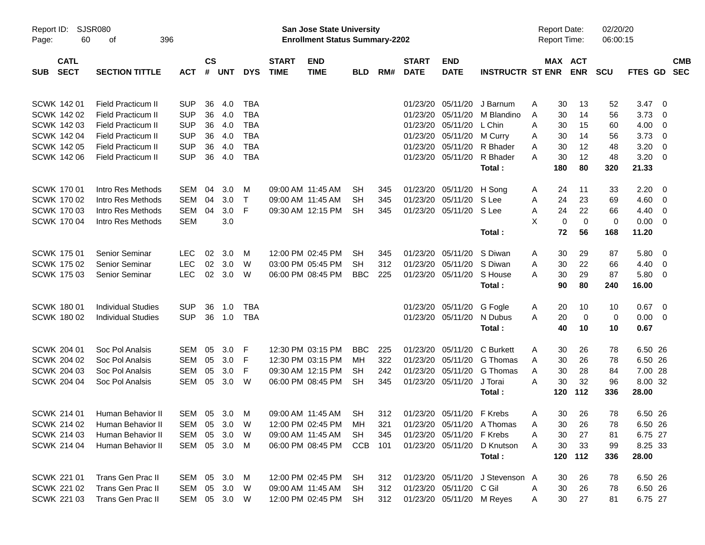|                     |                            |                             |              |                |            |            |                             |                                                                    | <b>Preliminary Census</b> |     |                             |                           |                            |                                     |     |                       |                      |         |                          |                          |
|---------------------|----------------------------|-----------------------------|--------------|----------------|------------|------------|-----------------------------|--------------------------------------------------------------------|---------------------------|-----|-----------------------------|---------------------------|----------------------------|-------------------------------------|-----|-----------------------|----------------------|---------|--------------------------|--------------------------|
| Report ID:<br>Page: | 60                         | <b>SJSR080</b><br>396<br>of |              |                |            |            |                             | San Jose State University<br><b>Enrollment Status Summary-2202</b> |                           |     |                             |                           |                            | <b>Report Date:</b><br>Report Time: |     |                       | 02/20/20<br>06:00:15 |         |                          |                          |
| <b>SUB</b>          | <b>CATL</b><br><b>SECT</b> | <b>SECTION TITTLE</b>       | <b>ACT</b>   | <b>CS</b><br># | <b>UNT</b> | <b>DYS</b> | <b>START</b><br><b>TIME</b> | <b>END</b><br><b>TIME</b>                                          | <b>BLD</b>                | RM# | <b>START</b><br><b>DATE</b> | <b>END</b><br><b>DATE</b> | <b>INSTRUCTR ST ENR</b>    |                                     |     | MAX ACT<br><b>ENR</b> | <b>SCU</b>           | FTES GD |                          | <b>CMB</b><br><b>SEC</b> |
| SCWK 142 01         |                            | <b>Field Practicum II</b>   | <b>SUP</b>   | 36             | 4.0        | <b>TBA</b> |                             |                                                                    |                           |     | 01/23/20                    | 05/11/20                  | J Barnum                   | A                                   | 30  | 13                    | 52                   | 3.47    | - 0                      |                          |
| <b>SCWK 142 02</b>  |                            | <b>Field Practicum II</b>   | <b>SUP</b>   | 36             | 4.0        | <b>TBA</b> |                             |                                                                    |                           |     | 01/23/20                    | 05/11/20                  | M Blandino                 | A                                   | 30  | 14                    | 56                   | 3.73    | 0                        |                          |
| <b>SCWK 142 03</b>  |                            | Field Practicum II          | <b>SUP</b>   | 36             | 4.0        | <b>TBA</b> |                             |                                                                    |                           |     | 01/23/20                    | 05/11/20                  | L Chin                     | Α                                   | 30  | 15                    | 60                   | 4.00    | 0                        |                          |
| SCWK 142 04         |                            | Field Practicum II          | <b>SUP</b>   | 36             | 4.0        | <b>TBA</b> |                             |                                                                    |                           |     | 01/23/20                    | 05/11/20                  | M Curry                    | A                                   | 30  | 14                    | 56                   | 3.73    | $\overline{0}$           |                          |
| <b>SCWK 142 05</b>  |                            | Field Practicum II          | <b>SUP</b>   | 36             | 4.0        | <b>TBA</b> |                             |                                                                    |                           |     | 01/23/20                    | 05/11/20                  | R Bhader                   | Α                                   | 30  | 12                    | 48                   | 3.20    | $\overline{0}$           |                          |
| <b>SCWK 14206</b>   |                            | <b>Field Practicum II</b>   | <b>SUP</b>   | 36             | 4.0        | <b>TBA</b> |                             |                                                                    |                           |     |                             | 01/23/20 05/11/20         | R Bhader                   | А                                   | 30  | 12                    | 48                   | 3.20    | - 0                      |                          |
|                     |                            |                             |              |                |            |            |                             |                                                                    |                           |     |                             |                           | Total:                     |                                     | 180 | 80                    | 320                  | 21.33   |                          |                          |
| <b>SCWK 17001</b>   |                            | Intro Res Methods           | <b>SEM</b>   | 04             | 3.0        | M          |                             | 09:00 AM 11:45 AM                                                  | SН                        | 345 | 01/23/20                    | 05/11/20                  | H Song                     | A                                   | 24  | 11                    | 33                   | 2.20    | - 0                      |                          |
| <b>SCWK 17002</b>   |                            | Intro Res Methods           | <b>SEM</b>   | 04             | 3.0        | $\top$     |                             | 09:00 AM 11:45 AM                                                  | SН                        | 345 | 01/23/20                    | 05/11/20                  | S Lee                      | Α                                   | 24  | 23                    | 69                   | 4.60    | 0                        |                          |
| SCWK 170 03         |                            | Intro Res Methods           | <b>SEM</b>   | 04             | 3.0        | F          |                             | 09:30 AM 12:15 PM                                                  | <b>SH</b>                 | 345 |                             | 01/23/20 05/11/20 S Lee   |                            | Α                                   | 24  | 22                    | 66                   | 4.40    | 0                        |                          |
| <b>SCWK 17004</b>   |                            | Intro Res Methods           | <b>SEM</b>   |                | 3.0        |            |                             |                                                                    |                           |     |                             |                           |                            | X                                   | 0   | $\mathbf 0$           | $\mathbf 0$          | 0.00    | - 0                      |                          |
|                     |                            |                             |              |                |            |            |                             |                                                                    |                           |     |                             |                           | Total:                     |                                     | 72  | 56                    | 168                  | 11.20   |                          |                          |
| <b>SCWK 17501</b>   |                            | Senior Seminar              | <b>LEC</b>   | 02             | 3.0        | м          |                             | 12:00 PM 02:45 PM                                                  | SН                        | 345 | 01/23/20                    | 05/11/20                  | S Diwan                    | A                                   | 30  | 29                    | 87                   | 5.80    | - 0                      |                          |
| <b>SCWK 175 02</b>  |                            | Senior Seminar              | <b>LEC</b>   | 02             | 3.0        | W          |                             | 03:00 PM 05:45 PM                                                  | SН                        | 312 | 01/23/20                    | 05/11/20                  | S Diwan                    | Α                                   | 30  | 22                    | 66                   | 4.40    | 0                        |                          |
| <b>SCWK 17503</b>   |                            | <b>Senior Seminar</b>       | <b>LEC</b>   | 02             | 3.0        | W          |                             | 06:00 PM 08:45 PM                                                  | <b>BBC</b>                | 225 |                             | 01/23/20 05/11/20         | S House                    | А                                   | 30  | 29                    | 87                   | 5.80    | $\overline{\mathbf{0}}$  |                          |
|                     |                            |                             |              |                |            |            |                             |                                                                    |                           |     |                             |                           | Total:                     |                                     | 90  | 80                    | 240                  | 16.00   |                          |                          |
| <b>SCWK 18001</b>   |                            | <b>Individual Studies</b>   | <b>SUP</b>   | 36             | 1.0        | TBA        |                             |                                                                    |                           |     | 01/23/20                    | 05/11/20                  | G Fogle                    | A                                   | 20  | 10                    | 10                   | 0.67    | $\overline{\phantom{0}}$ |                          |
| <b>SCWK 18002</b>   |                            | <b>Individual Studies</b>   | <b>SUP</b>   | 36             | 1.0        | <b>TBA</b> |                             |                                                                    |                           |     |                             | 01/23/20 05/11/20         | N Dubus                    | A                                   | 20  | $\mathbf 0$           | $\mathbf 0$          | 0.00    | $\overline{\mathbf{0}}$  |                          |
|                     |                            |                             |              |                |            |            |                             |                                                                    |                           |     |                             |                           | Total:                     |                                     | 40  | 10                    | 10                   | 0.67    |                          |                          |
| SCWK 204 01         |                            | Soc Pol Analsis             | <b>SEM</b>   | 05             | 3.0        | F          |                             | 12:30 PM 03:15 PM                                                  | <b>BBC</b>                | 225 | 01/23/20                    | 05/11/20                  | C Burkett                  | A                                   | 30  | 26                    | 78                   | 6.50 26 |                          |                          |
| <b>SCWK 204 02</b>  |                            | Soc Pol Analsis             | <b>SEM</b>   | 05             | 3.0        | F          |                             | 12:30 PM 03:15 PM                                                  | MН                        | 322 | 01/23/20                    | 05/11/20                  | G Thomas                   | A                                   | 30  | 26                    | 78                   | 6.50 26 |                          |                          |
| <b>SCWK 204 03</b>  |                            | Soc Pol Analsis             | <b>SEM</b>   | 05             | 3.0        | F          |                             | 09:30 AM 12:15 PM                                                  | SН                        | 242 | 01/23/20                    | 05/11/20                  | G Thomas                   | A                                   | 30  | 28                    | 84                   | 7.00 28 |                          |                          |
| SCWK 204 04         |                            | Soc Pol Analsis             | <b>SEM</b>   | 05             | 3.0        | W          |                             | 06:00 PM 08:45 PM                                                  | <b>SH</b>                 | 345 |                             | 01/23/20 05/11/20         | J Torai                    | Α                                   | 30  | 32                    | 96                   | 8.00 32 |                          |                          |
|                     |                            |                             |              |                |            |            |                             |                                                                    |                           |     |                             |                           | Total:                     |                                     | 120 | 112                   | 336                  | 28.00   |                          |                          |
| SCWK 214 01         |                            | Human Behavior II           | SEM          | 05             | 3.0        | M          |                             | 09:00 AM 11:45 AM                                                  | <b>SH</b>                 | 312 |                             | 01/23/20 05/11/20 F Krebs |                            | A                                   | 30  | 26                    | 78                   | 6.50 26 |                          |                          |
| SCWK 214 02         |                            | Human Behavior II           | SEM          | 05             | 3.0        | W          |                             | 12:00 PM 02:45 PM                                                  | MН                        | 321 |                             |                           | 01/23/20 05/11/20 A Thomas | A                                   | 30  | 26                    | 78                   | 6.50 26 |                          |                          |
| SCWK 214 03         |                            | Human Behavior II           | SEM          | 05             | 3.0        | W          |                             | 09:00 AM 11:45 AM                                                  | <b>SH</b>                 | 345 |                             | 01/23/20 05/11/20 F Krebs |                            | Α                                   | 30  | 27                    | 81                   | 6.75 27 |                          |                          |
| SCWK 214 04         |                            | Human Behavior II           | SEM          |                | 05 3.0     | M          |                             | 06:00 PM 08:45 PM                                                  | CCB                       | 101 |                             | 01/23/20 05/11/20         | D Knutson                  | Α                                   | 30  | 33                    | 99                   | 8.25 33 |                          |                          |
|                     |                            |                             |              |                |            |            |                             |                                                                    |                           |     |                             |                           | Total:                     |                                     | 120 | 112                   | 336                  | 28.00   |                          |                          |
| SCWK 221 01         |                            | Trans Gen Prac II           | SEM 05 3.0   |                |            | M          |                             | 12:00 PM 02:45 PM                                                  | SH                        | 312 |                             | 01/23/20 05/11/20         | J Stevenson A              |                                     | 30  | 26                    | 78                   | 6.50 26 |                          |                          |
| <b>SCWK 221 02</b>  |                            | Trans Gen Prac II           | SEM          |                | 05 3.0     | W          |                             | 09:00 AM 11:45 AM                                                  | SH                        | 312 |                             | 01/23/20 05/11/20 C Gil   |                            | A                                   | 30  | 26                    | 78                   | 6.50 26 |                          |                          |
| <b>SCWK 221 03</b>  |                            | Trans Gen Prac II           | SEM 05 3.0 W |                |            |            |                             | 12:00 PM 02:45 PM                                                  | <b>SH</b>                 | 312 |                             | 01/23/20 05/11/20 M Reyes |                            | A                                   | 30  | 27                    | 81                   | 6.75 27 |                          |                          |
|                     |                            |                             |              |                |            |            |                             |                                                                    |                           |     |                             |                           |                            |                                     |     |                       |                      |         |                          |                          |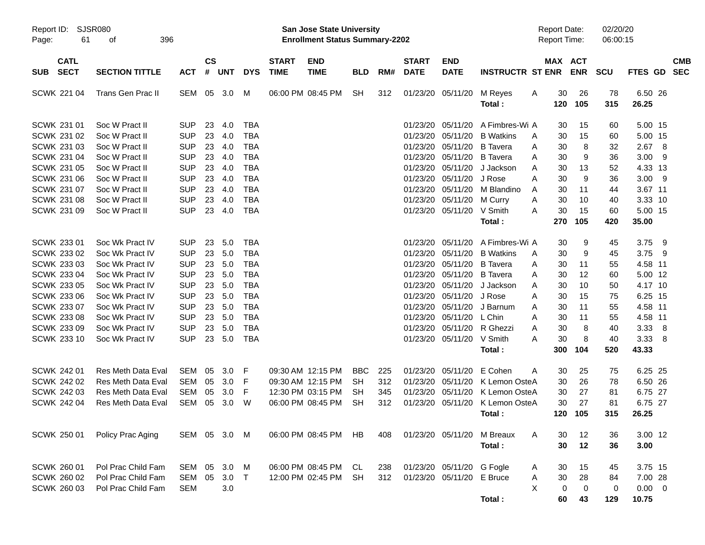|                     |                            |                           |              |                    |     |            |                             | <b>Preliminary Census</b>                                                 |            |     |                             |                           |                                 |                                     |            |                      |             |                          |
|---------------------|----------------------------|---------------------------|--------------|--------------------|-----|------------|-----------------------------|---------------------------------------------------------------------------|------------|-----|-----------------------------|---------------------------|---------------------------------|-------------------------------------|------------|----------------------|-------------|--------------------------|
| Report ID:<br>Page: | 61                         | <b>SJSR080</b><br>οf      | 396          |                    |     |            |                             | <b>San Jose State University</b><br><b>Enrollment Status Summary-2202</b> |            |     |                             |                           |                                 | <b>Report Date:</b><br>Report Time: |            | 02/20/20<br>06:00:15 |             |                          |
| <b>SUB</b>          | <b>CATL</b><br><b>SECT</b> | <b>SECTION TITTLE</b>     | <b>ACT</b>   | $\mathsf{cs}$<br># | UNT | <b>DYS</b> | <b>START</b><br><b>TIME</b> | <b>END</b><br><b>TIME</b>                                                 | <b>BLD</b> | RM# | <b>START</b><br><b>DATE</b> | <b>END</b><br><b>DATE</b> | <b>INSTRUCTR ST ENR</b>         | MAX ACT                             | <b>ENR</b> | <b>SCU</b>           | FTES GD     | <b>CMB</b><br><b>SEC</b> |
|                     | SCWK 221 04                | Trans Gen Prac II         | SEM 05       |                    | 3.0 | M          |                             | 06:00 PM 08:45 PM                                                         | <b>SH</b>  | 312 |                             | 01/23/20 05/11/20         | M Reyes                         | 30<br>A                             | 26         | 78                   | 6.50 26     |                          |
|                     |                            |                           |              |                    |     |            |                             |                                                                           |            |     |                             |                           | Total:                          | 120                                 | 105        | 315                  | 26.25       |                          |
|                     | SCWK 231 01                | Soc W Pract II            | <b>SUP</b>   | 23                 | 4.0 | <b>TBA</b> |                             |                                                                           |            |     | 01/23/20                    | 05/11/20                  | A Fimbres-Wi A                  | 30                                  | 15         | 60                   | 5.00 15     |                          |
|                     | SCWK 231 02                | Soc W Pract II            | <b>SUP</b>   | 23                 | 4.0 | <b>TBA</b> |                             |                                                                           |            |     | 01/23/20                    | 05/11/20                  | <b>B</b> Watkins                | 30<br>A                             | 15         | 60                   | 5.00 15     |                          |
|                     | SCWK 231 03                | Soc W Pract II            | <b>SUP</b>   | 23                 | 4.0 | <b>TBA</b> |                             |                                                                           |            |     | 01/23/20                    | 05/11/20                  | <b>B</b> Tavera                 | 30<br>A                             | 8          | 32                   | 2.678       |                          |
|                     | SCWK 231 04                | Soc W Pract II            | <b>SUP</b>   | 23                 | 4.0 | <b>TBA</b> |                             |                                                                           |            |     | 01/23/20                    | 05/11/20                  | <b>B</b> Tavera                 | 30<br>A                             | 9          | 36                   | $3.00$ 9    |                          |
|                     | SCWK 231 05                | Soc W Pract II            | <b>SUP</b>   | 23                 | 4.0 | <b>TBA</b> |                             |                                                                           |            |     | 01/23/20                    | 05/11/20                  | J Jackson                       | 30<br>A                             | 13         | 52                   | 4.33 13     |                          |
|                     | SCWK 231 06                | Soc W Pract II            | <b>SUP</b>   | 23                 | 4.0 | <b>TBA</b> |                             |                                                                           |            |     | 01/23/20                    | 05/11/20                  | J Rose                          | 30<br>A                             | 9          | 36                   | $3.00$ 9    |                          |
|                     | SCWK 231 07                | Soc W Pract II            | <b>SUP</b>   | 23                 | 4.0 | <b>TBA</b> |                             |                                                                           |            |     | 01/23/20                    | 05/11/20                  | M Blandino                      | 30<br>A                             | 11         | 44                   | 3.67 11     |                          |
|                     | <b>SCWK 231 08</b>         | Soc W Pract II            | <b>SUP</b>   | 23                 | 4.0 | <b>TBA</b> |                             |                                                                           |            |     | 01/23/20                    | 05/11/20                  | M Curry                         | 30<br>Α                             | 10         | 40                   | 3.33 10     |                          |
|                     | SCWK 231 09                | Soc W Pract II            | <b>SUP</b>   | 23                 | 4.0 | <b>TBA</b> |                             |                                                                           |            |     |                             | 01/23/20 05/11/20 V Smith |                                 | 30<br>Α                             | 15         | 60                   | 5.00 15     |                          |
|                     |                            |                           |              |                    |     |            |                             |                                                                           |            |     |                             |                           | Total:                          | 270                                 | 105        | 420                  | 35.00       |                          |
|                     |                            |                           |              |                    |     |            |                             |                                                                           |            |     |                             |                           |                                 |                                     |            |                      |             |                          |
|                     | SCWK 233 01                | Soc Wk Pract IV           | SUP.         | 23                 | 5.0 | <b>TBA</b> |                             |                                                                           |            |     | 01/23/20                    | 05/11/20                  | A Fimbres-Wi A                  | 30                                  | 9          | 45                   | 3.75 9      |                          |
|                     | SCWK 233 02                | Soc Wk Pract IV           | <b>SUP</b>   | 23                 | 5.0 | <b>TBA</b> |                             |                                                                           |            |     | 01/23/20                    | 05/11/20                  | <b>B</b> Watkins                | 30<br>A                             | 9          | 45                   | 3.75 9      |                          |
|                     | SCWK 233 03                | Soc Wk Pract IV           | <b>SUP</b>   | 23                 | 5.0 | <b>TBA</b> |                             |                                                                           |            |     | 01/23/20                    | 05/11/20                  | <b>B</b> Tavera                 | 30<br>A                             | 11         | 55                   | 4.58 11     |                          |
|                     | SCWK 233 04                | Soc Wk Pract IV           | <b>SUP</b>   | 23                 | 5.0 | <b>TBA</b> |                             |                                                                           |            |     | 01/23/20                    | 05/11/20                  | <b>B</b> Tavera                 | 30<br>A                             | 12         | 60                   | 5.00 12     |                          |
|                     | SCWK 233 05                | Soc Wk Pract IV           | <b>SUP</b>   | 23                 | 5.0 | <b>TBA</b> |                             |                                                                           |            |     | 01/23/20                    | 05/11/20                  | J Jackson                       | 30<br>Α                             | 10         | 50                   | 4.17 10     |                          |
|                     | <b>SCWK 233 06</b>         | Soc Wk Pract IV           | <b>SUP</b>   | 23                 | 5.0 | <b>TBA</b> |                             |                                                                           |            |     | 01/23/20                    | 05/11/20                  | J Rose                          | Α<br>30                             | 15         | 75                   | 6.25 15     |                          |
|                     | SCWK 233 07                | Soc Wk Pract IV           | <b>SUP</b>   | 23                 | 5.0 | <b>TBA</b> |                             |                                                                           |            |     | 01/23/20                    | 05/11/20                  | J Barnum                        | 30<br>A                             | 11         | 55                   | 4.58 11     |                          |
|                     | <b>SCWK 233 08</b>         | Soc Wk Pract IV           | <b>SUP</b>   | 23                 | 5.0 | <b>TBA</b> |                             |                                                                           |            |     | 01/23/20                    | 05/11/20 L Chin           |                                 | Α<br>30                             | 11         | 55                   | 4.58 11     |                          |
|                     | SCWK 233 09                | Soc Wk Pract IV           | <b>SUP</b>   | 23                 | 5.0 | <b>TBA</b> |                             |                                                                           |            |     | 01/23/20                    |                           | 05/11/20 R Ghezzi               | 30<br>A                             | 8          | 40                   | 3.33 8      |                          |
|                     | SCWK 233 10                | Soc Wk Pract IV           | <b>SUP</b>   | 23                 | 5.0 | <b>TBA</b> |                             |                                                                           |            |     |                             | 01/23/20 05/11/20         | V Smith                         | 30<br>Α                             | 8          | 40                   | 3.33 8      |                          |
|                     |                            |                           |              |                    |     |            |                             |                                                                           |            |     |                             |                           | Total:                          | 300                                 | 104        | 520                  | 43.33       |                          |
|                     |                            |                           |              |                    |     |            |                             |                                                                           |            |     |                             |                           |                                 |                                     |            |                      |             |                          |
|                     | SCWK 242 01                | Res Meth Data Eval        | SEM          | 05                 | 3.0 | -F         |                             | 09:30 AM 12:15 PM                                                         | <b>BBC</b> | 225 | 01/23/20                    | 05/11/20                  | E Cohen                         | 30<br>A                             | 25         | 75                   | 6.25 25     |                          |
|                     | <b>SCWK 242 02</b>         | <b>Res Meth Data Eval</b> | <b>SEM</b>   | 05                 | 3.0 | F          |                             | 09:30 AM 12:15 PM                                                         | <b>SH</b>  | 312 | 01/23/20                    | 05/11/20                  | K Lemon OsteA                   | 30                                  | 26         | 78                   | 6.50 26     |                          |
|                     | <b>SCWK 242 03</b>         | <b>Res Meth Data Eval</b> | <b>SEM</b>   | 05                 | 3.0 | F          |                             | 12:30 PM 03:15 PM                                                         | SН         | 345 | 01/23/20                    | 05/11/20                  | K Lemon OsteA                   | 30                                  | 27         | 81                   | 6.75 27     |                          |
|                     | <b>SCWK 242 04</b>         | <b>Res Meth Data Eval</b> | <b>SEM</b>   | 05                 | 3.0 | W          |                             | 06:00 PM 08:45 PM                                                         | <b>SH</b>  | 312 |                             |                           | 01/23/20 05/11/20 K Lemon OsteA | 30                                  | 27         | 81                   | 6.75 27     |                          |
|                     |                            |                           |              |                    |     |            |                             |                                                                           |            |     |                             |                           | Total:                          |                                     | 120 105    | 315                  | 26.25       |                          |
|                     |                            |                           |              |                    |     |            |                             |                                                                           |            |     |                             |                           |                                 |                                     |            |                      |             |                          |
|                     | SCWK 250 01                | Policy Prac Aging         | SEM 05 3.0 M |                    |     |            |                             | 06:00 PM 08:45 PM                                                         | HB         | 408 |                             | 01/23/20 05/11/20         | M Breaux                        | 30<br>A                             | 12         | 36                   | 3.00 12     |                          |
|                     |                            |                           |              |                    |     |            |                             |                                                                           |            |     |                             |                           | Total:                          | 30                                  | 12         | 36                   | 3.00        |                          |
|                     |                            |                           |              |                    |     |            |                             |                                                                           |            |     |                             |                           |                                 |                                     |            |                      |             |                          |
|                     | SCWK 260 01                | Pol Prac Child Fam        | SEM          | 05                 | 3.0 | M          |                             | 06:00 PM 08:45 PM                                                         | CL         | 238 |                             | 01/23/20 05/11/20 G Fogle |                                 | 30<br>A                             | 15         | 45                   | 3.75 15     |                          |
|                     | SCWK 260 02                | Pol Prac Child Fam        | SEM          | 05                 | 3.0 | $\top$     |                             | 12:00 PM 02:45 PM                                                         | <b>SH</b>  | 312 |                             | 01/23/20 05/11/20 E Bruce |                                 | 30<br>Α                             | 28         | 84                   | 7.00 28     |                          |
|                     | SCWK 260 03                | Pol Prac Child Fam        | <b>SEM</b>   |                    | 3.0 |            |                             |                                                                           |            |     |                             |                           |                                 | X<br>0                              | 0          | 0                    | $0.00 \t 0$ |                          |
|                     |                            |                           |              |                    |     |            |                             |                                                                           |            |     |                             |                           | Total:                          | 60                                  | 43         | 129                  | 10.75       |                          |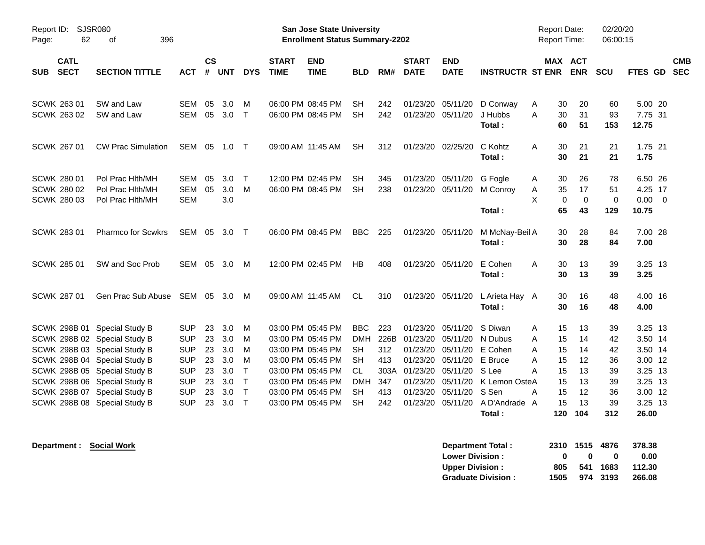|                                                                |                                                                                                                        |                                                      |                      |                          |                                   |                             | <b>Preliminary Census</b>                                                        |                                             |                           |                                              |                                              |                                          |                                              |                               |                      |                                            |            |
|----------------------------------------------------------------|------------------------------------------------------------------------------------------------------------------------|------------------------------------------------------|----------------------|--------------------------|-----------------------------------|-----------------------------|----------------------------------------------------------------------------------|---------------------------------------------|---------------------------|----------------------------------------------|----------------------------------------------|------------------------------------------|----------------------------------------------|-------------------------------|----------------------|--------------------------------------------|------------|
| Report ID:<br>Page:                                            | <b>SJSR080</b><br><b>San Jose State University</b><br>62<br>396<br><b>Enrollment Status Summary-2202</b><br>оf         |                                                      |                      |                          |                                   |                             |                                                                                  |                                             |                           |                                              |                                              |                                          |                                              |                               | 02/20/20<br>06:00:15 |                                            |            |
| <b>CATL</b><br><b>SECT</b><br><b>SUB</b>                       | <b>SECTION TITTLE</b>                                                                                                  | <b>ACT</b>                                           | <b>CS</b><br>#       | <b>UNT</b>               | <b>DYS</b>                        | <b>START</b><br><b>TIME</b> | <b>END</b><br><b>TIME</b>                                                        | <b>BLD</b>                                  | RM#                       | <b>START</b><br><b>DATE</b>                  | <b>END</b><br><b>DATE</b>                    | <b>INSTRUCTR ST ENR</b>                  | MAX ACT                                      | <b>ENR</b>                    | <b>SCU</b>           | FTES GD SEC                                | <b>CMB</b> |
| SCWK 263 01<br>SCWK 263 02                                     | SW and Law<br>SW and Law                                                                                               | <b>SEM</b><br><b>SEM</b>                             | 05<br>05             | 3.0<br>3.0               | м<br>$\top$                       |                             | 06:00 PM 08:45 PM<br>06:00 PM 08:45 PM                                           | SН<br><b>SH</b>                             | 242<br>242                | 01/23/20                                     | 05/11/20<br>01/23/20 05/11/20                | D Conway<br>J Hubbs<br>Total:            | 30<br>A<br>30<br>A<br>60                     | 20<br>31<br>51                | 60<br>93<br>153      | 5.00 20<br>7.75 31<br>12.75                |            |
| SCWK 267 01                                                    | <b>CW Prac Simulation</b>                                                                                              | SEM                                                  | 05                   | 1.0                      | $\top$                            |                             | 09:00 AM 11:45 AM                                                                | <b>SH</b>                                   | 312                       | 01/23/20                                     | 02/25/20                                     | C Kohtz<br>Total:                        | A<br>30<br>30                                | 21<br>21                      | 21<br>21             | 1.75 21<br>1.75                            |            |
| <b>SCWK 280 01</b><br><b>SCWK 280 02</b><br><b>SCWK 280 03</b> | Pol Prac Hith/MH<br>Pol Prac Hith/MH<br>Pol Prac Hith/MH                                                               | <b>SEM</b><br><b>SEM</b><br><b>SEM</b>               | 05<br>05             | 3.0<br>3.0<br>3.0        | $\top$<br>M                       |                             | 12:00 PM 02:45 PM<br>06:00 PM 08:45 PM                                           | <b>SH</b><br><b>SH</b>                      | 345<br>238                | 01/23/20                                     | 05/11/20<br>01/23/20 05/11/20                | G Fogle<br>M Conroy<br>Total:            | 30<br>A<br>35<br>Α<br>X<br>$\mathbf 0$<br>65 | 26<br>17<br>$\mathbf 0$<br>43 | 78<br>51<br>0<br>129 | 6.50 26<br>4.25 17<br>$0.00 \t 0$<br>10.75 |            |
| <b>SCWK 28301</b>                                              | <b>Pharmco for Scwkrs</b>                                                                                              | SEM                                                  | 05                   | 3.0                      | $\top$                            |                             | 06:00 PM 08:45 PM                                                                | <b>BBC</b>                                  | 225                       | 01/23/20 05/11/20                            |                                              | M McNay-Beil A<br>Total:                 | 30<br>30                                     | 28<br>28                      | 84<br>84             | 7.00 28<br>7.00                            |            |
| <b>SCWK 285 01</b>                                             | SW and Soc Prob                                                                                                        | SEM                                                  | 05                   | 3.0                      | M                                 |                             | 12:00 PM 02:45 PM                                                                | HB                                          | 408                       | 01/23/20 05/11/20                            |                                              | E Cohen<br>Total :                       | A<br>30<br>30                                | 13<br>13                      | 39<br>39             | $3.25$ 13<br>3.25                          |            |
| <b>SCWK 287 01</b>                                             | Gen Prac Sub Abuse                                                                                                     | SEM                                                  |                      | 05 3.0                   | M                                 |                             | 09:00 AM 11:45 AM                                                                | <b>CL</b>                                   | 310                       |                                              | 01/23/20 05/11/20                            | L Arieta Hay A<br>Total:                 | 30<br>30                                     | 16<br>16                      | 48<br>48             | 4.00 16<br>4.00                            |            |
| SCWK 298B 01                                                   | <b>Special Study B</b><br>SCWK 298B 02 Special Study B<br>SCWK 298B 03 Special Study B<br>SCWK 298B 04 Special Study B | <b>SUP</b><br><b>SUP</b><br><b>SUP</b><br><b>SUP</b> | 23<br>23<br>23<br>23 | 3.0<br>3.0<br>3.0<br>3.0 | м<br>M<br>M<br>M                  |                             | 03:00 PM 05:45 PM<br>03:00 PM 05:45 PM<br>03:00 PM 05:45 PM<br>03:00 PM 05:45 PM | <b>BBC</b><br><b>DMH</b><br>SН<br><b>SH</b> | 223<br>226B<br>312<br>413 | 01/23/20<br>01/23/20<br>01/23/20<br>01/23/20 | 05/11/20<br>05/11/20<br>05/11/20<br>05/11/20 | S Diwan<br>N Dubus<br>E Cohen<br>E Bruce | 15<br>A<br>15<br>A<br>15<br>Α<br>A<br>15     | 13<br>14<br>14<br>12          | 39<br>42<br>42<br>36 | 3.25 13<br>3.50 14<br>3.50 14<br>3.00 12   |            |
|                                                                | SCWK 298B 05 Special Study B<br>SCWK 298B 06 Special Study B<br>SCWK 298B 07 Special Study B                           | <b>SUP</b><br><b>SUP</b><br><b>SUP</b>               | 23<br>23<br>23       | 3.0<br>3.0<br>3.0        | $\mathsf{T}$<br>Т<br>$\mathsf{T}$ |                             | 03:00 PM 05:45 PM<br>03:00 PM 05:45 PM<br>03:00 PM 05:45 PM                      | CL.<br><b>DMH</b><br><b>SH</b>              | 303A<br>347<br>413        | 01/23/20<br>01/23/20<br>01/23/20             | 05/11/20<br>05/11/20<br>05/11/20             | S Lee<br>K Lemon OsteA<br>S Sen          | A<br>15<br>15<br>15<br>Α                     | 13<br>13<br>12                | 39<br>39<br>36       | 3.25 13<br>3.25 13<br>3.00 12              |            |
|                                                                | SCWK 298B 08 Special Study B                                                                                           | <b>SUP</b>                                           | 23                   | 3.0                      | $\top$                            |                             | 03:00 PM 05:45 PM                                                                | <b>SH</b>                                   | 242                       | 01/23/20                                     | 05/11/20                                     | A D'Andrade A<br>Total:                  | 15<br>120                                    | 13<br>104                     | 39<br>312            | 3.25 13<br>26.00                           |            |

| Department Total:         | 2310         | 1515 4876    |          | 378.38 |
|---------------------------|--------------|--------------|----------|--------|
| <b>Lower Division:</b>    | $\mathbf{u}$ | $\mathbf{u}$ | 0        | 0.00   |
| <b>Upper Division:</b>    | 805          |              | 541 1683 | 112.30 |
| <b>Graduate Division:</b> | 1505         |              | 974 3193 | 266.08 |

**Department : Social Work**